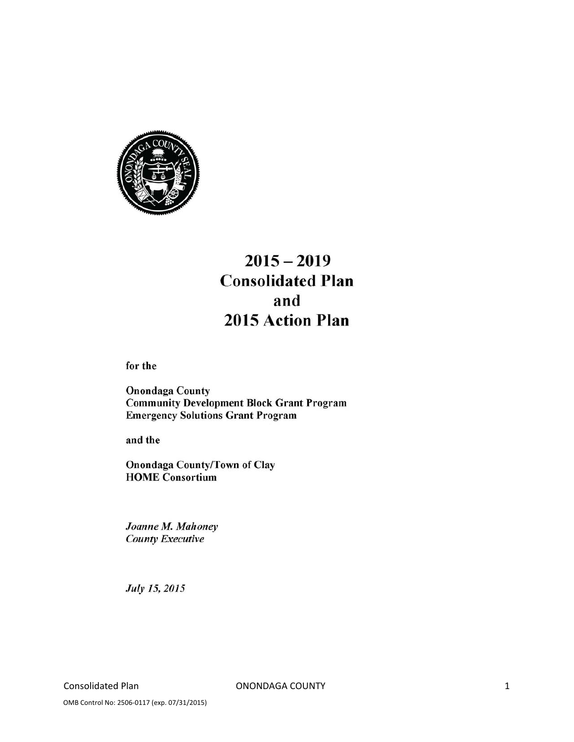

# $2015 - 2019$ **Consolidated Plan** and 2015 Action Plan

for the

**Onondaga County Community Development Block Grant Program Emergency Solutions Grant Program** 

and the

**Onondaga County/Town of Clay HOME** Consortium

Joanne M. Mahoney **County Executive** 

July 15, 2015

Consolidated Plan **COUNTY**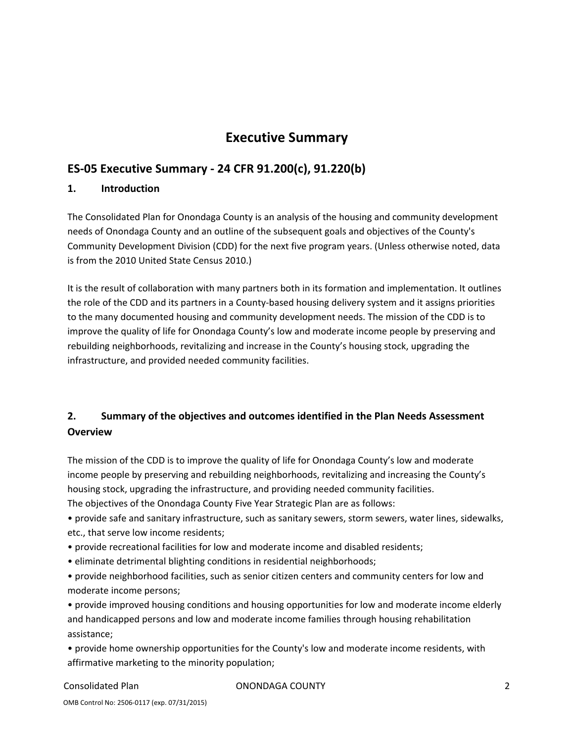## **Executive Summary**

## **ES‐05 Executive Summary ‐ 24 CFR 91.200(c), 91.220(b)**

#### **1. Introduction**

The Consolidated Plan for Onondaga County is an analysis of the housing and community development needs of Onondaga County and an outline of the subsequent goals and objectives of the County's Community Development Division (CDD) for the next five program years. (Unless otherwise noted, data is from the 2010 United State Census 2010.)

It is the result of collaboration with many partners both in its formation and implementation. It outlines the role of the CDD and its partners in a County‐based housing delivery system and it assigns priorities to the many documented housing and community development needs. The mission of the CDD is to improve the quality of life for Onondaga County's low and moderate income people by preserving and rebuilding neighborhoods, revitalizing and increase in the County's housing stock, upgrading the infrastructure, and provided needed community facilities.

## **2. Summary of the objectives and outcomes identified in the Plan Needs Assessment Overview**

The mission of the CDD is to improve the quality of life for Onondaga County's low and moderate income people by preserving and rebuilding neighborhoods, revitalizing and increasing the County's housing stock, upgrading the infrastructure, and providing needed community facilities. The objectives of the Onondaga County Five Year Strategic Plan are as follows:

• provide safe and sanitary infrastructure, such as sanitary sewers, storm sewers, water lines, sidewalks, etc., that serve low income residents;

- provide recreational facilities for low and moderate income and disabled residents;
- eliminate detrimental blighting conditions in residential neighborhoods;

• provide neighborhood facilities, such as senior citizen centers and community centers for low and moderate income persons;

• provide improved housing conditions and housing opportunities for low and moderate income elderly and handicapped persons and low and moderate income families through housing rehabilitation assistance;

• provide home ownership opportunities for the County's low and moderate income residents, with affirmative marketing to the minority population;

#### Consolidated Plan ONONDAGA COUNTY 2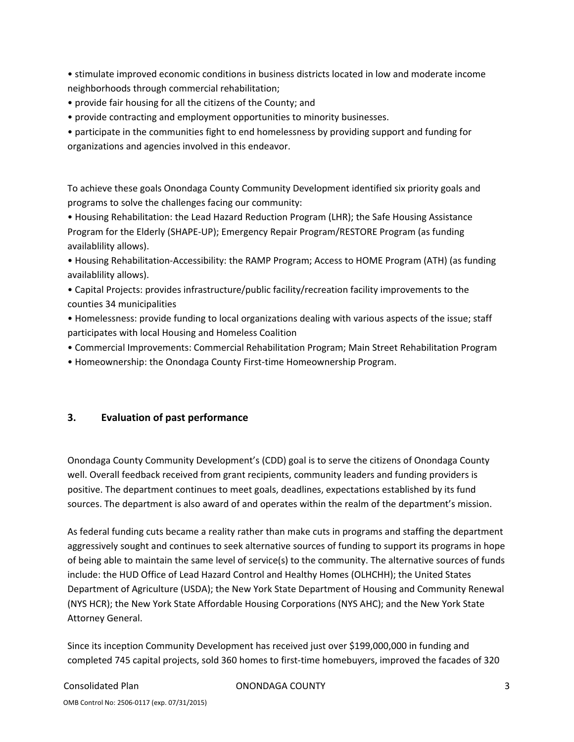• stimulate improved economic conditions in business districts located in low and moderate income neighborhoods through commercial rehabilitation;

- provide fair housing for all the citizens of the County; and
- provide contracting and employment opportunities to minority businesses.
- participate in the communities fight to end homelessness by providing support and funding for organizations and agencies involved in this endeavor.

To achieve these goals Onondaga County Community Development identified six priority goals and programs to solve the challenges facing our community:

• Housing Rehabilitation: the Lead Hazard Reduction Program (LHR); the Safe Housing Assistance Program for the Elderly (SHAPE‐UP); Emergency Repair Program/RESTORE Program (as funding availablility allows).

• Housing Rehabilitation‐Accessibility: the RAMP Program; Access to HOME Program (ATH) (as funding availablility allows).

• Capital Projects: provides infrastructure/public facility/recreation facility improvements to the counties 34 municipalities

• Homelessness: provide funding to local organizations dealing with various aspects of the issue; staff participates with local Housing and Homeless Coalition

• Commercial Improvements: Commercial Rehabilitation Program; Main Street Rehabilitation Program

• Homeownership: the Onondaga County First‐time Homeownership Program.

### **3. Evaluation of past performance**

Onondaga County Community Development's (CDD) goal is to serve the citizens of Onondaga County well. Overall feedback received from grant recipients, community leaders and funding providers is positive. The department continues to meet goals, deadlines, expectations established by its fund sources. The department is also award of and operates within the realm of the department's mission.

As federal funding cuts became a reality rather than make cuts in programs and staffing the department aggressively sought and continues to seek alternative sources of funding to support its programs in hope of being able to maintain the same level of service(s) to the community. The alternative sources of funds include: the HUD Office of Lead Hazard Control and Healthy Homes (OLHCHH); the United States Department of Agriculture (USDA); the New York State Department of Housing and Community Renewal (NYS HCR); the New York State Affordable Housing Corporations (NYS AHC); and the New York State Attorney General.

Since its inception Community Development has received just over \$199,000,000 in funding and completed 745 capital projects, sold 360 homes to first-time homebuyers, improved the facades of 320

#### Consolidated Plan ONONDAGA COUNTY 3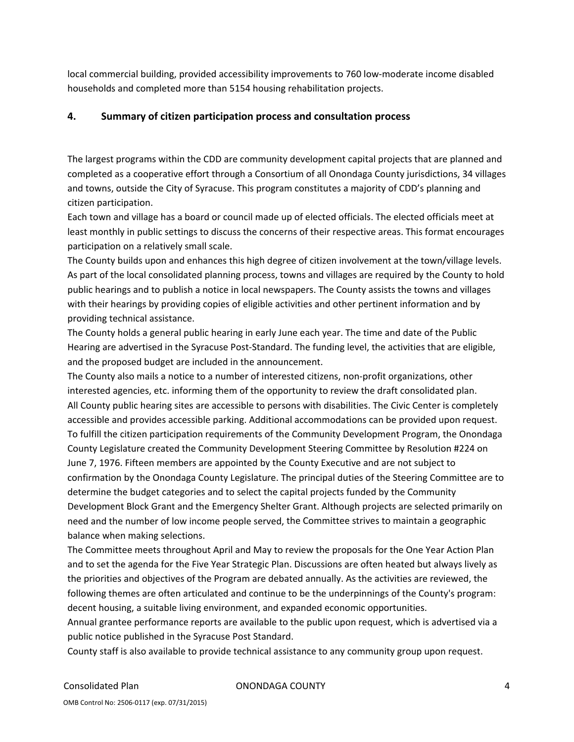local commercial building, provided accessibility improvements to 760 low‐moderate income disabled households and completed more than 5154 housing rehabilitation projects.

### **4. Summary of citizen participation process and consultation process**

The largest programs within the CDD are community development capital projects that are planned and completed as a cooperative effort through a Consortium of all Onondaga County jurisdictions, 34 villages and towns, outside the City of Syracuse. This program constitutes a majority of CDD's planning and citizen participation.

Each town and village has a board or council made up of elected officials. The elected officials meet at least monthly in public settings to discuss the concerns of their respective areas. This format encourages participation on a relatively small scale.

The County builds upon and enhances this high degree of citizen involvement at the town/village levels. As part of the local consolidated planning process, towns and villages are required by the County to hold public hearings and to publish a notice in local newspapers. The County assists the towns and villages with their hearings by providing copies of eligible activities and other pertinent information and by providing technical assistance.

The County holds a general public hearing in early June each year. The time and date of the Public Hearing are advertised in the Syracuse Post‐Standard. The funding level, the activities that are eligible, and the proposed budget are included in the announcement.

The County also mails a notice to a number of interested citizens, non‐profit organizations, other interested agencies, etc. informing them of the opportunity to review the draft consolidated plan. All County public hearing sites are accessible to persons with disabilities. The Civic Center is completely accessible and provides accessible parking. Additional accommodations can be provided upon request. To fulfill the citizen participation requirements of the Community Development Program, the Onondaga County Legislature created the Community Development Steering Committee by Resolution #224 on June 7, 1976. Fifteen members are appointed by the County Executive and are not subject to confirmation by the Onondaga County Legislature. The principal duties of the Steering Committee are to determine the budget categories and to select the capital projects funded by the Community Development Block Grant and the Emergency Shelter Grant. Although projects are selected primarily on need and the number of low income people served, the Committee strives to maintain a geographic balance when making selections.

The Committee meets throughout April and May to review the proposals for the One Year Action Plan and to set the agenda for the Five Year Strategic Plan. Discussions are often heated but always lively as the priorities and objectives of the Program are debated annually. As the activities are reviewed, the following themes are often articulated and continue to be the underpinnings of the County's program: decent housing, a suitable living environment, and expanded economic opportunities.

Annual grantee performance reports are available to the public upon request, which is advertised via a public notice published in the Syracuse Post Standard.

County staff is also available to provide technical assistance to any community group upon request.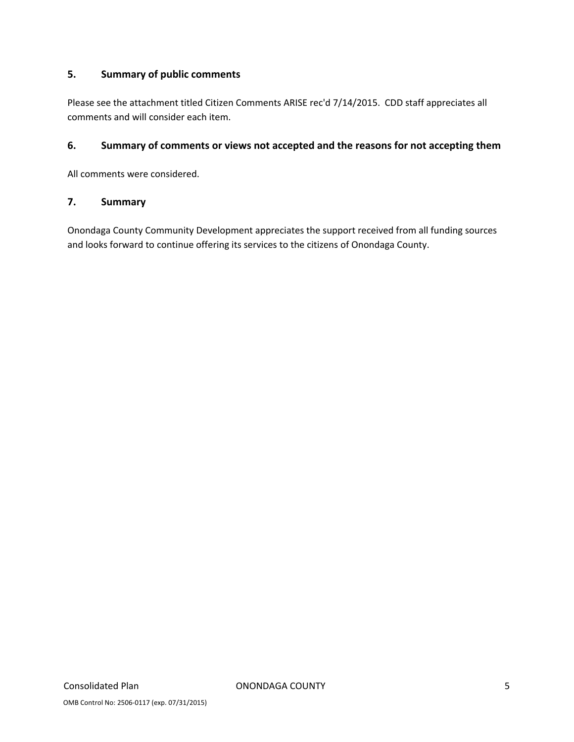## **5. Summary of public comments**

Please see the attachment titled Citizen Comments ARISE rec'd 7/14/2015. CDD staff appreciates all comments and will consider each item.

#### **6. Summary of comments or views not accepted and the reasons for not accepting them**

All comments were considered.

#### **7. Summary**

Onondaga County Community Development appreciates the support received from all funding sources and looks forward to continue offering its services to the citizens of Onondaga County.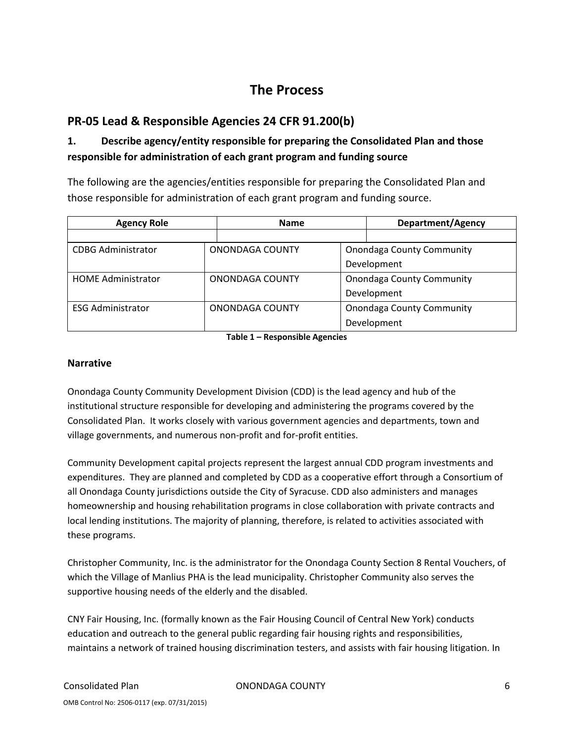## **The Process**

## **PR‐05 Lead & Responsible Agencies 24 CFR 91.200(b)**

## **1. Describe agency/entity responsible for preparing the Consolidated Plan and those responsible for administration of each grant program and funding source**

The following are the agencies/entities responsible for preparing the Consolidated Plan and those responsible for administration of each grant program and funding source.

| <b>Agency Role</b>        | <b>Name</b>            |                                  | <b>Department/Agency</b>         |  |  |
|---------------------------|------------------------|----------------------------------|----------------------------------|--|--|
|                           |                        |                                  |                                  |  |  |
| <b>CDBG Administrator</b> | ONONDAGA COUNTY        |                                  | <b>Onondaga County Community</b> |  |  |
|                           |                        |                                  | Development                      |  |  |
| <b>HOMF Administrator</b> | <b>ONONDAGA COUNTY</b> |                                  | <b>Onondaga County Community</b> |  |  |
|                           |                        |                                  | Development                      |  |  |
| <b>ESG Administrator</b>  | <b>ONONDAGA COUNTY</b> | <b>Onondaga County Community</b> |                                  |  |  |
|                           |                        |                                  | Development                      |  |  |

**Table 1 – Responsible Agencies**

#### **Narrative**

Onondaga County Community Development Division (CDD) is the lead agency and hub of the institutional structure responsible for developing and administering the programs covered by the Consolidated Plan. It works closely with various government agencies and departments, town and village governments, and numerous non‐profit and for‐profit entities.

Community Development capital projects represent the largest annual CDD program investments and expenditures. They are planned and completed by CDD as a cooperative effort through a Consortium of all Onondaga County jurisdictions outside the City of Syracuse. CDD also administers and manages homeownership and housing rehabilitation programs in close collaboration with private contracts and local lending institutions. The majority of planning, therefore, is related to activities associated with these programs.

Christopher Community, Inc. is the administrator for the Onondaga County Section 8 Rental Vouchers, of which the Village of Manlius PHA is the lead municipality. Christopher Community also serves the supportive housing needs of the elderly and the disabled.

CNY Fair Housing, Inc. (formally known as the Fair Housing Council of Central New York) conducts education and outreach to the general public regarding fair housing rights and responsibilities, maintains a network of trained housing discrimination testers, and assists with fair housing litigation. In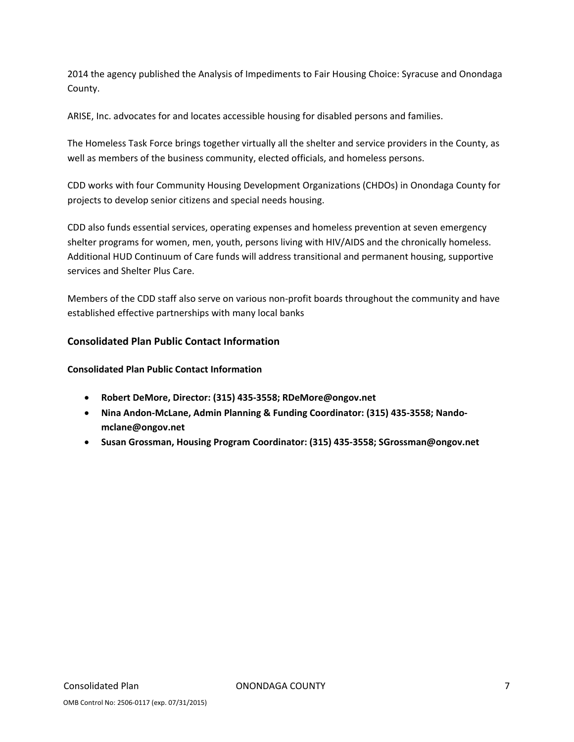2014 the agency published the Analysis of Impediments to Fair Housing Choice: Syracuse and Onondaga County.

ARISE, Inc. advocates for and locates accessible housing for disabled persons and families.

The Homeless Task Force brings together virtually all the shelter and service providers in the County, as well as members of the business community, elected officials, and homeless persons.

CDD works with four Community Housing Development Organizations (CHDOs) in Onondaga County for projects to develop senior citizens and special needs housing.

CDD also funds essential services, operating expenses and homeless prevention at seven emergency shelter programs for women, men, youth, persons living with HIV/AIDS and the chronically homeless. Additional HUD Continuum of Care funds will address transitional and permanent housing, supportive services and Shelter Plus Care.

Members of the CDD staff also serve on various non‐profit boards throughout the community and have established effective partnerships with many local banks

#### **Consolidated Plan Public Contact Information**

**Consolidated Plan Public Contact Information**

- **Robert DeMore, Director: (315) 435‐3558; RDeMore@ongov.net**
- **Nina Andon‐McLane, Admin Planning & Funding Coordinator: (315) 435‐3558; Nando‐ mclane@ongov.net**
- **Susan Grossman, Housing Program Coordinator: (315) 435‐3558; SGrossman@ongov.net**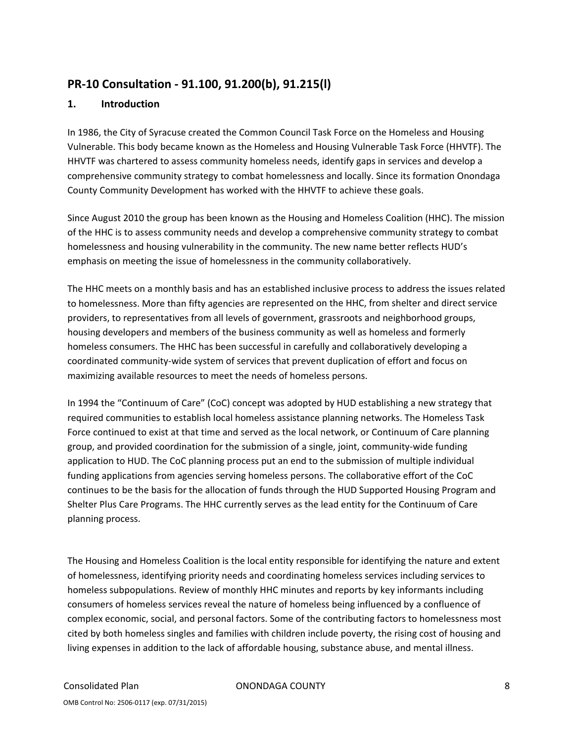## **PR‐10 Consultation ‐ 91.100, 91.200(b), 91.215(l)**

#### **1. Introduction**

In 1986, the City of Syracuse created the Common Council Task Force on the Homeless and Housing Vulnerable. This body became known as the Homeless and Housing Vulnerable Task Force (HHVTF). The HHVTF was chartered to assess community homeless needs, identify gaps in services and develop a comprehensive community strategy to combat homelessness and locally. Since its formation Onondaga County Community Development has worked with the HHVTF to achieve these goals.

Since August 2010 the group has been known as the Housing and Homeless Coalition (HHC). The mission of the HHC is to assess community needs and develop a comprehensive community strategy to combat homelessness and housing vulnerability in the community. The new name better reflects HUD's emphasis on meeting the issue of homelessness in the community collaboratively.

The HHC meets on a monthly basis and has an established inclusive process to address the issues related to homelessness. More than fifty agencies are represented on the HHC, from shelter and direct service providers, to representatives from all levels of government, grassroots and neighborhood groups, housing developers and members of the business community as well as homeless and formerly homeless consumers. The HHC has been successful in carefully and collaboratively developing a coordinated community‐wide system of services that prevent duplication of effort and focus on maximizing available resources to meet the needs of homeless persons.

In 1994 the "Continuum of Care" (CoC) concept was adopted by HUD establishing a new strategy that required communities to establish local homeless assistance planning networks. The Homeless Task Force continued to exist at that time and served as the local network, or Continuum of Care planning group, and provided coordination for the submission of a single, joint, community-wide funding application to HUD. The CoC planning process put an end to the submission of multiple individual funding applications from agencies serving homeless persons. The collaborative effort of the CoC continues to be the basis for the allocation of funds through the HUD Supported Housing Program and Shelter Plus Care Programs. The HHC currently serves as the lead entity for the Continuum of Care planning process.

The Housing and Homeless Coalition is the local entity responsible for identifying the nature and extent of homelessness, identifying priority needs and coordinating homeless services including services to homeless subpopulations. Review of monthly HHC minutes and reports by key informants including consumers of homeless services reveal the nature of homeless being influenced by a confluence of complex economic, social, and personal factors. Some of the contributing factors to homelessness most cited by both homeless singles and families with children include poverty, the rising cost of housing and living expenses in addition to the lack of affordable housing, substance abuse, and mental illness.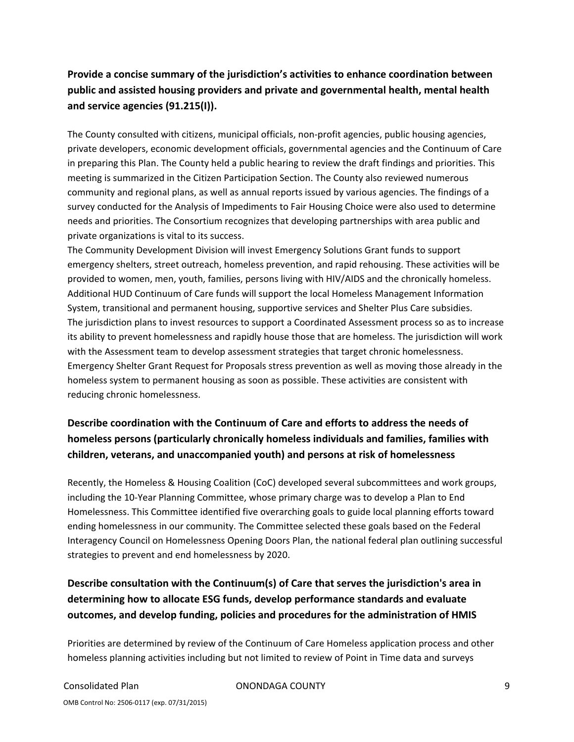## **Provide a concise summary of the jurisdiction's activities to enhance coordination between public and assisted housing providers and private and governmental health, mental health and service agencies (91.215(I)).**

The County consulted with citizens, municipal officials, non‐profit agencies, public housing agencies, private developers, economic development officials, governmental agencies and the Continuum of Care in preparing this Plan. The County held a public hearing to review the draft findings and priorities. This meeting is summarized in the Citizen Participation Section. The County also reviewed numerous community and regional plans, as well as annual reports issued by various agencies. The findings of a survey conducted for the Analysis of Impediments to Fair Housing Choice were also used to determine needs and priorities. The Consortium recognizes that developing partnerships with area public and private organizations is vital to its success.

The Community Development Division will invest Emergency Solutions Grant funds to support emergency shelters, street outreach, homeless prevention, and rapid rehousing. These activities will be provided to women, men, youth, families, persons living with HIV/AIDS and the chronically homeless. Additional HUD Continuum of Care funds will support the local Homeless Management Information System, transitional and permanent housing, supportive services and Shelter Plus Care subsidies. The jurisdiction plans to invest resources to support a Coordinated Assessment process so as to increase its ability to prevent homelessness and rapidly house those that are homeless. The jurisdiction will work with the Assessment team to develop assessment strategies that target chronic homelessness. Emergency Shelter Grant Request for Proposals stress prevention as well as moving those already in the homeless system to permanent housing as soon as possible. These activities are consistent with reducing chronic homelessness.

## **Describe coordination with the Continuum of Care and efforts to address the needs of homeless persons (particularly chronically homeless individuals and families, families with children, veterans, and unaccompanied youth) and persons at risk of homelessness**

Recently, the Homeless & Housing Coalition (CoC) developed several subcommittees and work groups, including the 10‐Year Planning Committee, whose primary charge was to develop a Plan to End Homelessness. This Committee identified five overarching goals to guide local planning efforts toward ending homelessness in our community. The Committee selected these goals based on the Federal Interagency Council on Homelessness Opening Doors Plan, the national federal plan outlining successful strategies to prevent and end homelessness by 2020.

## **Describe consultation with the Continuum(s) of Care that serves the jurisdiction's area in determining how to allocate ESG funds, develop performance standards and evaluate outcomes, and develop funding, policies and procedures for the administration of HMIS**

Priorities are determined by review of the Continuum of Care Homeless application process and other homeless planning activities including but not limited to review of Point in Time data and surveys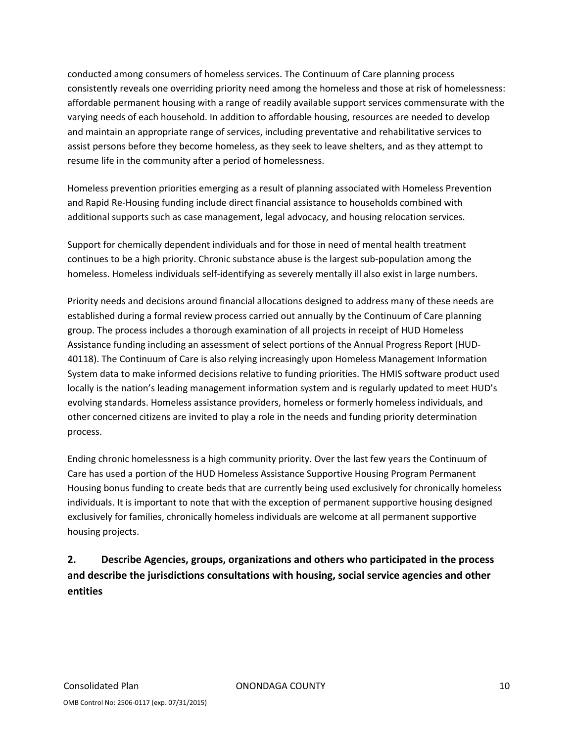conducted among consumers of homeless services. The Continuum of Care planning process consistently reveals one overriding priority need among the homeless and those at risk of homelessness: affordable permanent housing with a range of readily available support services commensurate with the varying needs of each household. In addition to affordable housing, resources are needed to develop and maintain an appropriate range of services, including preventative and rehabilitative services to assist persons before they become homeless, as they seek to leave shelters, and as they attempt to resume life in the community after a period of homelessness.

Homeless prevention priorities emerging as a result of planning associated with Homeless Prevention and Rapid Re‐Housing funding include direct financial assistance to households combined with additional supports such as case management, legal advocacy, and housing relocation services.

Support for chemically dependent individuals and for those in need of mental health treatment continues to be a high priority. Chronic substance abuse is the largest sub‐population among the homeless. Homeless individuals self-identifying as severely mentally ill also exist in large numbers.

Priority needs and decisions around financial allocations designed to address many of these needs are established during a formal review process carried out annually by the Continuum of Care planning group. The process includes a thorough examination of all projects in receipt of HUD Homeless Assistance funding including an assessment of select portions of the Annual Progress Report (HUD‐ 40118). The Continuum of Care is also relying increasingly upon Homeless Management Information System data to make informed decisions relative to funding priorities. The HMIS software product used locally is the nation's leading management information system and is regularly updated to meet HUD's evolving standards. Homeless assistance providers, homeless or formerly homeless individuals, and other concerned citizens are invited to play a role in the needs and funding priority determination process.

Ending chronic homelessness is a high community priority. Over the last few years the Continuum of Care has used a portion of the HUD Homeless Assistance Supportive Housing Program Permanent Housing bonus funding to create beds that are currently being used exclusively for chronically homeless individuals. It is important to note that with the exception of permanent supportive housing designed exclusively for families, chronically homeless individuals are welcome at all permanent supportive housing projects.

**2. Describe Agencies, groups, organizations and others who participated in the process and describe the jurisdictions consultations with housing, social service agencies and other entities**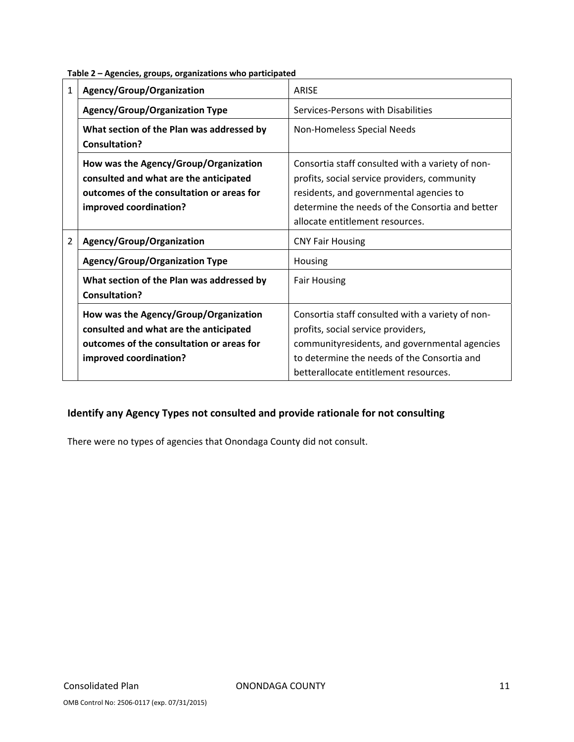|  | Table 2 - Agencies, groups, organizations who participated |
|--|------------------------------------------------------------|
|--|------------------------------------------------------------|

| 1              | Agency/Group/Organization                                                                                                                              | <b>ARISE</b>                                                                                                                                                                                                                      |
|----------------|--------------------------------------------------------------------------------------------------------------------------------------------------------|-----------------------------------------------------------------------------------------------------------------------------------------------------------------------------------------------------------------------------------|
|                | <b>Agency/Group/Organization Type</b>                                                                                                                  | Services-Persons with Disabilities                                                                                                                                                                                                |
|                | What section of the Plan was addressed by<br><b>Consultation?</b>                                                                                      | Non-Homeless Special Needs                                                                                                                                                                                                        |
|                | How was the Agency/Group/Organization<br>consulted and what are the anticipated<br>outcomes of the consultation or areas for<br>improved coordination? | Consortia staff consulted with a variety of non-<br>profits, social service providers, community<br>residents, and governmental agencies to<br>determine the needs of the Consortia and better<br>allocate entitlement resources. |
| $\overline{2}$ | Agency/Group/Organization                                                                                                                              | <b>CNY Fair Housing</b>                                                                                                                                                                                                           |
|                | <b>Agency/Group/Organization Type</b>                                                                                                                  | Housing                                                                                                                                                                                                                           |
|                | What section of the Plan was addressed by<br><b>Consultation?</b>                                                                                      | <b>Fair Housing</b>                                                                                                                                                                                                               |
|                | How was the Agency/Group/Organization<br>consulted and what are the anticipated<br>outcomes of the consultation or areas for<br>improved coordination? | Consortia staff consulted with a variety of non-<br>profits, social service providers,<br>communityresidents, and governmental agencies<br>to determine the needs of the Consortia and<br>betterallocate entitlement resources.   |

### **Identify any Agency Types not consulted and provide rationale for not consulting**

There were no types of agencies that Onondaga County did not consult.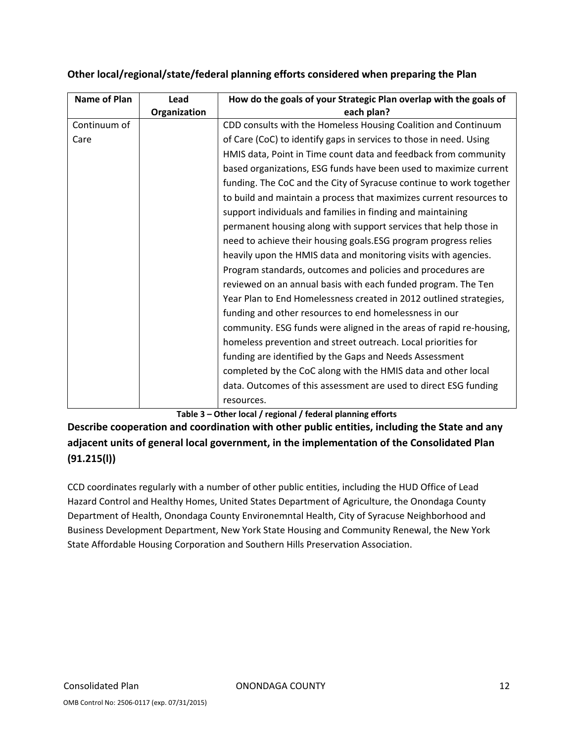| Name of Plan | Lead         | How do the goals of your Strategic Plan overlap with the goals of   |
|--------------|--------------|---------------------------------------------------------------------|
|              | Organization | each plan?                                                          |
| Continuum of |              | CDD consults with the Homeless Housing Coalition and Continuum      |
| Care         |              | of Care (CoC) to identify gaps in services to those in need. Using  |
|              |              | HMIS data, Point in Time count data and feedback from community     |
|              |              | based organizations, ESG funds have been used to maximize current   |
|              |              | funding. The CoC and the City of Syracuse continue to work together |
|              |              | to build and maintain a process that maximizes current resources to |
|              |              | support individuals and families in finding and maintaining         |
|              |              | permanent housing along with support services that help those in    |
|              |              | need to achieve their housing goals.ESG program progress relies     |
|              |              | heavily upon the HMIS data and monitoring visits with agencies.     |
|              |              | Program standards, outcomes and policies and procedures are         |
|              |              | reviewed on an annual basis with each funded program. The Ten       |
|              |              | Year Plan to End Homelessness created in 2012 outlined strategies,  |
|              |              | funding and other resources to end homelessness in our              |
|              |              | community. ESG funds were aligned in the areas of rapid re-housing, |
|              |              | homeless prevention and street outreach. Local priorities for       |
|              |              | funding are identified by the Gaps and Needs Assessment             |
|              |              | completed by the CoC along with the HMIS data and other local       |
|              |              | data. Outcomes of this assessment are used to direct ESG funding    |
|              |              | resources.                                                          |

### **Other local/regional/state/federal planning efforts considered when preparing the Plan**

**Table 3 – Other local / regional / federal planning efforts**

**Describe cooperation and coordination with other public entities, including the State and any adjacent units of general local government, in the implementation of the Consolidated Plan (91.215(l))**

CCD coordinates regularly with a number of other public entities, including the HUD Office of Lead Hazard Control and Healthy Homes, United States Department of Agriculture, the Onondaga County Department of Health, Onondaga County Environemntal Health, City of Syracuse Neighborhood and Business Development Department, New York State Housing and Community Renewal, the New York State Affordable Housing Corporation and Southern Hills Preservation Association.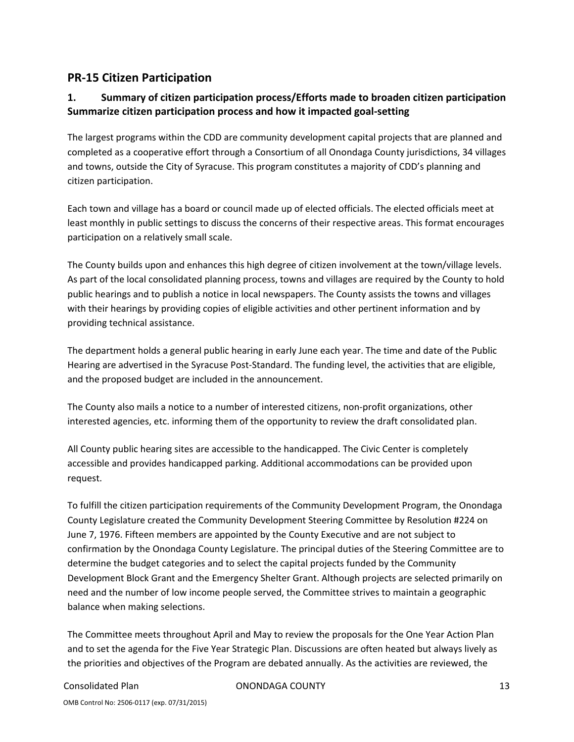## **PR‐15 Citizen Participation**

## **1. Summary of citizen participation process/Efforts made to broaden citizen participation Summarize citizen participation process and how it impacted goal‐setting**

The largest programs within the CDD are community development capital projects that are planned and completed as a cooperative effort through a Consortium of all Onondaga County jurisdictions, 34 villages and towns, outside the City of Syracuse. This program constitutes a majority of CDD's planning and citizen participation.

Each town and village has a board or council made up of elected officials. The elected officials meet at least monthly in public settings to discuss the concerns of their respective areas. This format encourages participation on a relatively small scale.

The County builds upon and enhances this high degree of citizen involvement at the town/village levels. As part of the local consolidated planning process, towns and villages are required by the County to hold public hearings and to publish a notice in local newspapers. The County assists the towns and villages with their hearings by providing copies of eligible activities and other pertinent information and by providing technical assistance.

The department holds a general public hearing in early June each year. The time and date of the Public Hearing are advertised in the Syracuse Post‐Standard. The funding level, the activities that are eligible, and the proposed budget are included in the announcement.

The County also mails a notice to a number of interested citizens, non‐profit organizations, other interested agencies, etc. informing them of the opportunity to review the draft consolidated plan.

All County public hearing sites are accessible to the handicapped. The Civic Center is completely accessible and provides handicapped parking. Additional accommodations can be provided upon request.

To fulfill the citizen participation requirements of the Community Development Program, the Onondaga County Legislature created the Community Development Steering Committee by Resolution #224 on June 7, 1976. Fifteen members are appointed by the County Executive and are not subject to confirmation by the Onondaga County Legislature. The principal duties of the Steering Committee are to determine the budget categories and to select the capital projects funded by the Community Development Block Grant and the Emergency Shelter Grant. Although projects are selected primarily on need and the number of low income people served, the Committee strives to maintain a geographic balance when making selections.

The Committee meets throughout April and May to review the proposals for the One Year Action Plan and to set the agenda for the Five Year Strategic Plan. Discussions are often heated but always lively as the priorities and objectives of the Program are debated annually. As the activities are reviewed, the

Consolidated Plan ONONDAGA COUNTY 13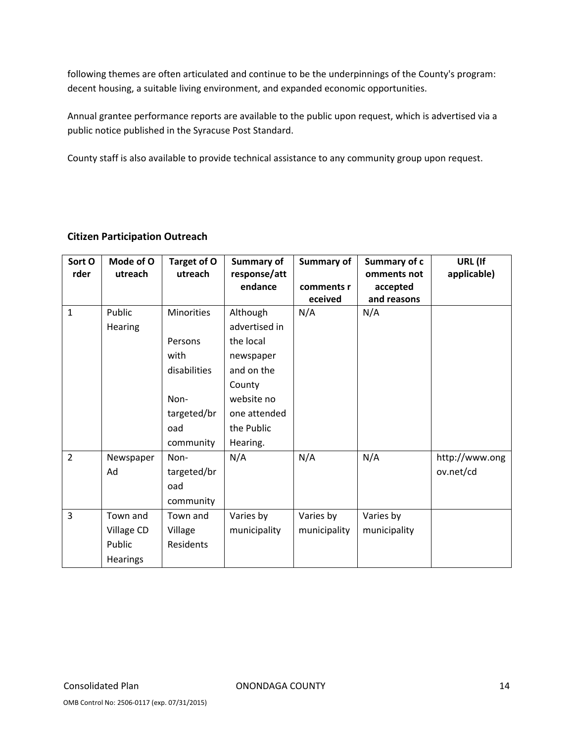following themes are often articulated and continue to be the underpinnings of the County's program: decent housing, a suitable living environment, and expanded economic opportunities.

Annual grantee performance reports are available to the public upon request, which is advertised via a public notice published in the Syracuse Post Standard.

County staff is also available to provide technical assistance to any community group upon request.

| Sort O<br>rder | Mode of O<br>utreach                                | Target of O<br>utreach                                                                          | Summary of<br>response/att<br>endance                                                                                               | Summary of<br>comments r<br>eceived | Summary of c<br>omments not<br>accepted<br>and reasons | URL (If<br>applicable)      |
|----------------|-----------------------------------------------------|-------------------------------------------------------------------------------------------------|-------------------------------------------------------------------------------------------------------------------------------------|-------------------------------------|--------------------------------------------------------|-----------------------------|
| $\mathbf{1}$   | Public<br>Hearing                                   | <b>Minorities</b><br>Persons<br>with<br>disabilities<br>Non-<br>targeted/br<br>oad<br>community | Although<br>advertised in<br>the local<br>newspaper<br>and on the<br>County<br>website no<br>one attended<br>the Public<br>Hearing. | N/A                                 | N/A                                                    |                             |
| $\overline{2}$ | Newspaper<br>Ad                                     | Non-<br>targeted/br<br>oad<br>community                                                         | N/A                                                                                                                                 | N/A                                 | N/A                                                    | http://www.ong<br>ov.net/cd |
| $\overline{3}$ | Town and<br>Village CD<br>Public<br><b>Hearings</b> | Town and<br>Village<br>Residents                                                                | Varies by<br>municipality                                                                                                           | Varies by<br>municipality           | Varies by<br>municipality                              |                             |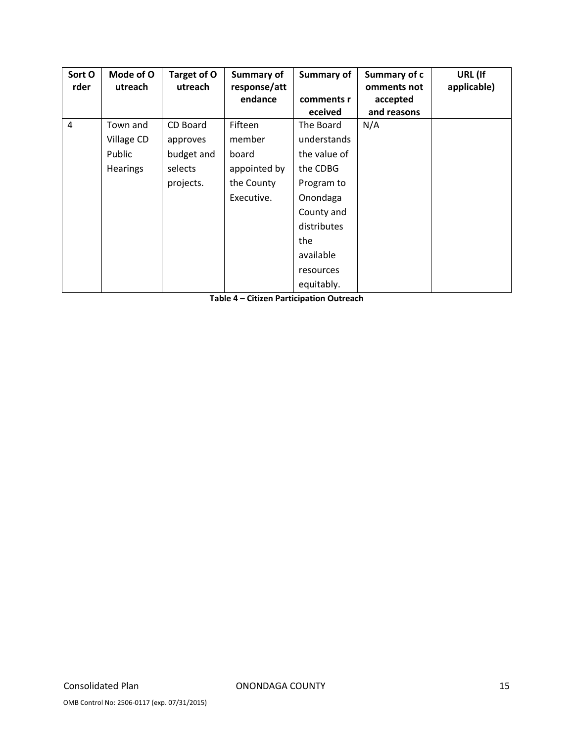| Sort O | Mode of O  | Target of O | Summary of   | Summary of   | Summary of c | URL (If     |
|--------|------------|-------------|--------------|--------------|--------------|-------------|
| rder   | utreach    | utreach     | response/att |              | omments not  | applicable) |
|        |            |             | endance      | comments r   | accepted     |             |
|        |            |             |              | eceived      | and reasons  |             |
| 4      | Town and   | CD Board    | Fifteen      | The Board    | N/A          |             |
|        | Village CD | approves    | member       | understands  |              |             |
|        | Public     | budget and  | board        | the value of |              |             |
|        | Hearings   | selects     | appointed by | the CDBG     |              |             |
|        |            | projects.   | the County   | Program to   |              |             |
|        |            |             | Executive.   | Onondaga     |              |             |
|        |            |             |              | County and   |              |             |
|        |            |             |              | distributes  |              |             |
|        |            |             |              | the          |              |             |
|        |            |             |              | available    |              |             |
|        |            |             |              | resources    |              |             |
|        |            |             |              | equitably.   |              |             |

**Table 4 – Citizen Participation Outreach**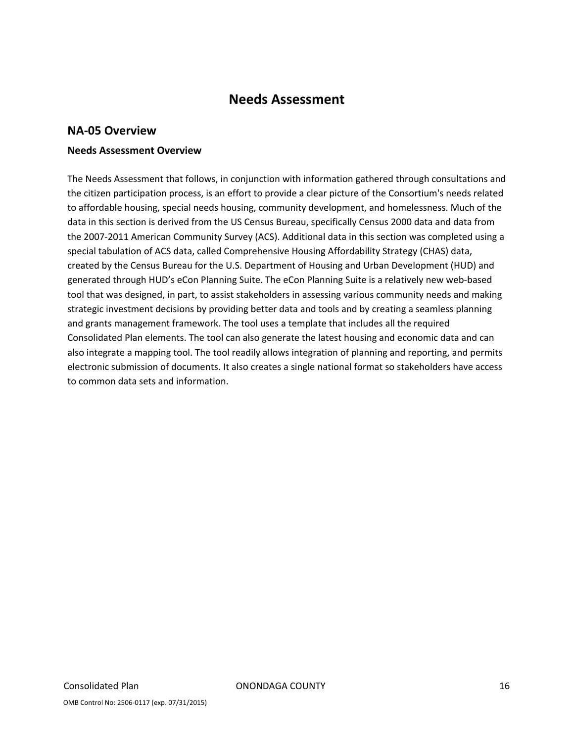## **Needs Assessment**

### **NA‐05 Overview**

#### **Needs Assessment Overview**

The Needs Assessment that follows, in conjunction with information gathered through consultations and the citizen participation process, is an effort to provide a clear picture of the Consortium's needs related to affordable housing, special needs housing, community development, and homelessness. Much of the data in this section is derived from the US Census Bureau, specifically Census 2000 data and data from the 2007‐2011 American Community Survey (ACS). Additional data in this section was completed using a special tabulation of ACS data, called Comprehensive Housing Affordability Strategy (CHAS) data, created by the Census Bureau for the U.S. Department of Housing and Urban Development (HUD) and generated through HUD's eCon Planning Suite. The eCon Planning Suite is a relatively new web-based tool that was designed, in part, to assist stakeholders in assessing various community needs and making strategic investment decisions by providing better data and tools and by creating a seamless planning and grants management framework. The tool uses a template that includes all the required Consolidated Plan elements. The tool can also generate the latest housing and economic data and can also integrate a mapping tool. The tool readily allows integration of planning and reporting, and permits electronic submission of documents. It also creates a single national format so stakeholders have access to common data sets and information.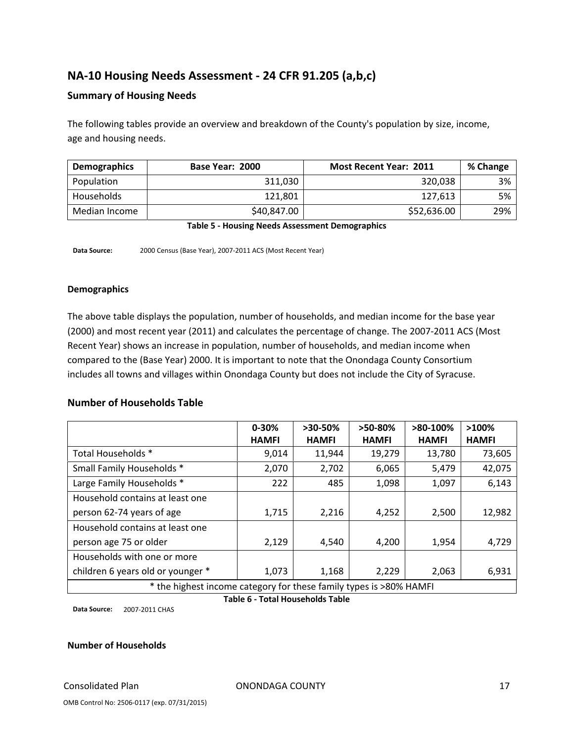## **NA‐10 Housing Needs Assessment ‐ 24 CFR 91.205 (a,b,c)**

#### **Summary of Housing Needs**

The following tables provide an overview and breakdown of the County's population by size, income, age and housing needs.

| <b>Demographics</b> | Base Year: 2000 | <b>Most Recent Year: 2011</b> | % Change |
|---------------------|-----------------|-------------------------------|----------|
| Population          | 311.030         | 320,038                       | 3%       |
| Households          | 121.801         | 127.613                       | 5%       |
| Median Income       | \$40,847.00     | \$52,636.00                   | 29%      |

**Table 5 ‐ Housing Needs Assessment Demographics**

**Data Source:** 2000 Census (Base Year), 2007‐2011 ACS (Most Recent Year)

#### **Demographics**

The above table displays the population, number of households, and median income for the base year (2000) and most recent year (2011) and calculates the percentage of change. The 2007‐2011 ACS (Most Recent Year) shows an increase in population, number of households, and median income when compared to the (Base Year) 2000. It is important to note that the Onondaga County Consortium includes all towns and villages within Onondaga County but does not include the City of Syracuse.

#### **Number of Households Table**

|                                                                     | $0 - 30%$    | $>30-50\%$   | $>50-80\%$   | $>80-100\%$  | $>100\%$     |
|---------------------------------------------------------------------|--------------|--------------|--------------|--------------|--------------|
|                                                                     | <b>HAMFI</b> | <b>HAMFI</b> | <b>HAMFI</b> | <b>HAMFI</b> | <b>HAMFI</b> |
| Total Households *                                                  | 9,014        | 11,944       | 19,279       | 13,780       | 73,605       |
| Small Family Households *                                           | 2,070        | 2,702        | 6,065        | 5,479        | 42,075       |
| Large Family Households *                                           | 222          | 485          | 1,098        | 1,097        | 6,143        |
| Household contains at least one                                     |              |              |              |              |              |
| person 62-74 years of age                                           | 1,715        | 2,216        | 4,252        | 2,500        | 12,982       |
| Household contains at least one                                     |              |              |              |              |              |
| person age 75 or older                                              | 2,129        | 4,540        | 4,200        | 1,954        | 4,729        |
| Households with one or more                                         |              |              |              |              |              |
| children 6 years old or younger *                                   | 1,073        | 1,168        | 2,229        | 2,063        | 6,931        |
| * the bighest income sategory for these family types is NOOK HANAEL |              |              |              |              |              |

the highest income category for these family types is >80% HAMFI

**Data Source:** 2007‐2011 CHAS

**Table 6 ‐ Total Households Table**

#### **Number of Households**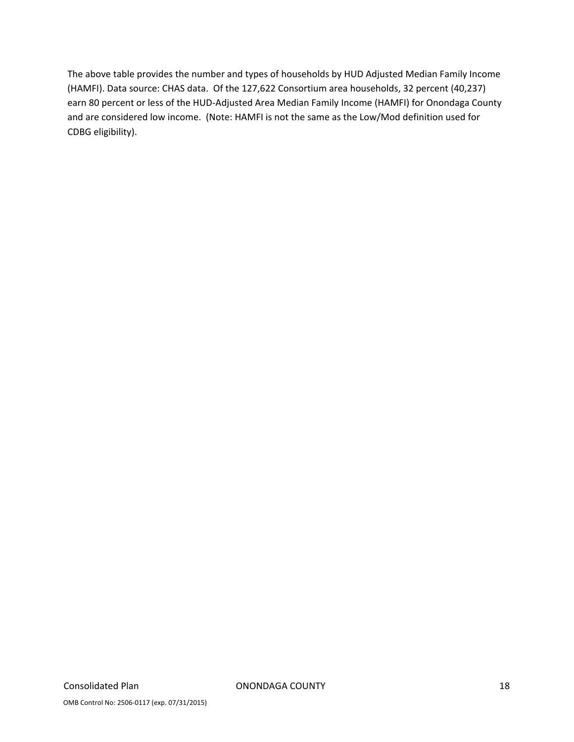The above table provides the number and types of households by HUD Adjusted Median Family Income (HAMFI). Data source: CHAS data. Of the 127,622 Consortium area households, 32 percent (40,237) earn 80 percent or less of the HUD‐Adjusted Area Median Family Income (HAMFI) for Onondaga County and are considered low income. (Note: HAMFI is not the same as the Low/Mod definition used for CDBG eligibility).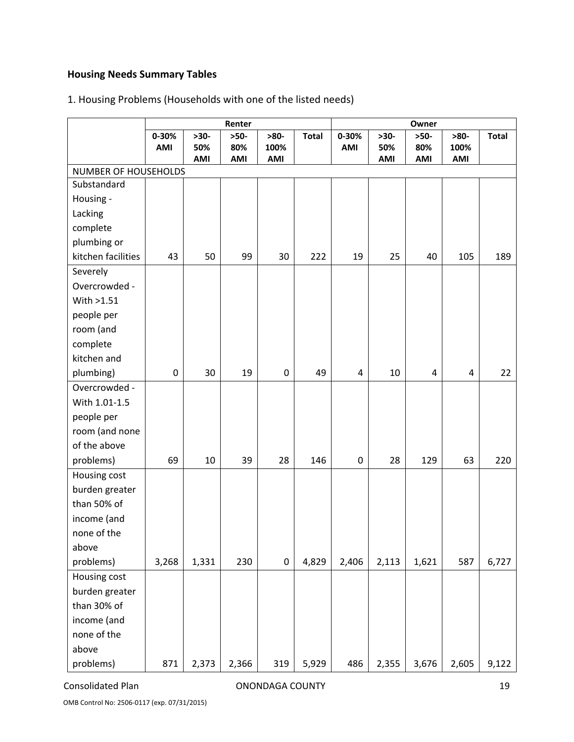## **Housing Needs Summary Tables**

## 1. Housing Problems (Households with one of the listed needs)

|                      | Renter    |        |        |           | Owner        |                  |        |        |        |              |
|----------------------|-----------|--------|--------|-----------|--------------|------------------|--------|--------|--------|--------------|
|                      | $0 - 30%$ | $>30-$ | $>50-$ | $>80-$    | <b>Total</b> | 0-30%            | $>30-$ | $>50-$ | $>80-$ | <b>Total</b> |
|                      | AMI       | 50%    | 80%    | 100%      |              | AMI              | 50%    | 80%    | 100%   |              |
| NUMBER OF HOUSEHOLDS |           | AMI    | AMI    | AMI       |              |                  | AMI    | AMI    | AMI    |              |
| Substandard          |           |        |        |           |              |                  |        |        |        |              |
| Housing -            |           |        |        |           |              |                  |        |        |        |              |
| Lacking              |           |        |        |           |              |                  |        |        |        |              |
| complete             |           |        |        |           |              |                  |        |        |        |              |
| plumbing or          |           |        |        |           |              |                  |        |        |        |              |
| kitchen facilities   | 43        | 50     | 99     | 30        | 222          | 19               | 25     | 40     | 105    | 189          |
| Severely             |           |        |        |           |              |                  |        |        |        |              |
| Overcrowded -        |           |        |        |           |              |                  |        |        |        |              |
| With >1.51           |           |        |        |           |              |                  |        |        |        |              |
| people per           |           |        |        |           |              |                  |        |        |        |              |
| room (and            |           |        |        |           |              |                  |        |        |        |              |
| complete             |           |        |        |           |              |                  |        |        |        |              |
| kitchen and          |           |        |        |           |              |                  |        |        |        |              |
| plumbing)            | 0         | 30     | 19     | $\pmb{0}$ | 49           | $\sqrt{4}$       | 10     | 4      | 4      | 22           |
| Overcrowded -        |           |        |        |           |              |                  |        |        |        |              |
| With 1.01-1.5        |           |        |        |           |              |                  |        |        |        |              |
| people per           |           |        |        |           |              |                  |        |        |        |              |
| room (and none       |           |        |        |           |              |                  |        |        |        |              |
| of the above         |           |        |        |           |              |                  |        |        |        |              |
| problems)            | 69        | 10     | 39     | 28        | 146          | $\boldsymbol{0}$ | 28     | 129    | 63     | 220          |
| Housing cost         |           |        |        |           |              |                  |        |        |        |              |
| burden greater       |           |        |        |           |              |                  |        |        |        |              |
| than 50% of          |           |        |        |           |              |                  |        |        |        |              |
| income (and          |           |        |        |           |              |                  |        |        |        |              |
| none of the          |           |        |        |           |              |                  |        |        |        |              |
| above                |           |        |        |           |              |                  |        |        |        |              |
| problems)            | 3,268     | 1,331  | 230    | $\pmb{0}$ | 4,829        | 2,406            | 2,113  | 1,621  | 587    | 6,727        |
| Housing cost         |           |        |        |           |              |                  |        |        |        |              |
| burden greater       |           |        |        |           |              |                  |        |        |        |              |
| than 30% of          |           |        |        |           |              |                  |        |        |        |              |
| income (and          |           |        |        |           |              |                  |        |        |        |              |
| none of the          |           |        |        |           |              |                  |        |        |        |              |
| above                |           |        |        |           |              |                  |        |        |        |              |
| problems)            | 871       | 2,373  | 2,366  | 319       | 5,929        | 486              | 2,355  | 3,676  | 2,605  | 9,122        |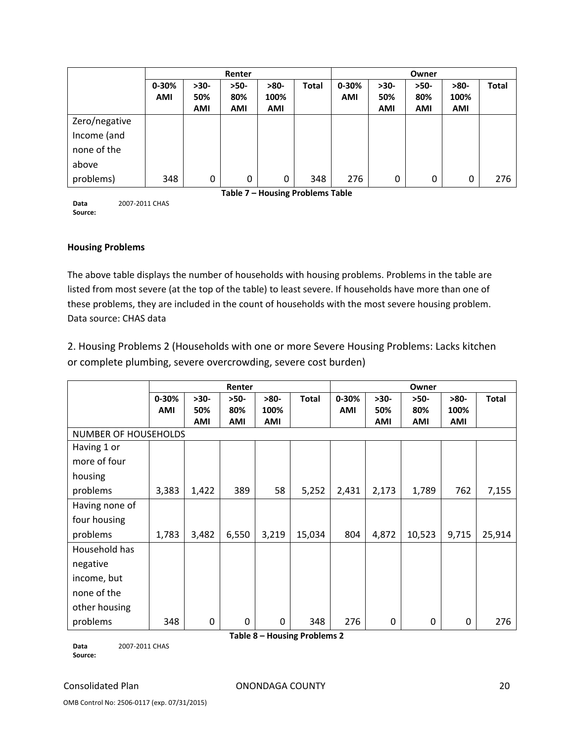|               |            | Renter     |                                  |            |              | Owner      |            |            |            |              |
|---------------|------------|------------|----------------------------------|------------|--------------|------------|------------|------------|------------|--------------|
|               | $0 - 30%$  | $>30-$     | $>50-$                           | $>80-$     | <b>Total</b> | $0 - 30%$  | $>30-$     | $>50-$     | $>80-$     | <b>Total</b> |
|               | <b>AMI</b> | 50%        | 80%                              | 100%       |              | <b>AMI</b> | 50%        | 80%        | 100%       |              |
|               |            | <b>AMI</b> | <b>AMI</b>                       | <b>AMI</b> |              |            | <b>AMI</b> | <b>AMI</b> | <b>AMI</b> |              |
| Zero/negative |            |            |                                  |            |              |            |            |            |            |              |
| Income (and   |            |            |                                  |            |              |            |            |            |            |              |
| none of the   |            |            |                                  |            |              |            |            |            |            |              |
| above         |            |            |                                  |            |              |            |            |            |            |              |
| problems)     | 348        | 0          | 0                                | 0          | 348          | 276        | 0          | 0          | 0          | 276          |
|               |            |            | Table 7 - Housing Problems Table |            |              |            |            |            |            |              |

**Data Source:** 2007‐2011 CHAS

#### **Housing Problems**

The above table displays the number of households with housing problems. Problems in the table are listed from most severe (at the top of the table) to least severe. If households have more than one of these problems, they are included in the count of households with the most severe housing problem. Data source: CHAS data

2. Housing Problems 2 (Households with one or more Severe Housing Problems: Lacks kitchen or complete plumbing, severe overcrowding, severe cost burden)

|                | Renter                      |            |            |              | Owner                        |            |            |        |            |              |
|----------------|-----------------------------|------------|------------|--------------|------------------------------|------------|------------|--------|------------|--------------|
|                | $0 - 30%$                   | $>30-$     | $>50-$     | $>80-$       | <b>Total</b>                 | 0-30%      | $>30-$     | $>50-$ | $>80-$     | <b>Total</b> |
|                | <b>AMI</b>                  | 50%        | 80%        | 100%         |                              | <b>AMI</b> | 50%        | 80%    | 100%       |              |
|                |                             | <b>AMI</b> | <b>AMI</b> | AMI          |                              |            | <b>AMI</b> | AMI    | <b>AMI</b> |              |
|                | <b>NUMBER OF HOUSEHOLDS</b> |            |            |              |                              |            |            |        |            |              |
| Having 1 or    |                             |            |            |              |                              |            |            |        |            |              |
| more of four   |                             |            |            |              |                              |            |            |        |            |              |
| housing        |                             |            |            |              |                              |            |            |        |            |              |
| problems       | 3,383                       | 1,422      | 389        | 58           | 5,252                        | 2,431      | 2,173      | 1,789  | 762        | 7,155        |
| Having none of |                             |            |            |              |                              |            |            |        |            |              |
| four housing   |                             |            |            |              |                              |            |            |        |            |              |
| problems       | 1,783                       | 3,482      | 6,550      | 3,219        | 15,034                       | 804        | 4,872      | 10,523 | 9,715      | 25,914       |
| Household has  |                             |            |            |              |                              |            |            |        |            |              |
| negative       |                             |            |            |              |                              |            |            |        |            |              |
| income, but    |                             |            |            |              |                              |            |            |        |            |              |
| none of the    |                             |            |            |              |                              |            |            |        |            |              |
| other housing  |                             |            |            |              |                              |            |            |        |            |              |
| problems       | 348                         | 0          | 0          | $\mathbf{0}$ | 348                          | 276        | 0          | 0      | 0          | 276          |
|                |                             |            |            |              | Table 8 - Housing Problems 2 |            |            |        |            |              |

**Data Source:** 2007‐2011 CHAS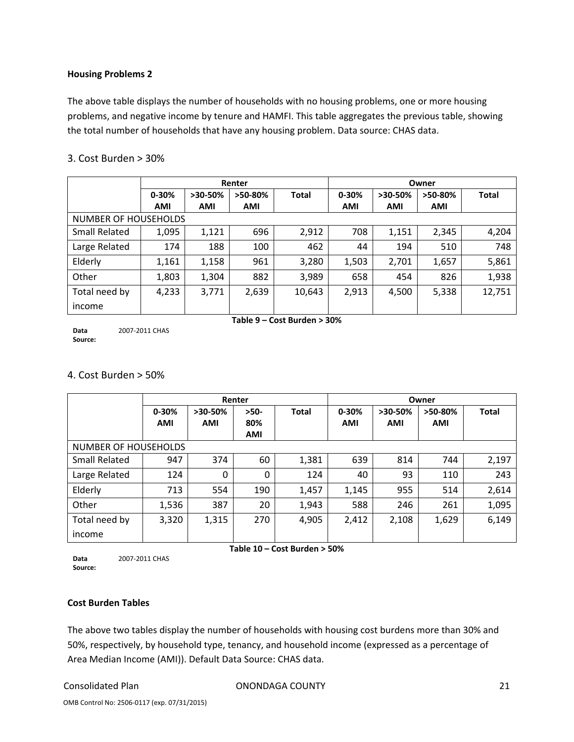#### **Housing Problems 2**

The above table displays the number of households with no housing problems, one or more housing problems, and negative income by tenure and HAMFI. This table aggregates the previous table, showing the total number of households that have any housing problem. Data source: CHAS data.

|                      | Renter     |            |           | Owner                       |            |            |         |              |
|----------------------|------------|------------|-----------|-----------------------------|------------|------------|---------|--------------|
|                      | $0 - 30%$  | $>30-50%$  | $>50-80%$ | <b>Total</b>                | $0 - 30%$  | $>30-50%$  | >50-80% | <b>Total</b> |
|                      | <b>AMI</b> | <b>AMI</b> | AMI       |                             | <b>AMI</b> | <b>AMI</b> | AMI     |              |
| NUMBER OF HOUSEHOLDS |            |            |           |                             |            |            |         |              |
| <b>Small Related</b> | 1,095      | 1,121      | 696       | 2,912                       | 708        | 1,151      | 2,345   | 4,204        |
| Large Related        | 174        | 188        | 100       | 462                         | 44         | 194        | 510     | 748          |
| Elderly              | 1,161      | 1,158      | 961       | 3,280                       | 1,503      | 2,701      | 1,657   | 5,861        |
| Other                | 1,803      | 1,304      | 882       | 3,989                       | 658        | 454        | 826     | 1,938        |
| Total need by        | 4,233      | 3,771      | 2,639     | 10,643                      | 2,913      | 4,500      | 5,338   | 12,751       |
| income               |            |            |           |                             |            |            |         |              |
|                      |            |            |           | Table 9 – Cost Burden > 30% |            |            |         |              |

#### 3. Cost Burden > 30%

**Data Source:** 2007‐2011 CHAS

#### 4. Cost Burden > 50%

|                      | Renter     |            |            | Owner        |            |            |            |              |
|----------------------|------------|------------|------------|--------------|------------|------------|------------|--------------|
|                      | $0 - 30%$  | $>30-50%$  | $>50-$     | <b>Total</b> | $0 - 30%$  | $>30-50%$  | >50-80%    | <b>Total</b> |
|                      | <b>AMI</b> | <b>AMI</b> | 80%        |              | <b>AMI</b> | <b>AMI</b> | <b>AMI</b> |              |
|                      |            |            | <b>AMI</b> |              |            |            |            |              |
| NUMBER OF HOUSEHOLDS |            |            |            |              |            |            |            |              |
| <b>Small Related</b> | 947        | 374        | 60         | 1,381        | 639        | 814        | 744        | 2,197        |
| Large Related        | 124        | 0          | 0          | 124          | 40         | 93         | 110        | 243          |
| Elderly              | 713        | 554        | 190        | 1,457        | 1,145      | 955        | 514        | 2,614        |
| Other                | 1,536      | 387        | 20         | 1,943        | 588        | 246        | 261        | 1,095        |
| Total need by        | 3,320      | 1,315      | 270        | 4,905        | 2,412      | 2,108      | 1,629      | 6,149        |
| income               |            |            |            |              |            |            |            |              |

**Data Source:** 2007‐2011 CHAS

#### **Table 10 – Cost Burden > 50%**

#### **Cost Burden Tables**

The above two tables display the number of households with housing cost burdens more than 30% and 50%, respectively, by household type, tenancy, and household income (expressed as a percentage of Area Median Income (AMI)). Default Data Source: CHAS data.

Consolidated Plan ONONDAGA COUNTY 21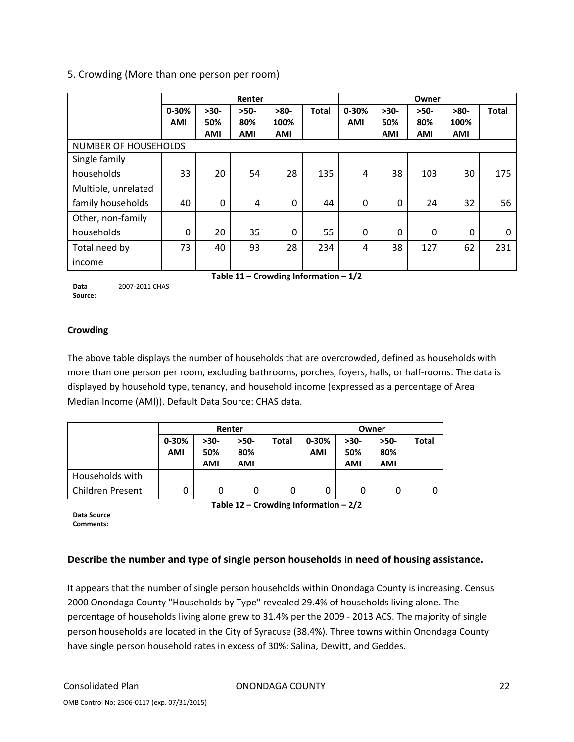#### 5. Crowding (More than one person per room)

|                             | Renter     |            |            |            | Owner        |           |            |            |            |              |
|-----------------------------|------------|------------|------------|------------|--------------|-----------|------------|------------|------------|--------------|
|                             | 0-30%      | $>30-$     | $>50-$     | $>80-$     | <b>Total</b> | $0 - 30%$ | $>30-$     | $>50-$     | $>80-$     | <b>Total</b> |
|                             | <b>AMI</b> | 50%        | 80%        | 100%       |              | AMI       | 50%        | 80%        | 100%       |              |
|                             |            | <b>AMI</b> | <b>AMI</b> | <b>AMI</b> |              |           | <b>AMI</b> | <b>AMI</b> | <b>AMI</b> |              |
| <b>NUMBER OF HOUSEHOLDS</b> |            |            |            |            |              |           |            |            |            |              |
| Single family               |            |            |            |            |              |           |            |            |            |              |
| households                  | 33         | 20         | 54         | 28         | 135          | 4         | 38         | 103        | 30         | 175          |
| Multiple, unrelated         |            |            |            |            |              |           |            |            |            |              |
| family households           | 40         | 0          | 4          | 0          | 44           | $\Omega$  | $\Omega$   | 24         | 32         | 56           |
| Other, non-family           |            |            |            |            |              |           |            |            |            |              |
| households                  | 0          | 20         | 35         | $\Omega$   | 55           | 0         | $\Omega$   | 0          | $\Omega$   | 0            |
| Total need by               | 73         | 40         | 93         | 28         | 234          | 4         | 38         | 127        | 62         | 231          |
| income                      |            |            |            |            |              |           |            |            |            |              |

**Data Source:** 2007‐2011 CHAS **Table 11 – Crowding Information – 1/2**

#### **Crowding**

The above table displays the number of households that are overcrowded, defined as households with more than one person per room, excluding bathrooms, porches, foyers, halls, or half‐rooms. The data is displayed by household type, tenancy, and household income (expressed as a percentage of Area Median Income (AMI)). Default Data Source: CHAS data.

|                         | Renter     |            |            |              | Owner     |                   |            |              |
|-------------------------|------------|------------|------------|--------------|-----------|-------------------|------------|--------------|
|                         | $0 - 30%$  | $>30-$     | >50-       | <b>Total</b> | $0 - 30%$ | $>30-$            | $>50-$     | <b>Total</b> |
|                         | <b>AMI</b> | 50%<br>AMI | 80%<br>AMI |              | AMI       | 50%<br><b>AMI</b> | 80%<br>AMI |              |
| Households with         |            |            |            |              |           |                   |            |              |
| <b>Children Present</b> |            | 0          | 0          | 0            | 0         |                   | 0          |              |

**Table 12 – Crowding Information – 2/2**

**Data Source Comments:**

#### **Describe the number and type of single person households in need of housing assistance.**

It appears that the number of single person households within Onondaga County is increasing. Census 2000 Onondaga County "Households by Type" revealed 29.4% of households living alone. The percentage of households living alone grew to 31.4% per the 2009 ‐ 2013 ACS. The majority of single person households are located in the City of Syracuse (38.4%). Three towns within Onondaga County have single person household rates in excess of 30%: Salina, Dewitt, and Geddes.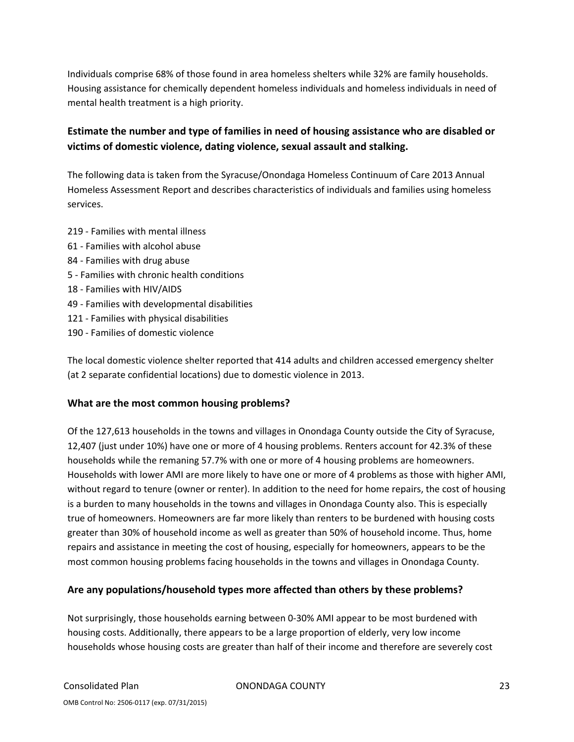Individuals comprise 68% of those found in area homeless shelters while 32% are family households. Housing assistance for chemically dependent homeless individuals and homeless individuals in need of mental health treatment is a high priority.

## **Estimate the number and type of families in need of housing assistance who are disabled or victims of domestic violence, dating violence, sexual assault and stalking.**

The following data is taken from the Syracuse/Onondaga Homeless Continuum of Care 2013 Annual Homeless Assessment Report and describes characteristics of individuals and families using homeless services.

- 219 ‐ Families with mental illness
- 61 ‐ Families with alcohol abuse
- 84 ‐ Families with drug abuse
- 5 ‐ Families with chronic health conditions
- 18 ‐ Families with HIV/AIDS
- 49 ‐ Families with developmental disabilities
- 121 Families with physical disabilities
- 190 ‐ Families of domestic violence

The local domestic violence shelter reported that 414 adults and children accessed emergency shelter (at 2 separate confidential locations) due to domestic violence in 2013.

#### **What are the most common housing problems?**

Of the 127,613 households in the towns and villages in Onondaga County outside the City of Syracuse, 12,407 (just under 10%) have one or more of 4 housing problems. Renters account for 42.3% of these households while the remaning 57.7% with one or more of 4 housing problems are homeowners. Households with lower AMI are more likely to have one or more of 4 problems as those with higher AMI, without regard to tenure (owner or renter). In addition to the need for home repairs, the cost of housing is a burden to many households in the towns and villages in Onondaga County also. This is especially true of homeowners. Homeowners are far more likely than renters to be burdened with housing costs greater than 30% of household income as well as greater than 50% of household income. Thus, home repairs and assistance in meeting the cost of housing, especially for homeowners, appears to be the most common housing problems facing households in the towns and villages in Onondaga County.

#### **Are any populations/household types more affected than others by these problems?**

Not surprisingly, those households earning between 0‐30% AMI appear to be most burdened with housing costs. Additionally, there appears to be a large proportion of elderly, very low income households whose housing costs are greater than half of their income and therefore are severely cost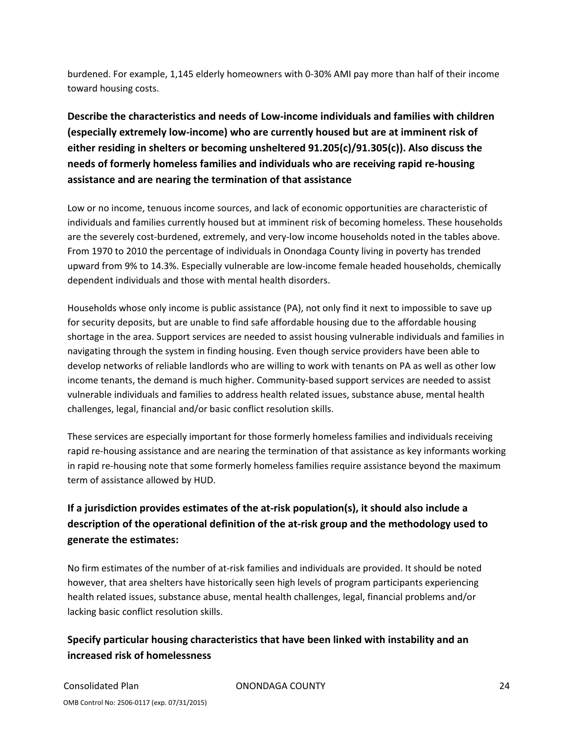burdened. For example, 1,145 elderly homeowners with 0‐30% AMI pay more than half of their income toward housing costs.

## **Describe the characteristics and needs of Low‐income individuals and families with children (especially extremely low‐income) who are currently housed but are at imminent risk of either residing in shelters or becoming unsheltered 91.205(c)/91.305(c)). Also discuss the needs of formerly homeless families and individuals who are receiving rapid re‐housing assistance and are nearing the termination of that assistance**

Low or no income, tenuous income sources, and lack of economic opportunities are characteristic of individuals and families currently housed but at imminent risk of becoming homeless. These households are the severely cost-burdened, extremely, and very-low income households noted in the tables above. From 1970 to 2010 the percentage of individuals in Onondaga County living in poverty has trended upward from 9% to 14.3%. Especially vulnerable are low‐income female headed households, chemically dependent individuals and those with mental health disorders.

Households whose only income is public assistance (PA), not only find it next to impossible to save up for security deposits, but are unable to find safe affordable housing due to the affordable housing shortage in the area. Support services are needed to assist housing vulnerable individuals and families in navigating through the system in finding housing. Even though service providers have been able to develop networks of reliable landlords who are willing to work with tenants on PA as well as other low income tenants, the demand is much higher. Community‐based support services are needed to assist vulnerable individuals and families to address health related issues, substance abuse, mental health challenges, legal, financial and/or basic conflict resolution skills.

These services are especially important for those formerly homeless families and individuals receiving rapid re-housing assistance and are nearing the termination of that assistance as key informants working in rapid re-housing note that some formerly homeless families require assistance beyond the maximum term of assistance allowed by HUD.

## **If a jurisdiction provides estimates of the at‐risk population(s), it should also include a description of the operational definition of the at‐risk group and the methodology used to generate the estimates:**

No firm estimates of the number of at‐risk families and individuals are provided. It should be noted however, that area shelters have historically seen high levels of program participants experiencing health related issues, substance abuse, mental health challenges, legal, financial problems and/or lacking basic conflict resolution skills.

## **Specify particular housing characteristics that have been linked with instability and an increased risk of homelessness**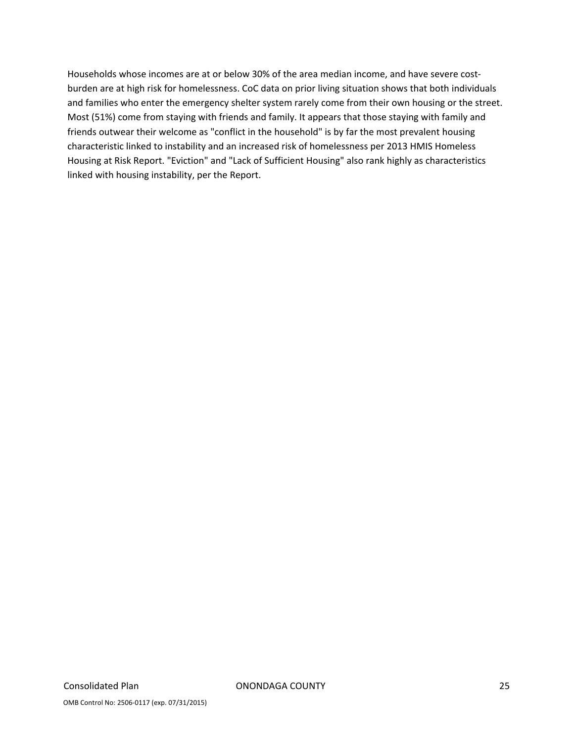Households whose incomes are at or below 30% of the area median income, and have severe costburden are at high risk for homelessness. CoC data on prior living situation shows that both individuals and families who enter the emergency shelter system rarely come from their own housing or the street. Most (51%) come from staying with friends and family. It appears that those staying with family and friends outwear their welcome as "conflict in the household" is by far the most prevalent housing characteristic linked to instability and an increased risk of homelessness per 2013 HMIS Homeless Housing at Risk Report. "Eviction" and "Lack of Sufficient Housing" also rank highly as characteristics linked with housing instability, per the Report.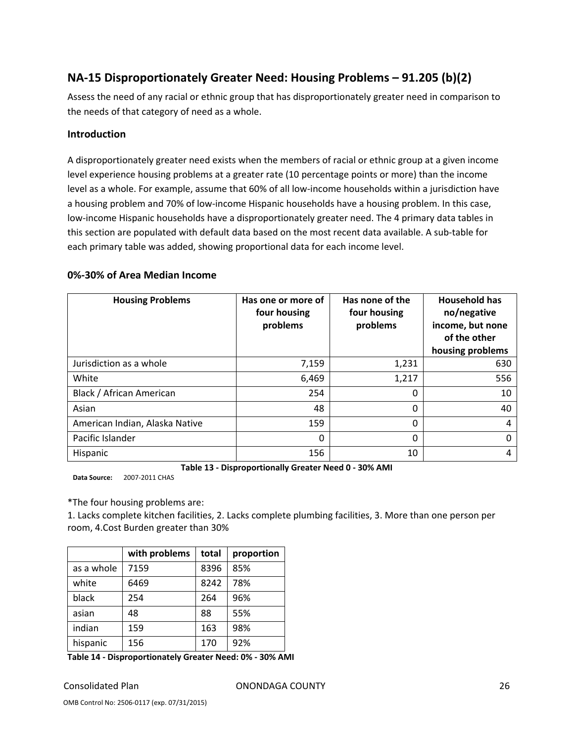## **NA‐15 Disproportionately Greater Need: Housing Problems – 91.205 (b)(2)**

Assess the need of any racial or ethnic group that has disproportionately greater need in comparison to the needs of that category of need as a whole.

#### **Introduction**

A disproportionately greater need exists when the members of racial or ethnic group at a given income level experience housing problems at a greater rate (10 percentage points or more) than the income level as a whole. For example, assume that 60% of all low-income households within a jurisdiction have a housing problem and 70% of low-income Hispanic households have a housing problem. In this case, low-income Hispanic households have a disproportionately greater need. The 4 primary data tables in this section are populated with default data based on the most recent data available. A sub‐table for each primary table was added, showing proportional data for each income level.

#### **0%‐30% of Area Median Income**

| <b>Housing Problems</b>        | Has one or more of<br>four housing<br>problems | Has none of the<br>four housing<br>problems | <b>Household has</b><br>no/negative<br>income, but none<br>of the other<br>housing problems |
|--------------------------------|------------------------------------------------|---------------------------------------------|---------------------------------------------------------------------------------------------|
| Jurisdiction as a whole        | 7,159                                          | 1,231                                       | 630                                                                                         |
| White                          | 6,469                                          | 1,217                                       | 556                                                                                         |
| Black / African American       | 254                                            | 0                                           | 10                                                                                          |
| Asian                          | 48                                             | 0                                           | 40                                                                                          |
| American Indian, Alaska Native | 159                                            | 0                                           | 4                                                                                           |
| Pacific Islander               | 0                                              | 0                                           | 0                                                                                           |
| Hispanic                       | 156                                            | 10                                          | 4                                                                                           |

**Table 13 ‐ Disproportionally Greater Need 0 ‐ 30% AMI**

**Data Source:** 2007‐2011 CHAS

\*The four housing problems are:

1. Lacks complete kitchen facilities, 2. Lacks complete plumbing facilities, 3. More than one person per room, 4.Cost Burden greater than 30%

|            | with problems | total | proportion |
|------------|---------------|-------|------------|
| as a whole | 7159          | 8396  | 85%        |
| white      | 6469          | 8242  | 78%        |
| black      | 254           | 264   | 96%        |
| asian      | 48            | 88    | 55%        |
| indian     | 159           | 163   | 98%        |
| hispanic   | 156           | 170   | 92%        |

**Table 14 ‐ Disproportionately Greater Need: 0% ‐ 30% AMI**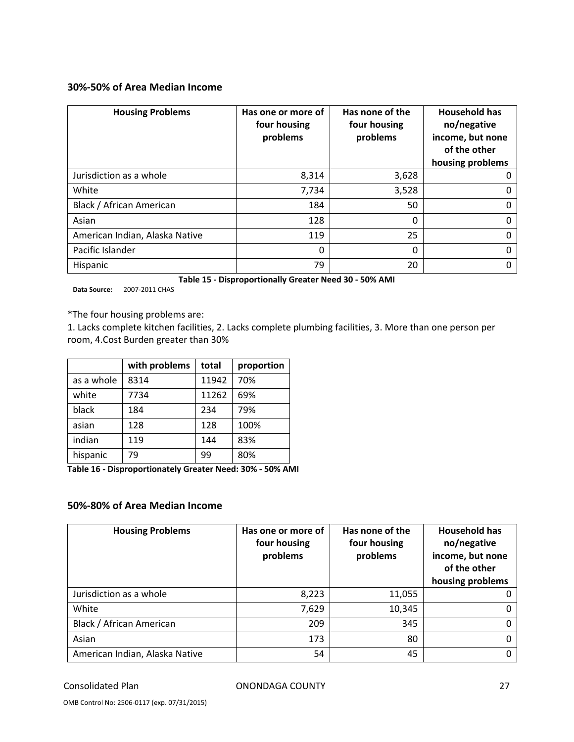#### **30%‐50% of Area Median Income**

| <b>Housing Problems</b>        | Has one or more of<br>four housing<br>problems | Has none of the<br>four housing<br>problems | <b>Household has</b><br>no/negative<br>income, but none<br>of the other<br>housing problems |
|--------------------------------|------------------------------------------------|---------------------------------------------|---------------------------------------------------------------------------------------------|
| Jurisdiction as a whole        | 8,314                                          | 3,628                                       | 0                                                                                           |
| White                          | 7,734                                          | 3,528                                       | 0                                                                                           |
| Black / African American       | 184                                            | 50                                          | 0                                                                                           |
| Asian                          | 128                                            | 0                                           | 0                                                                                           |
| American Indian, Alaska Native | 119                                            | 25                                          | 0                                                                                           |
| Pacific Islander               | 0                                              | 0                                           | 0                                                                                           |
| Hispanic                       | 79                                             | 20                                          | 0                                                                                           |

**Table 15 ‐ Disproportionally Greater Need 30 ‐ 50% AMI**

**Data Source:** 2007‐2011 CHAS

\*The four housing problems are:

1. Lacks complete kitchen facilities, 2. Lacks complete plumbing facilities, 3. More than one person per room, 4.Cost Burden greater than 30%

|            | with problems | total | proportion |
|------------|---------------|-------|------------|
| as a whole | 8314          | 11942 | 70%        |
| white      | 7734          | 11262 | 69%        |
| black      | 184           | 234   | 79%        |
| asian      | 128           | 128   | 100%       |
| indian     | 119           | 144   | 83%        |
| hispanic   | 79            | 99    | 80%        |

**Table 16 ‐ Disproportionately Greater Need: 30% ‐ 50% AMI**

#### **50%‐80% of Area Median Income**

| <b>Housing Problems</b>        | Has one or more of<br>four housing<br>problems | Has none of the<br>four housing<br>problems | <b>Household has</b><br>no/negative<br>income, but none<br>of the other<br>housing problems |
|--------------------------------|------------------------------------------------|---------------------------------------------|---------------------------------------------------------------------------------------------|
| Jurisdiction as a whole        | 8,223                                          | 11,055                                      |                                                                                             |
| White                          | 7,629                                          | 10,345                                      |                                                                                             |
| Black / African American       | 209                                            | 345                                         |                                                                                             |
| Asian                          | 173                                            | 80                                          |                                                                                             |
| American Indian, Alaska Native | 54                                             | 45                                          |                                                                                             |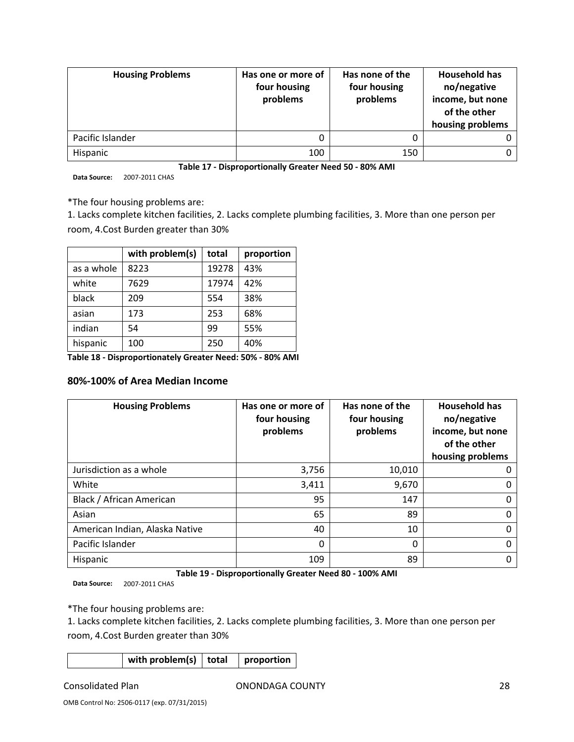| <b>Housing Problems</b> | Has one or more of<br>four housing<br>problems | Has none of the<br>four housing<br>problems | <b>Household has</b><br>no/negative<br>income, but none<br>of the other<br>housing problems |
|-------------------------|------------------------------------------------|---------------------------------------------|---------------------------------------------------------------------------------------------|
| Pacific Islander        | 0                                              |                                             |                                                                                             |
| Hispanic                | 100                                            | 150                                         |                                                                                             |

**Table 17 ‐ Disproportionally Greater Need 50 ‐ 80% AMI**

**Data Source:** 2007‐2011 CHAS

\*The four housing problems are:

1. Lacks complete kitchen facilities, 2. Lacks complete plumbing facilities, 3. More than one person per room, 4.Cost Burden greater than 30%

|            | with problem(s) | total | proportion |
|------------|-----------------|-------|------------|
| as a whole | 8223            | 19278 | 43%        |
| white      | 7629            | 17974 | 42%        |
| black      | 209             | 554   | 38%        |
| asian      | 173             | 253   | 68%        |
| indian     | 54              | 99    | 55%        |
| hispanic   | 100             | 250   | 40%        |

**Table 18 ‐ Disproportionately Greater Need: 50% ‐ 80% AMI**

#### **80%‐100% of Area Median Income**

| <b>Housing Problems</b>        | Has one or more of<br>four housing<br>problems | Has none of the<br>four housing<br>problems | <b>Household has</b><br>no/negative<br>income, but none<br>of the other<br>housing problems |
|--------------------------------|------------------------------------------------|---------------------------------------------|---------------------------------------------------------------------------------------------|
| Jurisdiction as a whole        | 3,756                                          | 10,010                                      | O                                                                                           |
| White                          | 3,411                                          | 9,670                                       | O                                                                                           |
| Black / African American       | 95                                             | 147                                         | 0                                                                                           |
| Asian                          | 65                                             | 89                                          | 0                                                                                           |
| American Indian, Alaska Native | 40                                             | 10                                          | 0                                                                                           |
| Pacific Islander               | 0                                              | 0                                           | 0                                                                                           |
| Hispanic                       | 109                                            | 89                                          | 0                                                                                           |

**Table 19 ‐ Disproportionally Greater Need 80 ‐ 100% AMI**

**Data Source:** 2007‐2011 CHAS

\*The four housing problems are:

1. Lacks complete kitchen facilities, 2. Lacks complete plumbing facilities, 3. More than one person per room, 4.Cost Burden greater than 30%

| with problem(s) $\vert$ total | proportion |
|-------------------------------|------------|
|                               |            |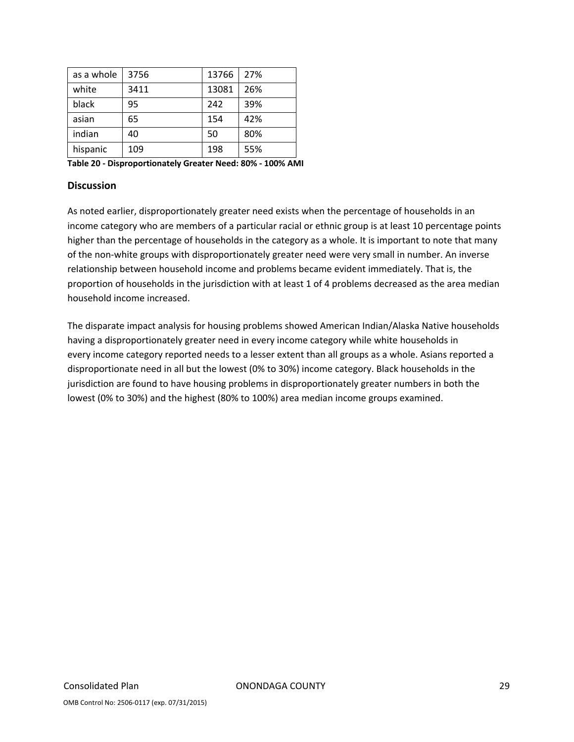| as a whole | 3756 | 13766 | 27% |
|------------|------|-------|-----|
| white      | 3411 | 13081 | 26% |
| black      | 95   | 242   | 39% |
| asian      | 65   | 154   | 42% |
| indian     | 40   | 50    | 80% |
| hispanic   | 109  | 198   | 55% |

**Table 20 ‐ Disproportionately Greater Need: 80% ‐ 100% AMI**

#### **Discussion**

As noted earlier, disproportionately greater need exists when the percentage of households in an income category who are members of a particular racial or ethnic group is at least 10 percentage points higher than the percentage of households in the category as a whole. It is important to note that many of the non‐white groups with disproportionately greater need were very small in number. An inverse relationship between household income and problems became evident immediately. That is, the proportion of households in the jurisdiction with at least 1 of 4 problems decreased as the area median household income increased.

The disparate impact analysis for housing problems showed American Indian/Alaska Native households having a disproportionately greater need in every income category while white households in every income category reported needs to a lesser extent than all groups as a whole. Asians reported a disproportionate need in all but the lowest (0% to 30%) income category. Black households in the jurisdiction are found to have housing problems in disproportionately greater numbers in both the lowest (0% to 30%) and the highest (80% to 100%) area median income groups examined.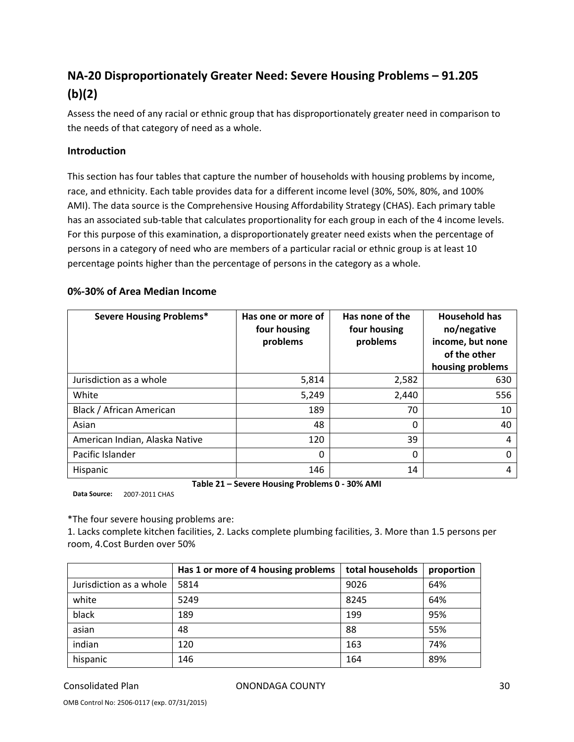## **NA‐20 Disproportionately Greater Need: Severe Housing Problems – 91.205 (b)(2)**

Assess the need of any racial or ethnic group that has disproportionately greater need in comparison to the needs of that category of need as a whole.

#### **Introduction**

This section has four tables that capture the number of households with housing problems by income, race, and ethnicity. Each table provides data for a different income level (30%, 50%, 80%, and 100% AMI). The data source is the Comprehensive Housing Affordability Strategy (CHAS). Each primary table has an associated sub-table that calculates proportionality for each group in each of the 4 income levels. For this purpose of this examination, a disproportionately greater need exists when the percentage of persons in a category of need who are members of a particular racial or ethnic group is at least 10 percentage points higher than the percentage of persons in the category as a whole.

#### **0%‐30% of Area Median Income**

| <b>Severe Housing Problems*</b> | Has one or more of<br>four housing<br>problems | Has none of the<br>four housing<br>problems | <b>Household has</b><br>no/negative<br>income, but none<br>of the other<br>housing problems |
|---------------------------------|------------------------------------------------|---------------------------------------------|---------------------------------------------------------------------------------------------|
| Jurisdiction as a whole         | 5,814                                          | 2,582                                       | 630                                                                                         |
| White                           | 5,249                                          | 2,440                                       | 556                                                                                         |
| Black / African American        | 189                                            | 70                                          | 10                                                                                          |
| Asian                           | 48                                             | 0                                           | 40                                                                                          |
| American Indian, Alaska Native  | 120                                            | 39                                          | 4                                                                                           |
| Pacific Islander                | 0                                              | 0                                           | 0                                                                                           |
| Hispanic                        | 146                                            | 14                                          | 4                                                                                           |

**Table 21 – Severe Housing Problems 0 ‐ 30% AMI**

**Data Source:** 2007‐2011 CHAS

\*The four severe housing problems are:

1. Lacks complete kitchen facilities, 2. Lacks complete plumbing facilities, 3. More than 1.5 persons per room, 4.Cost Burden over 50%

|                         | Has 1 or more of 4 housing problems | total households | proportion |
|-------------------------|-------------------------------------|------------------|------------|
| Jurisdiction as a whole | 5814                                | 9026             | 64%        |
| white                   | 5249                                | 8245             | 64%        |
| black                   | 189                                 | 199              | 95%        |
| asian                   | 48                                  | 88               | 55%        |
| indian                  | 120                                 | 163              | 74%        |
| hispanic                | 146                                 | 164              | 89%        |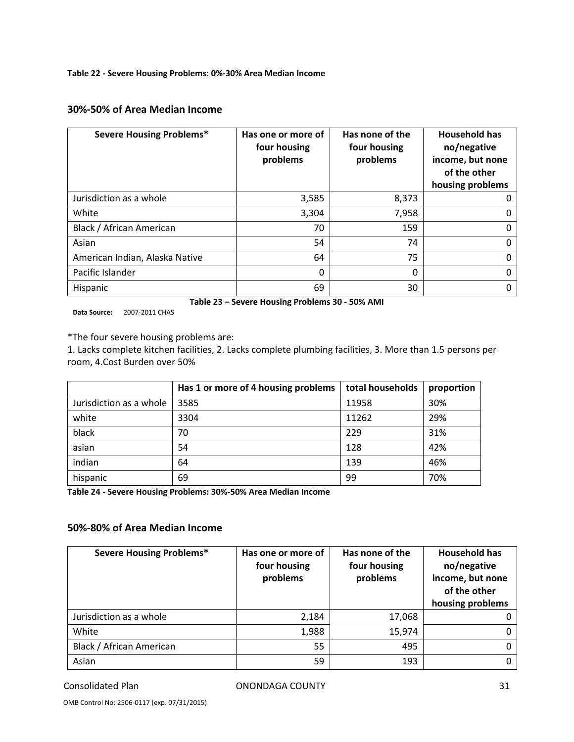#### **Table 22 ‐ Severe Housing Problems: 0%‐30% Area Median Income**

#### **30%‐50% of Area Median Income**

| <b>Severe Housing Problems*</b> | Has one or more of<br>four housing<br>problems | Has none of the<br>four housing<br>problems | <b>Household has</b><br>no/negative<br>income, but none<br>of the other<br>housing problems |
|---------------------------------|------------------------------------------------|---------------------------------------------|---------------------------------------------------------------------------------------------|
| Jurisdiction as a whole         | 3,585                                          | 8,373                                       |                                                                                             |
| White                           | 3,304                                          | 7,958                                       |                                                                                             |
| Black / African American        | 70                                             | 159                                         |                                                                                             |
| Asian                           | 54                                             | 74                                          |                                                                                             |
| American Indian, Alaska Native  | 64                                             | 75                                          |                                                                                             |
| Pacific Islander                | 0                                              | 0                                           |                                                                                             |
| Hispanic                        | 69                                             | 30                                          |                                                                                             |

**Table 23 – Severe Housing Problems 30 ‐ 50% AMI**

**Data Source:** 2007‐2011 CHAS

\*The four severe housing problems are:

1. Lacks complete kitchen facilities, 2. Lacks complete plumbing facilities, 3. More than 1.5 persons per room, 4.Cost Burden over 50%

|                         | Has 1 or more of 4 housing problems | total households | proportion |
|-------------------------|-------------------------------------|------------------|------------|
| Jurisdiction as a whole | 3585                                | 11958            | 30%        |
| white                   | 3304                                | 11262            | 29%        |
| black                   | 70                                  | 229              | 31%        |
| asian                   | 54                                  | 128              | 42%        |
| indian                  | 64                                  | 139              | 46%        |
| hispanic                | 69                                  | 99               | 70%        |

**Table 24 ‐ Severe Housing Problems: 30%‐50% Area Median Income**

#### **50%‐80% of Area Median Income**

| <b>Severe Housing Problems*</b> | Has one or more of<br>four housing<br>problems | Has none of the<br>four housing<br>problems | <b>Household has</b><br>no/negative<br>income, but none<br>of the other<br>housing problems |
|---------------------------------|------------------------------------------------|---------------------------------------------|---------------------------------------------------------------------------------------------|
| Jurisdiction as a whole         | 2,184                                          | 17,068                                      |                                                                                             |
| White                           | 1,988                                          | 15,974                                      |                                                                                             |
| Black / African American        | 55                                             | 495                                         |                                                                                             |
| Asian                           | 59                                             | 193                                         |                                                                                             |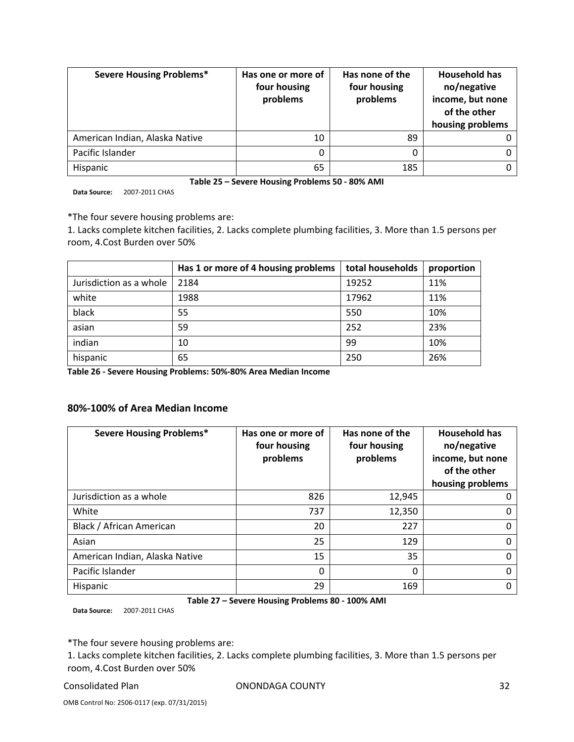| <b>Severe Housing Problems*</b> | Has one or more of<br>four housing<br>problems | Has none of the<br>four housing<br>problems | <b>Household has</b><br>no/negative<br>income, but none<br>of the other<br>housing problems |
|---------------------------------|------------------------------------------------|---------------------------------------------|---------------------------------------------------------------------------------------------|
| American Indian, Alaska Native  | 10                                             | 89                                          |                                                                                             |
| Pacific Islander                | 0                                              |                                             |                                                                                             |
| Hispanic                        | 65                                             | 185                                         |                                                                                             |

**Table 25 – Severe Housing Problems 50 ‐ 80% AMI**

**Data Source:** 2007‐2011 CHAS

\*The four severe housing problems are:

1. Lacks complete kitchen facilities, 2. Lacks complete plumbing facilities, 3. More than 1.5 persons per room, 4.Cost Burden over 50%

|                         | Has 1 or more of 4 housing problems | total households | proportion |
|-------------------------|-------------------------------------|------------------|------------|
| Jurisdiction as a whole | 2184                                | 19252            | 11%        |
| white                   | 1988                                | 17962            | 11%        |
| black                   | 55                                  | 550              | 10%        |
| asian                   | 59                                  | 252              | 23%        |
| indian                  | 10                                  | 99               | 10%        |
| hispanic                | 65                                  | 250              | 26%        |

**Table 26 ‐ Severe Housing Problems: 50%‐80% Area Median Income**

#### **80%‐100% of Area Median Income**

| <b>Severe Housing Problems*</b> | Has one or more of<br>four housing<br>problems | Has none of the<br>four housing<br>problems | <b>Household has</b><br>no/negative<br>income, but none<br>of the other<br>housing problems |
|---------------------------------|------------------------------------------------|---------------------------------------------|---------------------------------------------------------------------------------------------|
| Jurisdiction as a whole         | 826                                            | 12,945                                      |                                                                                             |
| White                           | 737                                            | 12,350                                      |                                                                                             |
| Black / African American        | 20                                             | 227                                         |                                                                                             |
| Asian                           | 25                                             | 129                                         |                                                                                             |
| American Indian, Alaska Native  | 15                                             | 35                                          |                                                                                             |
| Pacific Islander                | 0                                              | 0                                           |                                                                                             |
| Hispanic                        | 29                                             | 169                                         |                                                                                             |

**Table 27 – Severe Housing Problems 80 ‐ 100% AMI**

**Data Source:** 2007‐2011 CHAS

\*The four severe housing problems are:

1. Lacks complete kitchen facilities, 2. Lacks complete plumbing facilities, 3. More than 1.5 persons per room, 4.Cost Burden over 50%

Consolidated Plan ONONDAGA COUNTY 32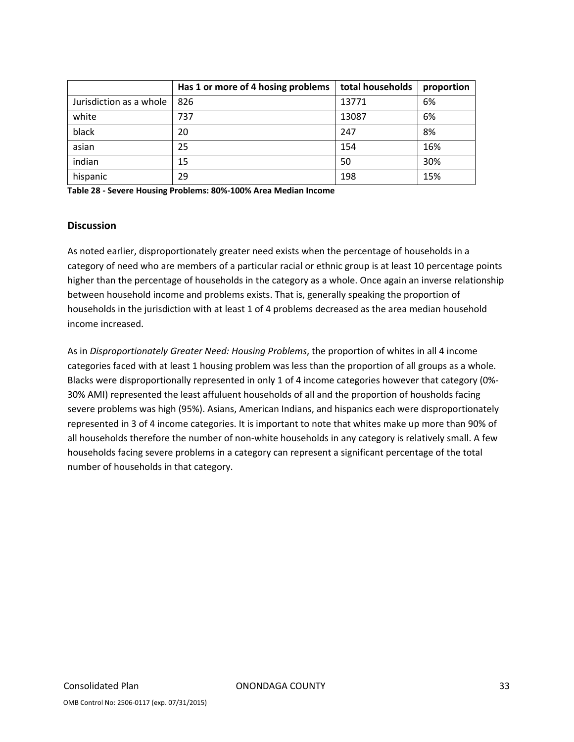|                         | Has 1 or more of 4 hosing problems | total households | proportion |
|-------------------------|------------------------------------|------------------|------------|
| Jurisdiction as a whole | 826                                | 13771            | 6%         |
| white                   | 737                                | 13087            | 6%         |
| black                   | 20                                 | 247              | 8%         |
| asian                   | 25                                 | 154              | 16%        |
| indian                  | 15                                 | 50               | 30%        |
| hispanic                | 29                                 | 198              | 15%        |

**Table 28 ‐ Severe Housing Problems: 80%‐100% Area Median Income**

#### **Discussion**

As noted earlier, disproportionately greater need exists when the percentage of households in a category of need who are members of a particular racial or ethnic group is at least 10 percentage points higher than the percentage of households in the category as a whole. Once again an inverse relationship between household income and problems exists. That is, generally speaking the proportion of households in the jurisdiction with at least 1 of 4 problems decreased as the area median household income increased.

As in *Disproportionately Greater Need: Housing Problems*, the proportion of whites in all 4 income categories faced with at least 1 housing problem was less than the proportion of all groups as a whole. Blacks were disproportionally represented in only 1 of 4 income categories however that category (0%-30% AMI) represented the least affuluent households of all and the proportion of housholds facing severe problems was high (95%). Asians, American Indians, and hispanics each were disproportionately represented in 3 of 4 income categories. It is important to note that whites make up more than 90% of all households therefore the number of non‐white households in any category is relatively small. A few households facing severe problems in a category can represent a significant percentage of the total number of households in that category.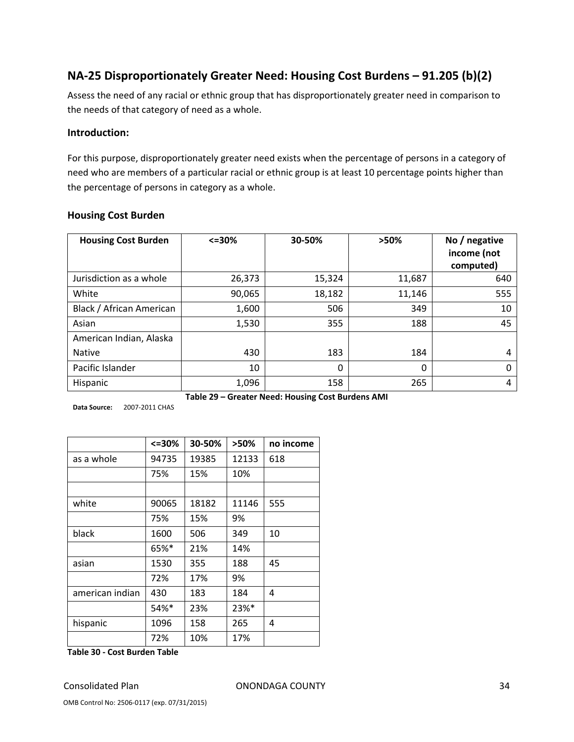## **NA‐25 Disproportionately Greater Need: Housing Cost Burdens – 91.205 (b)(2)**

Assess the need of any racial or ethnic group that has disproportionately greater need in comparison to the needs of that category of need as a whole.

#### **Introduction:**

For this purpose, disproportionately greater need exists when the percentage of persons in a category of need who are members of a particular racial or ethnic group is at least 10 percentage points higher than the percentage of persons in category as a whole.

| <b>Housing Cost Burden</b> | $<=$ 30% | 30-50% | >50%   | No / negative<br>income (not<br>computed) |
|----------------------------|----------|--------|--------|-------------------------------------------|
| Jurisdiction as a whole    | 26,373   | 15,324 | 11,687 | 640                                       |
| White                      | 90,065   | 18,182 | 11,146 | 555                                       |
| Black / African American   | 1,600    | 506    | 349    | 10                                        |
| Asian                      | 1,530    | 355    | 188    | 45                                        |
| American Indian, Alaska    |          |        |        |                                           |
| <b>Native</b>              | 430      | 183    | 184    | 4                                         |
| Pacific Islander           | 10       | 0      | 0      | $\Omega$                                  |
| Hispanic                   | 1,096    | 158    | 265    | 4                                         |

#### **Housing Cost Burden**

| Table 29 - Greater Need: Housing Cost Burdens AMI |
|---------------------------------------------------|
|---------------------------------------------------|

**Data Source:** 2007‐2011 CHAS

|                 | <=30% | 30-50% | >50%  | no income |
|-----------------|-------|--------|-------|-----------|
| as a whole      | 94735 | 19385  | 12133 | 618       |
|                 | 75%   | 15%    | 10%   |           |
|                 |       |        |       |           |
| white           | 90065 | 18182  | 11146 | 555       |
|                 | 75%   | 15%    | 9%    |           |
| black           | 1600  | 506    | 349   | 10        |
|                 | 65%*  | 21%    | 14%   |           |
| asian           | 1530  | 355    | 188   | 45        |
|                 | 72%   | 17%    | 9%    |           |
| american indian | 430   | 183    | 184   | 4         |
|                 | 54%*  | 23%    | 23%*  |           |
| hispanic        | 1096  | 158    | 265   | 4         |
|                 | 72%   | 10%    | 17%   |           |

**Table 30 ‐ Cost Burden Table**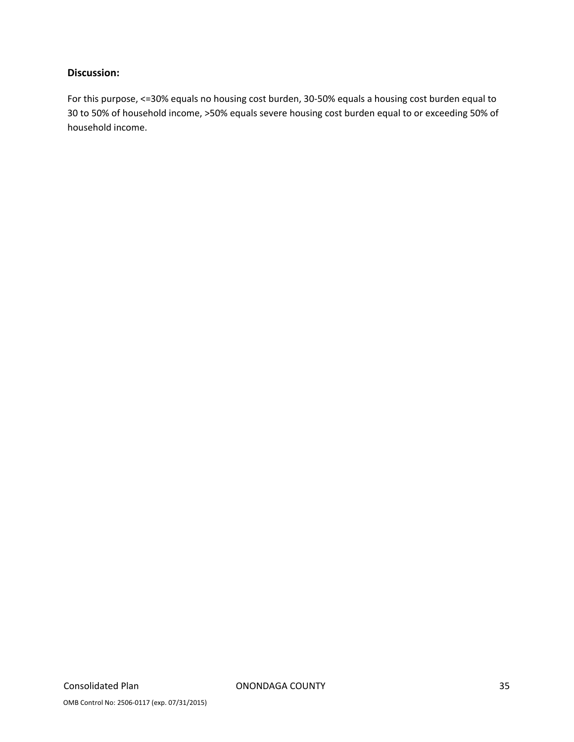### **Discussion:**

For this purpose, <=30% equals no housing cost burden, 30‐50% equals a housing cost burden equal to 30 to 50% of household income, >50% equals severe housing cost burden equal to or exceeding 50% of household income.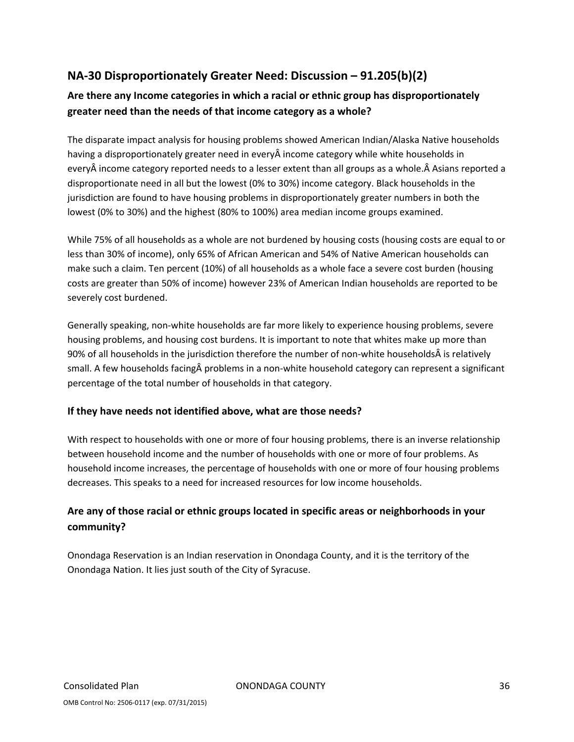## **NA‐30 Disproportionately Greater Need: Discussion – 91.205(b)(2)**

## **Are there any Income categories in which a racial or ethnic group has disproportionately greater need than the needs of that income category as a whole?**

The disparate impact analysis for housing problems showed American Indian/Alaska Native households having a disproportionately greater need in everyÂ income category while white households in everyÂ income category reported needs to a lesser extent than all groups as a whole.Â Asians reported a disproportionate need in all but the lowest (0% to 30%) income category. Black households in the jurisdiction are found to have housing problems in disproportionately greater numbers in both the lowest (0% to 30%) and the highest (80% to 100%) area median income groups examined.

While 75% of all households as a whole are not burdened by housing costs (housing costs are equal to or less than 30% of income), only 65% of African American and 54% of Native American households can make such a claim. Ten percent (10%) of all households as a whole face a severe cost burden (housing costs are greater than 50% of income) however 23% of American Indian households are reported to be severely cost burdened.

Generally speaking, non‐white households are far more likely to experience housing problems, severe housing problems, and housing cost burdens. It is important to note that whites make up more than 90% of all households in the jurisdiction therefore the number of non-white households is relatively small. A few households facingÂ problems in a non‐white household category can represent a significant percentage of the total number of households in that category.

#### **If they have needs not identified above, what are those needs?**

With respect to households with one or more of four housing problems, there is an inverse relationship between household income and the number of households with one or more of four problems. As household income increases, the percentage of households with one or more of four housing problems decreases. This speaks to a need for increased resources for low income households.

## **Are any of those racial or ethnic groups located in specific areas or neighborhoods in your community?**

Onondaga Reservation is an Indian reservation in Onondaga County, and it is the territory of the Onondaga Nation. It lies just south of the City of Syracuse.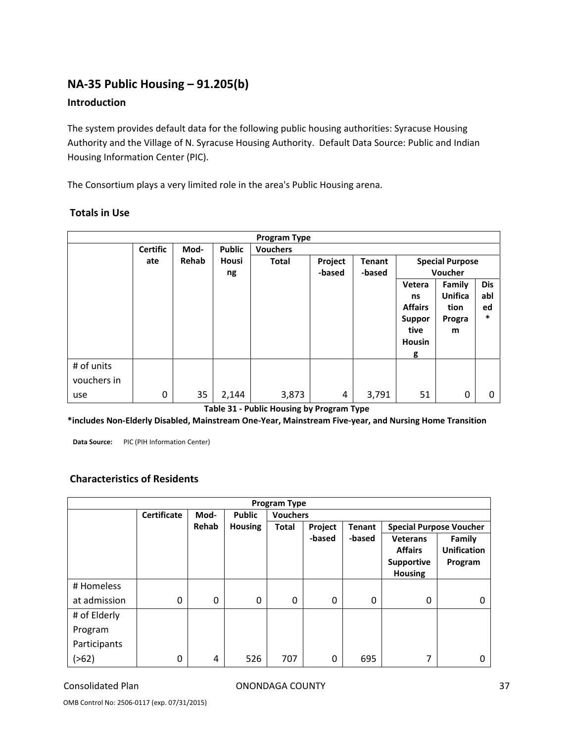# **NA‐35 Public Housing – 91.205(b)**

### **Introduction**

The system provides default data for the following public housing authorities: Syracuse Housing Authority and the Village of N. Syracuse Housing Authority. Default Data Source: Public and Indian Housing Information Center (PIC).

The Consortium plays a very limited role in the area's Public Housing arena.

|             |                 |       |               | <b>Program Type</b> |         |               |                |                        |            |
|-------------|-----------------|-------|---------------|---------------------|---------|---------------|----------------|------------------------|------------|
|             | <b>Certific</b> | Mod-  | <b>Public</b> | <b>Vouchers</b>     |         |               |                |                        |            |
|             | ate             | Rehab | <b>Housi</b>  | <b>Total</b>        | Project | <b>Tenant</b> |                | <b>Special Purpose</b> |            |
|             |                 |       | ng            |                     | -based  | -based        |                | Voucher                |            |
|             |                 |       |               |                     |         |               | Vetera         | <b>Family</b>          | <b>Dis</b> |
|             |                 |       |               |                     |         |               | ns             | <b>Unifica</b>         | abl        |
|             |                 |       |               |                     |         |               | <b>Affairs</b> | tion                   | ed         |
|             |                 |       |               |                     |         |               | <b>Suppor</b>  | Progra                 | $\ast$     |
|             |                 |       |               |                     |         |               | tive           | m                      |            |
|             |                 |       |               |                     |         |               | Housin         |                        |            |
|             |                 |       |               |                     |         |               | g              |                        |            |
| # of units  |                 |       |               |                     |         |               |                |                        |            |
| vouchers in |                 |       |               |                     |         |               |                |                        |            |
| use         | 0               | 35    | 2,144         | 3,873               | 4       | 3,791         | 51             | 0                      | 0          |

#### **Totals in Use**

**Table 31 ‐ Public Housing by Program Type**

\*includes Non-Elderly Disabled, Mainstream One-Year, Mainstream Five-year, and Nursing Home Transition

**Data Source:** PIC (PIH Information Center)

### **Characteristics of Residents**

|              | <b>Program Type</b> |       |                |                 |         |               |                                                                          |                                         |
|--------------|---------------------|-------|----------------|-----------------|---------|---------------|--------------------------------------------------------------------------|-----------------------------------------|
|              | <b>Certificate</b>  | Mod-  | <b>Public</b>  | <b>Vouchers</b> |         |               |                                                                          |                                         |
|              |                     | Rehab | <b>Housing</b> | <b>Total</b>    | Project | <b>Tenant</b> | <b>Special Purpose Voucher</b>                                           |                                         |
|              |                     |       |                |                 | -based  | -based        | <b>Veterans</b><br><b>Affairs</b><br><b>Supportive</b><br><b>Housing</b> | Family<br><b>Unification</b><br>Program |
| # Homeless   |                     |       |                |                 |         |               |                                                                          |                                         |
| at admission | 0                   | 0     | 0              | 0               | 0       | 0             | 0                                                                        | 0                                       |
| # of Elderly |                     |       |                |                 |         |               |                                                                          |                                         |
| Program      |                     |       |                |                 |         |               |                                                                          |                                         |
| Participants |                     |       |                |                 |         |               |                                                                          |                                         |
| ( > 62)      | 0                   | 4     | 526            | 707             | 0       | 695           | 7                                                                        |                                         |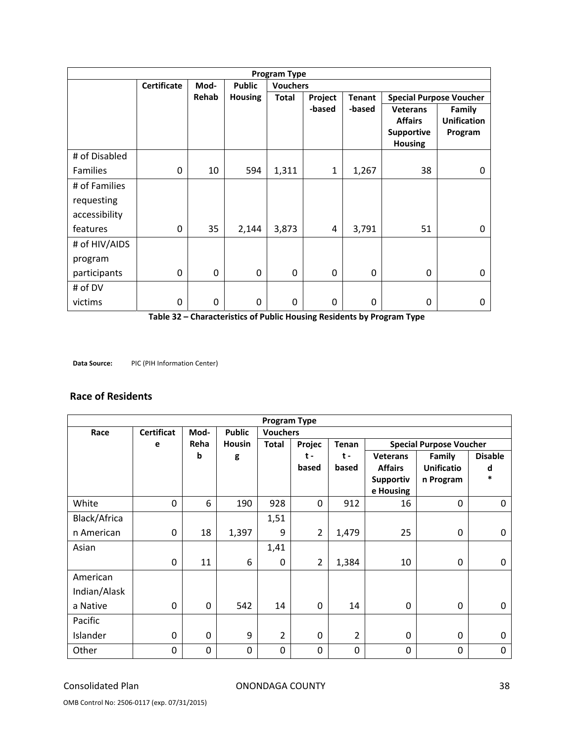|                 | <b>Program Type</b> |             |                |                 |              |               |                                                                          |                                                |
|-----------------|---------------------|-------------|----------------|-----------------|--------------|---------------|--------------------------------------------------------------------------|------------------------------------------------|
|                 | <b>Certificate</b>  | Mod-        | <b>Public</b>  | <b>Vouchers</b> |              |               |                                                                          |                                                |
|                 |                     | Rehab       | <b>Housing</b> | <b>Total</b>    | Project      | <b>Tenant</b> |                                                                          | <b>Special Purpose Voucher</b>                 |
|                 |                     |             |                |                 | -based       | -based        | <b>Veterans</b><br><b>Affairs</b><br><b>Supportive</b><br><b>Housing</b> | <b>Family</b><br><b>Unification</b><br>Program |
| # of Disabled   |                     |             |                |                 |              |               |                                                                          |                                                |
| <b>Families</b> | 0                   | 10          | 594            | 1,311           | $\mathbf{1}$ | 1,267         | 38                                                                       | 0                                              |
| # of Families   |                     |             |                |                 |              |               |                                                                          |                                                |
| requesting      |                     |             |                |                 |              |               |                                                                          |                                                |
| accessibility   |                     |             |                |                 |              |               |                                                                          |                                                |
| features        | 0                   | 35          | 2,144          | 3,873           | 4            | 3,791         | 51                                                                       | $\Omega$                                       |
| # of HIV/AIDS   |                     |             |                |                 |              |               |                                                                          |                                                |
| program         |                     |             |                |                 |              |               |                                                                          |                                                |
| participants    | 0                   | $\mathbf 0$ | 0              | $\mathbf 0$     | $\mathbf 0$  | 0             | 0                                                                        | 0                                              |
| # of DV         |                     |             |                |                 |              |               |                                                                          |                                                |
| victims         | 0                   | 0           | 0              | 0               | 0            | 0             | 0                                                                        | 0                                              |

**Table 32 – Characteristics of Public Housing Residents by Program Type** 

**Data Source:** PIC (PIH Information Center)

#### **Race of Residents**

|              | <b>Program Type</b> |             |               |                 |                |                |                 |                                |                |
|--------------|---------------------|-------------|---------------|-----------------|----------------|----------------|-----------------|--------------------------------|----------------|
| Race         | <b>Certificat</b>   | Mod-        | <b>Public</b> | <b>Vouchers</b> |                |                |                 |                                |                |
|              | e                   | Reha        | <b>Housin</b> | Total           | Projec         | Tenan          |                 | <b>Special Purpose Voucher</b> |                |
|              |                     | b           | g             |                 | t-             | $t -$          | <b>Veterans</b> | Family                         | <b>Disable</b> |
|              |                     |             |               |                 | based          | based          | <b>Affairs</b>  | <b>Unificatio</b>              | d              |
|              |                     |             |               |                 |                |                | Supportiv       | n Program                      | *              |
|              |                     |             |               |                 |                |                | e Housing       |                                |                |
| White        | 0                   | 6           | 190           | 928             | $\mathbf 0$    | 912            | 16              | $\mathbf 0$                    | 0              |
| Black/Africa |                     |             |               | 1,51            |                |                |                 |                                |                |
| n American   | 0                   | 18          | 1,397         | 9               | $\overline{2}$ | 1,479          | 25              | 0                              | $\Omega$       |
| Asian        |                     |             |               | 1,41            |                |                |                 |                                |                |
|              | 0                   | 11          | 6             | $\mathbf 0$     | $\overline{2}$ | 1,384          | 10              | 0                              | 0              |
| American     |                     |             |               |                 |                |                |                 |                                |                |
| Indian/Alask |                     |             |               |                 |                |                |                 |                                |                |
| a Native     | 0                   | 0           | 542           | 14              | 0              | 14             | $\Omega$        | 0                              | $\Omega$       |
| Pacific      |                     |             |               |                 |                |                |                 |                                |                |
| Islander     | 0                   | 0           | 9             | 2               | 0              | $\overline{2}$ | $\Omega$        | 0                              | $\Omega$       |
| Other        | 0                   | $\mathbf 0$ | 0             | $\mathbf 0$     | 0              | $\mathbf 0$    | 0               | $\mathbf 0$                    | 0              |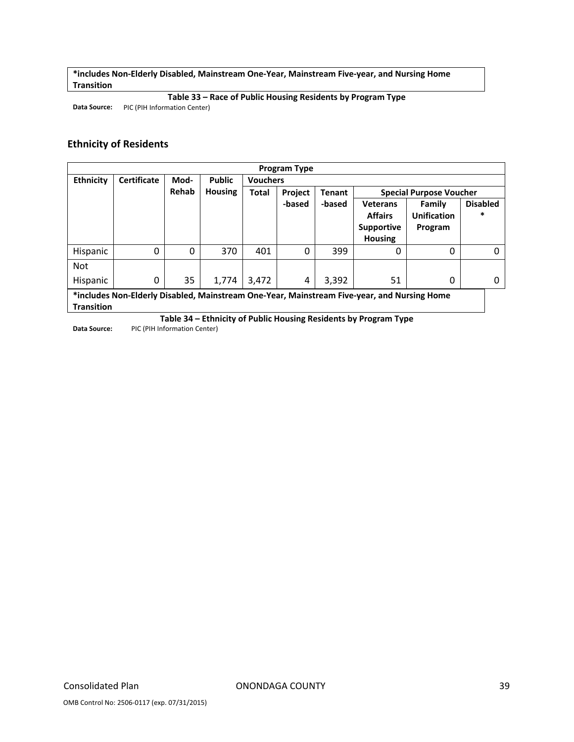**\*includes Non‐Elderly Disabled, Mainstream One‐Year, Mainstream Five‐year, and Nursing Home Transition**

**Table 33 – Race of Public Housing Residents by Program Type**

**Data Source:** PIC (PIH Information Center)

#### **Ethnicity of Residents**

|                  | <b>Program Type</b> |          |                |                 |         |        |                                                                                             |                                |                 |
|------------------|---------------------|----------|----------------|-----------------|---------|--------|---------------------------------------------------------------------------------------------|--------------------------------|-----------------|
| <b>Ethnicity</b> | <b>Certificate</b>  | Mod-     | <b>Public</b>  | <b>Vouchers</b> |         |        |                                                                                             |                                |                 |
|                  |                     | Rehab    | <b>Housing</b> | <b>Total</b>    | Project | Tenant |                                                                                             | <b>Special Purpose Voucher</b> |                 |
|                  |                     |          |                |                 | -based  | -based | <b>Veterans</b>                                                                             | Family                         | <b>Disabled</b> |
|                  |                     |          |                |                 |         |        | <b>Affairs</b>                                                                              | <b>Unification</b>             | *               |
|                  |                     |          |                |                 |         |        | <b>Supportive</b>                                                                           | Program                        |                 |
|                  |                     |          |                |                 |         |        | <b>Housing</b>                                                                              |                                |                 |
| Hispanic         | 0                   | $\Omega$ | 370            | 401             | 0       | 399    | 0                                                                                           | 0                              |                 |
| <b>Not</b>       |                     |          |                |                 |         |        |                                                                                             |                                |                 |
| <b>Hispanic</b>  | 0                   | 35       | 1,774          | 3,472           | 4       | 3,392  | 51                                                                                          | 0                              | 0               |
|                  |                     |          |                |                 |         |        | *includes Non-Elderly Disabled, Mainstream One-Year, Mainstream Five-year, and Nursing Home |                                |                 |

**Transition**

**Table 34 – Ethnicity of Public Housing Residents by Program Type Data Source:** PIC (PIH Information Center)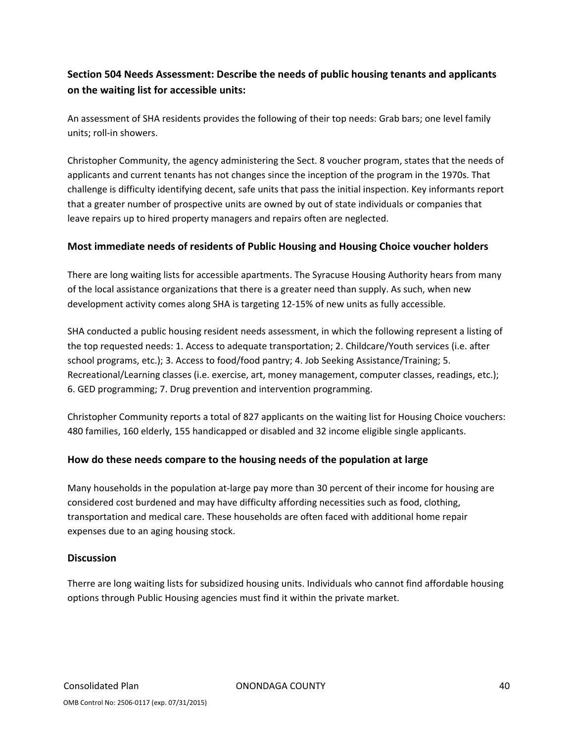# **Section 504 Needs Assessment: Describe the needs of public housing tenants and applicants on the waiting list for accessible units:**

An assessment of SHA residents provides the following of their top needs: Grab bars; one level family units; roll‐in showers.

Christopher Community, the agency administering the Sect. 8 voucher program, states that the needs of applicants and current tenants has not changes since the inception of the program in the 1970s. That challenge is difficulty identifying decent, safe units that pass the initial inspection. Key informants report that a greater number of prospective units are owned by out of state individuals or companies that leave repairs up to hired property managers and repairs often are neglected.

#### **Most immediate needs of residents of Public Housing and Housing Choice voucher holders**

There are long waiting lists for accessible apartments. The Syracuse Housing Authority hears from many of the local assistance organizations that there is a greater need than supply. As such, when new development activity comes along SHA is targeting 12‐15% of new units as fully accessible.

SHA conducted a public housing resident needs assessment, in which the following represent a listing of the top requested needs: 1. Access to adequate transportation; 2. Childcare/Youth services (i.e. after school programs, etc.); 3. Access to food/food pantry; 4. Job Seeking Assistance/Training; 5. Recreational/Learning classes (i.e. exercise, art, money management, computer classes, readings, etc.); 6. GED programming; 7. Drug prevention and intervention programming.

Christopher Community reports a total of 827 applicants on the waiting list for Housing Choice vouchers: 480 families, 160 elderly, 155 handicapped or disabled and 32 income eligible single applicants.

#### **How do these needs compare to the housing needs of the population at large**

Many households in the population at-large pay more than 30 percent of their income for housing are considered cost burdened and may have difficulty affording necessities such as food, clothing, transportation and medical care. These households are often faced with additional home repair expenses due to an aging housing stock.

#### **Discussion**

Therre are long waiting lists for subsidized housing units. Individuals who cannot find affordable housing options through Public Housing agencies must find it within the private market.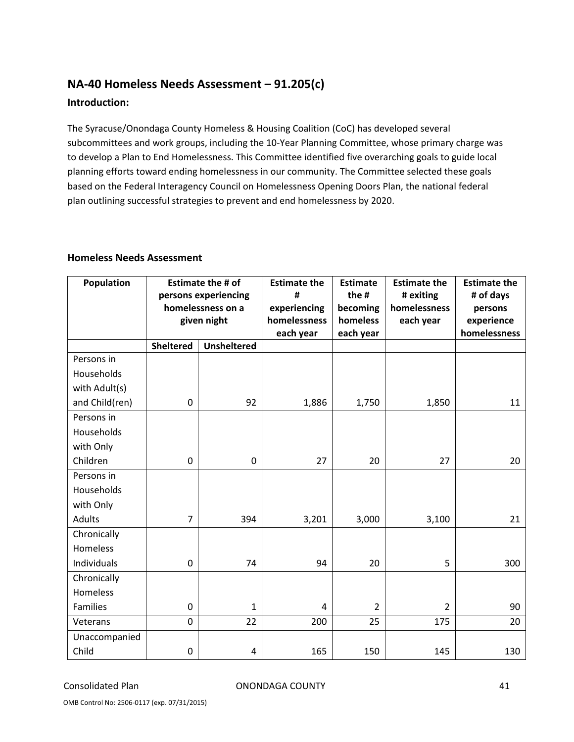# **NA‐40 Homeless Needs Assessment – 91.205(c) Introduction:**

The Syracuse/Onondaga County Homeless & Housing Coalition (CoC) has developed several subcommittees and work groups, including the 10‐Year Planning Committee, whose primary charge was to develop a Plan to End Homelessness. This Committee identified five overarching goals to guide local planning efforts toward ending homelessness in our community. The Committee selected these goals based on the Federal Interagency Council on Homelessness Opening Doors Plan, the national federal plan outlining successful strategies to prevent and end homelessness by 2020.

| Population      | <b>Estimate the # of</b><br>persons experiencing |                    | <b>Estimate the</b><br># | <b>Estimate</b><br>the # | <b>Estimate the</b><br># exiting | <b>Estimate the</b><br># of days |
|-----------------|--------------------------------------------------|--------------------|--------------------------|--------------------------|----------------------------------|----------------------------------|
|                 | homelessness on a                                |                    | experiencing             | becoming                 | homelessness                     | persons                          |
|                 | given night                                      |                    | homelessness             | homeless                 | each year                        | experience                       |
|                 |                                                  |                    | each year                | each year                |                                  | homelessness                     |
|                 | <b>Sheltered</b>                                 | <b>Unsheltered</b> |                          |                          |                                  |                                  |
| Persons in      |                                                  |                    |                          |                          |                                  |                                  |
| Households      |                                                  |                    |                          |                          |                                  |                                  |
| with Adult(s)   |                                                  |                    |                          |                          |                                  |                                  |
| and Child(ren)  | 0                                                | 92                 | 1,886                    | 1,750                    | 1,850                            | 11                               |
| Persons in      |                                                  |                    |                          |                          |                                  |                                  |
| Households      |                                                  |                    |                          |                          |                                  |                                  |
| with Only       |                                                  |                    |                          |                          |                                  |                                  |
| Children        | $\mathbf 0$                                      | $\mathbf 0$        | 27                       | 20                       | 27                               | 20                               |
| Persons in      |                                                  |                    |                          |                          |                                  |                                  |
| Households      |                                                  |                    |                          |                          |                                  |                                  |
| with Only       |                                                  |                    |                          |                          |                                  |                                  |
| Adults          | $\overline{7}$                                   | 394                | 3,201                    | 3,000                    | 3,100                            | 21                               |
| Chronically     |                                                  |                    |                          |                          |                                  |                                  |
| Homeless        |                                                  |                    |                          |                          |                                  |                                  |
| Individuals     | 0                                                | 74                 | 94                       | 20                       | 5                                | 300                              |
| Chronically     |                                                  |                    |                          |                          |                                  |                                  |
| <b>Homeless</b> |                                                  |                    |                          |                          |                                  |                                  |
| <b>Families</b> | 0                                                | $\mathbf{1}$       | $\overline{4}$           | $\overline{2}$           | $\overline{2}$                   | 90                               |
| Veterans        | $\overline{0}$                                   | 22                 | 200                      | 25                       | 175                              | 20                               |
| Unaccompanied   |                                                  |                    |                          |                          |                                  |                                  |
| Child           | 0                                                | 4                  | 165                      | 150                      | 145                              | 130                              |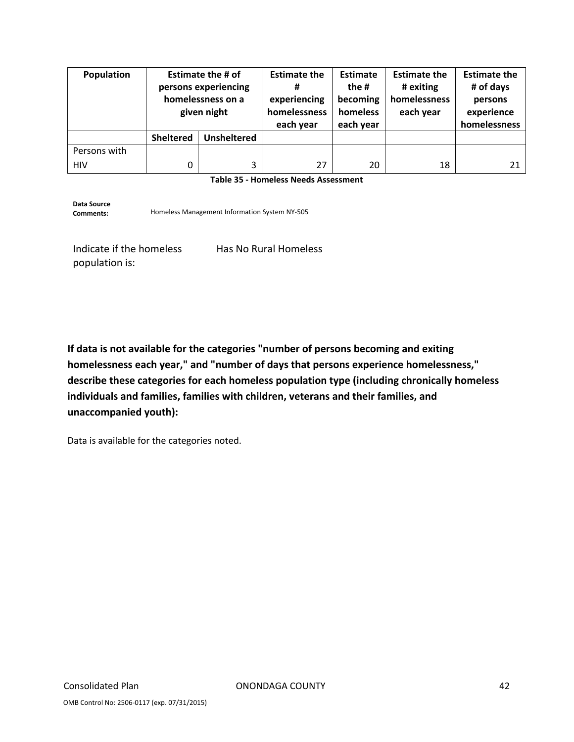| Population   | <b>Estimate the # of</b><br>persons experiencing<br>homelessness on a<br>given night |                    | <b>Estimate the</b><br>#<br>experiencing<br>homelessness<br>each year | Estimate<br>the #<br>becoming<br>homeless<br>each year | <b>Estimate the</b><br># exiting<br>homelessness<br>each year | <b>Estimate the</b><br># of days<br>persons<br>experience<br>homelessness |
|--------------|--------------------------------------------------------------------------------------|--------------------|-----------------------------------------------------------------------|--------------------------------------------------------|---------------------------------------------------------------|---------------------------------------------------------------------------|
|              | <b>Sheltered</b>                                                                     | <b>Unsheltered</b> |                                                                       |                                                        |                                                               |                                                                           |
| Persons with |                                                                                      |                    |                                                                       |                                                        |                                                               |                                                                           |
| <b>HIV</b>   | 0                                                                                    | 3                  | 27                                                                    | 20                                                     | 18                                                            | 21                                                                        |

**Table 35 ‐ Homeless Needs Assessment** 

**Data Source** Homeless Management Information System NY-505

Indicate if the homeless population is:

Has No Rural Homeless

**If data is not available for the categories "number of persons becoming and exiting homelessness each year," and "number of days that persons experience homelessness," describe these categories for each homeless population type (including chronically homeless individuals and families, families with children, veterans and their families, and unaccompanied youth):**

Data is available for the categories noted.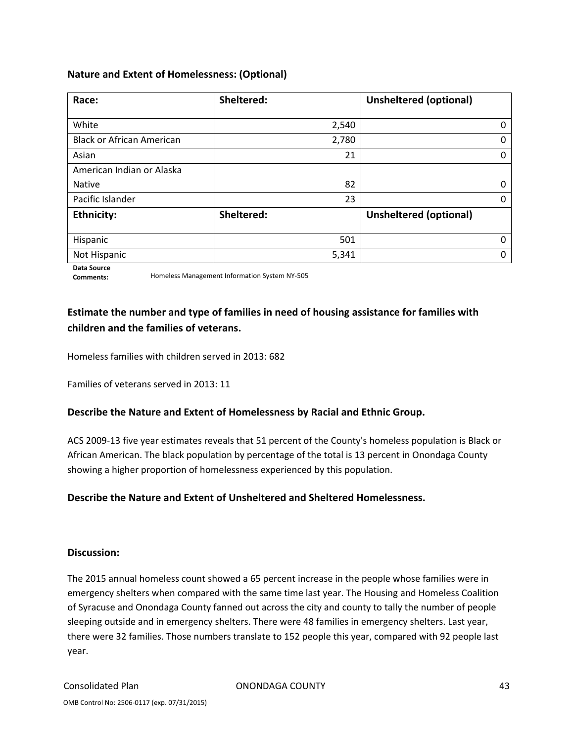#### **Nature and Extent of Homelessness: (Optional)**

| Race:                            | Sheltered: | <b>Unsheltered (optional)</b> |
|----------------------------------|------------|-------------------------------|
|                                  |            |                               |
| White                            | 2,540      | 0                             |
| <b>Black or African American</b> | 2,780      | 0                             |
| Asian                            | 21         | 0                             |
| American Indian or Alaska        |            |                               |
| <b>Native</b>                    | 82         | 0                             |
| Pacific Islander                 | 23         | 0                             |
| <b>Ethnicity:</b>                | Sheltered: | <b>Unsheltered (optional)</b> |
|                                  |            |                               |
| Hispanic                         | 501        | O                             |
| Not Hispanic                     | 5,341      | 0                             |

**Data Source**

**Comments:** Homeless Management Information System NY‐505

# **Estimate the number and type of families in need of housing assistance for families with children and the families of veterans.**

Homeless families with children served in 2013: 682

Families of veterans served in 2013: 11

#### **Describe the Nature and Extent of Homelessness by Racial and Ethnic Group.**

ACS 2009‐13 five year estimates reveals that 51 percent of the County's homeless population is Black or African American. The black population by percentage of the total is 13 percent in Onondaga County showing a higher proportion of homelessness experienced by this population.

#### **Describe the Nature and Extent of Unsheltered and Sheltered Homelessness.**

#### **Discussion:**

The 2015 annual homeless count showed a 65 percent increase in the people whose families were in emergency shelters when compared with the same time last year. The Housing and Homeless Coalition of Syracuse and Onondaga County fanned out across the city and county to tally the number of people sleeping outside and in emergency shelters. There were 48 families in emergency shelters. Last year, there were 32 families. Those numbers translate to 152 people this year, compared with 92 people last year.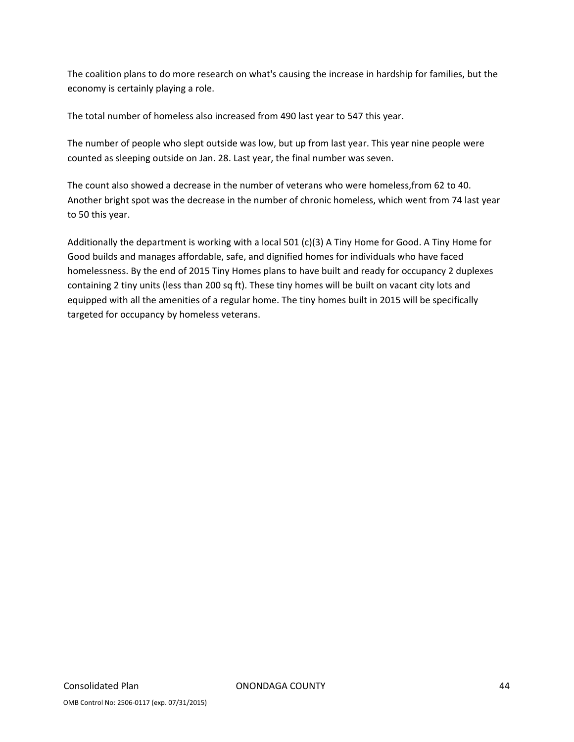The coalition plans to do more research on what's causing the increase in hardship for families, but the economy is certainly playing a role.

The total number of homeless also increased from 490 last year to 547 this year.

The number of people who slept outside was low, but up from last year. This year nine people were counted as sleeping outside on Jan. 28. Last year, the final number was seven.

The count also showed a decrease in the number of veterans who were homeless,from 62 to 40. Another bright spot was the decrease in the number of chronic homeless, which went from 74 last year to 50 this year.

Additionally the department is working with a local 501 (c)(3) A Tiny Home for Good. A Tiny Home for Good builds and manages affordable, safe, and dignified homes for individuals who have faced homelessness. By the end of 2015 Tiny Homes plans to have built and ready for occupancy 2 duplexes containing 2 tiny units (less than 200 sq ft). These tiny homes will be built on vacant city lots and equipped with all the amenities of a regular home. The tiny homes built in 2015 will be specifically targeted for occupancy by homeless veterans.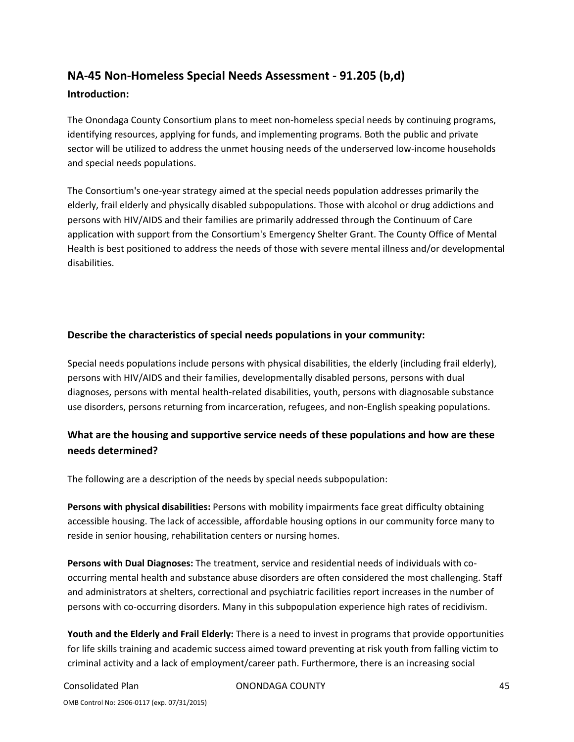# **NA‐45 Non‐Homeless Special Needs Assessment ‐ 91.205 (b,d) Introduction:**

The Onondaga County Consortium plans to meet non-homeless special needs by continuing programs, identifying resources, applying for funds, and implementing programs. Both the public and private sector will be utilized to address the unmet housing needs of the underserved low-income households and special needs populations.

The Consortium's one‐year strategy aimed at the special needs population addresses primarily the elderly, frail elderly and physically disabled subpopulations. Those with alcohol or drug addictions and persons with HIV/AIDS and their families are primarily addressed through the Continuum of Care application with support from the Consortium's Emergency Shelter Grant. The County Office of Mental Health is best positioned to address the needs of those with severe mental illness and/or developmental disabilities.

### **Describe the characteristics of special needs populations in your community:**

Special needs populations include persons with physical disabilities, the elderly (including frail elderly), persons with HIV/AIDS and their families, developmentally disabled persons, persons with dual diagnoses, persons with mental health‐related disabilities, youth, persons with diagnosable substance use disorders, persons returning from incarceration, refugees, and non-English speaking populations.

# **What are the housing and supportive service needs of these populations and how are these needs determined?**

The following are a description of the needs by special needs subpopulation:

**Persons with physical disabilities:** Persons with mobility impairments face great difficulty obtaining accessible housing. The lack of accessible, affordable housing options in our community force many to reside in senior housing, rehabilitation centers or nursing homes.

**Persons with Dual Diagnoses:** The treatment, service and residential needs of individuals with co‐ occurring mental health and substance abuse disorders are often considered the most challenging. Staff and administrators at shelters, correctional and psychiatric facilities report increases in the number of persons with co-occurring disorders. Many in this subpopulation experience high rates of recidivism.

**Youth and the Elderly and Frail Elderly:** There is a need to invest in programs that provide opportunities for life skills training and academic success aimed toward preventing at risk youth from falling victim to criminal activity and a lack of employment/career path. Furthermore, there is an increasing social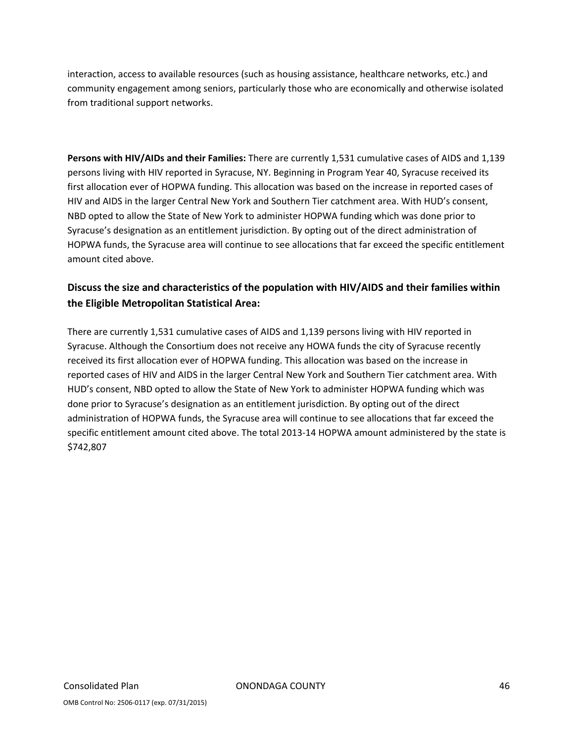interaction, access to available resources (such as housing assistance, healthcare networks, etc.) and community engagement among seniors, particularly those who are economically and otherwise isolated from traditional support networks.

**Persons with HIV/AIDs and their Families:** There are currently 1,531 cumulative cases of AIDS and 1,139 persons living with HIV reported in Syracuse, NY. Beginning in Program Year 40, Syracuse received its first allocation ever of HOPWA funding. This allocation was based on the increase in reported cases of HIV and AIDS in the larger Central New York and Southern Tier catchment area. With HUD's consent, NBD opted to allow the State of New York to administer HOPWA funding which was done prior to Syracuse's designation as an entitlement jurisdiction. By opting out of the direct administration of HOPWA funds, the Syracuse area will continue to see allocations that far exceed the specific entitlement amount cited above.

# **Discuss the size and characteristics of the population with HIV/AIDS and their families within the Eligible Metropolitan Statistical Area:**

There are currently 1,531 cumulative cases of AIDS and 1,139 persons living with HIV reported in Syracuse. Although the Consortium does not receive any HOWA funds the city of Syracuse recently received its first allocation ever of HOPWA funding. This allocation was based on the increase in reported cases of HIV and AIDS in the larger Central New York and Southern Tier catchment area. With HUD's consent, NBD opted to allow the State of New York to administer HOPWA funding which was done prior to Syracuse's designation as an entitlement jurisdiction. By opting out of the direct administration of HOPWA funds, the Syracuse area will continue to see allocations that far exceed the specific entitlement amount cited above. The total 2013-14 HOPWA amount administered by the state is \$742,807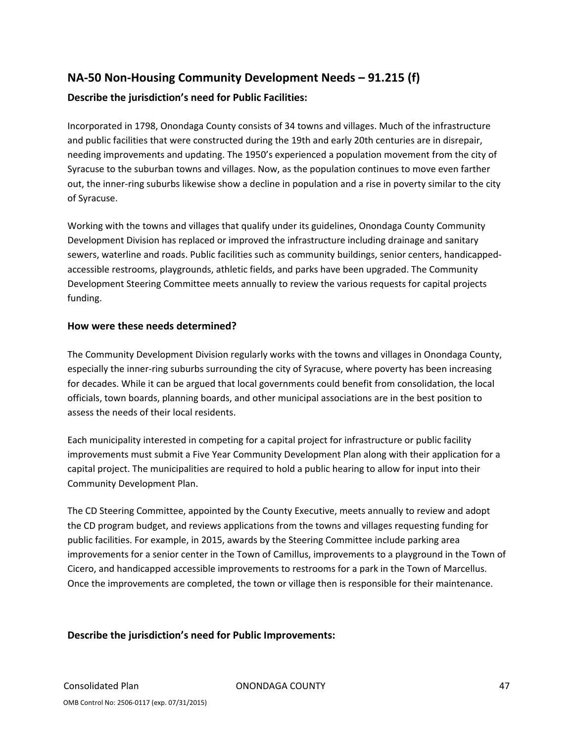# **NA‐50 Non‐Housing Community Development Needs – 91.215 (f)**

### **Describe the jurisdiction's need for Public Facilities:**

Incorporated in 1798, Onondaga County consists of 34 towns and villages. Much of the infrastructure and public facilities that were constructed during the 19th and early 20th centuries are in disrepair, needing improvements and updating. The 1950's experienced a population movement from the city of Syracuse to the suburban towns and villages. Now, as the population continues to move even farther out, the inner-ring suburbs likewise show a decline in population and a rise in poverty similar to the city of Syracuse.

Working with the towns and villages that qualify under its guidelines, Onondaga County Community Development Division has replaced or improved the infrastructure including drainage and sanitary sewers, waterline and roads. Public facilities such as community buildings, senior centers, handicapped‐ accessible restrooms, playgrounds, athletic fields, and parks have been upgraded. The Community Development Steering Committee meets annually to review the various requests for capital projects funding.

#### **How were these needs determined?**

The Community Development Division regularly works with the towns and villages in Onondaga County, especially the inner-ring suburbs surrounding the city of Syracuse, where poverty has been increasing for decades. While it can be argued that local governments could benefit from consolidation, the local officials, town boards, planning boards, and other municipal associations are in the best position to assess the needs of their local residents.

Each municipality interested in competing for a capital project for infrastructure or public facility improvements must submit a Five Year Community Development Plan along with their application for a capital project. The municipalities are required to hold a public hearing to allow for input into their Community Development Plan.

The CD Steering Committee, appointed by the County Executive, meets annually to review and adopt the CD program budget, and reviews applications from the towns and villages requesting funding for public facilities. For example, in 2015, awards by the Steering Committee include parking area improvements for a senior center in the Town of Camillus, improvements to a playground in the Town of Cicero, and handicapped accessible improvements to restrooms for a park in the Town of Marcellus. Once the improvements are completed, the town or village then is responsible for their maintenance.

#### **Describe the jurisdiction's need for Public Improvements:**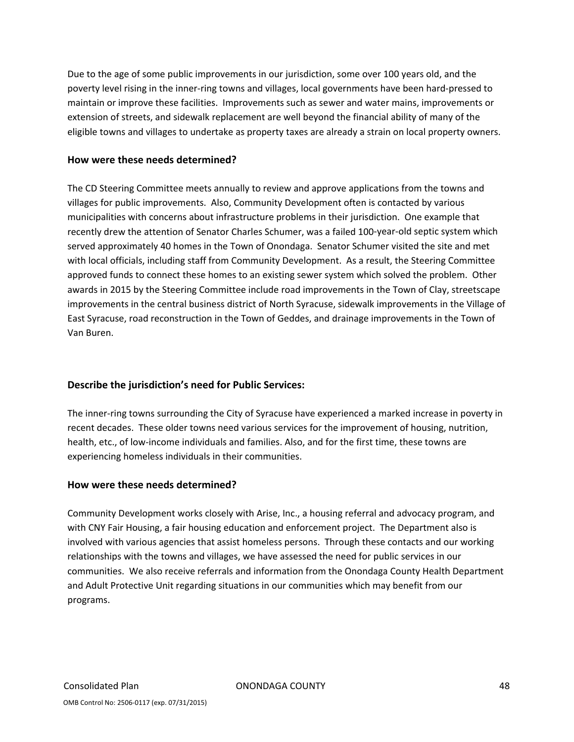Due to the age of some public improvements in our jurisdiction, some over 100 years old, and the poverty level rising in the inner‐ring towns and villages, local governments have been hard‐pressed to maintain or improve these facilities. Improvements such as sewer and water mains, improvements or extension of streets, and sidewalk replacement are well beyond the financial ability of many of the eligible towns and villages to undertake as property taxes are already a strain on local property owners.

#### **How were these needs determined?**

The CD Steering Committee meets annually to review and approve applications from the towns and villages for public improvements. Also, Community Development often is contacted by various municipalities with concerns about infrastructure problems in their jurisdiction. One example that recently drew the attention of Senator Charles Schumer, was a failed 100‐year‐old septic system which served approximately 40 homes in the Town of Onondaga. Senator Schumer visited the site and met with local officials, including staff from Community Development. As a result, the Steering Committee approved funds to connect these homes to an existing sewer system which solved the problem. Other awards in 2015 by the Steering Committee include road improvements in the Town of Clay, streetscape improvements in the central business district of North Syracuse, sidewalk improvements in the Village of East Syracuse, road reconstruction in the Town of Geddes, and drainage improvements in the Town of Van Buren.

#### **Describe the jurisdiction's need for Public Services:**

The inner-ring towns surrounding the City of Syracuse have experienced a marked increase in poverty in recent decades. These older towns need various services for the improvement of housing, nutrition, health, etc., of low-income individuals and families. Also, and for the first time, these towns are experiencing homeless individuals in their communities.

#### **How were these needs determined?**

Community Development works closely with Arise, Inc., a housing referral and advocacy program, and with CNY Fair Housing, a fair housing education and enforcement project. The Department also is involved with various agencies that assist homeless persons. Through these contacts and our working relationships with the towns and villages, we have assessed the need for public services in our communities. We also receive referrals and information from the Onondaga County Health Department and Adult Protective Unit regarding situations in our communities which may benefit from our programs.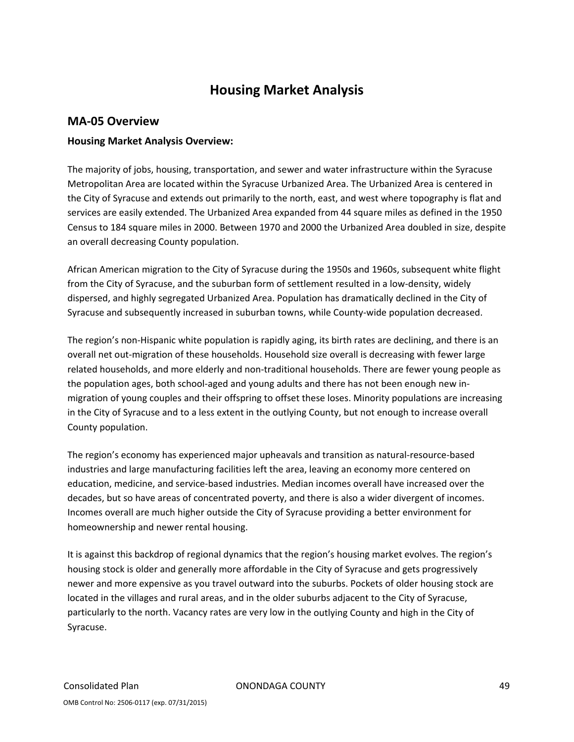# **Housing Market Analysis**

#### **MA‐05 Overview**

#### **Housing Market Analysis Overview:**

The majority of jobs, housing, transportation, and sewer and water infrastructure within the Syracuse Metropolitan Area are located within the Syracuse Urbanized Area. The Urbanized Area is centered in the City of Syracuse and extends out primarily to the north, east, and west where topography is flat and services are easily extended. The Urbanized Area expanded from 44 square miles as defined in the 1950 Census to 184 square miles in 2000. Between 1970 and 2000 the Urbanized Area doubled in size, despite an overall decreasing County population.

African American migration to the City of Syracuse during the 1950s and 1960s, subsequent white flight from the City of Syracuse, and the suburban form of settlement resulted in a low-density, widely dispersed, and highly segregated Urbanized Area. Population has dramatically declined in the City of Syracuse and subsequently increased in suburban towns, while County‐wide population decreased.

The region's non-Hispanic white population is rapidly aging, its birth rates are declining, and there is an overall net out‐migration of these households. Household size overall is decreasing with fewer large related households, and more elderly and non-traditional households. There are fewer young people as the population ages, both school-aged and young adults and there has not been enough new inmigration of young couples and their offspring to offset these loses. Minority populations are increasing in the City of Syracuse and to a less extent in the outlying County, but not enough to increase overall County population.

The region's economy has experienced major upheavals and transition as natural‐resource‐based industries and large manufacturing facilities left the area, leaving an economy more centered on education, medicine, and service‐based industries. Median incomes overall have increased over the decades, but so have areas of concentrated poverty, and there is also a wider divergent of incomes. Incomes overall are much higher outside the City of Syracuse providing a better environment for homeownership and newer rental housing.

It is against this backdrop of regional dynamics that the region's housing market evolves. The region's housing stock is older and generally more affordable in the City of Syracuse and gets progressively newer and more expensive as you travel outward into the suburbs. Pockets of older housing stock are located in the villages and rural areas, and in the older suburbs adjacent to the City of Syracuse, particularly to the north. Vacancy rates are very low in the outlying County and high in the City of Syracuse.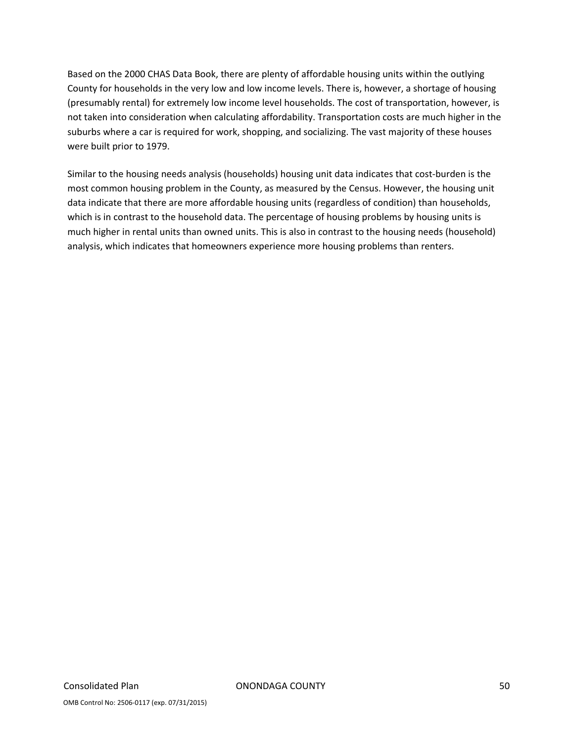Based on the 2000 CHAS Data Book, there are plenty of affordable housing units within the outlying County for households in the very low and low income levels. There is, however, a shortage of housing (presumably rental) for extremely low income level households. The cost of transportation, however, is not taken into consideration when calculating affordability. Transportation costs are much higher in the suburbs where a car is required for work, shopping, and socializing. The vast majority of these houses were built prior to 1979.

Similar to the housing needs analysis (households) housing unit data indicates that cost‐burden is the most common housing problem in the County, as measured by the Census. However, the housing unit data indicate that there are more affordable housing units (regardless of condition) than households, which is in contrast to the household data. The percentage of housing problems by housing units is much higher in rental units than owned units. This is also in contrast to the housing needs (household) analysis, which indicates that homeowners experience more housing problems than renters.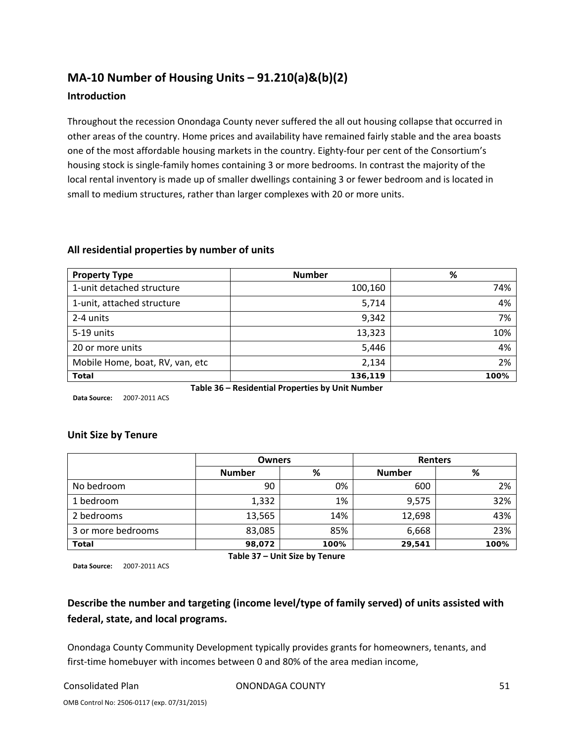# **MA‐10 Number of Housing Units – 91.210(a)&(b)(2)**

#### **Introduction**

Throughout the recession Onondaga County never suffered the all out housing collapse that occurred in other areas of the country. Home prices and availability have remained fairly stable and the area boasts one of the most affordable housing markets in the country. Eighty-four per cent of the Consortium's housing stock is single‐family homes containing 3 or more bedrooms. In contrast the majority of the local rental inventory is made up of smaller dwellings containing 3 or fewer bedroom and is located in small to medium structures, rather than larger complexes with 20 or more units.

| <b>Property Type</b>                           | <b>Number</b>                                    | %   |  |  |  |  |  |
|------------------------------------------------|--------------------------------------------------|-----|--|--|--|--|--|
| 1-unit detached structure                      | 100,160                                          | 74% |  |  |  |  |  |
| 1-unit, attached structure                     | 5,714                                            | 4%  |  |  |  |  |  |
| 2-4 units                                      | 9,342                                            | 7%  |  |  |  |  |  |
| 5-19 units                                     | 13,323                                           | 10% |  |  |  |  |  |
| 20 or more units                               | 4%<br>5,446                                      |     |  |  |  |  |  |
| 2%<br>Mobile Home, boat, RV, van, etc<br>2,134 |                                                  |     |  |  |  |  |  |
| 100%<br>136,119<br><b>Total</b>                |                                                  |     |  |  |  |  |  |
|                                                | Table 36 – Residential Properties by Unit Number |     |  |  |  |  |  |

#### **All residential properties by number of units**

**Data Source:** 2007‐2011 ACS

#### **Unit Size by Tenure**

|                    | <b>Owners</b> |      | Renters       |      |
|--------------------|---------------|------|---------------|------|
|                    | <b>Number</b> | %    | <b>Number</b> | %    |
| No bedroom         | 90            | 0%   | 600           | 2%   |
| 1 bedroom          | 1,332         | 1%   | 9,575         | 32%  |
| 2 bedrooms         | 13,565        | 14%  | 12,698        | 43%  |
| 3 or more bedrooms | 83,085        | 85%  | 6,668         | 23%  |
| <b>Total</b>       | 98,072        | 100% | 29,541        | 100% |

**Table 37 – Unit Size by Tenure**

**Data Source:** 2007‐2011 ACS

# **Describe the number and targeting (income level/type of family served) of units assisted with federal, state, and local programs.**

Onondaga County Community Development typically provides grants for homeowners, tenants, and first-time homebuyer with incomes between 0 and 80% of the area median income,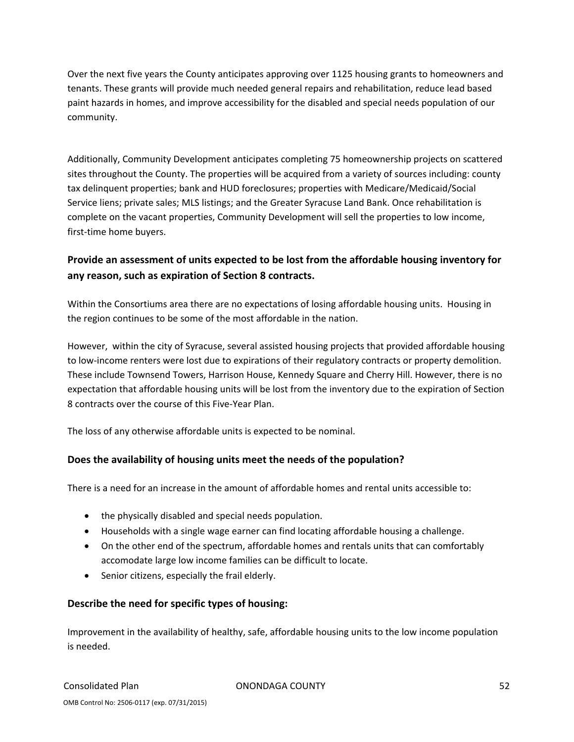Over the next five years the County anticipates approving over 1125 housing grants to homeowners and tenants. These grants will provide much needed general repairs and rehabilitation, reduce lead based paint hazards in homes, and improve accessibility for the disabled and special needs population of our community.

Additionally, Community Development anticipates completing 75 homeownership projects on scattered sites throughout the County. The properties will be acquired from a variety of sources including: county tax delinquent properties; bank and HUD foreclosures; properties with Medicare/Medicaid/Social Service liens; private sales; MLS listings; and the Greater Syracuse Land Bank. Once rehabilitation is complete on the vacant properties, Community Development will sell the properties to low income, first-time home buyers.

# **Provide an assessment of units expected to be lost from the affordable housing inventory for any reason, such as expiration of Section 8 contracts.**

Within the Consortiums area there are no expectations of losing affordable housing units. Housing in the region continues to be some of the most affordable in the nation.

However, within the city of Syracuse, several assisted housing projects that provided affordable housing to low-income renters were lost due to expirations of their regulatory contracts or property demolition. These include Townsend Towers, Harrison House, Kennedy Square and Cherry Hill. However, there is no expectation that affordable housing units will be lost from the inventory due to the expiration of Section 8 contracts over the course of this Five‐Year Plan.

The loss of any otherwise affordable units is expected to be nominal.

### **Does the availability of housing units meet the needs of the population?**

There is a need for an increase in the amount of affordable homes and rental units accessible to:

- the physically disabled and special needs population.
- Households with a single wage earner can find locating affordable housing a challenge.
- On the other end of the spectrum, affordable homes and rentals units that can comfortably accomodate large low income families can be difficult to locate.
- Senior citizens, especially the frail elderly.

### **Describe the need for specific types of housing:**

Improvement in the availability of healthy, safe, affordable housing units to the low income population is needed.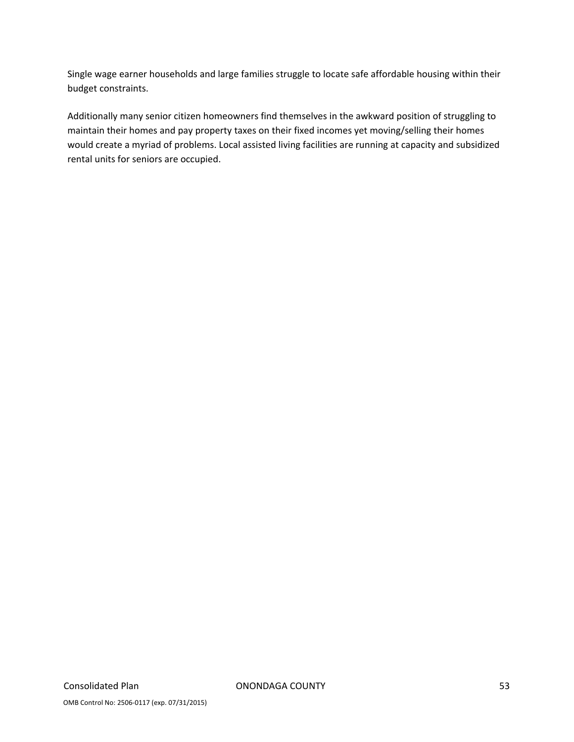Single wage earner households and large families struggle to locate safe affordable housing within their budget constraints.

Additionally many senior citizen homeowners find themselves in the awkward position of struggling to maintain their homes and pay property taxes on their fixed incomes yet moving/selling their homes would create a myriad of problems. Local assisted living facilities are running at capacity and subsidized rental units for seniors are occupied.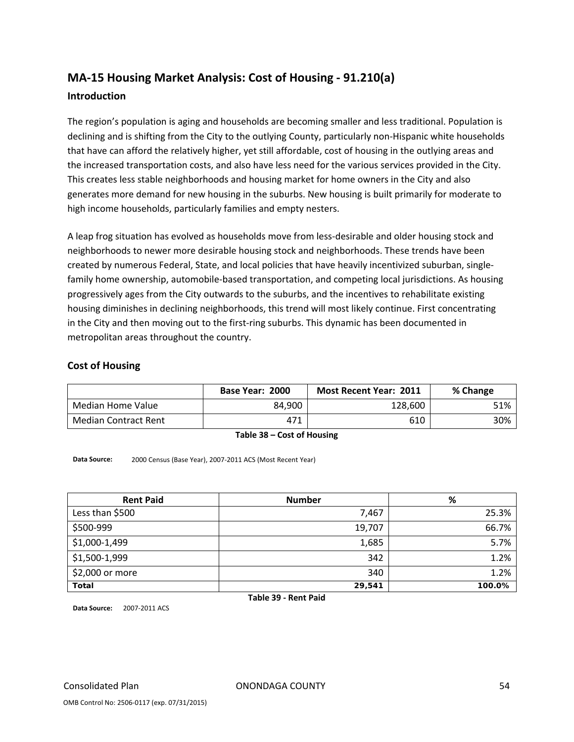# **MA‐15 Housing Market Analysis: Cost of Housing ‐ 91.210(a)**

#### **Introduction**

The region's population is aging and households are becoming smaller and less traditional. Population is declining and is shifting from the City to the outlying County, particularly non-Hispanic white households that have can afford the relatively higher, yet still affordable, cost of housing in the outlying areas and the increased transportation costs, and also have less need for the various services provided in the City. This creates less stable neighborhoods and housing market for home owners in the City and also generates more demand for new housing in the suburbs. New housing is built primarily for moderate to high income households, particularly families and empty nesters.

A leap frog situation has evolved as households move from less‐desirable and older housing stock and neighborhoods to newer more desirable housing stock and neighborhoods. These trends have been created by numerous Federal, State, and local policies that have heavily incentivized suburban, single‐ family home ownership, automobile‐based transportation, and competing local jurisdictions. As housing progressively ages from the City outwards to the suburbs, and the incentives to rehabilitate existing housing diminishes in declining neighborhoods, this trend will most likely continue. First concentrating in the City and then moving out to the first-ring suburbs. This dynamic has been documented in metropolitan areas throughout the country.

#### **Cost of Housing**

|                             | Base Year: 2000 | <b>Most Recent Year: 2011</b> | % Change |
|-----------------------------|-----------------|-------------------------------|----------|
| Median Home Value           | 84.900          | 128,600                       | 51%      |
| <b>Median Contract Rent</b> | 471             | 610                           | 30%      |

**Table 38 – Cost of Housing**

**Data Source:** 2000 Census (Base Year), 2007‐2011 ACS (Most Recent Year)

| <b>Rent Paid</b> | <b>Number</b> | %      |
|------------------|---------------|--------|
| Less than \$500  | 7,467         | 25.3%  |
| \$500-999        | 19,707        | 66.7%  |
| \$1,000-1,499    | 1,685         | 5.7%   |
| \$1,500-1,999    | 342           | 1.2%   |
| \$2,000 or more  | 340           | 1.2%   |
| <b>Total</b>     | 29,541        | 100.0% |

**Table 39 ‐ Rent Paid**

**Data Source:** 2007‐2011 ACS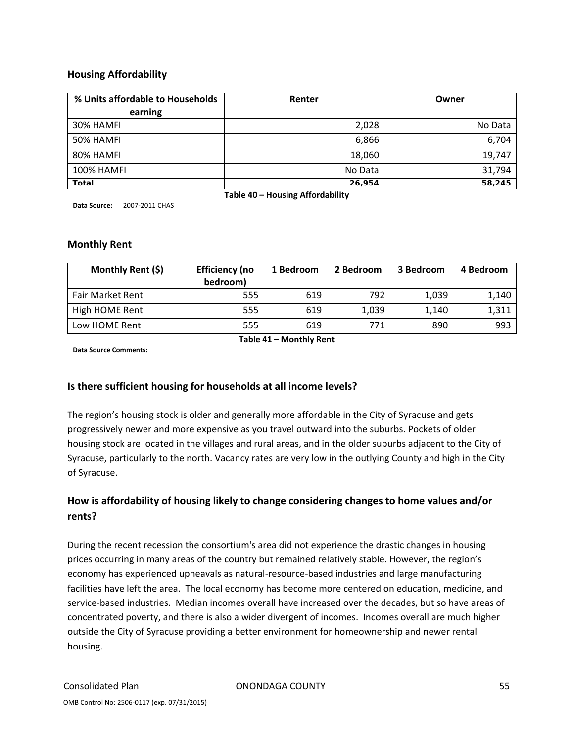#### **Housing Affordability**

| % Units affordable to Households | Renter  | Owner   |  |  |  |
|----------------------------------|---------|---------|--|--|--|
| earning                          |         |         |  |  |  |
| 30% HAMFI                        | 2,028   | No Data |  |  |  |
| 50% HAMFI                        | 6,866   | 6,704   |  |  |  |
| 80% HAMFI                        | 18,060  | 19,747  |  |  |  |
| <b>100% HAMFI</b>                | No Data | 31,794  |  |  |  |
| <b>Total</b>                     | 26,954  | 58,245  |  |  |  |
| Table 40 - Housing Affordability |         |         |  |  |  |

**Data Source:** 2007‐2011 CHAS

#### **Monthly Rent**

| Monthly Rent (\$) | <b>Efficiency (no</b><br>bedroom) | 1 Bedroom | 2 Bedroom | 3 Bedroom | 4 Bedroom |
|-------------------|-----------------------------------|-----------|-----------|-----------|-----------|
| Fair Market Rent  | 555                               | 619       | 792       | 1,039     | 1,140     |
| High HOME Rent    | 555                               | 619       | 1,039     | 1.140     | 1,311     |
| Low HOME Rent     | 555                               | 619       | 771       | 890       | 993       |

**Table 41 – Monthly Rent**

**Data Source Comments:**

#### **Is there sufficient housing for households at all income levels?**

The region's housing stock is older and generally more affordable in the City of Syracuse and gets progressively newer and more expensive as you travel outward into the suburbs. Pockets of older housing stock are located in the villages and rural areas, and in the older suburbs adjacent to the City of Syracuse, particularly to the north. Vacancy rates are very low in the outlying County and high in the City of Syracuse.

## **How is affordability of housing likely to change considering changes to home values and/or rents?**

During the recent recession the consortium's area did not experience the drastic changes in housing prices occurring in many areas of the country but remained relatively stable. However, the region's economy has experienced upheavals as natural‐resource‐based industries and large manufacturing facilities have left the area. The local economy has become more centered on education, medicine, and service-based industries. Median incomes overall have increased over the decades, but so have areas of concentrated poverty, and there is also a wider divergent of incomes. Incomes overall are much higher outside the City of Syracuse providing a better environment for homeownership and newer rental housing.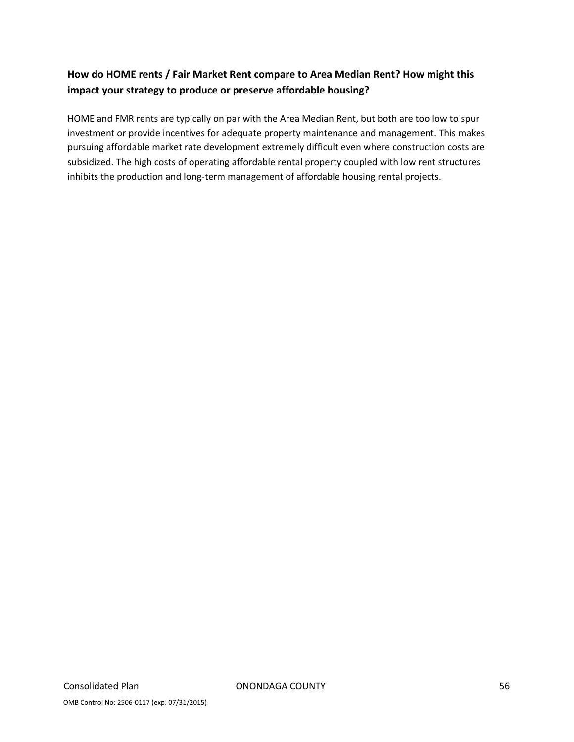# **How do HOME rents / Fair Market Rent compare to Area Median Rent? How might this impact your strategy to produce or preserve affordable housing?**

HOME and FMR rents are typically on par with the Area Median Rent, but both are too low to spur investment or provide incentives for adequate property maintenance and management. This makes pursuing affordable market rate development extremely difficult even where construction costs are subsidized. The high costs of operating affordable rental property coupled with low rent structures inhibits the production and long-term management of affordable housing rental projects.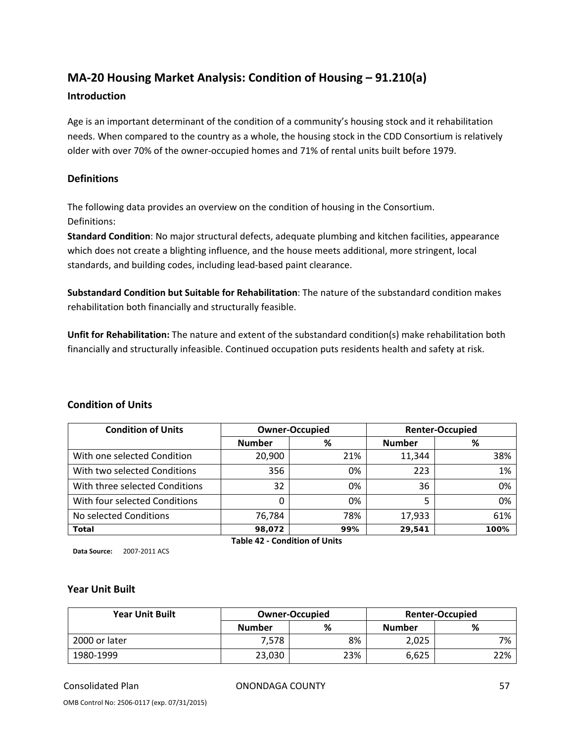# **MA‐20 Housing Market Analysis: Condition of Housing – 91.210(a)**

#### **Introduction**

Age is an important determinant of the condition of a community's housing stock and it rehabilitation needs. When compared to the country as a whole, the housing stock in the CDD Consortium is relatively older with over 70% of the owner‐occupied homes and 71% of rental units built before 1979.

#### **Definitions**

The following data provides an overview on the condition of housing in the Consortium. Definitions:

**Standard Condition**: No major structural defects, adequate plumbing and kitchen facilities, appearance which does not create a blighting influence, and the house meets additional, more stringent, local standards, and building codes, including lead‐based paint clearance.

**Substandard Condition but Suitable for Rehabilitation**: The nature of the substandard condition makes rehabilitation both financially and structurally feasible.

**Unfit for Rehabilitation:** The nature and extent of the substandard condition(s) make rehabilitation both financially and structurally infeasible. Continued occupation puts residents health and safety at risk.

| <b>Condition of Units</b>      |               | <b>Owner-Occupied</b> |               | <b>Renter-Occupied</b> |
|--------------------------------|---------------|-----------------------|---------------|------------------------|
|                                | <b>Number</b> | %                     | <b>Number</b> | %                      |
| With one selected Condition    | 20,900        | 21%                   | 11,344        | 38%                    |
| With two selected Conditions   | 356           | 0%                    | 223           | 1%                     |
| With three selected Conditions | 32            | 0%                    | 36            | 0%                     |
| With four selected Conditions  |               | 0%                    |               | 0%                     |
| No selected Conditions         | 76,784        | 78%                   | 17,933        | 61%                    |
| <b>Total</b>                   | 98,072        | 99%                   | 29,541        | 100%                   |

#### **Condition of Units**

**Data Source:** 2007‐2011 ACS

**Table 42 ‐ Condition of Units**

#### **Year Unit Built**

| <b>Year Unit Built</b> |               | <b>Owner-Occupied</b> | <b>Renter-Occupied</b> |     |  |
|------------------------|---------------|-----------------------|------------------------|-----|--|
|                        | <b>Number</b> | %                     | <b>Number</b>          | %   |  |
| 2000 or later          | 7,578         | 8%                    | 2,025                  | 7%  |  |
| 1980-1999              | 23,030        | 23%                   | 6,625                  | 22% |  |

Consolidated Plan ONONDAGA COUNTY 57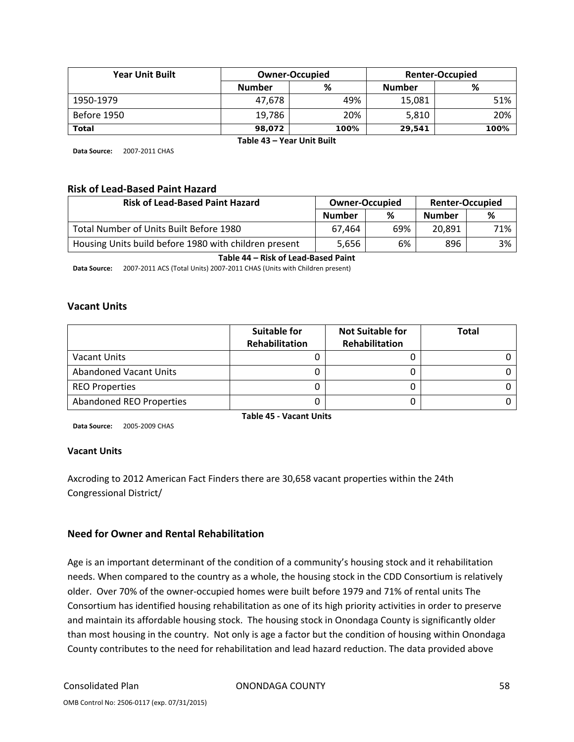| <b>Year Unit Built</b> |                    | <b>Owner-Occupied</b> |               | <b>Renter-Occupied</b> |
|------------------------|--------------------|-----------------------|---------------|------------------------|
|                        | %<br><b>Number</b> |                       | <b>Number</b> | %                      |
| 1950-1979              | 47.678             | 49%                   | 15,081        | 51%                    |
| Before 1950            | 19,786             | 20%                   | 5,810         | 20%                    |
| <b>Total</b>           | 98.072             | 100%                  | 29.541        | 100%                   |

**Table 43 – Year Unit Built**

**Data Source:** 2007‐2011 CHAS

#### **Risk of Lead‐Based Paint Hazard**

| <b>Risk of Lead-Based Paint Hazard</b>                | <b>Owner-Occupied</b> |     | <b>Renter-Occupied</b> |     |
|-------------------------------------------------------|-----------------------|-----|------------------------|-----|
|                                                       | <b>Number</b>         | %   | <b>Number</b>          | %   |
| Total Number of Units Built Before 1980               | 67.464                | 69% | 20,891                 | 71% |
| Housing Units build before 1980 with children present | 5,656                 | 6%  | 896                    | 3%  |

#### **Table 44 – Risk of Lead‐Based Paint**

**Data Source:** 2007‐2011 ACS (Total Units) 2007‐2011 CHAS (Units with Children present)

#### **Vacant Units**

|                          | <b>Suitable for</b><br>Rehabilitation | <b>Not Suitable for</b><br>Rehabilitation | Total |
|--------------------------|---------------------------------------|-------------------------------------------|-------|
| Vacant Units             |                                       |                                           |       |
| Abandoned Vacant Units   |                                       |                                           |       |
| <b>REO Properties</b>    |                                       |                                           |       |
| Abandoned REO Properties |                                       |                                           |       |

**Data Source:** 2005‐2009 CHAS

**Table 45 ‐ Vacant Units**

#### **Vacant Units**

Axcroding to 2012 American Fact Finders there are 30,658 vacant properties within the 24th Congressional District/

#### **Need for Owner and Rental Rehabilitation**

Age is an important determinant of the condition of a community's housing stock and it rehabilitation needs. When compared to the country as a whole, the housing stock in the CDD Consortium is relatively older. Over 70% of the owner‐occupied homes were built before 1979 and 71% of rental units The Consortium has identified housing rehabilitation as one of its high priority activities in order to preserve and maintain its affordable housing stock. The housing stock in Onondaga County is significantly older than most housing in the country. Not only is age a factor but the condition of housing within Onondaga County contributes to the need for rehabilitation and lead hazard reduction. The data provided above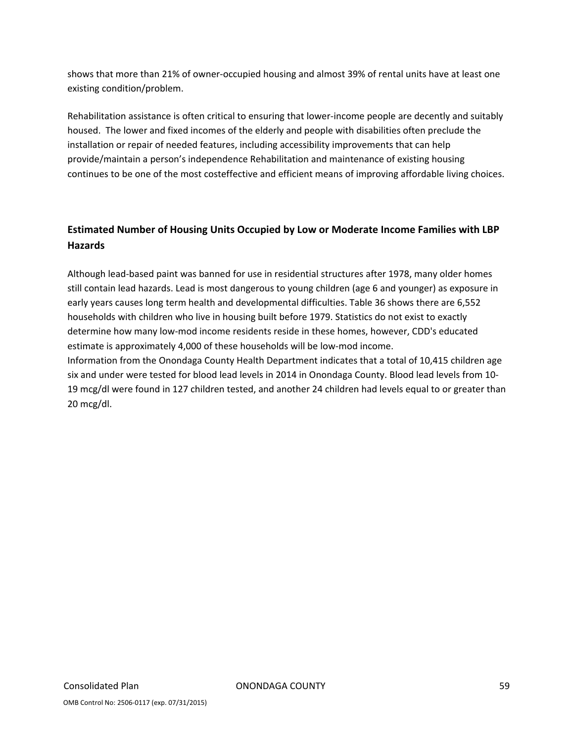shows that more than 21% of owner‐occupied housing and almost 39% of rental units have at least one existing condition/problem.

Rehabilitation assistance is often critical to ensuring that lower-income people are decently and suitably housed. The lower and fixed incomes of the elderly and people with disabilities often preclude the installation or repair of needed features, including accessibility improvements that can help provide/maintain a person's independence Rehabilitation and maintenance of existing housing continues to be one of the most costeffective and efficient means of improving affordable living choices.

# **Estimated Number of Housing Units Occupied by Low or Moderate Income Families with LBP Hazards**

Although lead‐based paint was banned for use in residential structures after 1978, many older homes still contain lead hazards. Lead is most dangerous to young children (age 6 and younger) as exposure in early years causes long term health and developmental difficulties. Table 36 shows there are 6,552 households with children who live in housing built before 1979. Statistics do not exist to exactly determine how many low‐mod income residents reside in these homes, however, CDD's educated estimate is approximately 4,000 of these households will be low-mod income. Information from the Onondaga County Health Department indicates that a total of 10,415 children age six and under were tested for blood lead levels in 2014 in Onondaga County. Blood lead levels from 10‐ 19 mcg/dl were found in 127 children tested, and another 24 children had levels equal to or greater than 20 mcg/dl.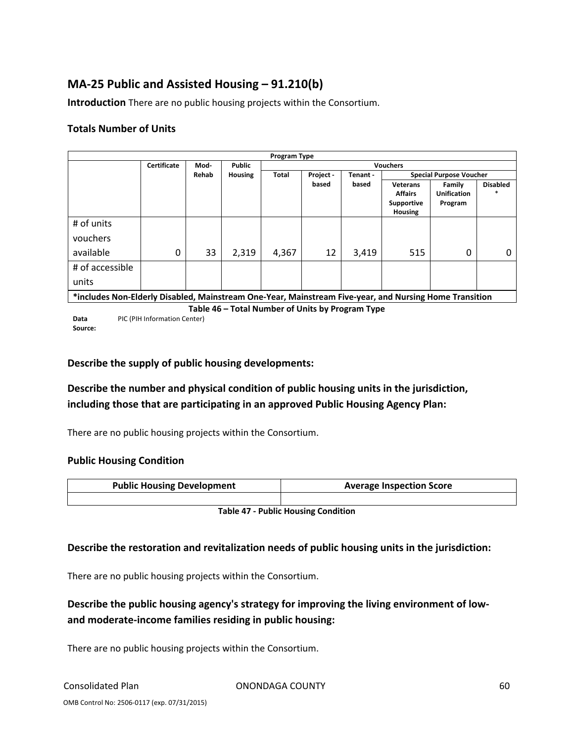# **MA‐25 Public and Assisted Housing – 91.210(b)**

**Introduction** There are no public housing projects within the Consortium.

#### **Totals Number of Units**

|                                                                                                        |                    |       |                | Program Type    |           |          |                                                            |                                         |                 |
|--------------------------------------------------------------------------------------------------------|--------------------|-------|----------------|-----------------|-----------|----------|------------------------------------------------------------|-----------------------------------------|-----------------|
|                                                                                                        | <b>Certificate</b> | Mod-  | <b>Public</b>  | <b>Vouchers</b> |           |          |                                                            |                                         |                 |
|                                                                                                        |                    | Rehab | <b>Housing</b> | Total           | Project - | Tenant - |                                                            | <b>Special Purpose Voucher</b>          |                 |
|                                                                                                        |                    |       |                |                 | based     | based    | <b>Veterans</b><br><b>Affairs</b><br>Supportive<br>Housing | Family<br><b>Unification</b><br>Program | <b>Disabled</b> |
| # of units                                                                                             |                    |       |                |                 |           |          |                                                            |                                         |                 |
| vouchers                                                                                               |                    |       |                |                 |           |          |                                                            |                                         |                 |
| available                                                                                              | 0                  | 33    | 2,319          | 4,367           | 12        | 3,419    | 515                                                        | 0                                       | O               |
| # of accessible                                                                                        |                    |       |                |                 |           |          |                                                            |                                         |                 |
| units                                                                                                  |                    |       |                |                 |           |          |                                                            |                                         |                 |
| *includes Non-Elderly Disabled, Mainstream One-Year, Mainstream Five-year, and Nursing Home Transition |                    |       |                |                 |           |          |                                                            |                                         |                 |

**Table 46 – Total Number of Units by Program Type**

**Data Source:** PIC (PIH Information Center)

# **Describe the supply of public housing developments:**

# **Describe the number and physical condition of public housing units in the jurisdiction, including those that are participating in an approved Public Housing Agency Plan:**

There are no public housing projects within the Consortium.

#### **Public Housing Condition**

| <b>Public Housing Development</b> | <b>Average Inspection Score</b> |  |  |
|-----------------------------------|---------------------------------|--|--|
|                                   |                                 |  |  |

**Table 47 ‐ Public Housing Condition**

#### **Describe the restoration and revitalization needs of public housing units in the jurisdiction:**

There are no public housing projects within the Consortium.

# **Describe the public housing agency's strategy for improving the living environment of low‐ and moderate‐income families residing in public housing:**

There are no public housing projects within the Consortium.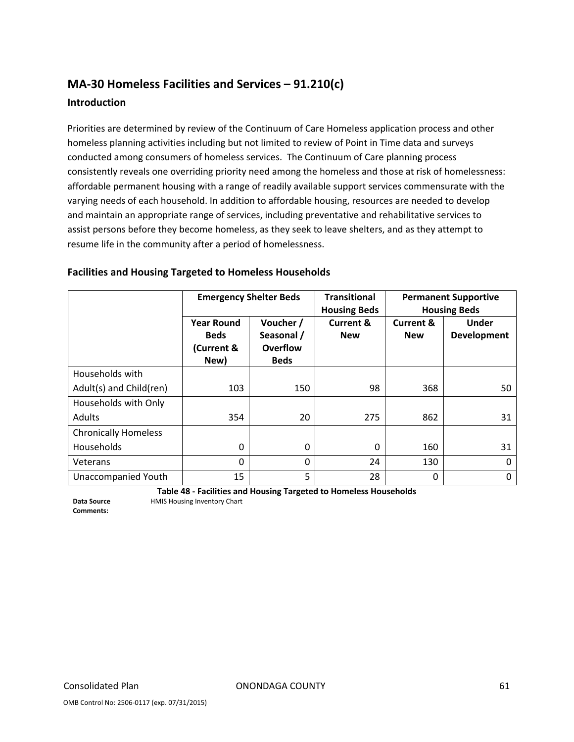# **MA‐30 Homeless Facilities and Services – 91.210(c) Introduction**

Priorities are determined by review of the Continuum of Care Homeless application process and other homeless planning activities including but not limited to review of Point in Time data and surveys conducted among consumers of homeless services. The Continuum of Care planning process consistently reveals one overriding priority need among the homeless and those at risk of homelessness: affordable permanent housing with a range of readily available support services commensurate with the varying needs of each household. In addition to affordable housing, resources are needed to develop and maintain an appropriate range of services, including preventative and rehabilitative services to assist persons before they become homeless, as they seek to leave shelters, and as they attempt to resume life in the community after a period of homelessness.

|                             | <b>Emergency Shelter Beds</b>                          |                                                    | <b>Transitional</b><br><b>Housing Beds</b> | <b>Permanent Supportive</b><br><b>Housing Beds</b> |                             |  |
|-----------------------------|--------------------------------------------------------|----------------------------------------------------|--------------------------------------------|----------------------------------------------------|-----------------------------|--|
|                             | <b>Year Round</b><br><b>Beds</b><br>(Current &<br>New) | Voucher /<br>Seasonal /<br>Overflow<br><b>Beds</b> | <b>Current &amp;</b><br><b>New</b>         | <b>Current &amp;</b><br><b>New</b>                 | <b>Under</b><br>Development |  |
| Households with             |                                                        |                                                    |                                            |                                                    |                             |  |
| Adult(s) and Child(ren)     | 103                                                    | 150                                                | 98                                         | 368                                                | 50                          |  |
| Households with Only        |                                                        |                                                    |                                            |                                                    |                             |  |
| Adults                      | 354                                                    | 20                                                 | 275                                        | 862                                                | 31                          |  |
| <b>Chronically Homeless</b> |                                                        |                                                    |                                            |                                                    |                             |  |
| Households                  | 0                                                      | 0                                                  | $\Omega$                                   | 160                                                | 31                          |  |
| Veterans                    | $\Omega$                                               | $\Omega$                                           | 24                                         | 130                                                | 0                           |  |
| Unaccompanied Youth         | 15                                                     | 5                                                  | 28                                         | 0                                                  | 0                           |  |

#### **Facilities and Housing Targeted to Homeless Households**

**Table 48 ‐ Facilities and Housing Targeted to Homeless Households** HMIS Housing Inventory Chart

**Data Source Comments:**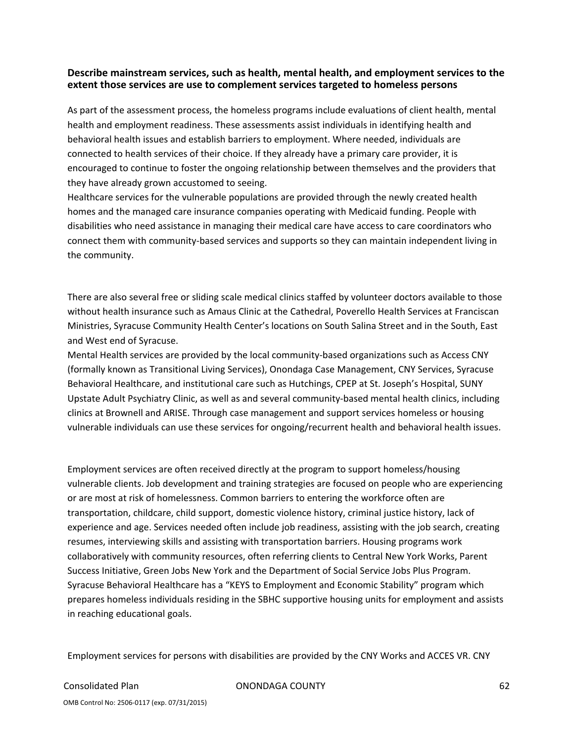#### **Describe mainstream services, such as health, mental health, and employment services to the extent those services are use to complement services targeted to homeless persons**

As part of the assessment process, the homeless programs include evaluations of client health, mental health and employment readiness. These assessments assist individuals in identifying health and behavioral health issues and establish barriers to employment. Where needed, individuals are connected to health services of their choice. If they already have a primary care provider, it is encouraged to continue to foster the ongoing relationship between themselves and the providers that they have already grown accustomed to seeing.

Healthcare services for the vulnerable populations are provided through the newly created health homes and the managed care insurance companies operating with Medicaid funding. People with disabilities who need assistance in managing their medical care have access to care coordinators who connect them with community‐based services and supports so they can maintain independent living in the community.

There are also several free or sliding scale medical clinics staffed by volunteer doctors available to those without health insurance such as Amaus Clinic at the Cathedral, Poverello Health Services at Franciscan Ministries, Syracuse Community Health Center's locations on South Salina Street and in the South, East and West end of Syracuse.

Mental Health services are provided by the local community‐based organizations such as Access CNY (formally known as Transitional Living Services), Onondaga Case Management, CNY Services, Syracuse Behavioral Healthcare, and institutional care such as Hutchings, CPEP at St. Joseph's Hospital, SUNY Upstate Adult Psychiatry Clinic, as well as and several community‐based mental health clinics, including clinics at Brownell and ARISE. Through case management and support services homeless or housing vulnerable individuals can use these services for ongoing/recurrent health and behavioral health issues.

Employment services are often received directly at the program to support homeless/housing vulnerable clients. Job development and training strategies are focused on people who are experiencing or are most at risk of homelessness. Common barriers to entering the workforce often are transportation, childcare, child support, domestic violence history, criminal justice history, lack of experience and age. Services needed often include job readiness, assisting with the job search, creating resumes, interviewing skills and assisting with transportation barriers. Housing programs work collaboratively with community resources, often referring clients to Central New York Works, Parent Success Initiative, Green Jobs New York and the Department of Social Service Jobs Plus Program. Syracuse Behavioral Healthcare has a "KEYS to Employment and Economic Stability" program which prepares homeless individuals residing in the SBHC supportive housing units for employment and assists in reaching educational goals.

Employment services for persons with disabilities are provided by the CNY Works and ACCES VR. CNY

Consolidated Plan ONONDAGA COUNTY 62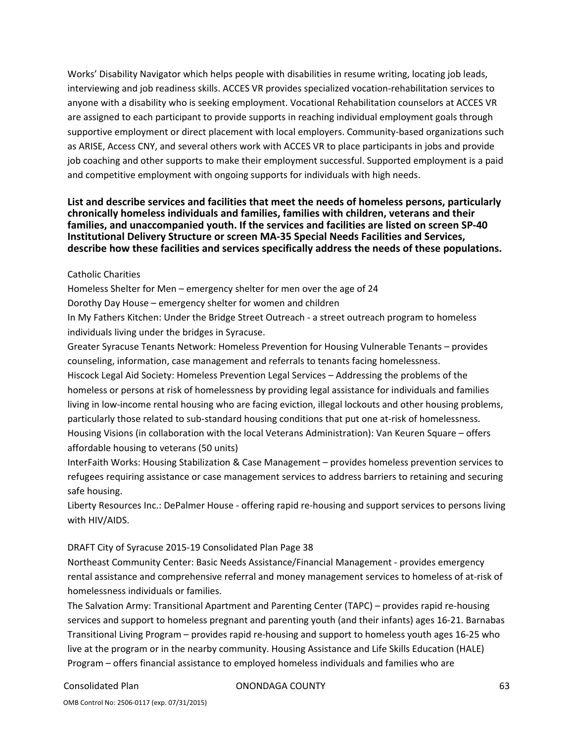Works' Disability Navigator which helps people with disabilities in resume writing, locating job leads, interviewing and job readiness skills. ACCES VR provides specialized vocation‐rehabilitation services to anyone with a disability who is seeking employment. Vocational Rehabilitation counselors at ACCES VR are assigned to each participant to provide supports in reaching individual employment goals through supportive employment or direct placement with local employers. Community-based organizations such as ARISE, Access CNY, and several others work with ACCES VR to place participants in jobs and provide job coaching and other supports to make their employment successful. Supported employment is a paid and competitive employment with ongoing supports for individuals with high needs.

#### **List and describe services and facilities that meet the needs of homeless persons, particularly chronically homeless individuals and families, families with children, veterans and their families, and unaccompanied youth. If the services and facilities are listed on screen SP‐40 Institutional Delivery Structure or screen MA‐35 Special Needs Facilities and Services, describe how these facilities and services specifically address the needs of these populations.**

#### Catholic Charities

Homeless Shelter for Men – emergency shelter for men over the age of 24

Dorothy Day House – emergency shelter for women and children

In My Fathers Kitchen: Under the Bridge Street Outreach ‐ a street outreach program to homeless individuals living under the bridges in Syracuse.

Greater Syracuse Tenants Network: Homeless Prevention for Housing Vulnerable Tenants – provides counseling, information, case management and referrals to tenants facing homelessness.

Hiscock Legal Aid Society: Homeless Prevention Legal Services – Addressing the problems of the homeless or persons at risk of homelessness by providing legal assistance for individuals and families living in low‐income rental housing who are facing eviction, illegal lockouts and other housing problems, particularly those related to sub-standard housing conditions that put one at-risk of homelessness. Housing Visions (in collaboration with the local Veterans Administration): Van Keuren Square – offers affordable housing to veterans (50 units)

InterFaith Works: Housing Stabilization & Case Management – provides homeless prevention services to refugees requiring assistance or case management services to address barriers to retaining and securing safe housing.

Liberty Resources Inc.: DePalmer House ‐ offering rapid re‐housing and support services to persons living with HIV/AIDS.

#### DRAFT City of Syracuse 2015‐19 Consolidated Plan Page 38

Northeast Community Center: Basic Needs Assistance/Financial Management ‐ provides emergency rental assistance and comprehensive referral and money management services to homeless of at‐risk of homelessness individuals or families.

The Salvation Army: Transitional Apartment and Parenting Center (TAPC) – provides rapid re‐housing services and support to homeless pregnant and parenting youth (and their infants) ages 16‐21. Barnabas Transitional Living Program – provides rapid re‐housing and support to homeless youth ages 16‐25 who live at the program or in the nearby community. Housing Assistance and Life Skills Education (HALE) Program – offers financial assistance to employed homeless individuals and families who are

Consolidated Plan ONONDAGA COUNTY 63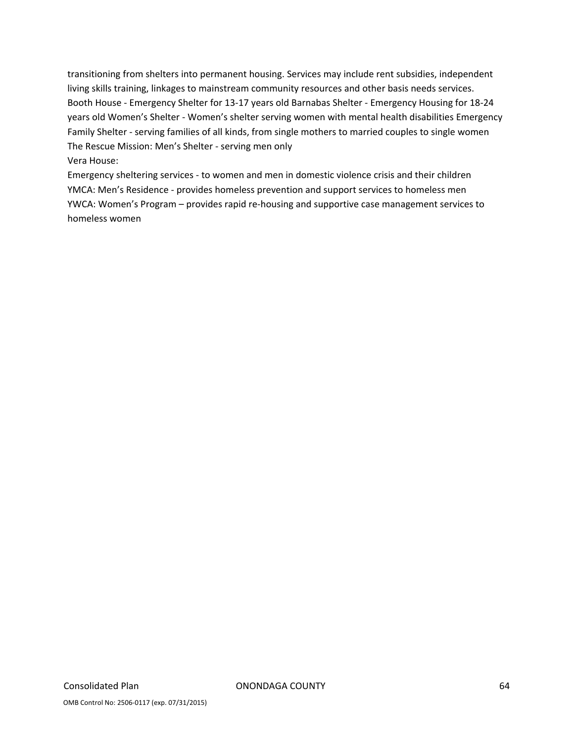transitioning from shelters into permanent housing. Services may include rent subsidies, independent living skills training, linkages to mainstream community resources and other basis needs services. Booth House ‐ Emergency Shelter for 13‐17 years old Barnabas Shelter ‐ Emergency Housing for 18‐24 years old Women's Shelter ‐ Women's shelter serving women with mental health disabilities Emergency Family Shelter ‐ serving families of all kinds, from single mothers to married couples to single women The Rescue Mission: Men's Shelter ‐ serving men only Vera House:

Emergency sheltering services ‐ to women and men in domestic violence crisis and their children YMCA: Men's Residence ‐ provides homeless prevention and support services to homeless men YWCA: Women's Program – provides rapid re‐housing and supportive case management services to homeless women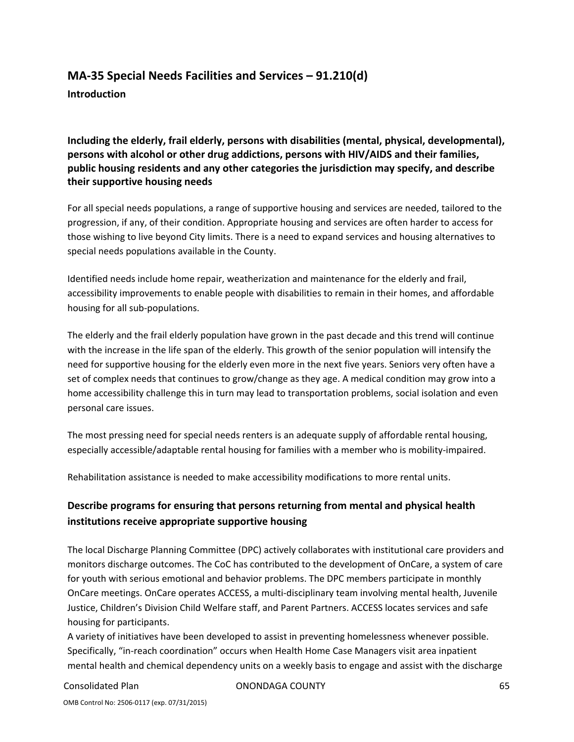# **MA‐35 Special Needs Facilities and Services – 91.210(d) Introduction**

**Including the elderly, frail elderly, persons with disabilities (mental, physical, developmental), persons with alcohol or other drug addictions, persons with HIV/AIDS and their families, public housing residents and any other categories the jurisdiction may specify, and describe their supportive housing needs**

For all special needs populations, a range of supportive housing and services are needed, tailored to the progression, if any, of their condition. Appropriate housing and services are often harder to access for those wishing to live beyond City limits. There is a need to expand services and housing alternatives to special needs populations available in the County.

Identified needs include home repair, weatherization and maintenance for the elderly and frail, accessibility improvements to enable people with disabilities to remain in their homes, and affordable housing for all sub‐populations.

The elderly and the frail elderly population have grown in the past decade and this trend will continue with the increase in the life span of the elderly. This growth of the senior population will intensify the need for supportive housing for the elderly even more in the next five years. Seniors very often have a set of complex needs that continues to grow/change as they age. A medical condition may grow into a home accessibility challenge this in turn may lead to transportation problems, social isolation and even personal care issues.

The most pressing need for special needs renters is an adequate supply of affordable rental housing, especially accessible/adaptable rental housing for families with a member who is mobility-impaired.

Rehabilitation assistance is needed to make accessibility modifications to more rental units.

# **Describe programs for ensuring that persons returning from mental and physical health institutions receive appropriate supportive housing**

The local Discharge Planning Committee (DPC) actively collaborates with institutional care providers and monitors discharge outcomes. The CoC has contributed to the development of OnCare, a system of care for youth with serious emotional and behavior problems. The DPC members participate in monthly OnCare meetings. OnCare operates ACCESS, a multi‐disciplinary team involving mental health, Juvenile Justice, Children's Division Child Welfare staff, and Parent Partners. ACCESS locates services and safe housing for participants.

A variety of initiatives have been developed to assist in preventing homelessness whenever possible. Specifically, "in‐reach coordination" occurs when Health Home Case Managers visit area inpatient mental health and chemical dependency units on a weekly basis to engage and assist with the discharge

Consolidated Plan ONONDAGA COUNTY 65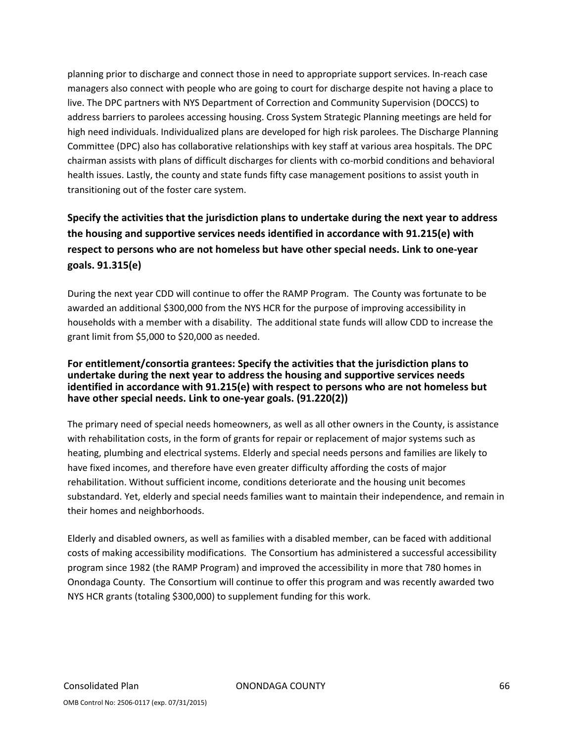planning prior to discharge and connect those in need to appropriate support services. In‐reach case managers also connect with people who are going to court for discharge despite not having a place to live. The DPC partners with NYS Department of Correction and Community Supervision (DOCCS) to address barriers to parolees accessing housing. Cross System Strategic Planning meetings are held for high need individuals. Individualized plans are developed for high risk parolees. The Discharge Planning Committee (DPC) also has collaborative relationships with key staff at various area hospitals. The DPC chairman assists with plans of difficult discharges for clients with co-morbid conditions and behavioral health issues. Lastly, the county and state funds fifty case management positions to assist youth in transitioning out of the foster care system.

# **Specify the activities that the jurisdiction plans to undertake during the next year to address the housing and supportive services needs identified in accordance with 91.215(e) with respect to persons who are not homeless but have other special needs. Link to one‐year goals. 91.315(e)**

During the next year CDD will continue to offer the RAMP Program. The County was fortunate to be awarded an additional \$300,000 from the NYS HCR for the purpose of improving accessibility in households with a member with a disability. The additional state funds will allow CDD to increase the grant limit from \$5,000 to \$20,000 as needed.

#### **For entitlement/consortia grantees: Specify the activities that the jurisdiction plans to undertake during the next year to address the housing and supportive services needs identified in accordance with 91.215(e) with respect to persons who are not homeless but have other special needs. Link to one‐year goals. (91.220(2))**

The primary need of special needs homeowners, as well as all other owners in the County, is assistance with rehabilitation costs, in the form of grants for repair or replacement of major systems such as heating, plumbing and electrical systems. Elderly and special needs persons and families are likely to have fixed incomes, and therefore have even greater difficulty affording the costs of major rehabilitation. Without sufficient income, conditions deteriorate and the housing unit becomes substandard. Yet, elderly and special needs families want to maintain their independence, and remain in their homes and neighborhoods.

Elderly and disabled owners, as well as families with a disabled member, can be faced with additional costs of making accessibility modifications. The Consortium has administered a successful accessibility program since 1982 (the RAMP Program) and improved the accessibility in more that 780 homes in Onondaga County. The Consortium will continue to offer this program and was recently awarded two NYS HCR grants (totaling \$300,000) to supplement funding for this work.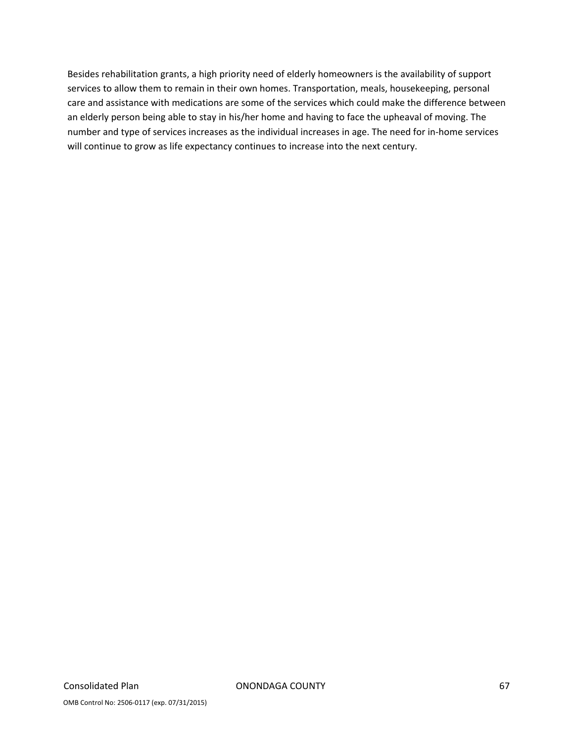Besides rehabilitation grants, a high priority need of elderly homeowners is the availability of support services to allow them to remain in their own homes. Transportation, meals, housekeeping, personal care and assistance with medications are some of the services which could make the difference between an elderly person being able to stay in his/her home and having to face the upheaval of moving. The number and type of services increases as the individual increases in age. The need for in‐home services will continue to grow as life expectancy continues to increase into the next century.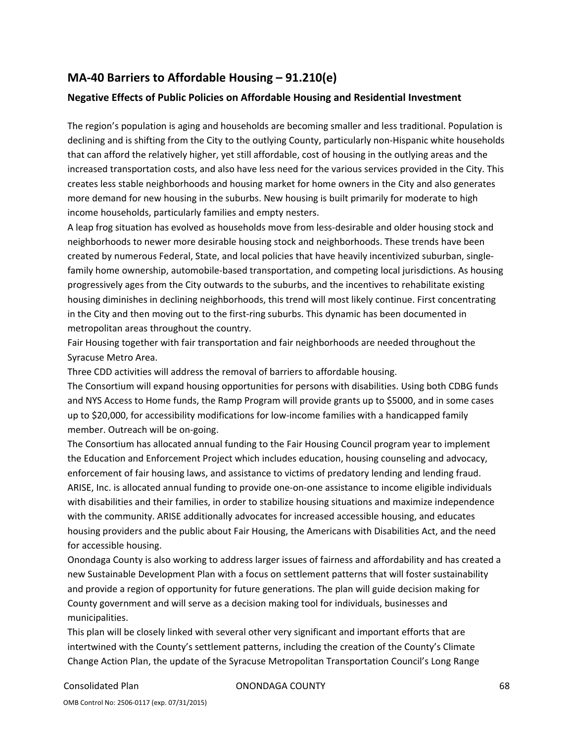# **MA‐40 Barriers to Affordable Housing – 91.210(e)**

#### **Negative Effects of Public Policies on Affordable Housing and Residential Investment**

The region's population is aging and households are becoming smaller and less traditional. Population is declining and is shifting from the City to the outlying County, particularly non-Hispanic white households that can afford the relatively higher, yet still affordable, cost of housing in the outlying areas and the increased transportation costs, and also have less need for the various services provided in the City. This creates less stable neighborhoods and housing market for home owners in the City and also generates more demand for new housing in the suburbs. New housing is built primarily for moderate to high income households, particularly families and empty nesters.

A leap frog situation has evolved as households move from less‐desirable and older housing stock and neighborhoods to newer more desirable housing stock and neighborhoods. These trends have been created by numerous Federal, State, and local policies that have heavily incentivized suburban, single‐ family home ownership, automobile‐based transportation, and competing local jurisdictions. As housing progressively ages from the City outwards to the suburbs, and the incentives to rehabilitate existing housing diminishes in declining neighborhoods, this trend will most likely continue. First concentrating in the City and then moving out to the first-ring suburbs. This dynamic has been documented in metropolitan areas throughout the country.

Fair Housing together with fair transportation and fair neighborhoods are needed throughout the Syracuse Metro Area.

Three CDD activities will address the removal of barriers to affordable housing.

The Consortium will expand housing opportunities for persons with disabilities. Using both CDBG funds and NYS Access to Home funds, the Ramp Program will provide grants up to \$5000, and in some cases up to \$20,000, for accessibility modifications for low‐income families with a handicapped family member. Outreach will be on‐going.

The Consortium has allocated annual funding to the Fair Housing Council program year to implement the Education and Enforcement Project which includes education, housing counseling and advocacy, enforcement of fair housing laws, and assistance to victims of predatory lending and lending fraud. ARISE, Inc. is allocated annual funding to provide one‐on‐one assistance to income eligible individuals with disabilities and their families, in order to stabilize housing situations and maximize independence with the community. ARISE additionally advocates for increased accessible housing, and educates housing providers and the public about Fair Housing, the Americans with Disabilities Act, and the need for accessible housing.

Onondaga County is also working to address larger issues of fairness and affordability and has created a new Sustainable Development Plan with a focus on settlement patterns that will foster sustainability and provide a region of opportunity for future generations. The plan will guide decision making for County government and will serve as a decision making tool for individuals, businesses and municipalities.

This plan will be closely linked with several other very significant and important efforts that are intertwined with the County's settlement patterns, including the creation of the County's Climate Change Action Plan, the update of the Syracuse Metropolitan Transportation Council's Long Range

Consolidated Plan ONONDAGA COUNTY 68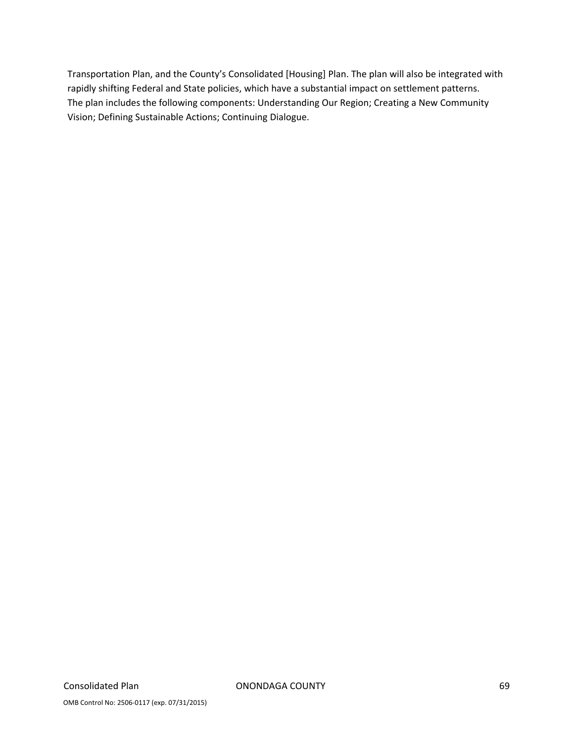Transportation Plan, and the County's Consolidated [Housing] Plan. The plan will also be integrated with rapidly shifting Federal and State policies, which have a substantial impact on settlement patterns. The plan includes the following components: Understanding Our Region; Creating a New Community Vision; Defining Sustainable Actions; Continuing Dialogue.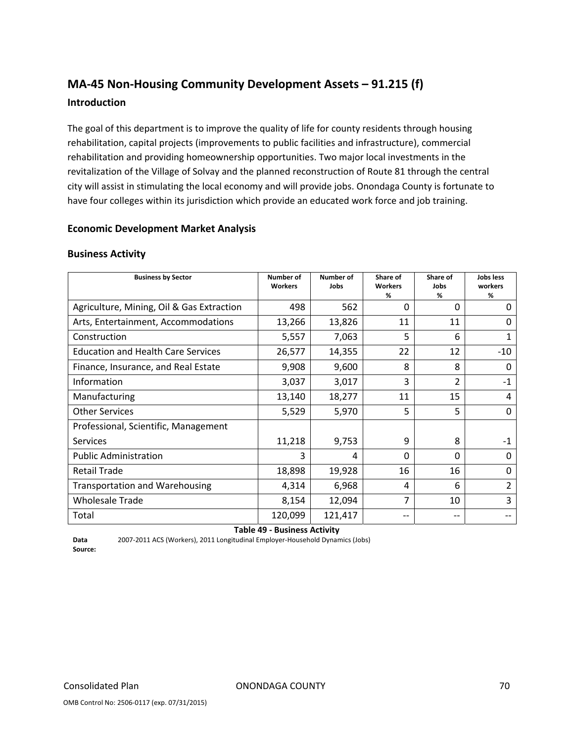# **MA‐45 Non‐Housing Community Development Assets – 91.215 (f) Introduction**

The goal of this department is to improve the quality of life for county residents through housing rehabilitation, capital projects (improvements to public facilities and infrastructure), commercial rehabilitation and providing homeownership opportunities. Two major local investments in the revitalization of the Village of Solvay and the planned reconstruction of Route 81 through the central city will assist in stimulating the local economy and will provide jobs. Onondaga County is fortunate to have four colleges within its jurisdiction which provide an educated work force and job training.

#### **Economic Development Market Analysis**

#### **Business Activity**

| <b>Business by Sector</b>                 | <b>Number of</b><br><b>Workers</b> | <b>Number of</b><br>Jobs        | Share of<br><b>Workers</b><br>% | Share of<br>Jobs<br>% | Jobs less<br>workers<br>% |
|-------------------------------------------|------------------------------------|---------------------------------|---------------------------------|-----------------------|---------------------------|
| Agriculture, Mining, Oil & Gas Extraction | 498                                | 562                             | $\Omega$                        | 0                     | 0                         |
| Arts, Entertainment, Accommodations       | 13,266                             | 13,826                          | 11                              | 11                    | <sup>0</sup>              |
| Construction                              | 5,557                              | 7,063                           | 5                               | 6                     | 1                         |
| <b>Education and Health Care Services</b> | 26,577                             | 14,355                          | 22                              | 12                    | $-10$                     |
| Finance, Insurance, and Real Estate       | 9,908                              | 9,600                           | 8                               | 8                     | $\Omega$                  |
| Information                               | 3,037                              | 3,017                           | 3                               | $\overline{2}$        | $-1$                      |
| Manufacturing                             | 13,140                             | 18,277                          | 11                              | 15                    | 4                         |
| <b>Other Services</b>                     | 5,529                              | 5,970                           | 5                               | 5                     | $\Omega$                  |
| Professional, Scientific, Management      |                                    |                                 |                                 |                       |                           |
| <b>Services</b>                           | 11,218                             | 9,753                           | 9                               | 8                     | $-1$                      |
| <b>Public Administration</b>              | 3                                  | 4                               | $\Omega$                        | $\Omega$              | 0                         |
| <b>Retail Trade</b>                       | 18,898                             | 19,928                          | 16                              | 16                    | 0                         |
| <b>Transportation and Warehousing</b>     | 4,314                              | 6,968                           | 4                               | 6                     | $\overline{2}$            |
| <b>Wholesale Trade</b>                    | 8,154                              | 12,094                          | 7                               | 10                    | 3                         |
| Total<br>-                                | 120,099                            | 121,417<br>$\sim$ $\sim$ $\sim$ | --                              | --                    |                           |

**Table 49 ‐ Business Activity**

**Data Source:** 2007‐2011 ACS (Workers), 2011 Longitudinal Employer‐Household Dynamics (Jobs)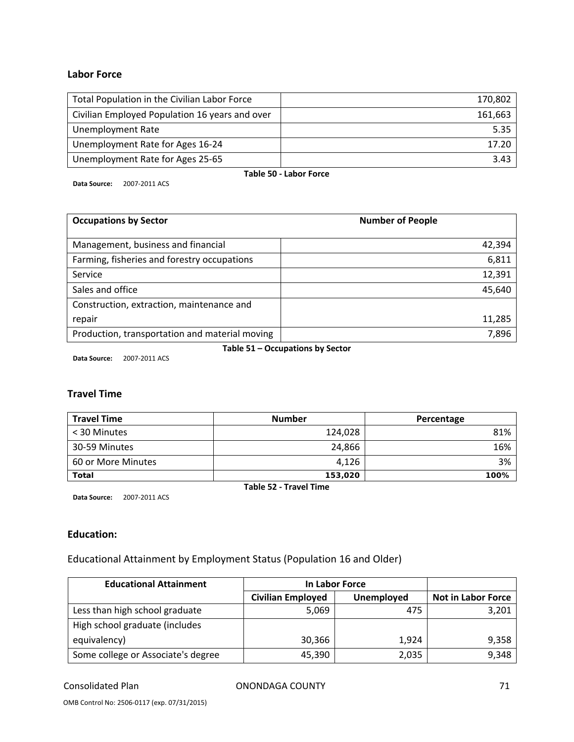#### **Labor Force**

| Total Population in the Civilian Labor Force   | 170,802 |  |
|------------------------------------------------|---------|--|
| Civilian Employed Population 16 years and over | 161,663 |  |
| Unemployment Rate                              | 5.35    |  |
| Unemployment Rate for Ages 16-24               | 17.20   |  |
| Unemployment Rate for Ages 25-65               | 3.43    |  |
| Table 50 - Labor Force                         |         |  |

**Data Source:** 2007‐2011 ACS

| <b>Occupations by Sector</b>                   | <b>Number of People</b> |
|------------------------------------------------|-------------------------|
| Management, business and financial             | 42,394                  |
| Farming, fisheries and forestry occupations    | 6,811                   |
| Service                                        | 12,391                  |
| Sales and office                               | 45,640                  |
| Construction, extraction, maintenance and      |                         |
| repair                                         | 11,285                  |
| Production, transportation and material moving | 7,896                   |

**Table 51 – Occupations by Sector**

**Data Source:** 2007‐2011 ACS

#### **Travel Time**

| <b>Travel Time</b> | <b>Number</b> | Percentage |
|--------------------|---------------|------------|
| < 30 Minutes       | 124,028       | 81%        |
| 30-59 Minutes      | 24,866        | 16%        |
| 60 or More Minutes | 4,126         | 3%         |
| <b>Total</b>       | 153,020       | 100%       |

**Table 52 ‐ Travel Time**

**Data Source:** 2007‐2011 ACS

#### **Education:**

Educational Attainment by Employment Status (Population 16 and Older)

| <b>Educational Attainment</b>      | In Labor Force           |                   |                           |
|------------------------------------|--------------------------|-------------------|---------------------------|
|                                    | <b>Civilian Employed</b> | <b>Unemployed</b> | <b>Not in Labor Force</b> |
| Less than high school graduate     | 5,069                    | 475               | 3,201                     |
| High school graduate (includes     |                          |                   |                           |
| equivalency)                       | 30,366                   | 1,924             | 9,358                     |
| Some college or Associate's degree | 45.390                   | 2,035             | 9,348                     |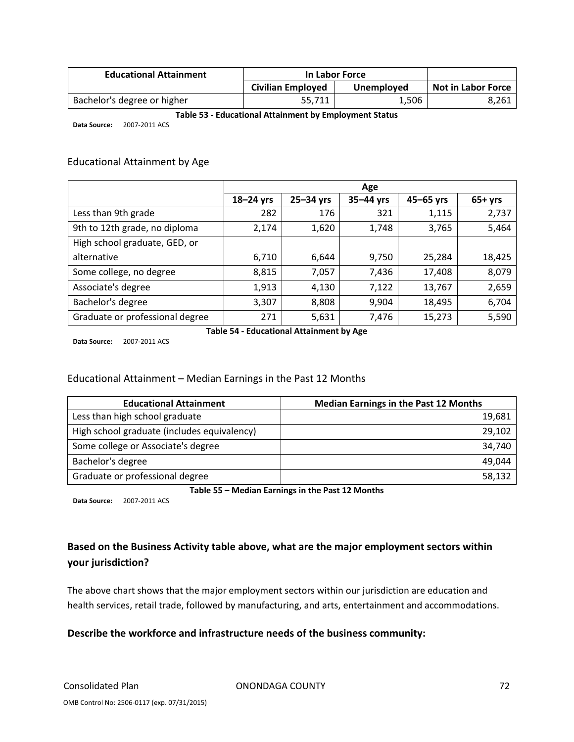| <b>Educational Attainment</b> | In Labor Force           |            |                           |
|-------------------------------|--------------------------|------------|---------------------------|
|                               | <b>Civilian Employed</b> | Unemployed | <b>Not in Labor Force</b> |
| Bachelor's degree or higher   | 55.711                   | 1,506      | 8,261                     |

#### **Table 53 ‐ Educational Attainment by Employment Status**

**Data Source:** 2007‐2011 ACS

#### Educational Attainment by Age

|                                 | Age           |           |             |           |          |
|---------------------------------|---------------|-----------|-------------|-----------|----------|
|                                 | $18 - 24$ yrs | 25-34 yrs | $35-44$ yrs | 45-65 yrs | $65+yrs$ |
| Less than 9th grade             | 282           | 176       | 321         | 1,115     | 2,737    |
| 9th to 12th grade, no diploma   | 2,174         | 1,620     | 1,748       | 3,765     | 5,464    |
| High school graduate, GED, or   |               |           |             |           |          |
| alternative                     | 6,710         | 6,644     | 9,750       | 25,284    | 18,425   |
| Some college, no degree         | 8,815         | 7,057     | 7,436       | 17,408    | 8,079    |
| Associate's degree              | 1,913         | 4,130     | 7,122       | 13,767    | 2,659    |
| Bachelor's degree               | 3,307         | 8,808     | 9,904       | 18,495    | 6,704    |
| Graduate or professional degree | 271           | 5,631     | 7,476       | 15,273    | 5,590    |

**Data Source:** 2007‐2011 ACS

**Table 54 ‐ Educational Attainment by Age**

#### Educational Attainment – Median Earnings in the Past 12 Months

| <b>Educational Attainment</b>               | <b>Median Earnings in the Past 12 Months</b> |
|---------------------------------------------|----------------------------------------------|
| Less than high school graduate              | 19,681                                       |
| High school graduate (includes equivalency) | 29,102                                       |
| Some college or Associate's degree          | 34,740                                       |
| Bachelor's degree                           | 49,044                                       |
| Graduate or professional degree             | 58,132                                       |

**Table 55 – Median Earnings in the Past 12 Months**

**Data Source:** 2007‐2011 ACS

# **Based on the Business Activity table above, what are the major employment sectors within your jurisdiction?**

The above chart shows that the major employment sectors within our jurisdiction are education and health services, retail trade, followed by manufacturing, and arts, entertainment and accommodations.

#### **Describe the workforce and infrastructure needs of the business community:**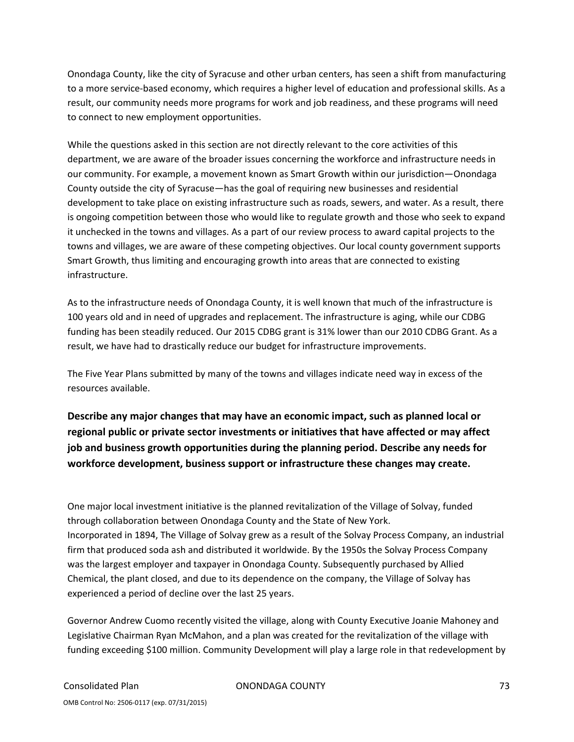Onondaga County, like the city of Syracuse and other urban centers, has seen a shift from manufacturing to a more service‐based economy, which requires a higher level of education and professional skills. As a result, our community needs more programs for work and job readiness, and these programs will need to connect to new employment opportunities.

While the questions asked in this section are not directly relevant to the core activities of this department, we are aware of the broader issues concerning the workforce and infrastructure needs in our community. For example, a movement known as Smart Growth within our jurisdiction—Onondaga County outside the city of Syracuse—has the goal of requiring new businesses and residential development to take place on existing infrastructure such as roads, sewers, and water. As a result, there is ongoing competition between those who would like to regulate growth and those who seek to expand it unchecked in the towns and villages. As a part of our review process to award capital projects to the towns and villages, we are aware of these competing objectives. Our local county government supports Smart Growth, thus limiting and encouraging growth into areas that are connected to existing infrastructure.

As to the infrastructure needs of Onondaga County, it is well known that much of the infrastructure is 100 years old and in need of upgrades and replacement. The infrastructure is aging, while our CDBG funding has been steadily reduced. Our 2015 CDBG grant is 31% lower than our 2010 CDBG Grant. As a result, we have had to drastically reduce our budget for infrastructure improvements.

The Five Year Plans submitted by many of the towns and villages indicate need way in excess of the resources available.

**Describe any major changes that may have an economic impact, such as planned local or regional public or private sector investments or initiatives that have affected or may affect job and business growth opportunities during the planning period. Describe any needs for workforce development, business support or infrastructure these changes may create.**

One major local investment initiative is the planned revitalization of the Village of Solvay, funded through collaboration between Onondaga County and the State of New York. Incorporated in 1894, The Village of Solvay grew as a result of the Solvay Process Company, an industrial firm that produced soda ash and distributed it worldwide. By the 1950s the Solvay Process Company was the largest employer and taxpayer in Onondaga County. Subsequently purchased by Allied Chemical, the plant closed, and due to its dependence on the company, the Village of Solvay has experienced a period of decline over the last 25 years.

Governor Andrew Cuomo recently visited the village, along with County Executive Joanie Mahoney and Legislative Chairman Ryan McMahon, and a plan was created for the revitalization of the village with funding exceeding \$100 million. Community Development will play a large role in that redevelopment by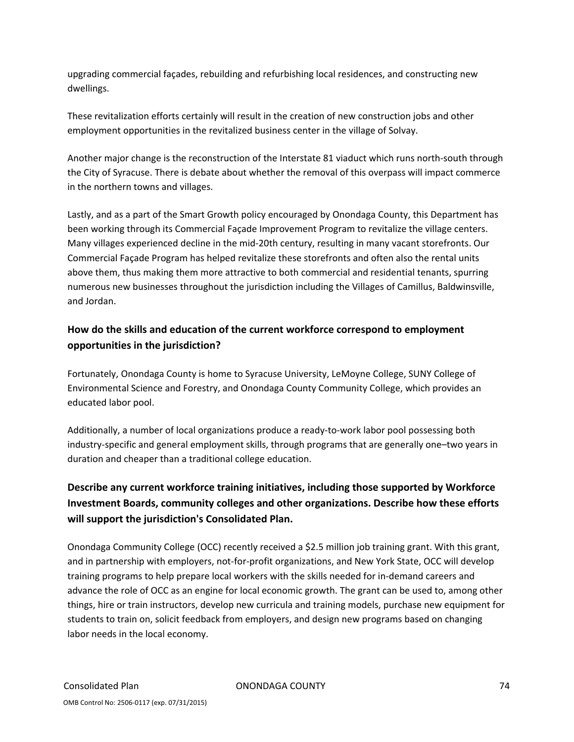upgrading commercial façades, rebuilding and refurbishing local residences, and constructing new dwellings.

These revitalization efforts certainly will result in the creation of new construction jobs and other employment opportunities in the revitalized business center in the village of Solvay.

Another major change is the reconstruction of the Interstate 81 viaduct which runs north‐south through the City of Syracuse. There is debate about whether the removal of this overpass will impact commerce in the northern towns and villages.

Lastly, and as a part of the Smart Growth policy encouraged by Onondaga County, this Department has been working through its Commercial Façade Improvement Program to revitalize the village centers. Many villages experienced decline in the mid‐20th century, resulting in many vacant storefronts. Our Commercial Façade Program has helped revitalize these storefronts and often also the rental units above them, thus making them more attractive to both commercial and residential tenants, spurring numerous new businesses throughout the jurisdiction including the Villages of Camillus, Baldwinsville, and Jordan.

## **How do the skills and education of the current workforce correspond to employment opportunities in the jurisdiction?**

Fortunately, Onondaga County is home to Syracuse University, LeMoyne College, SUNY College of Environmental Science and Forestry, and Onondaga County Community College, which provides an educated labor pool.

Additionally, a number of local organizations produce a ready‐to‐work labor pool possessing both industry‐specific and general employment skills, through programs that are generally one–two years in duration and cheaper than a traditional college education.

## **Describe any current workforce training initiatives, including those supported by Workforce Investment Boards, community colleges and other organizations. Describe how these efforts will support the jurisdiction's Consolidated Plan.**

Onondaga Community College (OCC) recently received a \$2.5 million job training grant. With this grant, and in partnership with employers, not‐for‐profit organizations, and New York State, OCC will develop training programs to help prepare local workers with the skills needed for in‐demand careers and advance the role of OCC as an engine for local economic growth. The grant can be used to, among other things, hire or train instructors, develop new curricula and training models, purchase new equipment for students to train on, solicit feedback from employers, and design new programs based on changing labor needs in the local economy.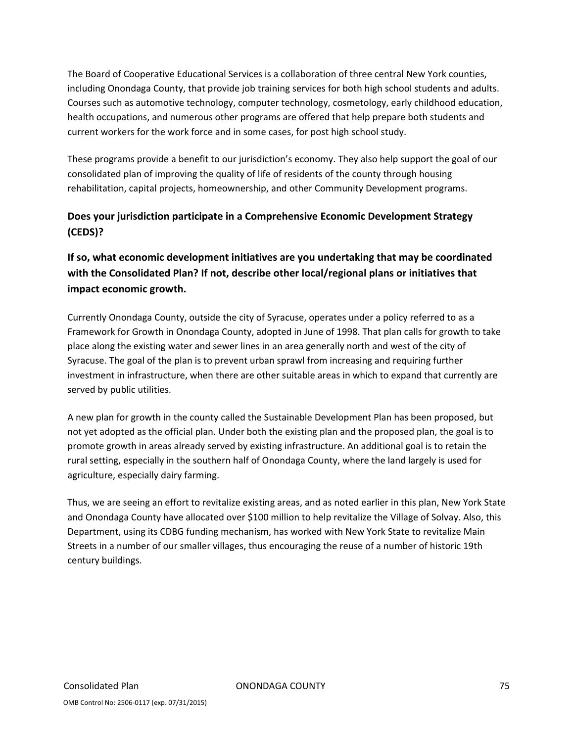The Board of Cooperative Educational Services is a collaboration of three central New York counties, including Onondaga County, that provide job training services for both high school students and adults. Courses such as automotive technology, computer technology, cosmetology, early childhood education, health occupations, and numerous other programs are offered that help prepare both students and current workers for the work force and in some cases, for post high school study.

These programs provide a benefit to our jurisdiction's economy. They also help support the goal of our consolidated plan of improving the quality of life of residents of the county through housing rehabilitation, capital projects, homeownership, and other Community Development programs.

## **Does your jurisdiction participate in a Comprehensive Economic Development Strategy (CEDS)?**

## **If so, what economic development initiatives are you undertaking that may be coordinated with the Consolidated Plan? If not, describe other local/regional plans or initiatives that impact economic growth.**

Currently Onondaga County, outside the city of Syracuse, operates under a policy referred to as a Framework for Growth in Onondaga County, adopted in June of 1998. That plan calls for growth to take place along the existing water and sewer lines in an area generally north and west of the city of Syracuse. The goal of the plan is to prevent urban sprawl from increasing and requiring further investment in infrastructure, when there are other suitable areas in which to expand that currently are served by public utilities.

A new plan for growth in the county called the Sustainable Development Plan has been proposed, but not yet adopted as the official plan. Under both the existing plan and the proposed plan, the goal is to promote growth in areas already served by existing infrastructure. An additional goal is to retain the rural setting, especially in the southern half of Onondaga County, where the land largely is used for agriculture, especially dairy farming.

Thus, we are seeing an effort to revitalize existing areas, and as noted earlier in this plan, New York State and Onondaga County have allocated over \$100 million to help revitalize the Village of Solvay. Also, this Department, using its CDBG funding mechanism, has worked with New York State to revitalize Main Streets in a number of our smaller villages, thus encouraging the reuse of a number of historic 19th century buildings.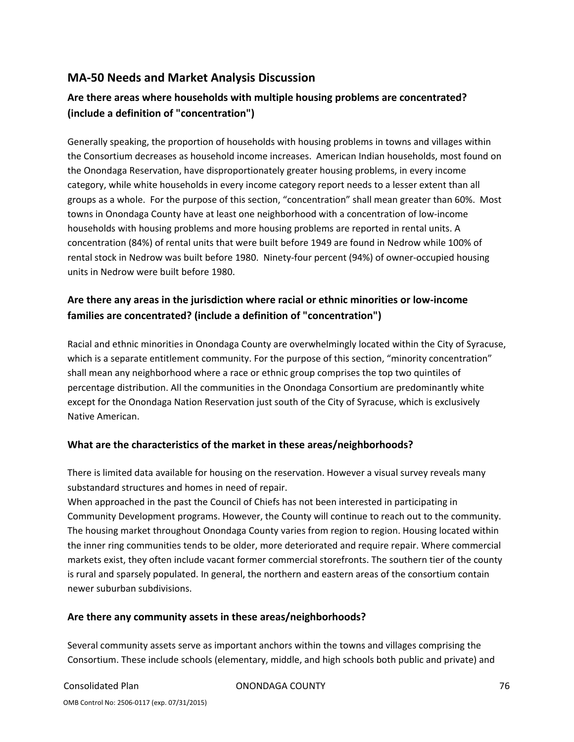## **MA‐50 Needs and Market Analysis Discussion**

## **Are there areas where households with multiple housing problems are concentrated? (include a definition of "concentration")**

Generally speaking, the proportion of households with housing problems in towns and villages within the Consortium decreases as household income increases. American Indian households, most found on the Onondaga Reservation, have disproportionately greater housing problems, in every income category, while white households in every income category report needs to a lesser extent than all groups as a whole. For the purpose of this section, "concentration" shall mean greater than 60%. Most towns in Onondaga County have at least one neighborhood with a concentration of low‐income households with housing problems and more housing problems are reported in rental units. A concentration (84%) of rental units that were built before 1949 are found in Nedrow while 100% of rental stock in Nedrow was built before 1980. Ninety‐four percent (94%) of owner‐occupied housing units in Nedrow were built before 1980.

## **Are there any areas in the jurisdiction where racial or ethnic minorities or low‐income families are concentrated? (include a definition of "concentration")**

Racial and ethnic minorities in Onondaga County are overwhelmingly located within the City of Syracuse, which is a separate entitlement community. For the purpose of this section, "minority concentration" shall mean any neighborhood where a race or ethnic group comprises the top two quintiles of percentage distribution. All the communities in the Onondaga Consortium are predominantly white except for the Onondaga Nation Reservation just south of the City of Syracuse, which is exclusively Native American.

### **What are the characteristics of the market in these areas/neighborhoods?**

There is limited data available for housing on the reservation. However a visual survey reveals many substandard structures and homes in need of repair.

When approached in the past the Council of Chiefs has not been interested in participating in Community Development programs. However, the County will continue to reach out to the community. The housing market throughout Onondaga County varies from region to region. Housing located within the inner ring communities tends to be older, more deteriorated and require repair. Where commercial markets exist, they often include vacant former commercial storefronts. The southern tier of the county is rural and sparsely populated. In general, the northern and eastern areas of the consortium contain newer suburban subdivisions.

### **Are there any community assets in these areas/neighborhoods?**

Several community assets serve as important anchors within the towns and villages comprising the Consortium. These include schools (elementary, middle, and high schools both public and private) and

Consolidated Plan ONONDAGA COUNTY 76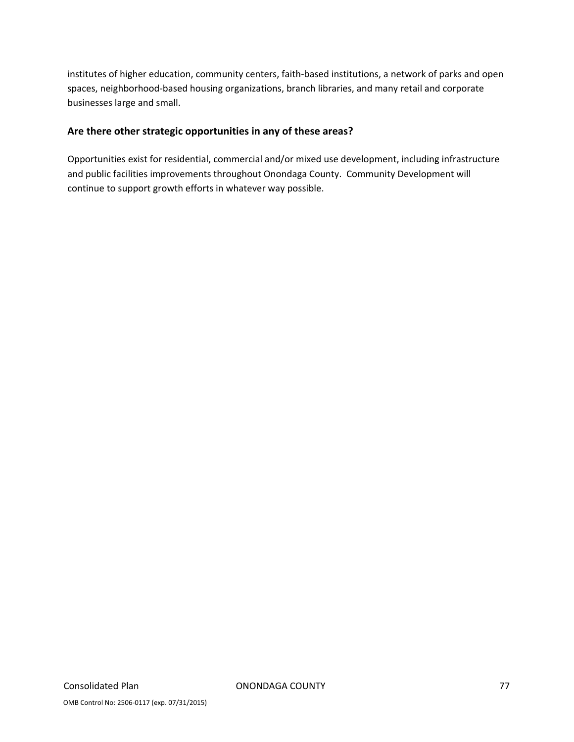institutes of higher education, community centers, faith‐based institutions, a network of parks and open spaces, neighborhood‐based housing organizations, branch libraries, and many retail and corporate businesses large and small.

### **Are there other strategic opportunities in any of these areas?**

Opportunities exist for residential, commercial and/or mixed use development, including infrastructure and public facilities improvements throughout Onondaga County. Community Development will continue to support growth efforts in whatever way possible.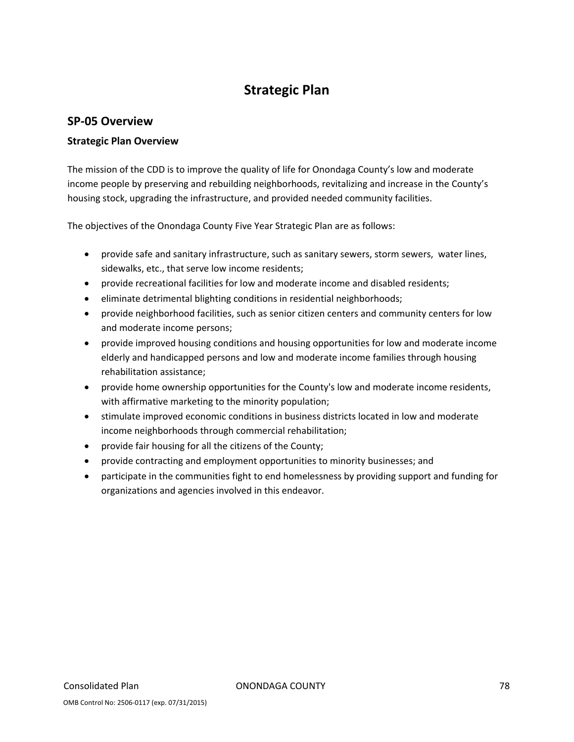# **Strategic Plan**

## **SP‐05 Overview**

### **Strategic Plan Overview**

The mission of the CDD is to improve the quality of life for Onondaga County's low and moderate income people by preserving and rebuilding neighborhoods, revitalizing and increase in the County's housing stock, upgrading the infrastructure, and provided needed community facilities.

The objectives of the Onondaga County Five Year Strategic Plan are as follows:

- provide safe and sanitary infrastructure, such as sanitary sewers, storm sewers, water lines, sidewalks, etc., that serve low income residents;
- provide recreational facilities for low and moderate income and disabled residents;
- eliminate detrimental blighting conditions in residential neighborhoods;
- provide neighborhood facilities, such as senior citizen centers and community centers for low and moderate income persons;
- provide improved housing conditions and housing opportunities for low and moderate income elderly and handicapped persons and low and moderate income families through housing rehabilitation assistance;
- provide home ownership opportunities for the County's low and moderate income residents, with affirmative marketing to the minority population;
- stimulate improved economic conditions in business districts located in low and moderate income neighborhoods through commercial rehabilitation;
- provide fair housing for all the citizens of the County;
- provide contracting and employment opportunities to minority businesses; and
- participate in the communities fight to end homelessness by providing support and funding for organizations and agencies involved in this endeavor.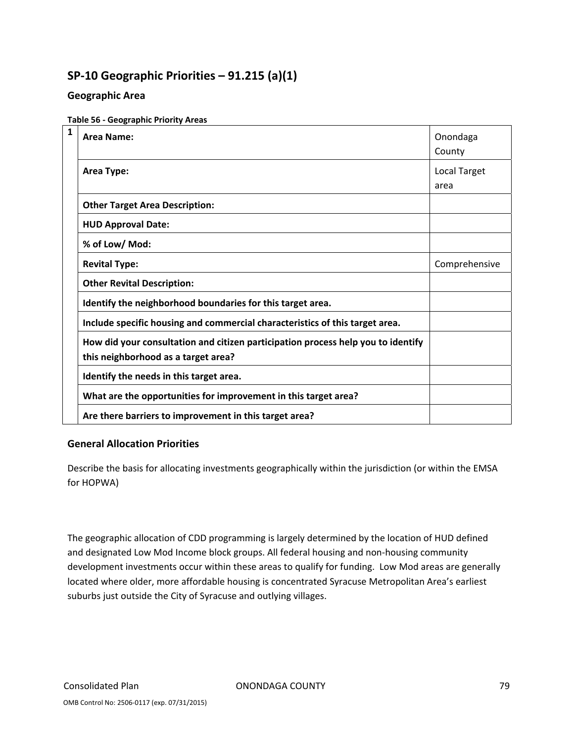## **SP‐10 Geographic Priorities – 91.215 (a)(1)**

### **Geographic Area**

#### **Table 56 ‐ Geographic Priority Areas**

| 1 | Area Name:                                                                                                              | Onondaga<br>County          |
|---|-------------------------------------------------------------------------------------------------------------------------|-----------------------------|
|   | Area Type:                                                                                                              | <b>Local Target</b><br>area |
|   | <b>Other Target Area Description:</b>                                                                                   |                             |
|   | <b>HUD Approval Date:</b>                                                                                               |                             |
|   | % of Low/ Mod:                                                                                                          |                             |
|   | <b>Revital Type:</b>                                                                                                    | Comprehensive               |
|   | <b>Other Revital Description:</b>                                                                                       |                             |
|   | Identify the neighborhood boundaries for this target area.                                                              |                             |
|   | Include specific housing and commercial characteristics of this target area.                                            |                             |
|   | How did your consultation and citizen participation process help you to identify<br>this neighborhood as a target area? |                             |
|   | Identify the needs in this target area.                                                                                 |                             |
|   | What are the opportunities for improvement in this target area?                                                         |                             |
|   | Are there barriers to improvement in this target area?                                                                  |                             |

### **General Allocation Priorities**

Describe the basis for allocating investments geographically within the jurisdiction (or within the EMSA for HOPWA)

The geographic allocation of CDD programming is largely determined by the location of HUD defined and designated Low Mod Income block groups. All federal housing and non-housing community development investments occur within these areas to qualify for funding. Low Mod areas are generally located where older, more affordable housing is concentrated Syracuse Metropolitan Area's earliest suburbs just outside the City of Syracuse and outlying villages.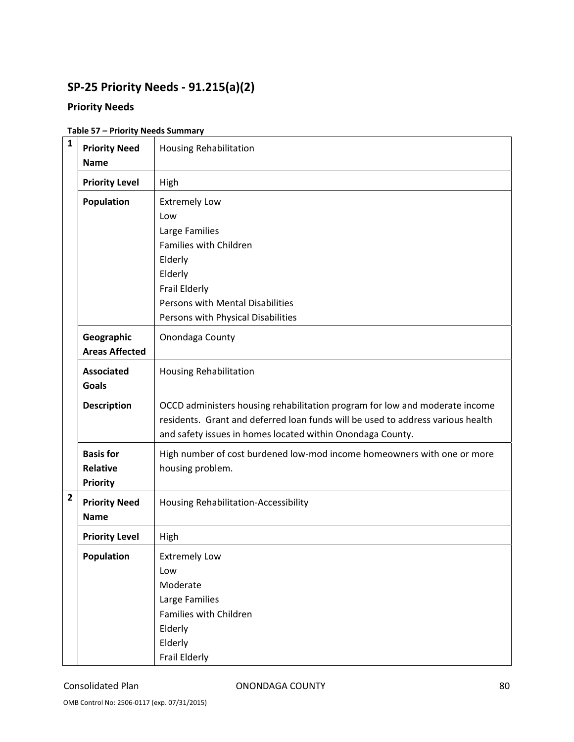# **SP‐25 Priority Needs ‐ 91.215(a)(2)**

## **Priority Needs**

| $\mathbf{1}$            | <b>Priority Need</b><br><b>Name</b>                    | <b>Housing Rehabilitation</b>                                                                                                                                                                                                |
|-------------------------|--------------------------------------------------------|------------------------------------------------------------------------------------------------------------------------------------------------------------------------------------------------------------------------------|
|                         | <b>Priority Level</b>                                  | High                                                                                                                                                                                                                         |
|                         | Population                                             | <b>Extremely Low</b><br>Low<br>Large Families<br>Families with Children<br>Elderly<br>Elderly<br>Frail Elderly<br>Persons with Mental Disabilities<br>Persons with Physical Disabilities                                     |
|                         | Onondaga County                                        |                                                                                                                                                                                                                              |
|                         | <b>Associated</b><br><b>Goals</b>                      | <b>Housing Rehabilitation</b>                                                                                                                                                                                                |
|                         | <b>Description</b>                                     | OCCD administers housing rehabilitation program for low and moderate income<br>residents. Grant and deferred loan funds will be used to address various health<br>and safety issues in homes located within Onondaga County. |
|                         | <b>Basis for</b><br><b>Relative</b><br><b>Priority</b> | High number of cost burdened low-mod income homeowners with one or more<br>housing problem.                                                                                                                                  |
| $\overline{\mathbf{2}}$ | <b>Priority Need</b><br><b>Name</b>                    | Housing Rehabilitation-Accessibility                                                                                                                                                                                         |
|                         | <b>Priority Level</b>                                  | High                                                                                                                                                                                                                         |
|                         | Population                                             | <b>Extremely Low</b><br>Low<br>Moderate<br>Large Families<br>Families with Children<br>Elderly<br>Elderly<br>Frail Elderly                                                                                                   |

#### **Table 57 – Priority Needs Summary**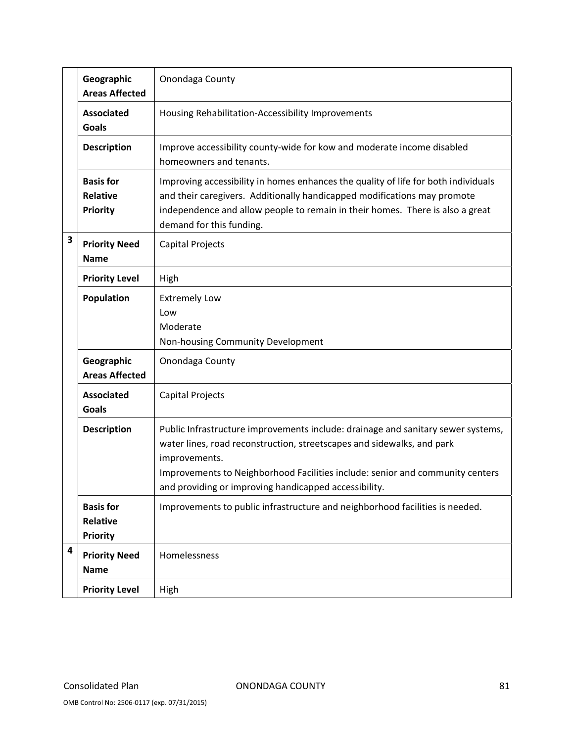|   | Geographic<br><b>Areas Affected</b>                    | Onondaga County                                                                                                                                                                                                                                                                                                       |
|---|--------------------------------------------------------|-----------------------------------------------------------------------------------------------------------------------------------------------------------------------------------------------------------------------------------------------------------------------------------------------------------------------|
|   | <b>Associated</b><br><b>Goals</b>                      | Housing Rehabilitation-Accessibility Improvements                                                                                                                                                                                                                                                                     |
|   | <b>Description</b>                                     | Improve accessibility county-wide for kow and moderate income disabled<br>homeowners and tenants.                                                                                                                                                                                                                     |
|   | <b>Basis for</b><br><b>Relative</b><br><b>Priority</b> | Improving accessibility in homes enhances the quality of life for both individuals<br>and their caregivers. Additionally handicapped modifications may promote<br>independence and allow people to remain in their homes. There is also a great<br>demand for this funding.                                           |
| 3 | <b>Priority Need</b><br><b>Name</b>                    | Capital Projects                                                                                                                                                                                                                                                                                                      |
|   | <b>Priority Level</b>                                  | High                                                                                                                                                                                                                                                                                                                  |
|   | Population                                             | <b>Extremely Low</b><br>Low<br>Moderate<br>Non-housing Community Development                                                                                                                                                                                                                                          |
|   | Geographic<br><b>Areas Affected</b>                    | Onondaga County                                                                                                                                                                                                                                                                                                       |
|   | <b>Associated</b><br>Goals                             | Capital Projects                                                                                                                                                                                                                                                                                                      |
|   | <b>Description</b>                                     | Public Infrastructure improvements include: drainage and sanitary sewer systems,<br>water lines, road reconstruction, streetscapes and sidewalks, and park<br>improvements.<br>Improvements to Neighborhood Facilities include: senior and community centers<br>and providing or improving handicapped accessibility. |
|   | <b>Basis for</b><br><b>Relative</b><br>Priority        | Improvements to public infrastructure and neighborhood facilities is needed.                                                                                                                                                                                                                                          |
| 4 | <b>Priority Need</b><br><b>Name</b>                    | Homelessness                                                                                                                                                                                                                                                                                                          |
|   | <b>Priority Level</b>                                  | High                                                                                                                                                                                                                                                                                                                  |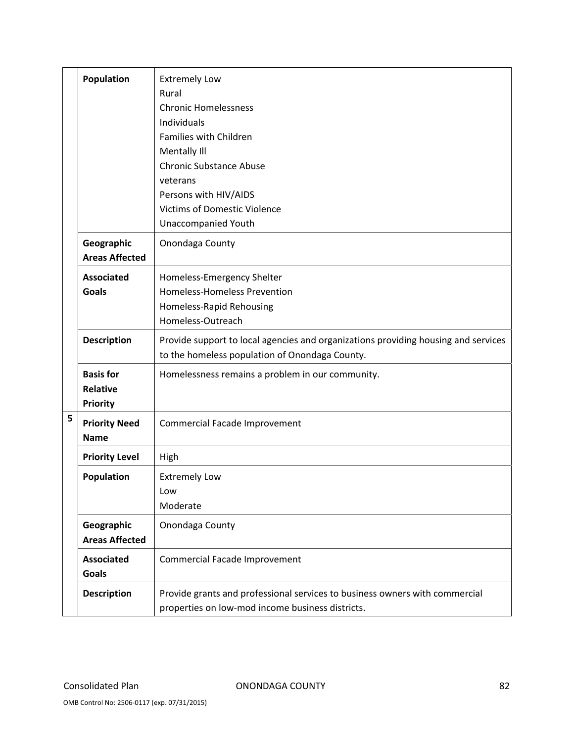|   | Population                    | <b>Extremely Low</b>                                                               |  |  |  |  |  |  |
|---|-------------------------------|------------------------------------------------------------------------------------|--|--|--|--|--|--|
|   |                               | Rural                                                                              |  |  |  |  |  |  |
|   |                               | <b>Chronic Homelessness</b>                                                        |  |  |  |  |  |  |
|   |                               | Individuals                                                                        |  |  |  |  |  |  |
|   |                               | Families with Children                                                             |  |  |  |  |  |  |
|   |                               | Mentally III                                                                       |  |  |  |  |  |  |
|   |                               | <b>Chronic Substance Abuse</b>                                                     |  |  |  |  |  |  |
|   |                               | veterans                                                                           |  |  |  |  |  |  |
|   |                               | Persons with HIV/AIDS                                                              |  |  |  |  |  |  |
|   |                               | <b>Victims of Domestic Violence</b>                                                |  |  |  |  |  |  |
|   |                               | <b>Unaccompanied Youth</b>                                                         |  |  |  |  |  |  |
|   | Geographic                    | Onondaga County                                                                    |  |  |  |  |  |  |
|   | <b>Areas Affected</b>         |                                                                                    |  |  |  |  |  |  |
|   | <b>Associated</b>             | Homeless-Emergency Shelter                                                         |  |  |  |  |  |  |
|   | <b>Goals</b>                  | Homeless-Homeless Prevention                                                       |  |  |  |  |  |  |
|   |                               | Homeless-Rapid Rehousing                                                           |  |  |  |  |  |  |
|   |                               | Homeless-Outreach                                                                  |  |  |  |  |  |  |
|   | <b>Description</b>            | Provide support to local agencies and organizations providing housing and services |  |  |  |  |  |  |
|   |                               | to the homeless population of Onondaga County.                                     |  |  |  |  |  |  |
|   | <b>Basis for</b>              | Homelessness remains a problem in our community.                                   |  |  |  |  |  |  |
|   | <b>Relative</b>               |                                                                                    |  |  |  |  |  |  |
|   | <b>Priority</b>               |                                                                                    |  |  |  |  |  |  |
| 5 | <b>Priority Need</b>          | Commercial Facade Improvement                                                      |  |  |  |  |  |  |
|   | <b>Name</b>                   |                                                                                    |  |  |  |  |  |  |
|   | <b>Priority Level</b>         | High                                                                               |  |  |  |  |  |  |
|   | Population                    | <b>Extremely Low</b>                                                               |  |  |  |  |  |  |
|   |                               | Low                                                                                |  |  |  |  |  |  |
|   |                               | Moderate                                                                           |  |  |  |  |  |  |
|   | Geographic                    | Onondaga County                                                                    |  |  |  |  |  |  |
|   |                               |                                                                                    |  |  |  |  |  |  |
|   | Commercial Facade Improvement |                                                                                    |  |  |  |  |  |  |
|   | <b>Goals</b>                  |                                                                                    |  |  |  |  |  |  |
|   | <b>Description</b>            | Provide grants and professional services to business owners with commercial        |  |  |  |  |  |  |
|   |                               | properties on low-mod income business districts.                                   |  |  |  |  |  |  |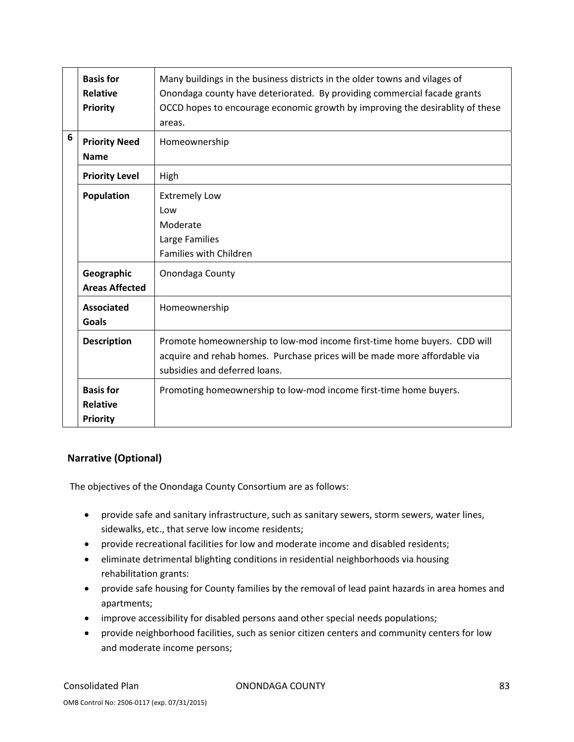|   | <b>Basis for</b><br><b>Relative</b><br><b>Priority</b> | Many buildings in the business districts in the older towns and vilages of<br>Onondaga county have deteriorated. By providing commercial facade grants<br>OCCD hopes to encourage economic growth by improving the desirablity of these<br>areas. |
|---|--------------------------------------------------------|---------------------------------------------------------------------------------------------------------------------------------------------------------------------------------------------------------------------------------------------------|
| 6 | <b>Priority Need</b><br><b>Name</b>                    | Homeownership                                                                                                                                                                                                                                     |
|   | <b>Priority Level</b>                                  | High                                                                                                                                                                                                                                              |
|   | <b>Population</b>                                      | <b>Extremely Low</b><br>Low<br>Moderate<br>Large Families<br>Families with Children                                                                                                                                                               |
|   | Geographic<br><b>Areas Affected</b>                    | Onondaga County                                                                                                                                                                                                                                   |
|   | <b>Associated</b><br><b>Goals</b>                      | Homeownership                                                                                                                                                                                                                                     |
|   | <b>Description</b>                                     | Promote homeownership to low-mod income first-time home buyers. CDD will<br>acquire and rehab homes. Purchase prices will be made more affordable via<br>subsidies and deferred loans.                                                            |
|   | <b>Basis for</b><br><b>Relative</b><br><b>Priority</b> | Promoting homeownership to low-mod income first-time home buyers.                                                                                                                                                                                 |

## **Narrative (Optional)**

The objectives of the Onondaga County Consortium are as follows:

- provide safe and sanitary infrastructure, such as sanitary sewers, storm sewers, water lines, sidewalks, etc., that serve low income residents;
- provide recreational facilities for low and moderate income and disabled residents;
- eliminate detrimental blighting conditions in residential neighborhoods via housing rehabilitation grants:
- provide safe housing for County families by the removal of lead paint hazards in area homes and apartments;
- improve accessibility for disabled persons aand other special needs populations;
- provide neighborhood facilities, such as senior citizen centers and community centers for low and moderate income persons;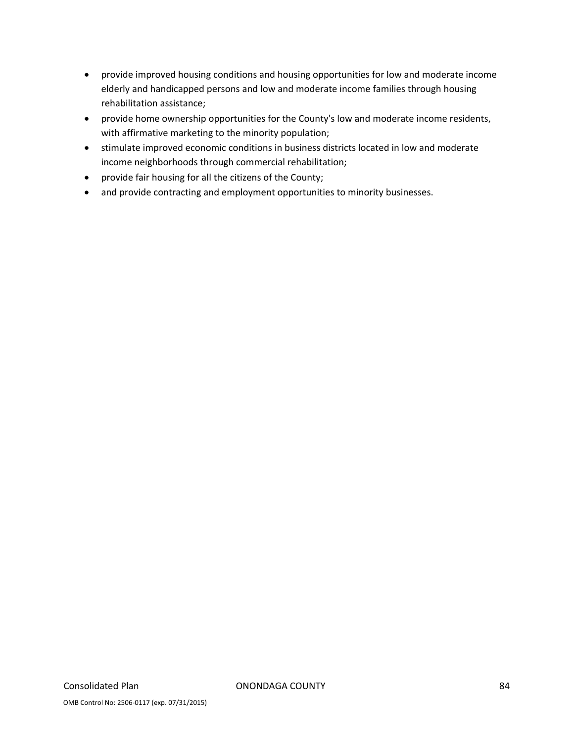- provide improved housing conditions and housing opportunities for low and moderate income elderly and handicapped persons and low and moderate income families through housing rehabilitation assistance;
- provide home ownership opportunities for the County's low and moderate income residents, with affirmative marketing to the minority population;
- stimulate improved economic conditions in business districts located in low and moderate income neighborhoods through commercial rehabilitation;
- provide fair housing for all the citizens of the County;
- and provide contracting and employment opportunities to minority businesses.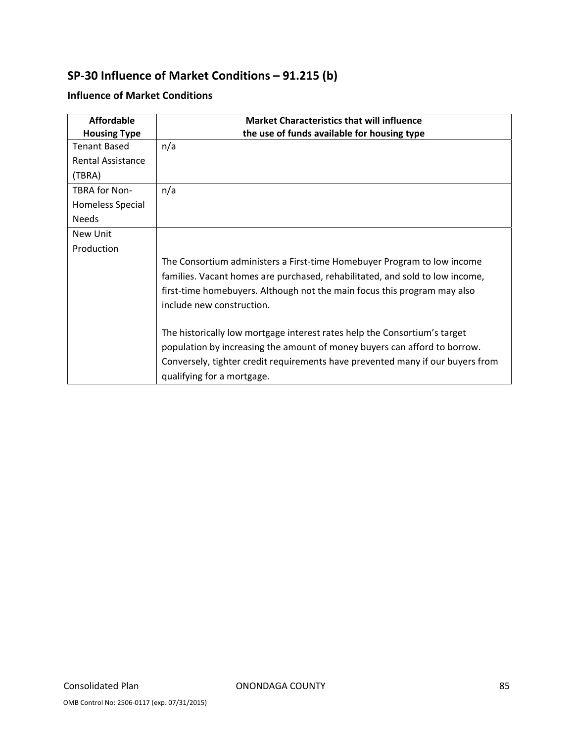# **SP‐30 Influence of Market Conditions – 91.215 (b)**

## **Influence of Market Conditions**

| <b>Affordable</b>        | <b>Market Characteristics that will influence</b>                              |
|--------------------------|--------------------------------------------------------------------------------|
| <b>Housing Type</b>      | the use of funds available for housing type                                    |
| <b>Tenant Based</b>      | n/a                                                                            |
| <b>Rental Assistance</b> |                                                                                |
| (TBRA)                   |                                                                                |
| <b>TBRA for Non-</b>     | n/a                                                                            |
| Homeless Special         |                                                                                |
| <b>Needs</b>             |                                                                                |
| New Unit                 |                                                                                |
| Production               |                                                                                |
|                          | The Consortium administers a First-time Homebuyer Program to low income        |
|                          | families. Vacant homes are purchased, rehabilitated, and sold to low income,   |
|                          | first-time homebuyers. Although not the main focus this program may also       |
|                          | include new construction.                                                      |
|                          | The historically low mortgage interest rates help the Consortium's target      |
|                          | population by increasing the amount of money buyers can afford to borrow.      |
|                          | Conversely, tighter credit requirements have prevented many if our buyers from |
|                          | qualifying for a mortgage.                                                     |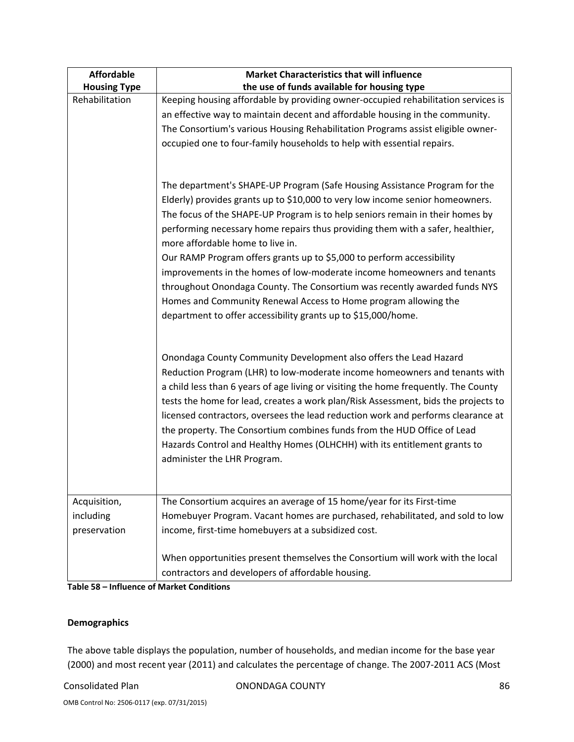| <b>Affordable</b><br><b>Market Characteristics that will influence</b> |                                                                                     |  |  |
|------------------------------------------------------------------------|-------------------------------------------------------------------------------------|--|--|
| <b>Housing Type</b>                                                    | the use of funds available for housing type                                         |  |  |
| Rehabilitation                                                         | Keeping housing affordable by providing owner-occupied rehabilitation services is   |  |  |
|                                                                        | an effective way to maintain decent and affordable housing in the community.        |  |  |
|                                                                        | The Consortium's various Housing Rehabilitation Programs assist eligible owner-     |  |  |
|                                                                        | occupied one to four-family households to help with essential repairs.              |  |  |
|                                                                        |                                                                                     |  |  |
|                                                                        |                                                                                     |  |  |
|                                                                        | The department's SHAPE-UP Program (Safe Housing Assistance Program for the          |  |  |
|                                                                        | Elderly) provides grants up to \$10,000 to very low income senior homeowners.       |  |  |
|                                                                        | The focus of the SHAPE-UP Program is to help seniors remain in their homes by       |  |  |
|                                                                        | performing necessary home repairs thus providing them with a safer, healthier,      |  |  |
|                                                                        | more affordable home to live in.                                                    |  |  |
|                                                                        | Our RAMP Program offers grants up to \$5,000 to perform accessibility               |  |  |
|                                                                        | improvements in the homes of low-moderate income homeowners and tenants             |  |  |
|                                                                        | throughout Onondaga County. The Consortium was recently awarded funds NYS           |  |  |
|                                                                        | Homes and Community Renewal Access to Home program allowing the                     |  |  |
|                                                                        | department to offer accessibility grants up to \$15,000/home.                       |  |  |
|                                                                        |                                                                                     |  |  |
|                                                                        |                                                                                     |  |  |
|                                                                        | Onondaga County Community Development also offers the Lead Hazard                   |  |  |
|                                                                        | Reduction Program (LHR) to low-moderate income homeowners and tenants with          |  |  |
|                                                                        | a child less than 6 years of age living or visiting the home frequently. The County |  |  |
|                                                                        | tests the home for lead, creates a work plan/Risk Assessment, bids the projects to  |  |  |
|                                                                        | licensed contractors, oversees the lead reduction work and performs clearance at    |  |  |
|                                                                        | the property. The Consortium combines funds from the HUD Office of Lead             |  |  |
|                                                                        | Hazards Control and Healthy Homes (OLHCHH) with its entitlement grants to           |  |  |
|                                                                        | administer the LHR Program.                                                         |  |  |
|                                                                        |                                                                                     |  |  |
|                                                                        |                                                                                     |  |  |
| Acquisition,                                                           | The Consortium acquires an average of 15 home/year for its First-time               |  |  |
| including                                                              | Homebuyer Program. Vacant homes are purchased, rehabilitated, and sold to low       |  |  |
| preservation                                                           | income, first-time homebuyers at a subsidized cost.                                 |  |  |
|                                                                        |                                                                                     |  |  |
|                                                                        | When opportunities present themselves the Consortium will work with the local       |  |  |
|                                                                        | contractors and developers of affordable housing.                                   |  |  |

#### **Table 58 – Influence of Market Conditions**

### **Demographics**

The above table displays the population, number of households, and median income for the base year (2000) and most recent year (2011) and calculates the percentage of change. The 2007‐2011 ACS (Most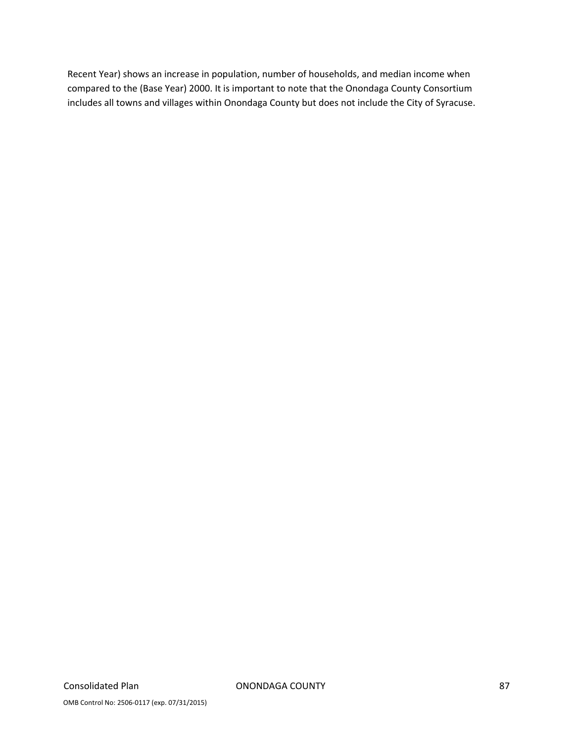Recent Year) shows an increase in population, number of households, and median income when compared to the (Base Year) 2000. It is important to note that the Onondaga County Consortium includes all towns and villages within Onondaga County but does not include the City of Syracuse.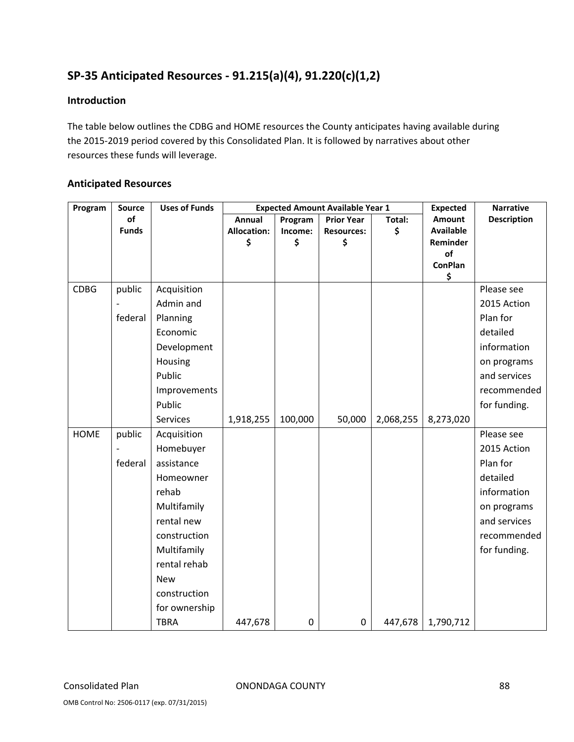# **SP‐35 Anticipated Resources ‐ 91.215(a)(4), 91.220(c)(1,2)**

## **Introduction**

The table below outlines the CDBG and HOME resources the County anticipates having available during the 2015‐2019 period covered by this Consolidated Plan. It is followed by narratives about other resources these funds will leverage.

## **Anticipated Resources**

| Program     | Source       | <b>Uses of Funds</b> | <b>Expected Amount Available Year 1</b> |         |                   | <b>Expected</b> | <b>Narrative</b> |                    |
|-------------|--------------|----------------------|-----------------------------------------|---------|-------------------|-----------------|------------------|--------------------|
|             | of           |                      | <b>Annual</b>                           | Program | <b>Prior Year</b> | Total:          | Amount           | <b>Description</b> |
|             | <b>Funds</b> |                      | <b>Allocation:</b>                      | Income: | <b>Resources:</b> | \$              | <b>Available</b> |                    |
|             |              |                      | \$                                      | \$      | \$                |                 | Reminder<br>of   |                    |
|             |              |                      |                                         |         |                   |                 | <b>ConPlan</b>   |                    |
|             |              |                      |                                         |         |                   |                 | \$               |                    |
| <b>CDBG</b> | public       | Acquisition          |                                         |         |                   |                 |                  | Please see         |
|             |              | Admin and            |                                         |         |                   |                 |                  | 2015 Action        |
|             | federal      | Planning             |                                         |         |                   |                 |                  | Plan for           |
|             |              | Economic             |                                         |         |                   |                 |                  | detailed           |
|             |              | Development          |                                         |         |                   |                 |                  | information        |
|             |              | Housing              |                                         |         |                   |                 |                  | on programs        |
|             |              | Public               |                                         |         |                   |                 |                  | and services       |
|             |              | Improvements         |                                         |         |                   |                 |                  | recommended        |
|             |              | Public               |                                         |         |                   |                 |                  | for funding.       |
|             |              | <b>Services</b>      | 1,918,255                               | 100,000 | 50,000            | 2,068,255       | 8,273,020        |                    |
| <b>HOME</b> | public       | Acquisition          |                                         |         |                   |                 |                  | Please see         |
|             |              | Homebuyer            |                                         |         |                   |                 |                  | 2015 Action        |
|             | federal      | assistance           |                                         |         |                   |                 |                  | Plan for           |
|             |              | Homeowner            |                                         |         |                   |                 |                  | detailed           |
|             |              | rehab                |                                         |         |                   |                 |                  | information        |
|             |              | Multifamily          |                                         |         |                   |                 |                  | on programs        |
|             |              | rental new           |                                         |         |                   |                 |                  | and services       |
|             |              | construction         |                                         |         |                   |                 |                  | recommended        |
|             |              | Multifamily          |                                         |         |                   |                 |                  | for funding.       |
|             |              | rental rehab         |                                         |         |                   |                 |                  |                    |
|             |              | <b>New</b>           |                                         |         |                   |                 |                  |                    |
|             |              | construction         |                                         |         |                   |                 |                  |                    |
|             |              | for ownership        |                                         |         |                   |                 |                  |                    |
|             |              | <b>TBRA</b>          | 447,678                                 | 0       | 0                 | 447,678         | 1,790,712        |                    |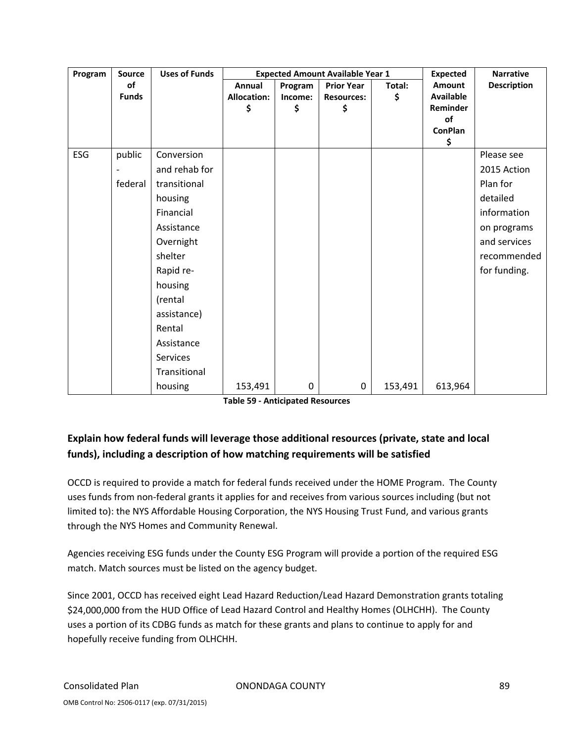| Program | <b>Source</b> | <b>Uses of Funds</b> | <b>Expected Amount Available Year 1</b> |         |                   |         | <b>Expected</b>      | <b>Narrative</b>   |
|---------|---------------|----------------------|-----------------------------------------|---------|-------------------|---------|----------------------|--------------------|
|         | of            |                      | Annual                                  | Program | <b>Prior Year</b> | Total:  | Amount               | <b>Description</b> |
|         | <b>Funds</b>  |                      | <b>Allocation:</b>                      | Income: | <b>Resources:</b> | \$      | <b>Available</b>     |                    |
|         |               |                      | \$                                      | \$      | \$                |         | Reminder             |                    |
|         |               |                      |                                         |         |                   |         | of<br><b>ConPlan</b> |                    |
|         |               |                      |                                         |         |                   |         | \$                   |                    |
| ESG     | public        | Conversion           |                                         |         |                   |         |                      | Please see         |
|         |               | and rehab for        |                                         |         |                   |         |                      | 2015 Action        |
|         | federal       | transitional         |                                         |         |                   |         |                      | Plan for           |
|         |               | housing              |                                         |         |                   |         |                      | detailed           |
|         |               | Financial            |                                         |         |                   |         |                      | information        |
|         |               | Assistance           |                                         |         |                   |         |                      | on programs        |
|         |               | Overnight            |                                         |         |                   |         |                      | and services       |
|         |               | shelter              |                                         |         |                   |         |                      | recommended        |
|         |               | Rapid re-            |                                         |         |                   |         |                      | for funding.       |
|         |               | housing              |                                         |         |                   |         |                      |                    |
|         |               | (rental              |                                         |         |                   |         |                      |                    |
|         |               | assistance)          |                                         |         |                   |         |                      |                    |
|         |               | Rental               |                                         |         |                   |         |                      |                    |
|         |               | Assistance           |                                         |         |                   |         |                      |                    |
|         |               | Services             |                                         |         |                   |         |                      |                    |
|         |               | Transitional         |                                         |         |                   |         |                      |                    |
|         |               | housing              | 153,491                                 | 0       | 0                 | 153,491 | 613,964              |                    |

## **Explain how federal funds will leverage those additional resources (private, state and local funds), including a description of how matching requirements will be satisfied**

OCCD is required to provide a match for federal funds received under the HOME Program. The County uses funds from non‐federal grants it applies for and receives from various sources including (but not limited to): the NYS Affordable Housing Corporation, the NYS Housing Trust Fund, and various grants through the NYS Homes and Community Renewal.

Agencies receiving ESG funds under the County ESG Program will provide a portion of the required ESG match. Match sources must be listed on the agency budget.

Since 2001, OCCD has received eight Lead Hazard Reduction/Lead Hazard Demonstration grants totaling \$24,000,000 from the HUD Office of Lead Hazard Control and Healthy Homes (OLHCHH). The County uses a portion of its CDBG funds as match for these grants and plans to continue to apply for and hopefully receive funding from OLHCHH.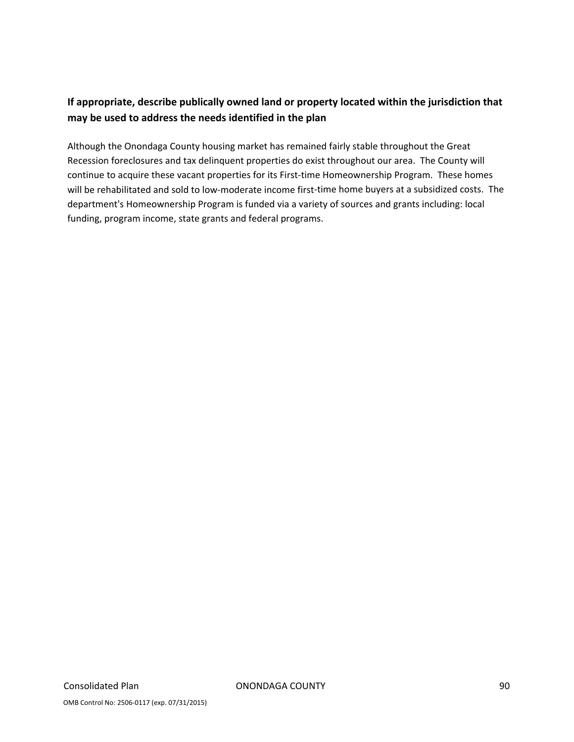## **If appropriate, describe publically owned land or property located within the jurisdiction that may be used to address the needs identified in the plan**

Although the Onondaga County housing market has remained fairly stable throughout the Great Recession foreclosures and tax delinquent properties do exist throughout our area. The County will continue to acquire these vacant properties for its First-time Homeownership Program. These homes will be rehabilitated and sold to low-moderate income first-time home buyers at a subsidized costs. The department's Homeownership Program is funded via a variety of sources and grants including: local funding, program income, state grants and federal programs.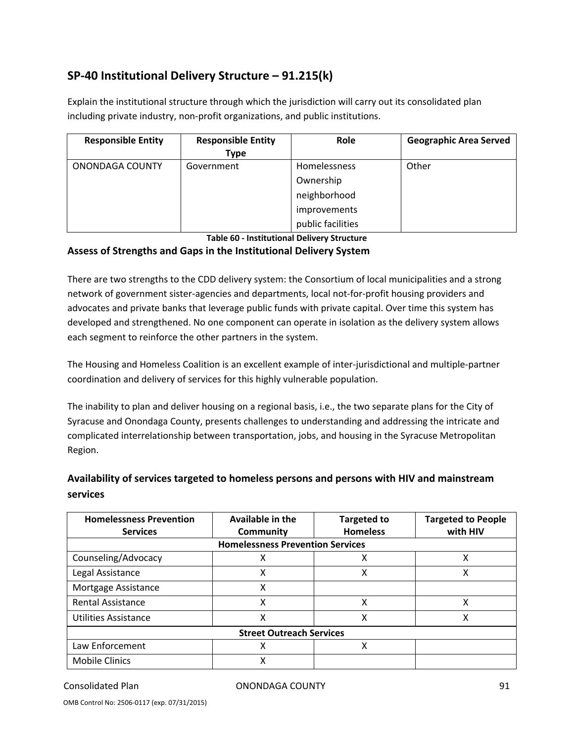# **SP‐40 Institutional Delivery Structure – 91.215(k)**

Explain the institutional structure through which the jurisdiction will carry out its consolidated plan including private industry, non‐profit organizations, and public institutions.

| <b>Responsible Entity</b> | <b>Responsible Entity</b><br><b>Type</b> | Role              | <b>Geographic Area Served</b> |
|---------------------------|------------------------------------------|-------------------|-------------------------------|
| ONONDAGA COUNTY           | Government                               | Homelessness      | Other                         |
|                           |                                          | Ownership         |                               |
|                           |                                          | neighborhood      |                               |
|                           |                                          | improvements      |                               |
|                           |                                          | public facilities |                               |

**Table 60 ‐ Institutional Delivery Structure**

#### **Assess of Strengths and Gaps in the Institutional Delivery System**

There are two strengths to the CDD delivery system: the Consortium of local municipalities and a strong network of government sister‐agencies and departments, local not‐for‐profit housing providers and advocates and private banks that leverage public funds with private capital. Over time this system has developed and strengthened. No one component can operate in isolation as the delivery system allows each segment to reinforce the other partners in the system.

The Housing and Homeless Coalition is an excellent example of inter‐jurisdictional and multiple‐partner coordination and delivery of services for this highly vulnerable population.

The inability to plan and deliver housing on a regional basis, i.e., the two separate plans for the City of Syracuse and Onondaga County, presents challenges to understanding and addressing the intricate and complicated interrelationship between transportation, jobs, and housing in the Syracuse Metropolitan Region.

## **Availability of services targeted to homeless persons and persons with HIV and mainstream services**

| <b>Homelessness Prevention</b>          | Available in the                | <b>Targeted to</b> | <b>Targeted to People</b> |  |  |  |  |  |
|-----------------------------------------|---------------------------------|--------------------|---------------------------|--|--|--|--|--|
| <b>Services</b>                         | Community                       | <b>Homeless</b>    | with HIV                  |  |  |  |  |  |
| <b>Homelessness Prevention Services</b> |                                 |                    |                           |  |  |  |  |  |
| Counseling/Advocacy                     | χ                               | χ                  | x                         |  |  |  |  |  |
| Legal Assistance                        | χ                               | х                  | χ                         |  |  |  |  |  |
| Mortgage Assistance                     | X                               |                    |                           |  |  |  |  |  |
| <b>Rental Assistance</b>                | χ                               | χ                  | Χ                         |  |  |  |  |  |
| <b>Utilities Assistance</b>             | χ                               | χ                  | x                         |  |  |  |  |  |
|                                         | <b>Street Outreach Services</b> |                    |                           |  |  |  |  |  |
| Law Enforcement                         | x                               | χ                  |                           |  |  |  |  |  |
| <b>Mobile Clinics</b>                   | χ                               |                    |                           |  |  |  |  |  |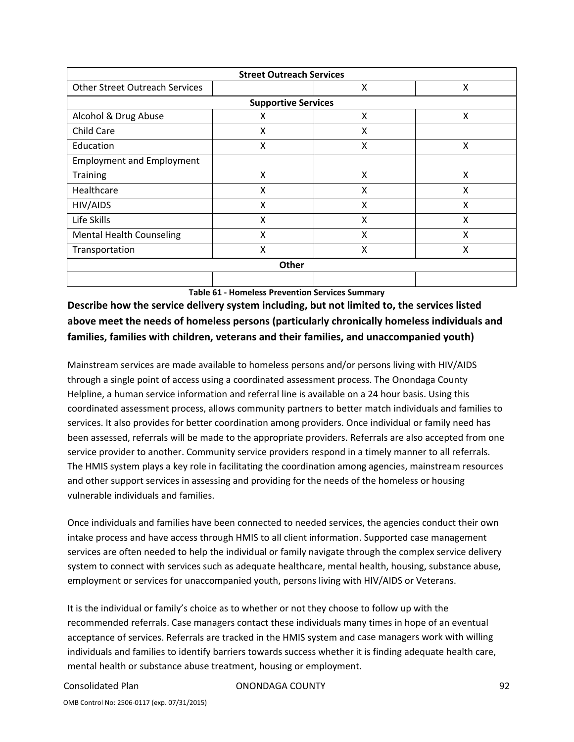| <b>Street Outreach Services</b>       |                            |   |   |  |  |  |
|---------------------------------------|----------------------------|---|---|--|--|--|
| <b>Other Street Outreach Services</b> |                            | x | X |  |  |  |
|                                       | <b>Supportive Services</b> |   |   |  |  |  |
| Alcohol & Drug Abuse                  | Χ                          | X | X |  |  |  |
| Child Care                            | Χ                          | x |   |  |  |  |
| Education                             | X                          | X | X |  |  |  |
| <b>Employment and Employment</b>      |                            |   |   |  |  |  |
| Training                              | X                          | X | X |  |  |  |
| Healthcare                            | Χ                          | x | X |  |  |  |
| HIV/AIDS                              | X                          | X | X |  |  |  |
| Life Skills                           | X                          | X | X |  |  |  |
| <b>Mental Health Counseling</b>       | Χ                          | X | X |  |  |  |
| Transportation                        | X                          | X | X |  |  |  |
| Other                                 |                            |   |   |  |  |  |
|                                       |                            |   |   |  |  |  |

**Table 61 ‐ Homeless Prevention Services Summary**

**Describe how the service delivery system including, but not limited to, the services listed above meet the needs of homeless persons (particularly chronically homeless individuals and families, families with children, veterans and their families, and unaccompanied youth)**

Mainstream services are made available to homeless persons and/or persons living with HIV/AIDS through a single point of access using a coordinated assessment process. The Onondaga County Helpline, a human service information and referral line is available on a 24 hour basis. Using this coordinated assessment process, allows community partners to better match individuals and families to services. It also provides for better coordination among providers. Once individual or family need has been assessed, referrals will be made to the appropriate providers. Referrals are also accepted from one service provider to another. Community service providers respond in a timely manner to all referrals. The HMIS system plays a key role in facilitating the coordination among agencies, mainstream resources and other support services in assessing and providing for the needs of the homeless or housing vulnerable individuals and families.

Once individuals and families have been connected to needed services, the agencies conduct their own intake process and have access through HMIS to all client information. Supported case management services are often needed to help the individual or family navigate through the complex service delivery system to connect with services such as adequate healthcare, mental health, housing, substance abuse, employment or services for unaccompanied youth, persons living with HIV/AIDS or Veterans.

It is the individual or family's choice as to whether or not they choose to follow up with the recommended referrals. Case managers contact these individuals many times in hope of an eventual acceptance of services. Referrals are tracked in the HMIS system and case managers work with willing individuals and families to identify barriers towards success whether it is finding adequate health care, mental health or substance abuse treatment, housing or employment.

Consolidated Plan **Consolidated Plan Consolidated Plan Consolidated Plan Consolidated Plan Consolidated Plan Conso**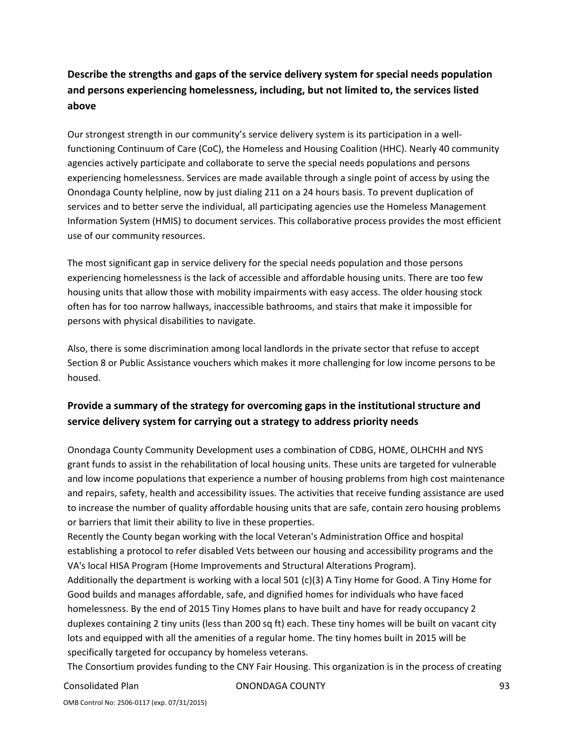## **Describe the strengths and gaps of the service delivery system for special needs population and persons experiencing homelessness, including, but not limited to, the services listed above**

Our strongest strength in our community's service delivery system is its participation in a well‐ functioning Continuum of Care (CoC), the Homeless and Housing Coalition (HHC). Nearly 40 community agencies actively participate and collaborate to serve the special needs populations and persons experiencing homelessness. Services are made available through a single point of access by using the Onondaga County helpline, now by just dialing 211 on a 24 hours basis. To prevent duplication of services and to better serve the individual, all participating agencies use the Homeless Management Information System (HMIS) to document services. This collaborative process provides the most efficient use of our community resources.

The most significant gap in service delivery for the special needs population and those persons experiencing homelessness is the lack of accessible and affordable housing units. There are too few housing units that allow those with mobility impairments with easy access. The older housing stock often has for too narrow hallways, inaccessible bathrooms, and stairs that make it impossible for persons with physical disabilities to navigate.

Also, there is some discrimination among local landlords in the private sector that refuse to accept Section 8 or Public Assistance vouchers which makes it more challenging for low income persons to be housed.

## **Provide a summary of the strategy for overcoming gaps in the institutional structure and service delivery system for carrying out a strategy to address priority needs**

Onondaga County Community Development uses a combination of CDBG, HOME, OLHCHH and NYS grant funds to assist in the rehabilitation of local housing units. These units are targeted for vulnerable and low income populations that experience a number of housing problems from high cost maintenance and repairs, safety, health and accessibility issues. The activities that receive funding assistance are used to increase the number of quality affordable housing units that are safe, contain zero housing problems or barriers that limit their ability to live in these properties.

Recently the County began working with the local Veteran's Administration Office and hospital establishing a protocol to refer disabled Vets between our housing and accessibility programs and the VA's local HISA Program (Home Improvements and Structural Alterations Program).

Additionally the department is working with a local 501 (c)(3) A Tiny Home for Good. A Tiny Home for Good builds and manages affordable, safe, and dignified homes for individuals who have faced homelessness. By the end of 2015 Tiny Homes plans to have built and have for ready occupancy 2 duplexes containing 2 tiny units (less than 200 sq ft) each. These tiny homes will be built on vacant city lots and equipped with all the amenities of a regular home. The tiny homes built in 2015 will be specifically targeted for occupancy by homeless veterans.

The Consortium provides funding to the CNY Fair Housing. This organization is in the process of creating

Consolidated Plan **Consolidated Plan Consolidated Plan Consolidated Plan Consolidated Plan Consolidated Plan Conso**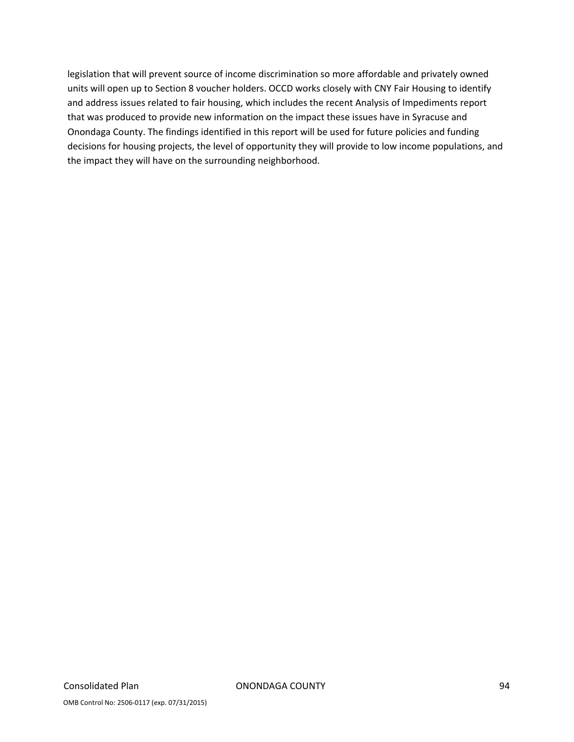legislation that will prevent source of income discrimination so more affordable and privately owned units will open up to Section 8 voucher holders. OCCD works closely with CNY Fair Housing to identify and address issues related to fair housing, which includes the recent Analysis of Impediments report that was produced to provide new information on the impact these issues have in Syracuse and Onondaga County. The findings identified in this report will be used for future policies and funding decisions for housing projects, the level of opportunity they will provide to low income populations, and the impact they will have on the surrounding neighborhood.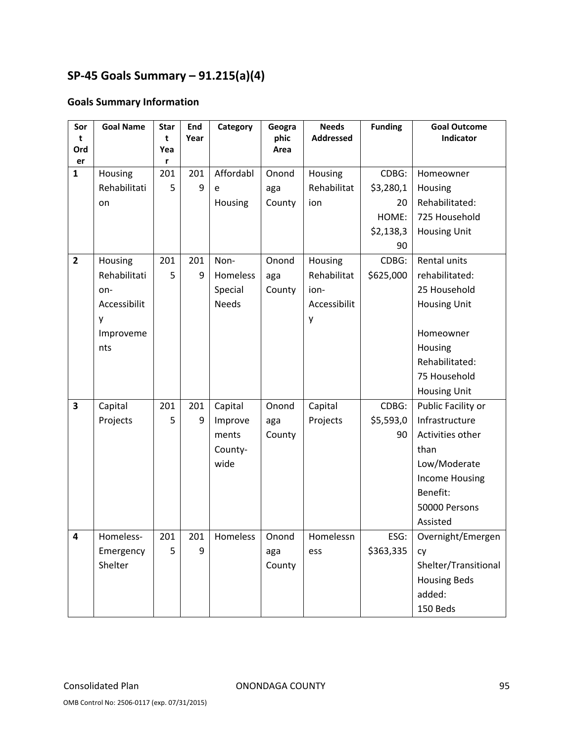# **SP‐45 Goals Summary – 91.215(a)(4)**

## **Goals Summary Information**

| Sor                     | <b>Goal Name</b> | <b>Star</b><br>t | End<br>Year | Category     | Geogra<br>phic | <b>Needs</b>     | <b>Funding</b> | <b>Goal Outcome</b><br>Indicator |  |
|-------------------------|------------------|------------------|-------------|--------------|----------------|------------------|----------------|----------------------------------|--|
| t<br>Ord                |                  | Yea              |             |              | Area           | <b>Addressed</b> |                |                                  |  |
| er                      |                  | r                |             |              |                |                  |                |                                  |  |
| $\mathbf{1}$            | Housing          | 201              | 201         | Affordabl    | Onond          | Housing          | CDBG:          | Homeowner                        |  |
|                         | Rehabilitati     | 5                | 9           | e            | aga            | Rehabilitat      | \$3,280,1      | Housing                          |  |
|                         | on               |                  |             | Housing      | County         | ion              | 20             | Rehabilitated:                   |  |
|                         |                  |                  |             |              |                |                  | HOME:          | 725 Household                    |  |
|                         |                  |                  |             |              |                |                  | \$2,138,3      | <b>Housing Unit</b>              |  |
|                         |                  |                  |             |              |                |                  | 90             |                                  |  |
| $\overline{2}$          | Housing          | 201              | 201         | Non-         | Onond          | Housing          | CDBG:          | Rental units                     |  |
|                         | Rehabilitati     | 5                | 9           | Homeless     | aga            | Rehabilitat      | \$625,000      | rehabilitated:                   |  |
|                         | on-              |                  |             | Special      | County         | ion-             |                | 25 Household                     |  |
|                         | Accessibilit     |                  |             | <b>Needs</b> |                | Accessibilit     |                | <b>Housing Unit</b>              |  |
|                         | y                |                  |             |              |                | y                |                |                                  |  |
|                         | Improveme        |                  |             |              |                |                  |                | Homeowner                        |  |
|                         | nts              |                  |             |              |                |                  |                | Housing                          |  |
|                         |                  |                  |             |              |                |                  |                | Rehabilitated:                   |  |
|                         |                  |                  |             |              |                |                  |                | 75 Household                     |  |
|                         |                  |                  |             |              |                |                  |                | <b>Housing Unit</b>              |  |
| $\overline{\mathbf{3}}$ | Capital          | 201              | 201         | Capital      | Onond          | Capital          | CDBG:          | Public Facility or               |  |
|                         | Projects         | 5                | 9           | Improve      | aga            | Projects         | \$5,593,0      | Infrastructure                   |  |
|                         |                  |                  |             | ments        | County         |                  | 90             | Activities other                 |  |
|                         |                  |                  |             | County-      |                |                  |                | than                             |  |
|                         |                  |                  |             | wide         |                |                  |                | Low/Moderate                     |  |
|                         |                  |                  |             |              |                |                  |                | <b>Income Housing</b>            |  |
|                         |                  |                  |             |              |                |                  |                | Benefit:                         |  |
|                         |                  |                  |             |              |                |                  |                | 50000 Persons                    |  |
|                         |                  |                  |             |              |                |                  |                | Assisted                         |  |
| 4                       | Homeless-        | 201              | 201         | Homeless     | Onond          | Homelessn        | ESG:           | Overnight/Emergen                |  |
|                         | Emergency        | 5                | 9           |              | aga            | ess              | \$363,335      | Cy                               |  |
|                         | Shelter          |                  |             |              | County         |                  |                | Shelter/Transitional             |  |
|                         |                  |                  |             |              |                |                  |                | <b>Housing Beds</b>              |  |
|                         |                  |                  |             |              |                |                  |                | added:                           |  |
|                         |                  |                  |             |              |                |                  |                | 150 Beds                         |  |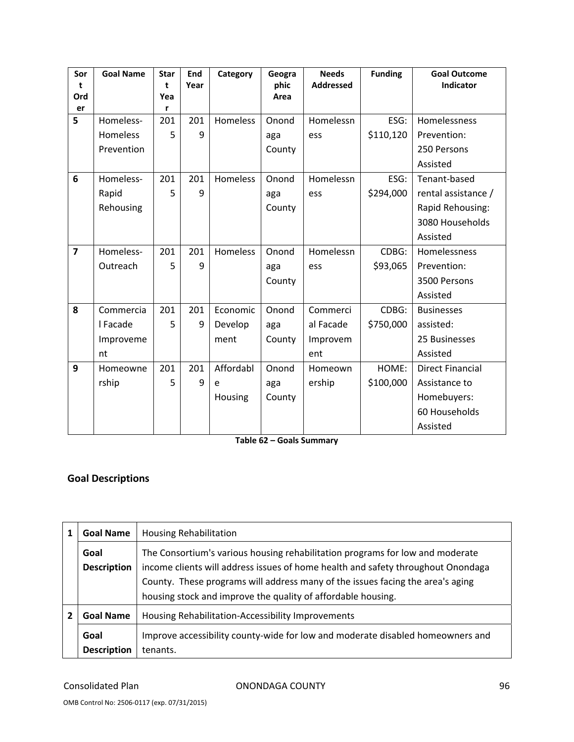| Sor            | <b>Goal Name</b> | <b>Star</b> | End  | Category        | Geogra | <b>Needs</b>     | <b>Funding</b> | <b>Goal Outcome</b>     |  |
|----------------|------------------|-------------|------|-----------------|--------|------------------|----------------|-------------------------|--|
| t              |                  | t           | Year |                 | phic   | <b>Addressed</b> |                | Indicator               |  |
| Ord            |                  | Yea<br>r    |      |                 | Area   |                  |                |                         |  |
| er<br>5        | Homeless-        | 201         | 201  | Homeless        | Onond  | Homelessn        | ESG:           | Homelessness            |  |
|                | Homeless         | 5           | 9    |                 | aga    | ess              | \$110,120      | Prevention:             |  |
|                | Prevention       |             |      |                 |        |                  |                |                         |  |
|                |                  |             |      |                 | County |                  |                | 250 Persons             |  |
|                |                  |             |      |                 |        |                  |                | Assisted                |  |
| 6              | Homeless-        | 201         | 201  | Homeless        | Onond  | Homelessn        | ESG:           | Tenant-based            |  |
|                | Rapid            | 5           | 9    |                 | aga    | ess              | \$294,000      | rental assistance /     |  |
|                | Rehousing        |             |      |                 | County |                  |                | Rapid Rehousing:        |  |
|                |                  |             |      |                 |        |                  |                | 3080 Households         |  |
|                |                  |             |      |                 |        |                  |                | Assisted                |  |
| $\overline{7}$ | Homeless-        | 201         | 201  | <b>Homeless</b> | Onond  | Homelessn        | CDBG:          | <b>Homelessness</b>     |  |
|                | Outreach         | 5           | 9    |                 | aga    | ess              | \$93,065       | Prevention:             |  |
|                |                  |             |      |                 | County |                  |                | 3500 Persons            |  |
|                |                  |             |      |                 |        |                  |                | Assisted                |  |
| 8              | Commercia        | 201         | 201  | Economic        | Onond  | Commerci         | CDBG:          | <b>Businesses</b>       |  |
|                | I Facade         | 5           | 9    | Develop         | aga    | al Facade        | \$750,000      | assisted:               |  |
|                | Improveme        |             |      | ment            | County | Improvem         |                | 25 Businesses           |  |
|                | nt               |             |      |                 |        | ent              |                | Assisted                |  |
| 9              | Homeowne         | 201         | 201  | Affordabl       | Onond  | Homeown          | HOME:          | <b>Direct Financial</b> |  |
|                | rship            | 5           | 9    | e               | aga    | ership           | \$100,000      | Assistance to           |  |
|                |                  |             |      | Housing         | County |                  |                | Homebuyers:             |  |
|                |                  |             |      |                 |        |                  |                | 60 Households           |  |
|                |                  |             |      |                 |        |                  |                | Assisted                |  |

**Table 62 – Goals Summary**

## **Goal Descriptions**

| <b>Goal Name</b>           | <b>Housing Rehabilitation</b>                                                                                                                                                                                                                                                                                       |
|----------------------------|---------------------------------------------------------------------------------------------------------------------------------------------------------------------------------------------------------------------------------------------------------------------------------------------------------------------|
| Goal<br><b>Description</b> | The Consortium's various housing rehabilitation programs for low and moderate<br>income clients will address issues of home health and safety throughout Onondaga<br>County. These programs will address many of the issues facing the area's aging<br>housing stock and improve the quality of affordable housing. |
| <b>Goal Name</b>           | Housing Rehabilitation-Accessibility Improvements                                                                                                                                                                                                                                                                   |
| Goal<br><b>Description</b> | Improve accessibility county-wide for low and moderate disabled homeowners and<br>tenants.                                                                                                                                                                                                                          |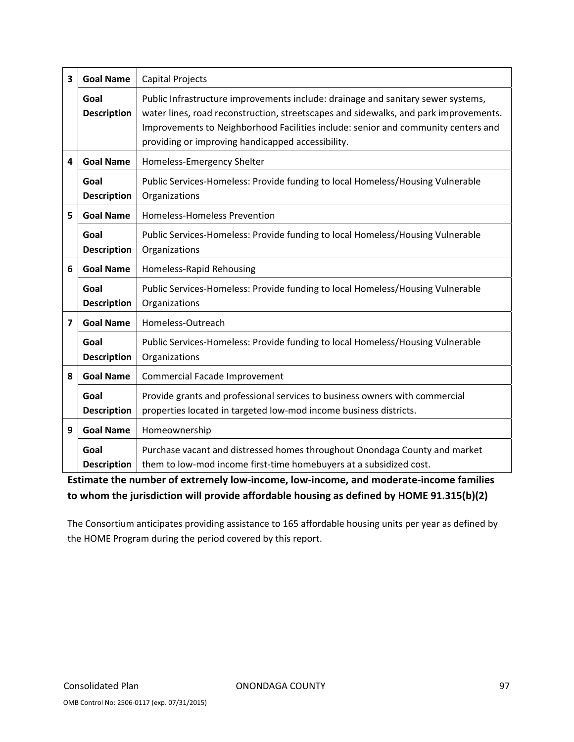| $\overline{\mathbf{3}}$ | <b>Goal Name</b>           | Capital Projects                                                                                                                                                                                                                                                                                                   |
|-------------------------|----------------------------|--------------------------------------------------------------------------------------------------------------------------------------------------------------------------------------------------------------------------------------------------------------------------------------------------------------------|
|                         | Goal<br><b>Description</b> | Public Infrastructure improvements include: drainage and sanitary sewer systems,<br>water lines, road reconstruction, streetscapes and sidewalks, and park improvements.<br>Improvements to Neighborhood Facilities include: senior and community centers and<br>providing or improving handicapped accessibility. |
| 4                       | <b>Goal Name</b>           | Homeless-Emergency Shelter                                                                                                                                                                                                                                                                                         |
|                         | Goal<br><b>Description</b> | Public Services-Homeless: Provide funding to local Homeless/Housing Vulnerable<br>Organizations                                                                                                                                                                                                                    |
| 5                       | <b>Goal Name</b>           | Homeless-Homeless Prevention                                                                                                                                                                                                                                                                                       |
|                         | Goal<br><b>Description</b> | Public Services-Homeless: Provide funding to local Homeless/Housing Vulnerable<br>Organizations                                                                                                                                                                                                                    |
| 6                       | <b>Goal Name</b>           | Homeless-Rapid Rehousing                                                                                                                                                                                                                                                                                           |
|                         | Goal<br><b>Description</b> | Public Services-Homeless: Provide funding to local Homeless/Housing Vulnerable<br>Organizations                                                                                                                                                                                                                    |
| $\overline{\mathbf{z}}$ | <b>Goal Name</b>           | Homeless-Outreach                                                                                                                                                                                                                                                                                                  |
|                         | Goal<br><b>Description</b> | Public Services-Homeless: Provide funding to local Homeless/Housing Vulnerable<br>Organizations                                                                                                                                                                                                                    |
| 8                       | <b>Goal Name</b>           | Commercial Facade Improvement                                                                                                                                                                                                                                                                                      |
|                         | Goal<br><b>Description</b> | Provide grants and professional services to business owners with commercial<br>properties located in targeted low-mod income business districts.                                                                                                                                                                   |
| 9                       | <b>Goal Name</b>           | Homeownership                                                                                                                                                                                                                                                                                                      |
|                         | Goal<br><b>Description</b> | Purchase vacant and distressed homes throughout Onondaga County and market<br>them to low-mod income first-time homebuyers at a subsidized cost.                                                                                                                                                                   |

**Estimate the number of extremely low‐income, low‐income, and moderate‐income families to whom the jurisdiction will provide affordable housing as defined by HOME 91.315(b)(2)**

The Consortium anticipates providing assistance to 165 affordable housing units per year as defined by the HOME Program during the period covered by this report.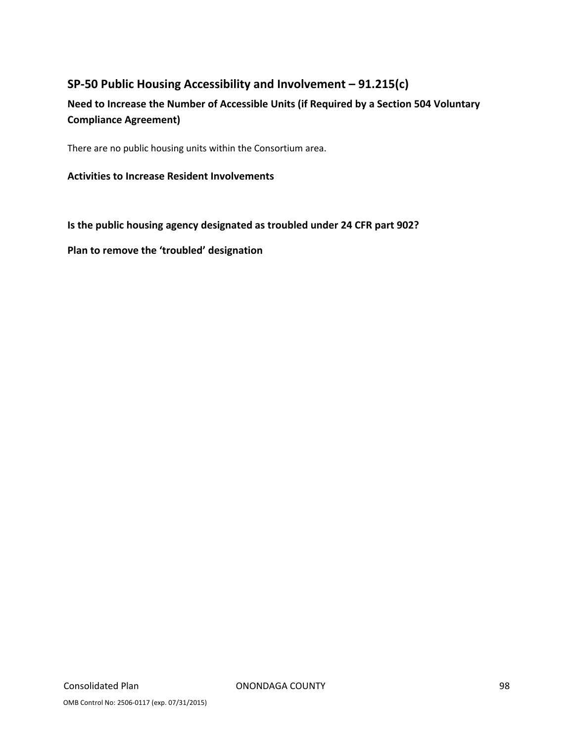## **SP‐50 Public Housing Accessibility and Involvement – 91.215(c)**

## **Need to Increase the Number of Accessible Units (if Required by a Section 504 Voluntary Compliance Agreement)**

There are no public housing units within the Consortium area.

### **Activities to Increase Resident Involvements**

**Is the public housing agency designated as troubled under 24 CFR part 902?**

**Plan to remove the 'troubled' designation**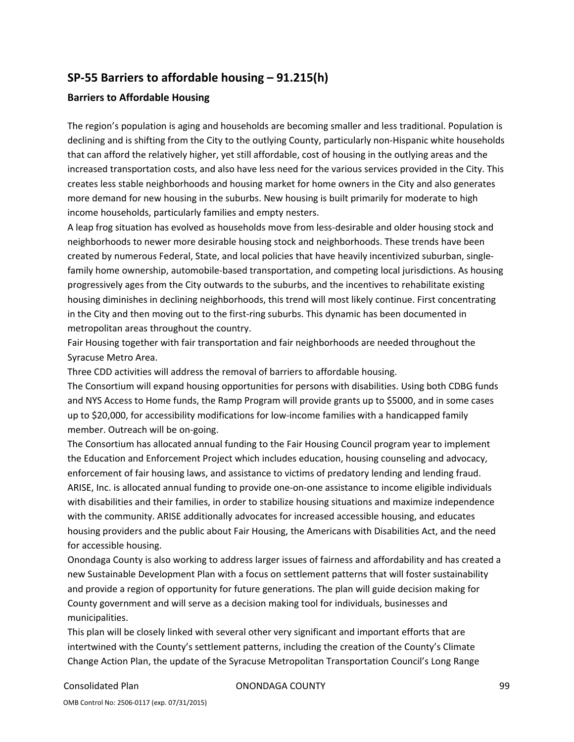## **SP‐55 Barriers to affordable housing – 91.215(h)**

#### **Barriers to Affordable Housing**

The region's population is aging and households are becoming smaller and less traditional. Population is declining and is shifting from the City to the outlying County, particularly non-Hispanic white households that can afford the relatively higher, yet still affordable, cost of housing in the outlying areas and the increased transportation costs, and also have less need for the various services provided in the City. This creates less stable neighborhoods and housing market for home owners in the City and also generates more demand for new housing in the suburbs. New housing is built primarily for moderate to high income households, particularly families and empty nesters.

A leap frog situation has evolved as households move from less‐desirable and older housing stock and neighborhoods to newer more desirable housing stock and neighborhoods. These trends have been created by numerous Federal, State, and local policies that have heavily incentivized suburban, single‐ family home ownership, automobile‐based transportation, and competing local jurisdictions. As housing progressively ages from the City outwards to the suburbs, and the incentives to rehabilitate existing housing diminishes in declining neighborhoods, this trend will most likely continue. First concentrating in the City and then moving out to the first-ring suburbs. This dynamic has been documented in metropolitan areas throughout the country.

Fair Housing together with fair transportation and fair neighborhoods are needed throughout the Syracuse Metro Area.

Three CDD activities will address the removal of barriers to affordable housing.

The Consortium will expand housing opportunities for persons with disabilities. Using both CDBG funds and NYS Access to Home funds, the Ramp Program will provide grants up to \$5000, and in some cases up to \$20,000, for accessibility modifications for low‐income families with a handicapped family member. Outreach will be on‐going.

The Consortium has allocated annual funding to the Fair Housing Council program year to implement the Education and Enforcement Project which includes education, housing counseling and advocacy, enforcement of fair housing laws, and assistance to victims of predatory lending and lending fraud. ARISE, Inc. is allocated annual funding to provide one‐on‐one assistance to income eligible individuals with disabilities and their families, in order to stabilize housing situations and maximize independence with the community. ARISE additionally advocates for increased accessible housing, and educates housing providers and the public about Fair Housing, the Americans with Disabilities Act, and the need for accessible housing.

Onondaga County is also working to address larger issues of fairness and affordability and has created a new Sustainable Development Plan with a focus on settlement patterns that will foster sustainability and provide a region of opportunity for future generations. The plan will guide decision making for County government and will serve as a decision making tool for individuals, businesses and municipalities.

This plan will be closely linked with several other very significant and important efforts that are intertwined with the County's settlement patterns, including the creation of the County's Climate Change Action Plan, the update of the Syracuse Metropolitan Transportation Council's Long Range

Consolidated Plan ONONDAGA COUNTY 99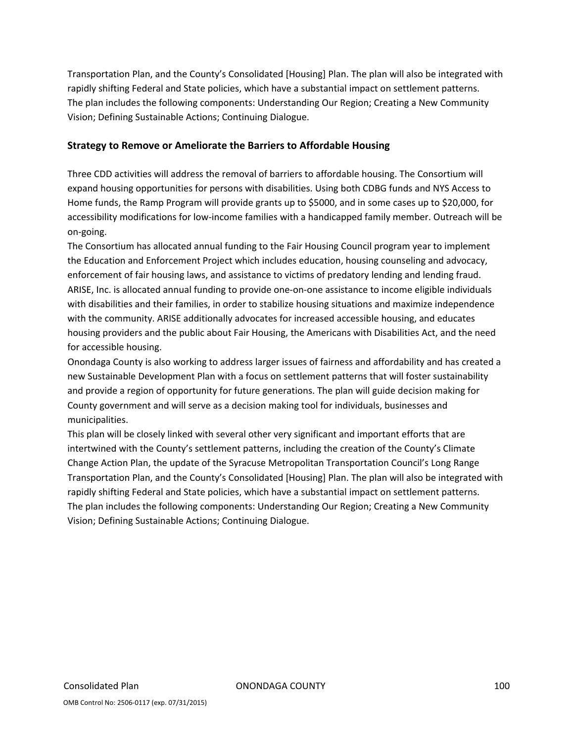Transportation Plan, and the County's Consolidated [Housing] Plan. The plan will also be integrated with rapidly shifting Federal and State policies, which have a substantial impact on settlement patterns. The plan includes the following components: Understanding Our Region; Creating a New Community Vision; Defining Sustainable Actions; Continuing Dialogue.

#### **Strategy to Remove or Ameliorate the Barriers to Affordable Housing**

Three CDD activities will address the removal of barriers to affordable housing. The Consortium will expand housing opportunities for persons with disabilities. Using both CDBG funds and NYS Access to Home funds, the Ramp Program will provide grants up to \$5000, and in some cases up to \$20,000, for accessibility modifications for low‐income families with a handicapped family member. Outreach will be on‐going.

The Consortium has allocated annual funding to the Fair Housing Council program year to implement the Education and Enforcement Project which includes education, housing counseling and advocacy, enforcement of fair housing laws, and assistance to victims of predatory lending and lending fraud. ARISE, Inc. is allocated annual funding to provide one‐on‐one assistance to income eligible individuals with disabilities and their families, in order to stabilize housing situations and maximize independence with the community. ARISE additionally advocates for increased accessible housing, and educates housing providers and the public about Fair Housing, the Americans with Disabilities Act, and the need for accessible housing.

Onondaga County is also working to address larger issues of fairness and affordability and has created a new Sustainable Development Plan with a focus on settlement patterns that will foster sustainability and provide a region of opportunity for future generations. The plan will guide decision making for County government and will serve as a decision making tool for individuals, businesses and municipalities.

This plan will be closely linked with several other very significant and important efforts that are intertwined with the County's settlement patterns, including the creation of the County's Climate Change Action Plan, the update of the Syracuse Metropolitan Transportation Council's Long Range Transportation Plan, and the County's Consolidated [Housing] Plan. The plan will also be integrated with rapidly shifting Federal and State policies, which have a substantial impact on settlement patterns. The plan includes the following components: Understanding Our Region; Creating a New Community Vision; Defining Sustainable Actions; Continuing Dialogue.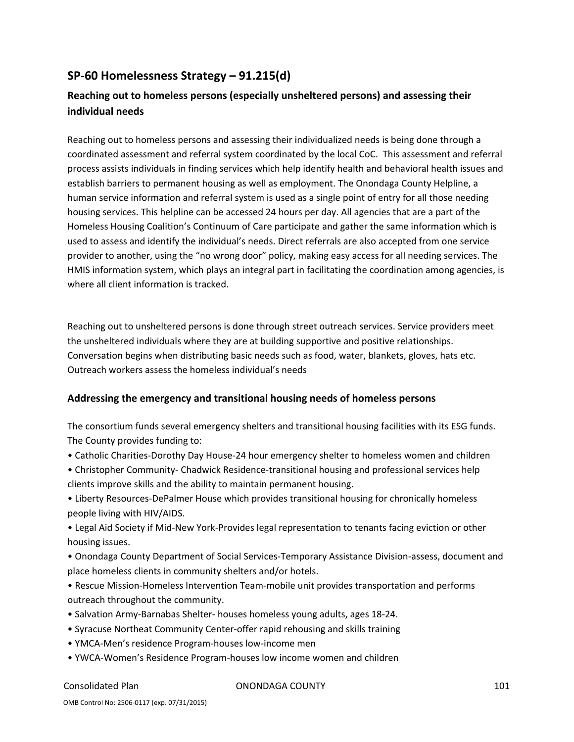## **SP‐60 Homelessness Strategy – 91.215(d)**

## **Reaching out to homeless persons (especially unsheltered persons) and assessing their individual needs**

Reaching out to homeless persons and assessing their individualized needs is being done through a coordinated assessment and referral system coordinated by the local CoC. This assessment and referral process assists individuals in finding services which help identify health and behavioral health issues and establish barriers to permanent housing as well as employment. The Onondaga County Helpline, a human service information and referral system is used as a single point of entry for all those needing housing services. This helpline can be accessed 24 hours per day. All agencies that are a part of the Homeless Housing Coalition's Continuum of Care participate and gather the same information which is used to assess and identify the individual's needs. Direct referrals are also accepted from one service provider to another, using the "no wrong door" policy, making easy access for all needing services. The HMIS information system, which plays an integral part in facilitating the coordination among agencies, is where all client information is tracked.

Reaching out to unsheltered persons is done through street outreach services. Service providers meet the unsheltered individuals where they are at building supportive and positive relationships. Conversation begins when distributing basic needs such as food, water, blankets, gloves, hats etc. Outreach workers assess the homeless individual's needs

### **Addressing the emergency and transitional housing needs of homeless persons**

The consortium funds several emergency shelters and transitional housing facilities with its ESG funds. The County provides funding to:

- Catholic Charities‐Dorothy Day House‐24 hour emergency shelter to homeless women and children
- Christopher Community‐ Chadwick Residence‐transitional housing and professional services help clients improve skills and the ability to maintain permanent housing.

• Liberty Resources‐DePalmer House which provides transitional housing for chronically homeless people living with HIV/AIDS.

• Legal Aid Society if Mid‐New York‐Provides legal representation to tenants facing eviction or other housing issues.

• Onondaga County Department of Social Services‐Temporary Assistance Division‐assess, document and place homeless clients in community shelters and/or hotels.

- Rescue Mission‐Homeless Intervention Team‐mobile unit provides transportation and performs outreach throughout the community.
- Salvation Army‐Barnabas Shelter‐ houses homeless young adults, ages 18‐24.
- Syracuse Northeat Community Center‐offer rapid rehousing and skills training
- YMCA‐Men's residence Program‐houses low‐income men
- YWCA‐Women's Residence Program‐houses low income women and children

Consolidated Plan ONONDAGA COUNTY 101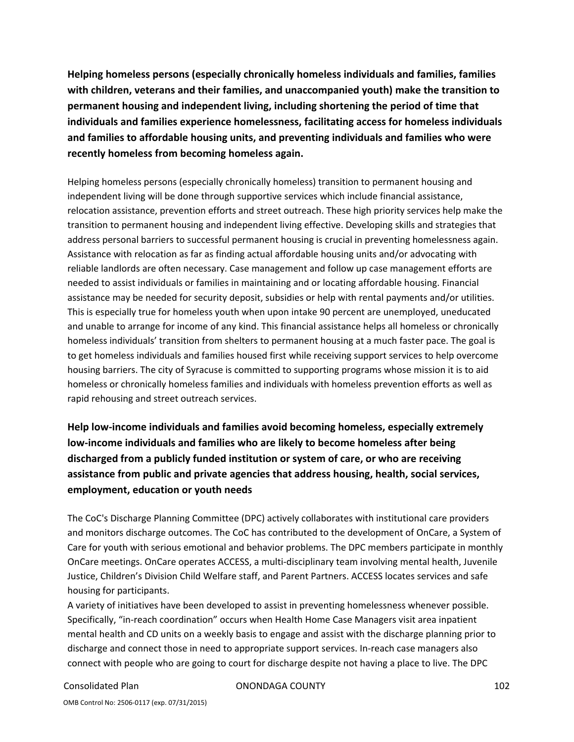**Helping homeless persons (especially chronically homeless individuals and families, families with children, veterans and their families, and unaccompanied youth) make the transition to permanent housing and independent living, including shortening the period of time that individuals and families experience homelessness, facilitating access for homeless individuals and families to affordable housing units, and preventing individuals and families who were recently homeless from becoming homeless again.**

Helping homeless persons (especially chronically homeless) transition to permanent housing and independent living will be done through supportive services which include financial assistance, relocation assistance, prevention efforts and street outreach. These high priority services help make the transition to permanent housing and independent living effective. Developing skills and strategies that address personal barriers to successful permanent housing is crucial in preventing homelessness again. Assistance with relocation as far as finding actual affordable housing units and/or advocating with reliable landlords are often necessary. Case management and follow up case management efforts are needed to assist individuals or families in maintaining and or locating affordable housing. Financial assistance may be needed for security deposit, subsidies or help with rental payments and/or utilities. This is especially true for homeless youth when upon intake 90 percent are unemployed, uneducated and unable to arrange for income of any kind. This financial assistance helps all homeless or chronically homeless individuals' transition from shelters to permanent housing at a much faster pace. The goal is to get homeless individuals and families housed first while receiving support services to help overcome housing barriers. The city of Syracuse is committed to supporting programs whose mission it is to aid homeless or chronically homeless families and individuals with homeless prevention efforts as well as rapid rehousing and street outreach services.

**Help low‐income individuals and families avoid becoming homeless, especially extremely low‐income individuals and families who are likely to become homeless after being discharged from a publicly funded institution or system of care, or who are receiving assistance from public and private agencies that address housing, health, social services, employment, education or youth needs**

The CoC's Discharge Planning Committee (DPC) actively collaborates with institutional care providers and monitors discharge outcomes. The CoC has contributed to the development of OnCare, a System of Care for youth with serious emotional and behavior problems. The DPC members participate in monthly OnCare meetings. OnCare operates ACCESS, a multi‐disciplinary team involving mental health, Juvenile Justice, Children's Division Child Welfare staff, and Parent Partners. ACCESS locates services and safe housing for participants.

A variety of initiatives have been developed to assist in preventing homelessness whenever possible. Specifically, "in‐reach coordination" occurs when Health Home Case Managers visit area inpatient mental health and CD units on a weekly basis to engage and assist with the discharge planning prior to discharge and connect those in need to appropriate support services. In‐reach case managers also connect with people who are going to court for discharge despite not having a place to live. The DPC

Consolidated Plan ONONDAGA COUNTY 102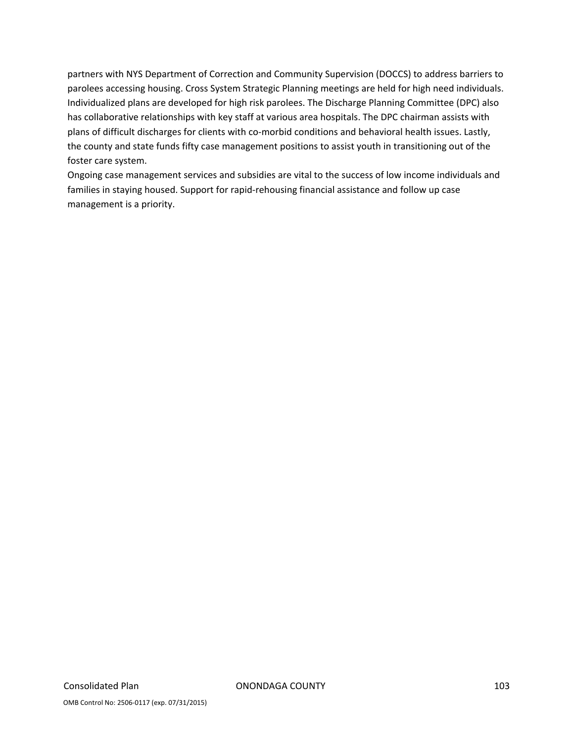partners with NYS Department of Correction and Community Supervision (DOCCS) to address barriers to parolees accessing housing. Cross System Strategic Planning meetings are held for high need individuals. Individualized plans are developed for high risk parolees. The Discharge Planning Committee (DPC) also has collaborative relationships with key staff at various area hospitals. The DPC chairman assists with plans of difficult discharges for clients with co-morbid conditions and behavioral health issues. Lastly, the county and state funds fifty case management positions to assist youth in transitioning out of the foster care system.

Ongoing case management services and subsidies are vital to the success of low income individuals and families in staying housed. Support for rapid‐rehousing financial assistance and follow up case management is a priority.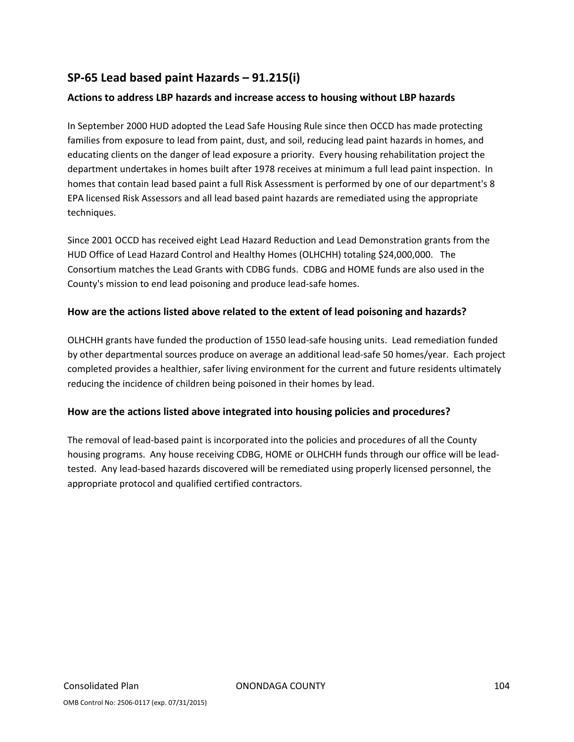## **SP‐65 Lead based paint Hazards – 91.215(i)**

### **Actions to address LBP hazards and increase access to housing without LBP hazards**

In September 2000 HUD adopted the Lead Safe Housing Rule since then OCCD has made protecting families from exposure to lead from paint, dust, and soil, reducing lead paint hazards in homes, and educating clients on the danger of lead exposure a priority. Every housing rehabilitation project the department undertakes in homes built after 1978 receives at minimum a full lead paint inspection. In homes that contain lead based paint a full Risk Assessment is performed by one of our department's 8 EPA licensed Risk Assessors and all lead based paint hazards are remediated using the appropriate techniques.

Since 2001 OCCD has received eight Lead Hazard Reduction and Lead Demonstration grants from the HUD Office of Lead Hazard Control and Healthy Homes (OLHCHH) totaling \$24,000,000. The Consortium matches the Lead Grants with CDBG funds. CDBG and HOME funds are also used in the County's mission to end lead poisoning and produce lead‐safe homes.

### **How are the actions listed above related to the extent of lead poisoning and hazards?**

OLHCHH grants have funded the production of 1550 lead‐safe housing units. Lead remediation funded by other departmental sources produce on average an additional lead‐safe 50 homes/year. Each project completed provides a healthier, safer living environment for the current and future residents ultimately reducing the incidence of children being poisoned in their homes by lead.

### **How are the actions listed above integrated into housing policies and procedures?**

The removal of lead‐based paint is incorporated into the policies and procedures of all the County housing programs. Any house receiving CDBG, HOME or OLHCHH funds through our office will be lead‐ tested. Any lead‐based hazards discovered will be remediated using properly licensed personnel, the appropriate protocol and qualified certified contractors.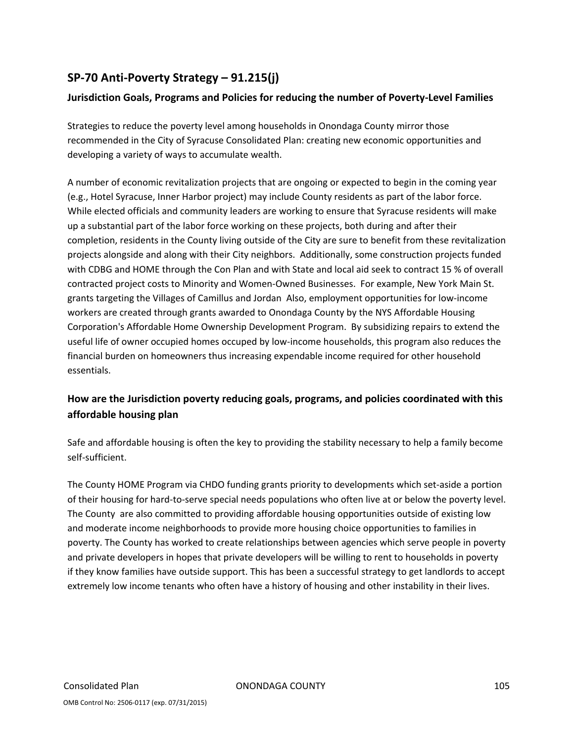# **SP‐70 Anti‐Poverty Strategy – 91.215(j)**

## **Jurisdiction Goals, Programs and Policies for reducing the number of Poverty‐Level Families**

Strategies to reduce the poverty level among households in Onondaga County mirror those recommended in the City of Syracuse Consolidated Plan: creating new economic opportunities and developing a variety of ways to accumulate wealth.

A number of economic revitalization projects that are ongoing or expected to begin in the coming year (e.g., Hotel Syracuse, Inner Harbor project) may include County residents as part of the labor force. While elected officials and community leaders are working to ensure that Syracuse residents will make up a substantial part of the labor force working on these projects, both during and after their completion, residents in the County living outside of the City are sure to benefit from these revitalization projects alongside and along with their City neighbors. Additionally, some construction projects funded with CDBG and HOME through the Con Plan and with State and local aid seek to contract 15 % of overall contracted project costs to Minority and Women-Owned Businesses. For example, New York Main St. grants targeting the Villages of Camillus and Jordan Also, employment opportunities for low‐income workers are created through grants awarded to Onondaga County by the NYS Affordable Housing Corporation's Affordable Home Ownership Development Program. By subsidizing repairs to extend the useful life of owner occupied homes occuped by low‐income households, this program also reduces the financial burden on homeowners thus increasing expendable income required for other household essentials.

## **How are the Jurisdiction poverty reducing goals, programs, and policies coordinated with this affordable housing plan**

Safe and affordable housing is often the key to providing the stability necessary to help a family become self‐sufficient.

The County HOME Program via CHDO funding grants priority to developments which set‐aside a portion of their housing for hard‐to‐serve special needs populations who often live at or below the poverty level. The County are also committed to providing affordable housing opportunities outside of existing low and moderate income neighborhoods to provide more housing choice opportunities to families in poverty. The County has worked to create relationships between agencies which serve people in poverty and private developers in hopes that private developers will be willing to rent to households in poverty if they know families have outside support. This has been a successful strategy to get landlords to accept extremely low income tenants who often have a history of housing and other instability in their lives.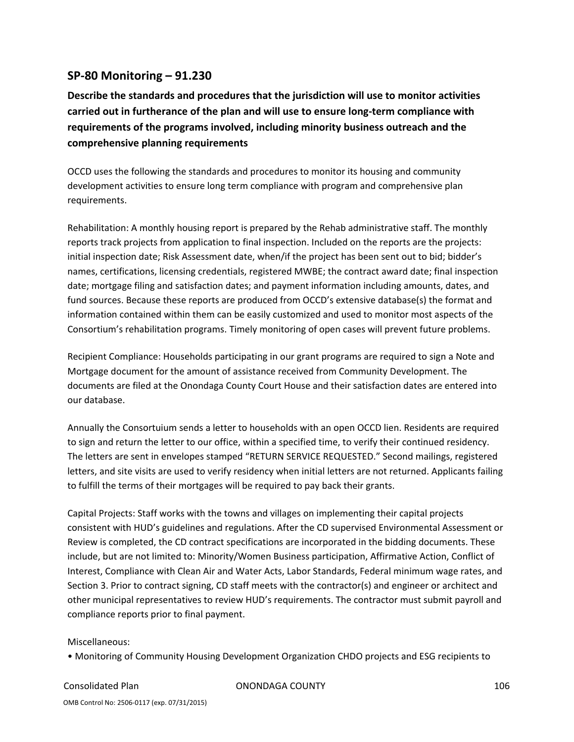## **SP‐80 Monitoring – 91.230**

**Describe the standards and procedures that the jurisdiction will use to monitor activities carried out in furtherance of the plan and will use to ensure long‐term compliance with requirements of the programs involved, including minority business outreach and the comprehensive planning requirements**

OCCD uses the following the standards and procedures to monitor its housing and community development activities to ensure long term compliance with program and comprehensive plan requirements.

Rehabilitation: A monthly housing report is prepared by the Rehab administrative staff. The monthly reports track projects from application to final inspection. Included on the reports are the projects: initial inspection date; Risk Assessment date, when/if the project has been sent out to bid; bidder's names, certifications, licensing credentials, registered MWBE; the contract award date; final inspection date; mortgage filing and satisfaction dates; and payment information including amounts, dates, and fund sources. Because these reports are produced from OCCD's extensive database(s) the format and information contained within them can be easily customized and used to monitor most aspects of the Consortium's rehabilitation programs. Timely monitoring of open cases will prevent future problems.

Recipient Compliance: Households participating in our grant programs are required to sign a Note and Mortgage document for the amount of assistance received from Community Development. The documents are filed at the Onondaga County Court House and their satisfaction dates are entered into our database.

Annually the Consortuium sends a letter to households with an open OCCD lien. Residents are required to sign and return the letter to our office, within a specified time, to verify their continued residency. The letters are sent in envelopes stamped "RETURN SERVICE REQUESTED." Second mailings, registered letters, and site visits are used to verify residency when initial letters are not returned. Applicants failing to fulfill the terms of their mortgages will be required to pay back their grants.

Capital Projects: Staff works with the towns and villages on implementing their capital projects consistent with HUD's guidelines and regulations. After the CD supervised Environmental Assessment or Review is completed, the CD contract specifications are incorporated in the bidding documents. These include, but are not limited to: Minority/Women Business participation, Affirmative Action, Conflict of Interest, Compliance with Clean Air and Water Acts, Labor Standards, Federal minimum wage rates, and Section 3. Prior to contract signing, CD staff meets with the contractor(s) and engineer or architect and other municipal representatives to review HUD's requirements. The contractor must submit payroll and compliance reports prior to final payment.

#### Miscellaneous:

• Monitoring of Community Housing Development Organization CHDO projects and ESG recipients to

Consolidated Plan ONONDAGA COUNTY 106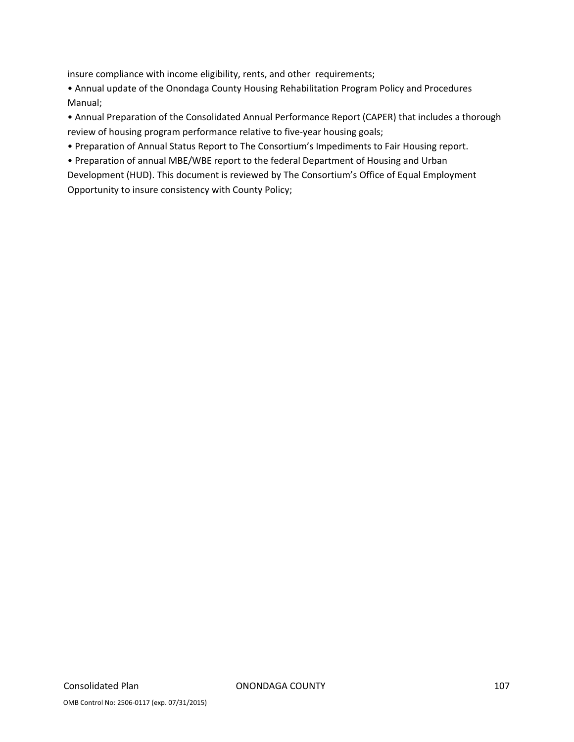insure compliance with income eligibility, rents, and other requirements;

• Annual update of the Onondaga County Housing Rehabilitation Program Policy and Procedures Manual;

• Annual Preparation of the Consolidated Annual Performance Report (CAPER) that includes a thorough review of housing program performance relative to five‐year housing goals;

• Preparation of Annual Status Report to The Consortium's Impediments to Fair Housing report.

• Preparation of annual MBE/WBE report to the federal Department of Housing and Urban

Development (HUD). This document is reviewed by The Consortium's Office of Equal Employment Opportunity to insure consistency with County Policy;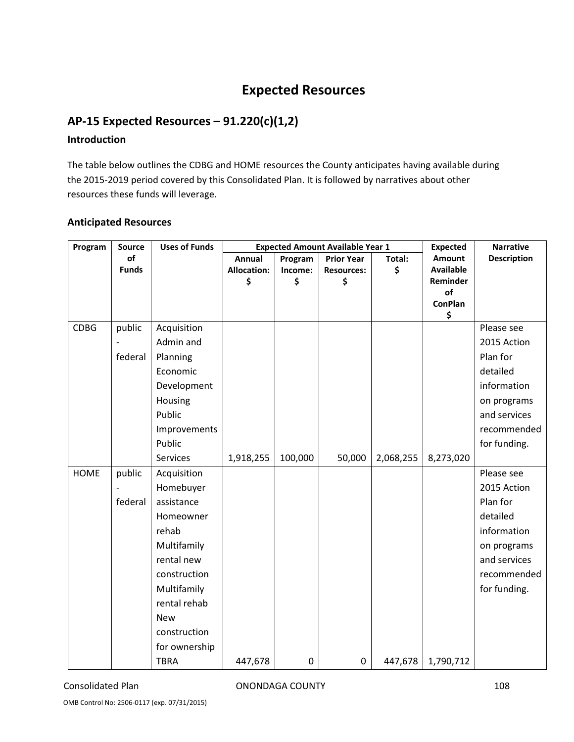# **Expected Resources**

# **AP‐15 Expected Resources – 91.220(c)(1,2)**

## **Introduction**

The table below outlines the CDBG and HOME resources the County anticipates having available during the 2015‐2019 period covered by this Consolidated Plan. It is followed by narratives about other resources these funds will leverage.

#### **Anticipated Resources**

| Program     | Source       | <b>Uses of Funds</b> | <b>Expected Amount Available Year 1</b> |                  |                   |           | <b>Expected</b>  | <b>Narrative</b>   |
|-------------|--------------|----------------------|-----------------------------------------|------------------|-------------------|-----------|------------------|--------------------|
|             | of           |                      | <b>Annual</b>                           | Program          | <b>Prior Year</b> | Total:    | Amount           | <b>Description</b> |
|             | <b>Funds</b> |                      | <b>Allocation:</b>                      | Income:          | <b>Resources:</b> | \$        | <b>Available</b> |                    |
|             |              |                      | \$                                      | \$               | \$                |           | Reminder<br>of   |                    |
|             |              |                      |                                         |                  |                   |           | <b>ConPlan</b>   |                    |
|             |              |                      |                                         |                  |                   |           | \$               |                    |
| <b>CDBG</b> | public       | Acquisition          |                                         |                  |                   |           |                  | Please see         |
|             |              | Admin and            |                                         |                  |                   |           |                  | 2015 Action        |
|             | federal      | Planning             |                                         |                  |                   |           |                  | Plan for           |
|             |              | Economic             |                                         |                  |                   |           |                  | detailed           |
|             |              | Development          |                                         |                  |                   |           |                  | information        |
|             |              | Housing              |                                         |                  |                   |           |                  | on programs        |
|             |              | Public               |                                         |                  |                   |           |                  | and services       |
|             |              | Improvements         |                                         |                  |                   |           |                  | recommended        |
|             |              | Public               |                                         |                  |                   |           |                  | for funding.       |
|             |              | Services             | 1,918,255                               | 100,000          | 50,000            | 2,068,255 | 8,273,020        |                    |
| <b>HOME</b> | public       | Acquisition          |                                         |                  |                   |           |                  | Please see         |
|             |              | Homebuyer            |                                         |                  |                   |           |                  | 2015 Action        |
|             | federal      | assistance           |                                         |                  |                   |           |                  | Plan for           |
|             |              | Homeowner            |                                         |                  |                   |           |                  | detailed           |
|             |              | rehab                |                                         |                  |                   |           |                  | information        |
|             |              | Multifamily          |                                         |                  |                   |           |                  | on programs        |
|             |              | rental new           |                                         |                  |                   |           |                  | and services       |
|             |              | construction         |                                         |                  |                   |           |                  | recommended        |
|             |              | Multifamily          |                                         |                  |                   |           |                  | for funding.       |
|             |              | rental rehab         |                                         |                  |                   |           |                  |                    |
|             |              | <b>New</b>           |                                         |                  |                   |           |                  |                    |
|             |              | construction         |                                         |                  |                   |           |                  |                    |
|             |              | for ownership        |                                         |                  |                   |           |                  |                    |
|             |              | <b>TBRA</b>          | 447,678                                 | $\boldsymbol{0}$ | 0                 | 447,678   | 1,790,712        |                    |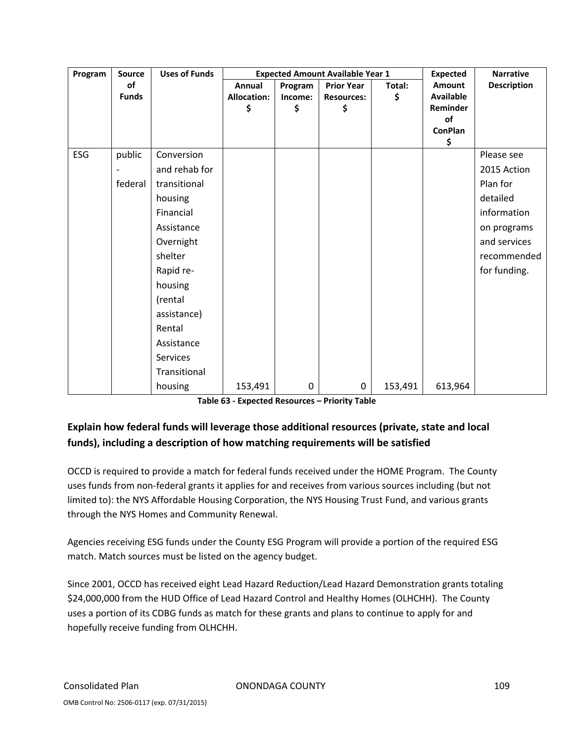| Program | Source       | <b>Uses of Funds</b> | <b>Expected Amount Available Year 1</b> |           |                   |         | <b>Expected</b>      | <b>Narrative</b>   |
|---------|--------------|----------------------|-----------------------------------------|-----------|-------------------|---------|----------------------|--------------------|
|         | of           |                      | Annual                                  | Program   | <b>Prior Year</b> | Total:  | <b>Amount</b>        | <b>Description</b> |
|         | <b>Funds</b> |                      | <b>Allocation:</b>                      | Income:   | <b>Resources:</b> | \$      | <b>Available</b>     |                    |
|         |              |                      | \$                                      | \$        | \$                |         | Reminder             |                    |
|         |              |                      |                                         |           |                   |         | of<br><b>ConPlan</b> |                    |
|         |              |                      |                                         |           |                   |         | \$                   |                    |
| ESG     | public       | Conversion           |                                         |           |                   |         |                      | Please see         |
|         |              | and rehab for        |                                         |           |                   |         |                      | 2015 Action        |
|         | federal      | transitional         |                                         |           |                   |         |                      | Plan for           |
|         |              | housing              |                                         |           |                   |         |                      | detailed           |
|         |              | Financial            |                                         |           |                   |         |                      | information        |
|         |              | Assistance           |                                         |           |                   |         |                      | on programs        |
|         |              | Overnight            |                                         |           |                   |         |                      | and services       |
|         |              | shelter              |                                         |           |                   |         |                      | recommended        |
|         |              | Rapid re-            |                                         |           |                   |         |                      | for funding.       |
|         |              | housing              |                                         |           |                   |         |                      |                    |
|         |              | (rental              |                                         |           |                   |         |                      |                    |
|         |              | assistance)          |                                         |           |                   |         |                      |                    |
|         |              | Rental               |                                         |           |                   |         |                      |                    |
|         |              | Assistance           |                                         |           |                   |         |                      |                    |
|         |              | Services             |                                         |           |                   |         |                      |                    |
|         |              | Transitional         |                                         |           |                   |         |                      |                    |
|         |              | housing              | 153,491                                 | $\pmb{0}$ | 0                 | 153,491 | 613,964              |                    |

**Table 63 ‐ Expected Resources – Priority Table**

## **Explain how federal funds will leverage those additional resources (private, state and local funds), including a description of how matching requirements will be satisfied**

OCCD is required to provide a match for federal funds received under the HOME Program. The County uses funds from non‐federal grants it applies for and receives from various sources including (but not limited to): the NYS Affordable Housing Corporation, the NYS Housing Trust Fund, and various grants through the NYS Homes and Community Renewal.

Agencies receiving ESG funds under the County ESG Program will provide a portion of the required ESG match. Match sources must be listed on the agency budget.

Since 2001, OCCD has received eight Lead Hazard Reduction/Lead Hazard Demonstration grants totaling \$24,000,000 from the HUD Office of Lead Hazard Control and Healthy Homes (OLHCHH). The County uses a portion of its CDBG funds as match for these grants and plans to continue to apply for and hopefully receive funding from OLHCHH.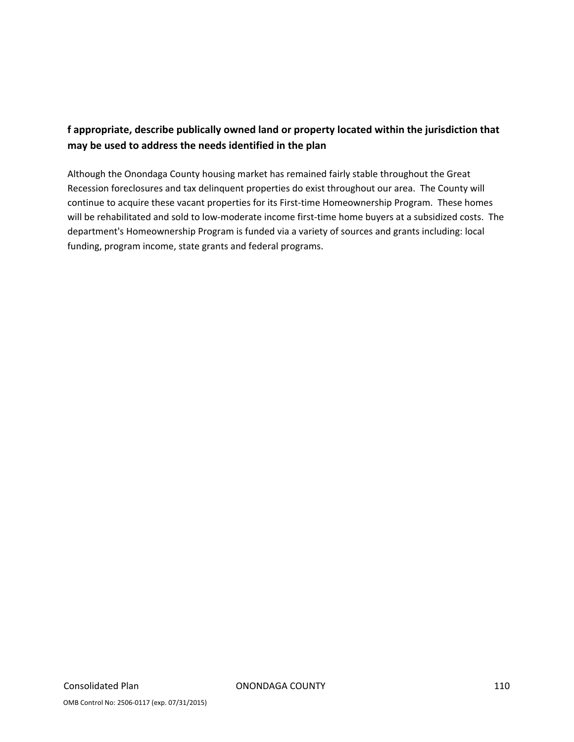## **f appropriate, describe publically owned land or property located within the jurisdiction that may be used to address the needs identified in the plan**

Although the Onondaga County housing market has remained fairly stable throughout the Great Recession foreclosures and tax delinquent properties do exist throughout our area. The County will continue to acquire these vacant properties for its First-time Homeownership Program. These homes will be rehabilitated and sold to low-moderate income first-time home buyers at a subsidized costs. The department's Homeownership Program is funded via a variety of sources and grants including: local funding, program income, state grants and federal programs.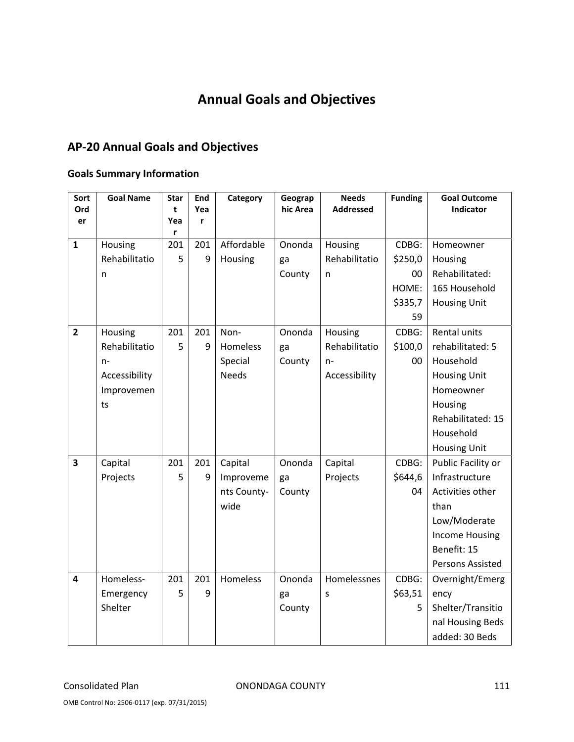# **Annual Goals and Objectives**

## **AP‐20 Annual Goals and Objectives**

### **Goals Summary Information**

| Sort                    | <b>Goal Name</b> | <b>Star</b> | End      | Category     | Geograp  | <b>Needs</b>     | <b>Funding</b> | <b>Goal Outcome</b><br>Indicator |
|-------------------------|------------------|-------------|----------|--------------|----------|------------------|----------------|----------------------------------|
| Ord<br>er               |                  | t<br>Yea    | Yea<br>r |              | hic Area | <b>Addressed</b> |                |                                  |
|                         |                  | r           |          |              |          |                  |                |                                  |
| $\mathbf{1}$            | Housing          | 201         | 201      | Affordable   | Ononda   | Housing          | CDBG:          | Homeowner                        |
|                         | Rehabilitatio    | 5           | 9        | Housing      | ga       | Rehabilitatio    | \$250,0        | Housing                          |
|                         | n                |             |          |              | County   | n                | 00             | Rehabilitated:                   |
|                         |                  |             |          |              |          |                  | HOME:          | 165 Household                    |
|                         |                  |             |          |              |          |                  | \$335,7        | <b>Housing Unit</b>              |
|                         |                  |             |          |              |          |                  | 59             |                                  |
| $\overline{2}$          | Housing          | 201         | 201      | Non-         | Ononda   | Housing          | CDBG:          | Rental units                     |
|                         | Rehabilitatio    | 5           | q        | Homeless     | ga       | Rehabilitatio    | \$100,0        | rehabilitated: 5                 |
|                         | $n-$             |             |          | Special      | County   | $n-$             | 00             | Household                        |
|                         | Accessibility    |             |          | <b>Needs</b> |          | Accessibility    |                | <b>Housing Unit</b>              |
|                         | Improvemen       |             |          |              |          |                  |                | Homeowner                        |
|                         | ts               |             |          |              |          |                  |                | Housing                          |
|                         |                  |             |          |              |          |                  |                | Rehabilitated: 15                |
|                         |                  |             |          |              |          |                  |                | Household                        |
|                         |                  |             |          |              |          |                  |                | <b>Housing Unit</b>              |
| $\overline{\mathbf{3}}$ | Capital          | 201         | 201      | Capital      | Ononda   | Capital          | CDBG:          | Public Facility or               |
|                         | Projects         | 5           | 9        | Improveme    | ga       | Projects         | \$644,6        | Infrastructure                   |
|                         |                  |             |          | nts County-  | County   |                  | 04             | Activities other                 |
|                         |                  |             |          | wide         |          |                  |                | than                             |
|                         |                  |             |          |              |          |                  |                | Low/Moderate                     |
|                         |                  |             |          |              |          |                  |                | <b>Income Housing</b>            |
|                         |                  |             |          |              |          |                  |                | Benefit: 15                      |
|                         |                  |             |          |              |          |                  |                | Persons Assisted                 |
| $\overline{\mathbf{4}}$ | Homeless-        | 201         | 201      | Homeless     | Ononda   | Homelessnes      | CDBG:          | Overnight/Emerg                  |
|                         | Emergency        | 5           | 9        |              | ga       | S                | \$63,51        | ency                             |
|                         | Shelter          |             |          |              | County   |                  | 5              | Shelter/Transitio                |
|                         |                  |             |          |              |          |                  |                | nal Housing Beds                 |
|                         |                  |             |          |              |          |                  |                | added: 30 Beds                   |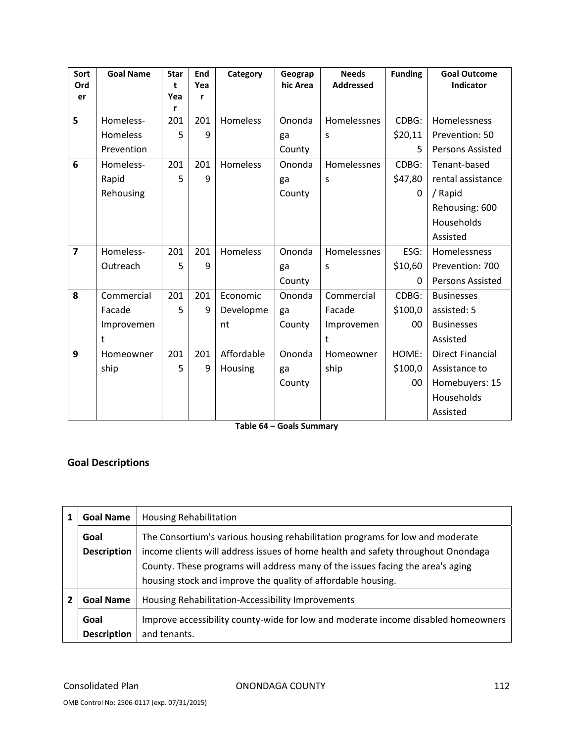| Sort<br>Ord    | <b>Goal Name</b> | <b>Star</b><br>t | End<br>Yea | Category   | Geograp<br>hic Area | <b>Needs</b><br><b>Addressed</b> | <b>Funding</b> | <b>Goal Outcome</b><br>Indicator |
|----------------|------------------|------------------|------------|------------|---------------------|----------------------------------|----------------|----------------------------------|
| er             |                  | Yea              | r          |            |                     |                                  |                |                                  |
|                |                  | r                |            |            |                     |                                  |                |                                  |
| 5              | Homeless-        | 201              | 201        | Homeless   | Ononda              | Homelessnes                      | CDBG:          | Homelessness                     |
|                | Homeless         | 5                | 9          |            | ga                  | S                                | \$20,11        | Prevention: 50                   |
|                | Prevention       |                  |            |            | County              |                                  | 5              | Persons Assisted                 |
| 6              | Homeless-        | 201              | 201        | Homeless   | Ononda              | Homelessnes                      | CDBG:          | Tenant-based                     |
|                | Rapid            | 5                | 9          |            | ga                  | S                                | \$47,80        | rental assistance                |
|                | Rehousing        |                  |            |            | County              |                                  | 0              | / Rapid                          |
|                |                  |                  |            |            |                     |                                  |                | Rehousing: 600                   |
|                |                  |                  |            |            |                     |                                  |                | Households                       |
|                |                  |                  |            |            |                     |                                  |                | Assisted                         |
| $\overline{7}$ | Homeless-        | 201              | 201        | Homeless   | Ononda              | Homelessnes                      | ESG:           | <b>Homelessness</b>              |
|                | Outreach         | 5                | 9          |            | ga                  | S                                | \$10,60        | Prevention: 700                  |
|                |                  |                  |            |            | County              |                                  | 0              | Persons Assisted                 |
| 8              | Commercial       | 201              | 201        | Economic   | Ononda              | Commercial                       | CDBG:          | <b>Businesses</b>                |
|                | Facade           | 5                | 9          | Developme  | ga                  | Facade                           | \$100,0        | assisted: 5                      |
|                | Improvemen       |                  |            | nt         | County              | Improvemen                       | 00             | <b>Businesses</b>                |
|                | t                |                  |            |            |                     | t                                |                | Assisted                         |
| 9              | Homeowner        | 201              | 201        | Affordable | Ononda              | Homeowner                        | HOME:          | <b>Direct Financial</b>          |
|                | ship             | 5                | 9          | Housing    | ga                  | ship                             | \$100,0        | Assistance to                    |
|                |                  |                  |            |            | County              |                                  | 00             | Homebuyers: 15                   |
|                |                  |                  |            |            |                     |                                  |                | Households                       |
|                |                  |                  |            |            |                     |                                  |                | Assisted                         |

**Table 64 – Goals Summary**

## **Goal Descriptions**

| <b>Goal Name</b>   | <b>Housing Rehabilitation</b>                                                     |  |  |  |
|--------------------|-----------------------------------------------------------------------------------|--|--|--|
| Goal               | The Consortium's various housing rehabilitation programs for low and moderate     |  |  |  |
| <b>Description</b> | income clients will address issues of home health and safety throughout Onondaga  |  |  |  |
|                    | County. These programs will address many of the issues facing the area's aging    |  |  |  |
|                    | housing stock and improve the quality of affordable housing.                      |  |  |  |
| <b>Goal Name</b>   | Housing Rehabilitation-Accessibility Improvements                                 |  |  |  |
| Goal               | Improve accessibility county-wide for low and moderate income disabled homeowners |  |  |  |
| <b>Description</b> | and tenants.                                                                      |  |  |  |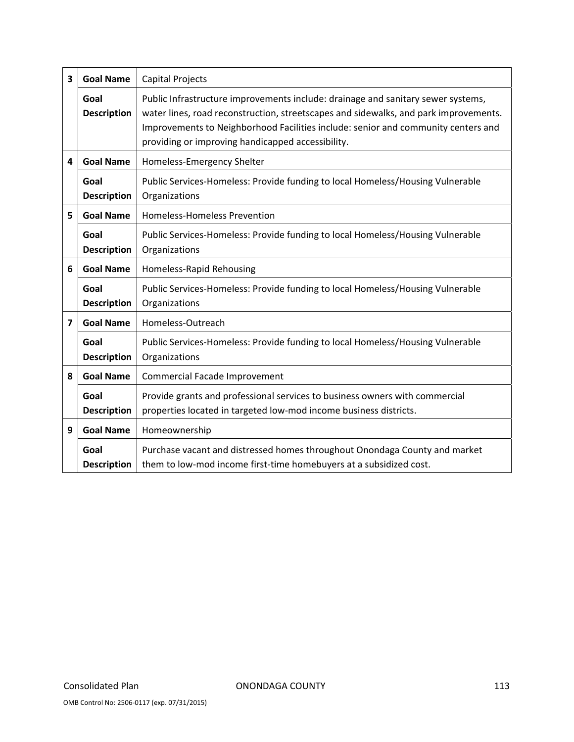| 3              | <b>Goal Name</b>           | <b>Capital Projects</b>                                                                                                                                                                                                                                                                                            |  |  |  |
|----------------|----------------------------|--------------------------------------------------------------------------------------------------------------------------------------------------------------------------------------------------------------------------------------------------------------------------------------------------------------------|--|--|--|
|                | Goal<br><b>Description</b> | Public Infrastructure improvements include: drainage and sanitary sewer systems,<br>water lines, road reconstruction, streetscapes and sidewalks, and park improvements.<br>Improvements to Neighborhood Facilities include: senior and community centers and<br>providing or improving handicapped accessibility. |  |  |  |
| 4              | <b>Goal Name</b>           | Homeless-Emergency Shelter                                                                                                                                                                                                                                                                                         |  |  |  |
|                | Goal<br><b>Description</b> | Public Services-Homeless: Provide funding to local Homeless/Housing Vulnerable<br>Organizations                                                                                                                                                                                                                    |  |  |  |
| 5              | <b>Goal Name</b>           | Homeless-Homeless Prevention                                                                                                                                                                                                                                                                                       |  |  |  |
|                | Goal<br><b>Description</b> | Public Services-Homeless: Provide funding to local Homeless/Housing Vulnerable<br>Organizations                                                                                                                                                                                                                    |  |  |  |
| 6              | <b>Goal Name</b>           | Homeless-Rapid Rehousing                                                                                                                                                                                                                                                                                           |  |  |  |
|                | Goal<br><b>Description</b> | Public Services-Homeless: Provide funding to local Homeless/Housing Vulnerable<br>Organizations                                                                                                                                                                                                                    |  |  |  |
| $\overline{7}$ | <b>Goal Name</b>           | Homeless-Outreach                                                                                                                                                                                                                                                                                                  |  |  |  |
|                | Goal<br><b>Description</b> | Public Services-Homeless: Provide funding to local Homeless/Housing Vulnerable<br>Organizations                                                                                                                                                                                                                    |  |  |  |
| 8              | <b>Goal Name</b>           | Commercial Facade Improvement                                                                                                                                                                                                                                                                                      |  |  |  |
|                | Goal<br><b>Description</b> | Provide grants and professional services to business owners with commercial<br>properties located in targeted low-mod income business districts.                                                                                                                                                                   |  |  |  |
| 9              | <b>Goal Name</b>           | Homeownership                                                                                                                                                                                                                                                                                                      |  |  |  |
|                | Goal<br><b>Description</b> | Purchase vacant and distressed homes throughout Onondaga County and market<br>them to low-mod income first-time homebuyers at a subsidized cost.                                                                                                                                                                   |  |  |  |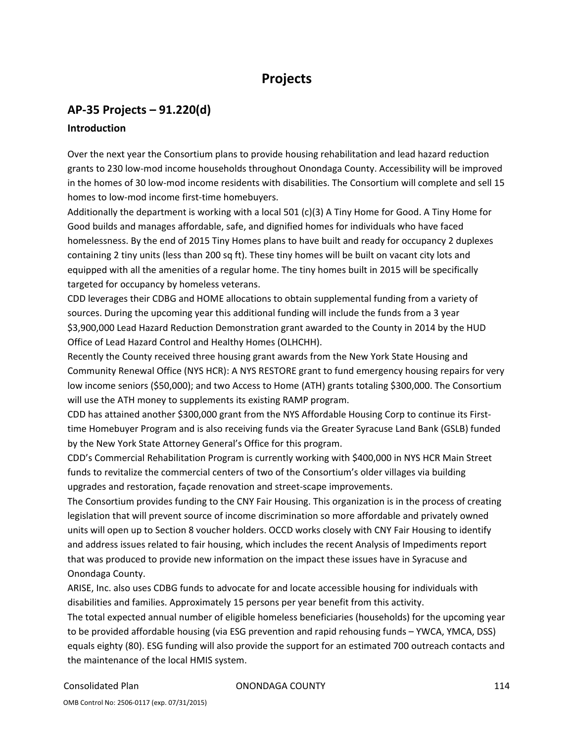## **Projects**

## **AP‐35 Projects – 91.220(d)**

### **Introduction**

Over the next year the Consortium plans to provide housing rehabilitation and lead hazard reduction grants to 230 low‐mod income households throughout Onondaga County. Accessibility will be improved in the homes of 30 low‐mod income residents with disabilities. The Consortium will complete and sell 15 homes to low-mod income first-time homebuyers.

Additionally the department is working with a local 501 (c)(3) A Tiny Home for Good. A Tiny Home for Good builds and manages affordable, safe, and dignified homes for individuals who have faced homelessness. By the end of 2015 Tiny Homes plans to have built and ready for occupancy 2 duplexes containing 2 tiny units (less than 200 sq ft). These tiny homes will be built on vacant city lots and equipped with all the amenities of a regular home. The tiny homes built in 2015 will be specifically targeted for occupancy by homeless veterans.

CDD leverages their CDBG and HOME allocations to obtain supplemental funding from a variety of sources. During the upcoming year this additional funding will include the funds from a 3 year \$3,900,000 Lead Hazard Reduction Demonstration grant awarded to the County in 2014 by the HUD Office of Lead Hazard Control and Healthy Homes (OLHCHH).

Recently the County received three housing grant awards from the New York State Housing and Community Renewal Office (NYS HCR): A NYS RESTORE grant to fund emergency housing repairs for very low income seniors (\$50,000); and two Access to Home (ATH) grants totaling \$300,000. The Consortium will use the ATH money to supplements its existing RAMP program.

CDD has attained another \$300,000 grant from the NYS Affordable Housing Corp to continue its First‐ time Homebuyer Program and is also receiving funds via the Greater Syracuse Land Bank (GSLB) funded by the New York State Attorney General's Office for this program.

CDD's Commercial Rehabilitation Program is currently working with \$400,000 in NYS HCR Main Street funds to revitalize the commercial centers of two of the Consortium's older villages via building upgrades and restoration, façade renovation and street‐scape improvements.

The Consortium provides funding to the CNY Fair Housing. This organization is in the process of creating legislation that will prevent source of income discrimination so more affordable and privately owned units will open up to Section 8 voucher holders. OCCD works closely with CNY Fair Housing to identify and address issues related to fair housing, which includes the recent Analysis of Impediments report that was produced to provide new information on the impact these issues have in Syracuse and Onondaga County.

ARISE, Inc. also uses CDBG funds to advocate for and locate accessible housing for individuals with disabilities and families. Approximately 15 persons per year benefit from this activity.

The total expected annual number of eligible homeless beneficiaries (households) for the upcoming year to be provided affordable housing (via ESG prevention and rapid rehousing funds – YWCA, YMCA, DSS) equals eighty (80). ESG funding will also provide the support for an estimated 700 outreach contacts and the maintenance of the local HMIS system.

### Consolidated Plan ONONDAGA COUNTY 114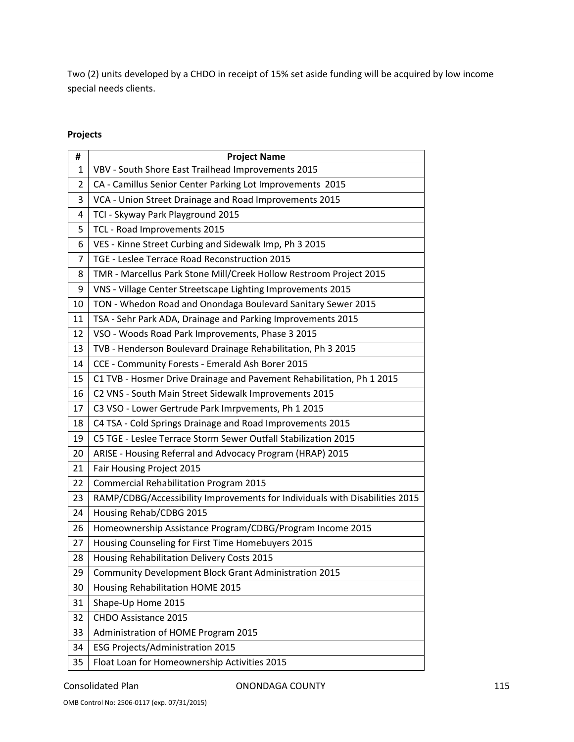Two (2) units developed by a CHDO in receipt of 15% set aside funding will be acquired by low income special needs clients.

### **Projects**

| #  | <b>Project Name</b>                                                         |
|----|-----------------------------------------------------------------------------|
| 1  | VBV - South Shore East Trailhead Improvements 2015                          |
| 2  | CA - Camillus Senior Center Parking Lot Improvements 2015                   |
| 3  | VCA - Union Street Drainage and Road Improvements 2015                      |
| 4  | TCI - Skyway Park Playground 2015                                           |
| 5  | TCL - Road Improvements 2015                                                |
| 6  | VES - Kinne Street Curbing and Sidewalk Imp, Ph 3 2015                      |
| 7  | TGE - Leslee Terrace Road Reconstruction 2015                               |
| 8  | TMR - Marcellus Park Stone Mill/Creek Hollow Restroom Project 2015          |
| 9  | VNS - Village Center Streetscape Lighting Improvements 2015                 |
| 10 | TON - Whedon Road and Onondaga Boulevard Sanitary Sewer 2015                |
| 11 | TSA - Sehr Park ADA, Drainage and Parking Improvements 2015                 |
| 12 | VSO - Woods Road Park Improvements, Phase 3 2015                            |
| 13 | TVB - Henderson Boulevard Drainage Rehabilitation, Ph 3 2015                |
| 14 | CCE - Community Forests - Emerald Ash Borer 2015                            |
| 15 | C1 TVB - Hosmer Drive Drainage and Pavement Rehabilitation, Ph 1 2015       |
| 16 | C2 VNS - South Main Street Sidewalk Improvements 2015                       |
| 17 | C3 VSO - Lower Gertrude Park Imrpvements, Ph 1 2015                         |
| 18 | C4 TSA - Cold Springs Drainage and Road Improvements 2015                   |
| 19 | C5 TGE - Leslee Terrace Storm Sewer Outfall Stabilization 2015              |
| 20 | ARISE - Housing Referral and Advocacy Program (HRAP) 2015                   |
| 21 | Fair Housing Project 2015                                                   |
| 22 | <b>Commercial Rehabilitation Program 2015</b>                               |
| 23 | RAMP/CDBG/Accessibility Improvements for Individuals with Disabilities 2015 |
| 24 | Housing Rehab/CDBG 2015                                                     |
| 26 | Homeownership Assistance Program/CDBG/Program Income 2015                   |
| 27 | Housing Counseling for First Time Homebuyers 2015                           |
| 28 | Housing Rehabilitation Delivery Costs 2015                                  |
| 29 | Community Development Block Grant Administration 2015                       |
| 30 | Housing Rehabilitation HOME 2015                                            |
| 31 | Shape-Up Home 2015                                                          |
| 32 | CHDO Assistance 2015                                                        |
| 33 | Administration of HOME Program 2015                                         |
| 34 | <b>ESG Projects/Administration 2015</b>                                     |
| 35 | Float Loan for Homeownership Activities 2015                                |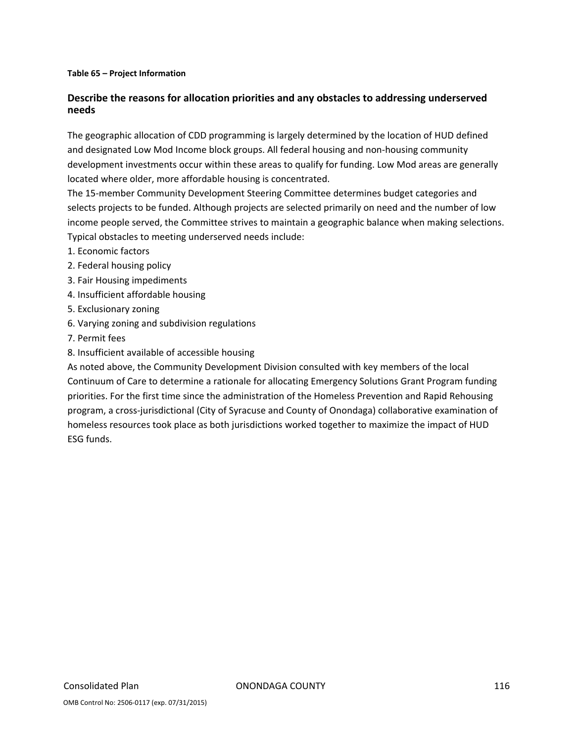### **Table 65 – Project Information**

### **Describe the reasons for allocation priorities and any obstacles to addressing underserved needs**

The geographic allocation of CDD programming is largely determined by the location of HUD defined and designated Low Mod Income block groups. All federal housing and non-housing community development investments occur within these areas to qualify for funding. Low Mod areas are generally located where older, more affordable housing is concentrated.

The 15‐member Community Development Steering Committee determines budget categories and selects projects to be funded. Although projects are selected primarily on need and the number of low income people served, the Committee strives to maintain a geographic balance when making selections. Typical obstacles to meeting underserved needs include:

- 1. Economic factors
- 2. Federal housing policy
- 3. Fair Housing impediments
- 4. Insufficient affordable housing
- 5. Exclusionary zoning
- 6. Varying zoning and subdivision regulations
- 7. Permit fees
- 8. Insufficient available of accessible housing

As noted above, the Community Development Division consulted with key members of the local Continuum of Care to determine a rationale for allocating Emergency Solutions Grant Program funding priorities. For the first time since the administration of the Homeless Prevention and Rapid Rehousing program, a cross‐jurisdictional (City of Syracuse and County of Onondaga) collaborative examination of homeless resources took place as both jurisdictions worked together to maximize the impact of HUD ESG funds.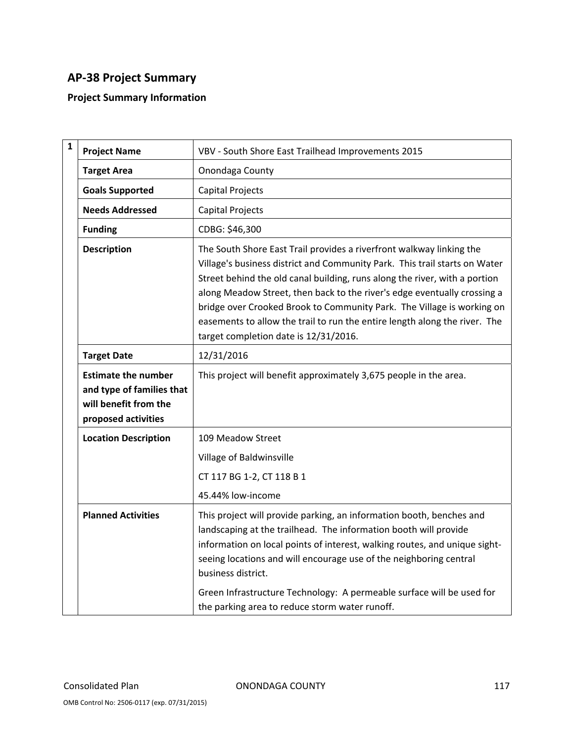## **AP‐38 Project Summary**

### **Project Summary Information**

| $\mathbf{1}$ | <b>Project Name</b>                                                                                     | VBV - South Shore East Trailhead Improvements 2015                                                                                                                                                                                                                                                                                                                                                                                                                                                            |
|--------------|---------------------------------------------------------------------------------------------------------|---------------------------------------------------------------------------------------------------------------------------------------------------------------------------------------------------------------------------------------------------------------------------------------------------------------------------------------------------------------------------------------------------------------------------------------------------------------------------------------------------------------|
|              | <b>Target Area</b>                                                                                      | Onondaga County                                                                                                                                                                                                                                                                                                                                                                                                                                                                                               |
|              | <b>Goals Supported</b>                                                                                  | <b>Capital Projects</b>                                                                                                                                                                                                                                                                                                                                                                                                                                                                                       |
|              | <b>Needs Addressed</b>                                                                                  | <b>Capital Projects</b>                                                                                                                                                                                                                                                                                                                                                                                                                                                                                       |
|              | <b>Funding</b>                                                                                          | CDBG: \$46,300                                                                                                                                                                                                                                                                                                                                                                                                                                                                                                |
|              | <b>Description</b>                                                                                      | The South Shore East Trail provides a riverfront walkway linking the<br>Village's business district and Community Park. This trail starts on Water<br>Street behind the old canal building, runs along the river, with a portion<br>along Meadow Street, then back to the river's edge eventually crossing a<br>bridge over Crooked Brook to Community Park. The Village is working on<br>easements to allow the trail to run the entire length along the river. The<br>target completion date is 12/31/2016. |
|              | <b>Target Date</b>                                                                                      | 12/31/2016                                                                                                                                                                                                                                                                                                                                                                                                                                                                                                    |
|              | <b>Estimate the number</b><br>and type of families that<br>will benefit from the<br>proposed activities | This project will benefit approximately 3,675 people in the area.                                                                                                                                                                                                                                                                                                                                                                                                                                             |
|              | <b>Location Description</b>                                                                             | 109 Meadow Street<br>Village of Baldwinsville<br>CT 117 BG 1-2, CT 118 B 1<br>45.44% low-income                                                                                                                                                                                                                                                                                                                                                                                                               |
|              | <b>Planned Activities</b>                                                                               | This project will provide parking, an information booth, benches and<br>landscaping at the trailhead. The information booth will provide<br>information on local points of interest, walking routes, and unique sight-<br>seeing locations and will encourage use of the neighboring central<br>business district.<br>Green Infrastructure Technology: A permeable surface will be used for<br>the parking area to reduce storm water runoff.                                                                 |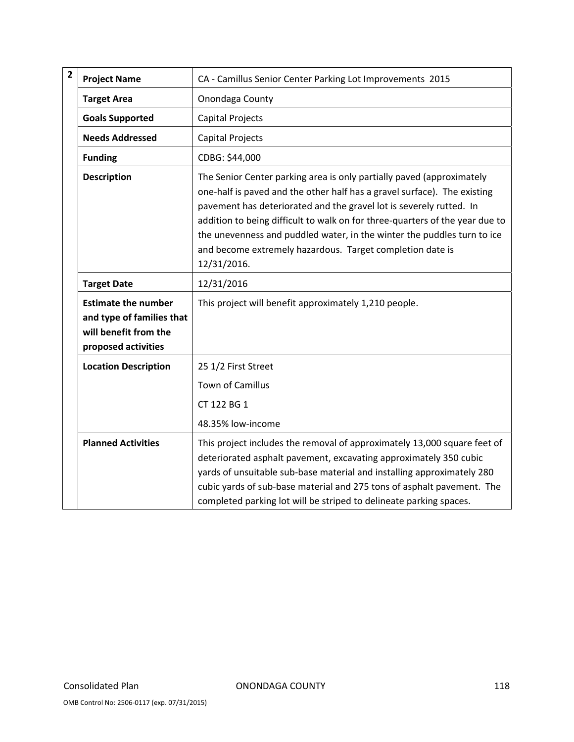| $\overline{\mathbf{2}}$ | <b>Project Name</b>                                                                                     | CA - Camillus Senior Center Parking Lot Improvements 2015                                                                                                                                                                                                                                                                                                                                                                                                       |
|-------------------------|---------------------------------------------------------------------------------------------------------|-----------------------------------------------------------------------------------------------------------------------------------------------------------------------------------------------------------------------------------------------------------------------------------------------------------------------------------------------------------------------------------------------------------------------------------------------------------------|
|                         | <b>Target Area</b>                                                                                      | Onondaga County                                                                                                                                                                                                                                                                                                                                                                                                                                                 |
|                         | <b>Goals Supported</b>                                                                                  | Capital Projects                                                                                                                                                                                                                                                                                                                                                                                                                                                |
|                         | <b>Needs Addressed</b>                                                                                  | <b>Capital Projects</b>                                                                                                                                                                                                                                                                                                                                                                                                                                         |
|                         | <b>Funding</b>                                                                                          | CDBG: \$44,000                                                                                                                                                                                                                                                                                                                                                                                                                                                  |
|                         | <b>Description</b>                                                                                      | The Senior Center parking area is only partially paved (approximately<br>one-half is paved and the other half has a gravel surface). The existing<br>pavement has deteriorated and the gravel lot is severely rutted. In<br>addition to being difficult to walk on for three-quarters of the year due to<br>the unevenness and puddled water, in the winter the puddles turn to ice<br>and become extremely hazardous. Target completion date is<br>12/31/2016. |
|                         | <b>Target Date</b>                                                                                      | 12/31/2016                                                                                                                                                                                                                                                                                                                                                                                                                                                      |
|                         | <b>Estimate the number</b><br>and type of families that<br>will benefit from the<br>proposed activities | This project will benefit approximately 1,210 people.                                                                                                                                                                                                                                                                                                                                                                                                           |
|                         | <b>Location Description</b>                                                                             | 25 1/2 First Street                                                                                                                                                                                                                                                                                                                                                                                                                                             |
|                         |                                                                                                         | Town of Camillus                                                                                                                                                                                                                                                                                                                                                                                                                                                |
|                         |                                                                                                         | CT 122 BG 1                                                                                                                                                                                                                                                                                                                                                                                                                                                     |
|                         |                                                                                                         | 48.35% low-income                                                                                                                                                                                                                                                                                                                                                                                                                                               |
|                         | <b>Planned Activities</b>                                                                               | This project includes the removal of approximately 13,000 square feet of<br>deteriorated asphalt pavement, excavating approximately 350 cubic<br>yards of unsuitable sub-base material and installing approximately 280<br>cubic yards of sub-base material and 275 tons of asphalt pavement. The<br>completed parking lot will be striped to delineate parking spaces.                                                                                         |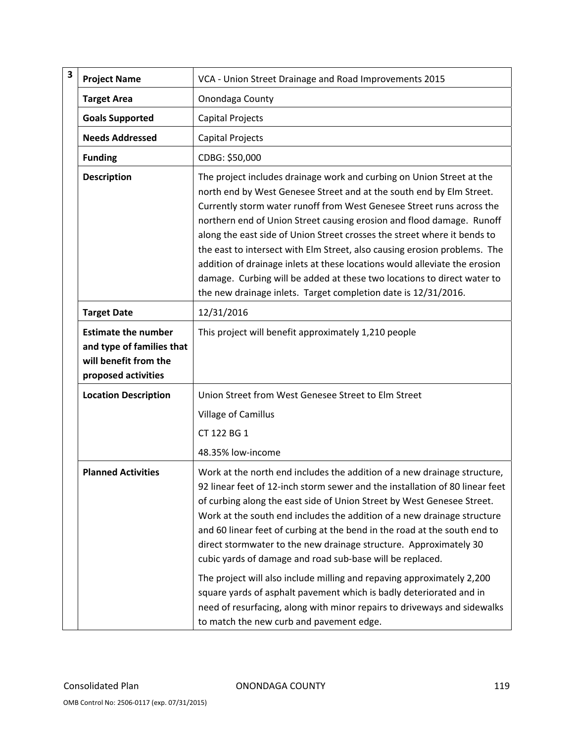| 3 | <b>Project Name</b>                                                                                     | VCA - Union Street Drainage and Road Improvements 2015                                                                                                                                                                                                                                                                                                                                                                                                                                                                                                                                                                                                                                                                                                                                                |
|---|---------------------------------------------------------------------------------------------------------|-------------------------------------------------------------------------------------------------------------------------------------------------------------------------------------------------------------------------------------------------------------------------------------------------------------------------------------------------------------------------------------------------------------------------------------------------------------------------------------------------------------------------------------------------------------------------------------------------------------------------------------------------------------------------------------------------------------------------------------------------------------------------------------------------------|
|   | <b>Target Area</b>                                                                                      | Onondaga County                                                                                                                                                                                                                                                                                                                                                                                                                                                                                                                                                                                                                                                                                                                                                                                       |
|   | <b>Goals Supported</b>                                                                                  | Capital Projects                                                                                                                                                                                                                                                                                                                                                                                                                                                                                                                                                                                                                                                                                                                                                                                      |
|   | <b>Needs Addressed</b>                                                                                  | Capital Projects                                                                                                                                                                                                                                                                                                                                                                                                                                                                                                                                                                                                                                                                                                                                                                                      |
|   | <b>Funding</b>                                                                                          | CDBG: \$50,000                                                                                                                                                                                                                                                                                                                                                                                                                                                                                                                                                                                                                                                                                                                                                                                        |
|   | <b>Description</b>                                                                                      | The project includes drainage work and curbing on Union Street at the<br>north end by West Genesee Street and at the south end by Elm Street.<br>Currently storm water runoff from West Genesee Street runs across the<br>northern end of Union Street causing erosion and flood damage. Runoff<br>along the east side of Union Street crosses the street where it bends to<br>the east to intersect with Elm Street, also causing erosion problems. The<br>addition of drainage inlets at these locations would alleviate the erosion<br>damage. Curbing will be added at these two locations to direct water to<br>the new drainage inlets. Target completion date is 12/31/2016.                                                                                                                   |
|   | <b>Target Date</b>                                                                                      | 12/31/2016                                                                                                                                                                                                                                                                                                                                                                                                                                                                                                                                                                                                                                                                                                                                                                                            |
|   | <b>Estimate the number</b><br>and type of families that<br>will benefit from the<br>proposed activities | This project will benefit approximately 1,210 people                                                                                                                                                                                                                                                                                                                                                                                                                                                                                                                                                                                                                                                                                                                                                  |
|   | <b>Location Description</b>                                                                             | Union Street from West Genesee Street to Elm Street                                                                                                                                                                                                                                                                                                                                                                                                                                                                                                                                                                                                                                                                                                                                                   |
|   |                                                                                                         | Village of Camillus                                                                                                                                                                                                                                                                                                                                                                                                                                                                                                                                                                                                                                                                                                                                                                                   |
|   |                                                                                                         | CT 122 BG 1                                                                                                                                                                                                                                                                                                                                                                                                                                                                                                                                                                                                                                                                                                                                                                                           |
|   |                                                                                                         | 48.35% low-income                                                                                                                                                                                                                                                                                                                                                                                                                                                                                                                                                                                                                                                                                                                                                                                     |
|   | <b>Planned Activities</b>                                                                               | Work at the north end includes the addition of a new drainage structure,<br>92 linear feet of 12-inch storm sewer and the installation of 80 linear feet<br>of curbing along the east side of Union Street by West Genesee Street.<br>Work at the south end includes the addition of a new drainage structure<br>and 60 linear feet of curbing at the bend in the road at the south end to<br>direct stormwater to the new drainage structure. Approximately 30<br>cubic yards of damage and road sub-base will be replaced.<br>The project will also include milling and repaving approximately 2,200<br>square yards of asphalt pavement which is badly deteriorated and in<br>need of resurfacing, along with minor repairs to driveways and sidewalks<br>to match the new curb and pavement edge. |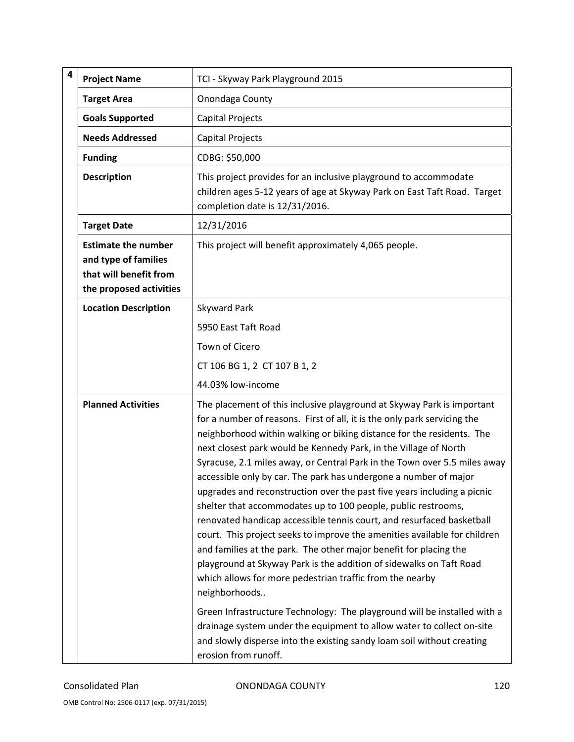| 4 | <b>Project Name</b>                                                                                     | TCI - Skyway Park Playground 2015                                                                                                                                                                                                                                                                                                                                                                                                                                                                                                                                                                                                                                                                                                                                                                                                                                                                                                                                           |
|---|---------------------------------------------------------------------------------------------------------|-----------------------------------------------------------------------------------------------------------------------------------------------------------------------------------------------------------------------------------------------------------------------------------------------------------------------------------------------------------------------------------------------------------------------------------------------------------------------------------------------------------------------------------------------------------------------------------------------------------------------------------------------------------------------------------------------------------------------------------------------------------------------------------------------------------------------------------------------------------------------------------------------------------------------------------------------------------------------------|
|   | <b>Target Area</b>                                                                                      | Onondaga County                                                                                                                                                                                                                                                                                                                                                                                                                                                                                                                                                                                                                                                                                                                                                                                                                                                                                                                                                             |
|   | <b>Goals Supported</b>                                                                                  | Capital Projects                                                                                                                                                                                                                                                                                                                                                                                                                                                                                                                                                                                                                                                                                                                                                                                                                                                                                                                                                            |
|   | <b>Needs Addressed</b>                                                                                  | Capital Projects                                                                                                                                                                                                                                                                                                                                                                                                                                                                                                                                                                                                                                                                                                                                                                                                                                                                                                                                                            |
|   | <b>Funding</b>                                                                                          | CDBG: \$50,000                                                                                                                                                                                                                                                                                                                                                                                                                                                                                                                                                                                                                                                                                                                                                                                                                                                                                                                                                              |
|   | <b>Description</b>                                                                                      | This project provides for an inclusive playground to accommodate<br>children ages 5-12 years of age at Skyway Park on East Taft Road. Target<br>completion date is 12/31/2016.                                                                                                                                                                                                                                                                                                                                                                                                                                                                                                                                                                                                                                                                                                                                                                                              |
|   | <b>Target Date</b>                                                                                      | 12/31/2016                                                                                                                                                                                                                                                                                                                                                                                                                                                                                                                                                                                                                                                                                                                                                                                                                                                                                                                                                                  |
|   | <b>Estimate the number</b><br>and type of families<br>that will benefit from<br>the proposed activities | This project will benefit approximately 4,065 people.                                                                                                                                                                                                                                                                                                                                                                                                                                                                                                                                                                                                                                                                                                                                                                                                                                                                                                                       |
|   | <b>Location Description</b>                                                                             | Skyward Park                                                                                                                                                                                                                                                                                                                                                                                                                                                                                                                                                                                                                                                                                                                                                                                                                                                                                                                                                                |
|   |                                                                                                         | 5950 East Taft Road                                                                                                                                                                                                                                                                                                                                                                                                                                                                                                                                                                                                                                                                                                                                                                                                                                                                                                                                                         |
|   |                                                                                                         | Town of Cicero                                                                                                                                                                                                                                                                                                                                                                                                                                                                                                                                                                                                                                                                                                                                                                                                                                                                                                                                                              |
|   |                                                                                                         | CT 106 BG 1, 2 CT 107 B 1, 2                                                                                                                                                                                                                                                                                                                                                                                                                                                                                                                                                                                                                                                                                                                                                                                                                                                                                                                                                |
|   |                                                                                                         | 44.03% low-income                                                                                                                                                                                                                                                                                                                                                                                                                                                                                                                                                                                                                                                                                                                                                                                                                                                                                                                                                           |
|   | <b>Planned Activities</b>                                                                               | The placement of this inclusive playground at Skyway Park is important<br>for a number of reasons. First of all, it is the only park servicing the<br>neighborhood within walking or biking distance for the residents. The<br>next closest park would be Kennedy Park, in the Village of North<br>Syracuse, 2.1 miles away, or Central Park in the Town over 5.5 miles away<br>accessible only by car. The park has undergone a number of major<br>upgrades and reconstruction over the past five years including a picnic<br>shelter that accommodates up to 100 people, public restrooms,<br>renovated handicap accessible tennis court, and resurfaced basketball<br>court. This project seeks to improve the amenities available for children<br>and families at the park. The other major benefit for placing the<br>playground at Skyway Park is the addition of sidewalks on Taft Road<br>which allows for more pedestrian traffic from the nearby<br>neighborhoods |
|   |                                                                                                         | Green Infrastructure Technology: The playground will be installed with a<br>drainage system under the equipment to allow water to collect on-site<br>and slowly disperse into the existing sandy loam soil without creating<br>erosion from runoff.                                                                                                                                                                                                                                                                                                                                                                                                                                                                                                                                                                                                                                                                                                                         |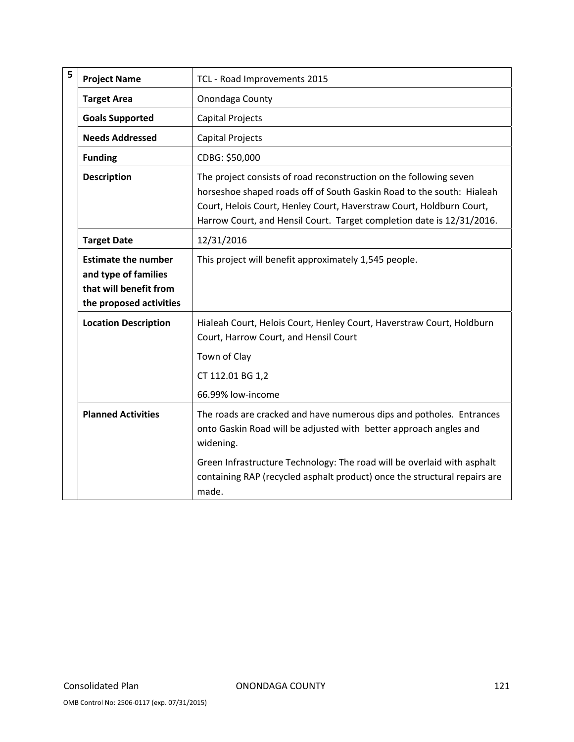| 5 | <b>Project Name</b>                                                                                     | TCL - Road Improvements 2015                                                                                                                                                                                                                                                                                            |
|---|---------------------------------------------------------------------------------------------------------|-------------------------------------------------------------------------------------------------------------------------------------------------------------------------------------------------------------------------------------------------------------------------------------------------------------------------|
|   | <b>Target Area</b>                                                                                      | Onondaga County                                                                                                                                                                                                                                                                                                         |
|   | <b>Goals Supported</b>                                                                                  | Capital Projects                                                                                                                                                                                                                                                                                                        |
|   | <b>Needs Addressed</b>                                                                                  | <b>Capital Projects</b>                                                                                                                                                                                                                                                                                                 |
|   | <b>Funding</b>                                                                                          | CDBG: \$50,000                                                                                                                                                                                                                                                                                                          |
|   | <b>Description</b>                                                                                      | The project consists of road reconstruction on the following seven<br>horseshoe shaped roads off of South Gaskin Road to the south: Hialeah<br>Court, Helois Court, Henley Court, Haverstraw Court, Holdburn Court,<br>Harrow Court, and Hensil Court. Target completion date is 12/31/2016.                            |
|   | <b>Target Date</b>                                                                                      | 12/31/2016                                                                                                                                                                                                                                                                                                              |
|   | <b>Estimate the number</b><br>and type of families<br>that will benefit from<br>the proposed activities | This project will benefit approximately 1,545 people.                                                                                                                                                                                                                                                                   |
|   | <b>Location Description</b>                                                                             | Hialeah Court, Helois Court, Henley Court, Haverstraw Court, Holdburn<br>Court, Harrow Court, and Hensil Court<br>Town of Clay<br>CT 112.01 BG 1,2<br>66.99% low-income                                                                                                                                                 |
|   | <b>Planned Activities</b>                                                                               | The roads are cracked and have numerous dips and potholes. Entrances<br>onto Gaskin Road will be adjusted with better approach angles and<br>widening.<br>Green Infrastructure Technology: The road will be overlaid with asphalt<br>containing RAP (recycled asphalt product) once the structural repairs are<br>made. |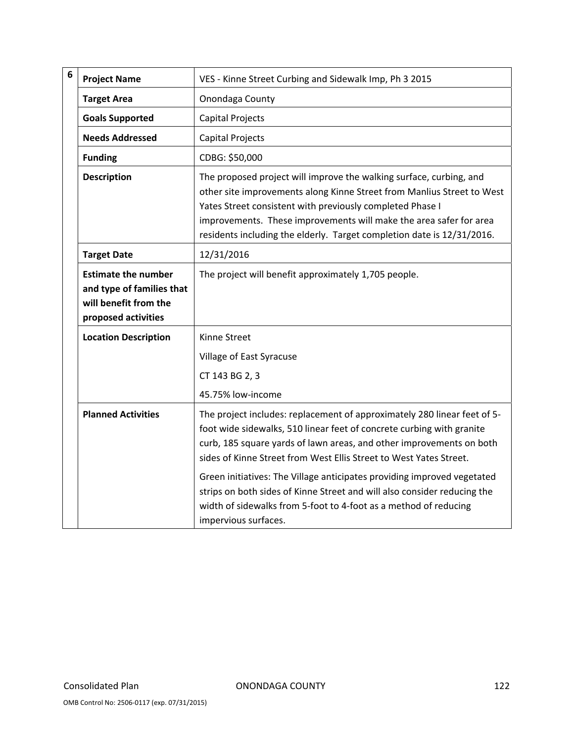| 6 | <b>Project Name</b>                                                                                     | VES - Kinne Street Curbing and Sidewalk Imp, Ph 3 2015                                                                                                                                                                                                                                                                                                     |
|---|---------------------------------------------------------------------------------------------------------|------------------------------------------------------------------------------------------------------------------------------------------------------------------------------------------------------------------------------------------------------------------------------------------------------------------------------------------------------------|
|   | <b>Target Area</b>                                                                                      | Onondaga County                                                                                                                                                                                                                                                                                                                                            |
|   | <b>Goals Supported</b>                                                                                  | <b>Capital Projects</b>                                                                                                                                                                                                                                                                                                                                    |
|   | <b>Needs Addressed</b>                                                                                  | Capital Projects                                                                                                                                                                                                                                                                                                                                           |
|   | <b>Funding</b>                                                                                          | CDBG: \$50,000                                                                                                                                                                                                                                                                                                                                             |
|   | <b>Description</b>                                                                                      | The proposed project will improve the walking surface, curbing, and<br>other site improvements along Kinne Street from Manlius Street to West<br>Yates Street consistent with previously completed Phase I<br>improvements. These improvements will make the area safer for area<br>residents including the elderly. Target completion date is 12/31/2016. |
|   | <b>Target Date</b>                                                                                      | 12/31/2016                                                                                                                                                                                                                                                                                                                                                 |
|   | <b>Estimate the number</b><br>and type of families that<br>will benefit from the<br>proposed activities | The project will benefit approximately 1,705 people.                                                                                                                                                                                                                                                                                                       |
|   | <b>Location Description</b>                                                                             | Kinne Street<br>Village of East Syracuse                                                                                                                                                                                                                                                                                                                   |
|   |                                                                                                         | CT 143 BG 2, 3                                                                                                                                                                                                                                                                                                                                             |
|   |                                                                                                         | 45.75% low-income                                                                                                                                                                                                                                                                                                                                          |
|   | <b>Planned Activities</b>                                                                               | The project includes: replacement of approximately 280 linear feet of 5-<br>foot wide sidewalks, 510 linear feet of concrete curbing with granite<br>curb, 185 square yards of lawn areas, and other improvements on both<br>sides of Kinne Street from West Ellis Street to West Yates Street.                                                            |
|   |                                                                                                         | Green initiatives: The Village anticipates providing improved vegetated<br>strips on both sides of Kinne Street and will also consider reducing the<br>width of sidewalks from 5-foot to 4-foot as a method of reducing<br>impervious surfaces.                                                                                                            |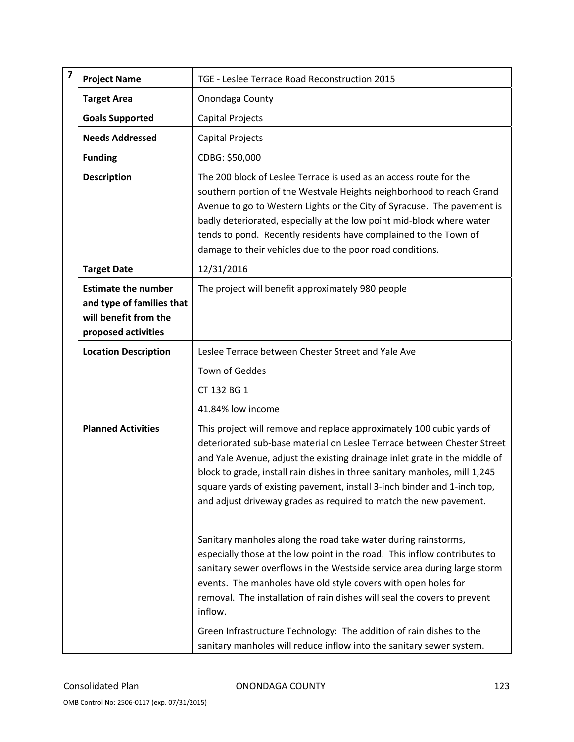| $\overline{\mathbf{z}}$ | <b>Project Name</b>                                                                                     | TGE - Leslee Terrace Road Reconstruction 2015                                                                                                                                                                                                                                                                                                                                                                                                                                                                                   |
|-------------------------|---------------------------------------------------------------------------------------------------------|---------------------------------------------------------------------------------------------------------------------------------------------------------------------------------------------------------------------------------------------------------------------------------------------------------------------------------------------------------------------------------------------------------------------------------------------------------------------------------------------------------------------------------|
|                         | <b>Target Area</b>                                                                                      | Onondaga County                                                                                                                                                                                                                                                                                                                                                                                                                                                                                                                 |
|                         | <b>Goals Supported</b>                                                                                  | Capital Projects                                                                                                                                                                                                                                                                                                                                                                                                                                                                                                                |
|                         | <b>Needs Addressed</b>                                                                                  | Capital Projects                                                                                                                                                                                                                                                                                                                                                                                                                                                                                                                |
|                         | <b>Funding</b>                                                                                          | CDBG: \$50,000                                                                                                                                                                                                                                                                                                                                                                                                                                                                                                                  |
|                         | <b>Description</b>                                                                                      | The 200 block of Leslee Terrace is used as an access route for the<br>southern portion of the Westvale Heights neighborhood to reach Grand<br>Avenue to go to Western Lights or the City of Syracuse. The pavement is<br>badly deteriorated, especially at the low point mid-block where water<br>tends to pond. Recently residents have complained to the Town of<br>damage to their vehicles due to the poor road conditions.                                                                                                 |
|                         | <b>Target Date</b>                                                                                      | 12/31/2016                                                                                                                                                                                                                                                                                                                                                                                                                                                                                                                      |
|                         | <b>Estimate the number</b><br>and type of families that<br>will benefit from the<br>proposed activities | The project will benefit approximately 980 people                                                                                                                                                                                                                                                                                                                                                                                                                                                                               |
|                         | <b>Location Description</b>                                                                             | Leslee Terrace between Chester Street and Yale Ave                                                                                                                                                                                                                                                                                                                                                                                                                                                                              |
|                         |                                                                                                         | Town of Geddes                                                                                                                                                                                                                                                                                                                                                                                                                                                                                                                  |
|                         |                                                                                                         | CT 132 BG 1                                                                                                                                                                                                                                                                                                                                                                                                                                                                                                                     |
|                         |                                                                                                         | 41.84% low income                                                                                                                                                                                                                                                                                                                                                                                                                                                                                                               |
|                         | <b>Planned Activities</b>                                                                               | This project will remove and replace approximately 100 cubic yards of<br>deteriorated sub-base material on Leslee Terrace between Chester Street<br>and Yale Avenue, adjust the existing drainage inlet grate in the middle of<br>block to grade, install rain dishes in three sanitary manholes, mill 1,245<br>square yards of existing pavement, install 3-inch binder and 1-inch top,<br>and adjust driveway grades as required to match the new pavement.                                                                   |
|                         |                                                                                                         | Sanitary manholes along the road take water during rainstorms,<br>especially those at the low point in the road. This inflow contributes to<br>sanitary sewer overflows in the Westside service area during large storm<br>events. The manholes have old style covers with open holes for<br>removal. The installation of rain dishes will seal the covers to prevent<br>inflow.<br>Green Infrastructure Technology: The addition of rain dishes to the<br>sanitary manholes will reduce inflow into the sanitary sewer system. |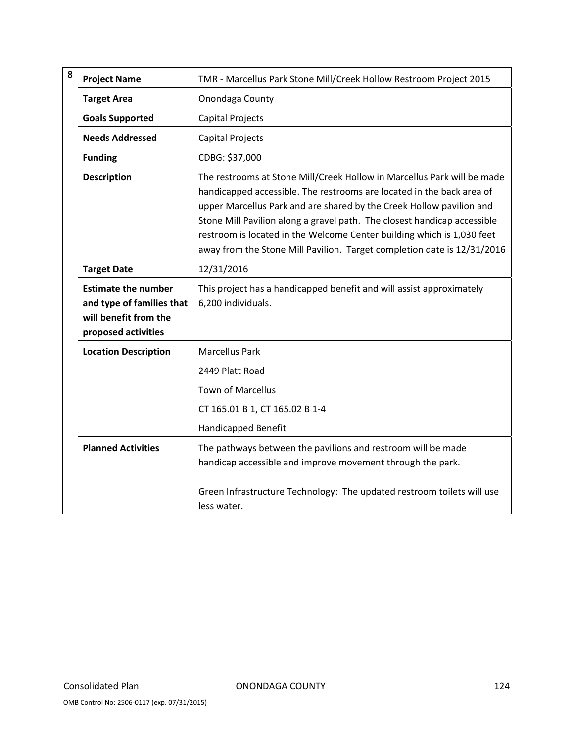| 8 | <b>Project Name</b>                                                                                     | TMR - Marcellus Park Stone Mill/Creek Hollow Restroom Project 2015                                                                                                                                                                                                                                                                                                                                                                                        |
|---|---------------------------------------------------------------------------------------------------------|-----------------------------------------------------------------------------------------------------------------------------------------------------------------------------------------------------------------------------------------------------------------------------------------------------------------------------------------------------------------------------------------------------------------------------------------------------------|
|   | <b>Target Area</b>                                                                                      | Onondaga County                                                                                                                                                                                                                                                                                                                                                                                                                                           |
|   | <b>Goals Supported</b>                                                                                  | <b>Capital Projects</b>                                                                                                                                                                                                                                                                                                                                                                                                                                   |
|   | <b>Needs Addressed</b>                                                                                  | <b>Capital Projects</b>                                                                                                                                                                                                                                                                                                                                                                                                                                   |
|   | <b>Funding</b>                                                                                          | CDBG: \$37,000                                                                                                                                                                                                                                                                                                                                                                                                                                            |
|   | <b>Description</b>                                                                                      | The restrooms at Stone Mill/Creek Hollow in Marcellus Park will be made<br>handicapped accessible. The restrooms are located in the back area of<br>upper Marcellus Park and are shared by the Creek Hollow pavilion and<br>Stone Mill Pavilion along a gravel path. The closest handicap accessible<br>restroom is located in the Welcome Center building which is 1,030 feet<br>away from the Stone Mill Pavilion. Target completion date is 12/31/2016 |
|   | <b>Target Date</b>                                                                                      | 12/31/2016                                                                                                                                                                                                                                                                                                                                                                                                                                                |
|   | <b>Estimate the number</b><br>and type of families that<br>will benefit from the<br>proposed activities | This project has a handicapped benefit and will assist approximately<br>6,200 individuals.                                                                                                                                                                                                                                                                                                                                                                |
|   | <b>Location Description</b>                                                                             | <b>Marcellus Park</b>                                                                                                                                                                                                                                                                                                                                                                                                                                     |
|   |                                                                                                         | 2449 Platt Road                                                                                                                                                                                                                                                                                                                                                                                                                                           |
|   |                                                                                                         | <b>Town of Marcellus</b>                                                                                                                                                                                                                                                                                                                                                                                                                                  |
|   |                                                                                                         | CT 165.01 B 1, CT 165.02 B 1-4                                                                                                                                                                                                                                                                                                                                                                                                                            |
|   |                                                                                                         | <b>Handicapped Benefit</b>                                                                                                                                                                                                                                                                                                                                                                                                                                |
|   | <b>Planned Activities</b>                                                                               | The pathways between the pavilions and restroom will be made<br>handicap accessible and improve movement through the park.                                                                                                                                                                                                                                                                                                                                |
|   |                                                                                                         | Green Infrastructure Technology: The updated restroom toilets will use<br>less water.                                                                                                                                                                                                                                                                                                                                                                     |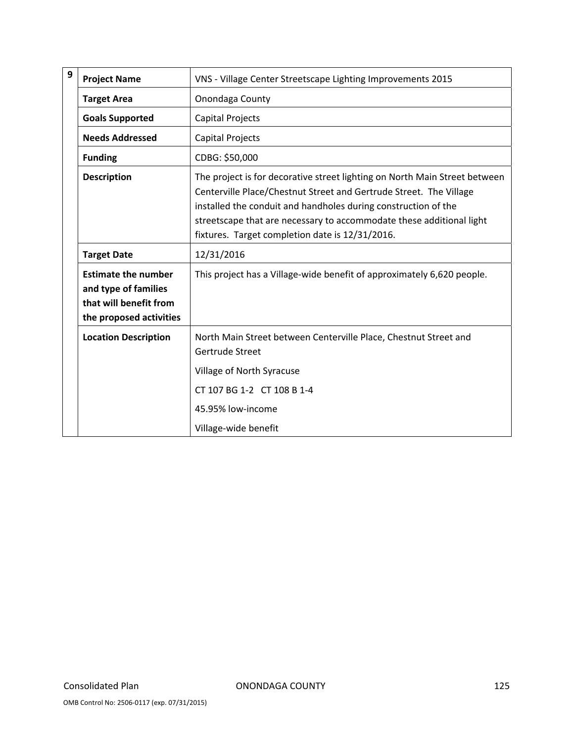| 9 | <b>Project Name</b>                                                                                     | VNS - Village Center Streetscape Lighting Improvements 2015                                                                                                                                                                                                                                                                                   |
|---|---------------------------------------------------------------------------------------------------------|-----------------------------------------------------------------------------------------------------------------------------------------------------------------------------------------------------------------------------------------------------------------------------------------------------------------------------------------------|
|   | <b>Target Area</b>                                                                                      | Onondaga County                                                                                                                                                                                                                                                                                                                               |
|   | <b>Goals Supported</b>                                                                                  | <b>Capital Projects</b>                                                                                                                                                                                                                                                                                                                       |
|   | <b>Needs Addressed</b>                                                                                  | <b>Capital Projects</b>                                                                                                                                                                                                                                                                                                                       |
|   | <b>Funding</b>                                                                                          | CDBG: \$50,000                                                                                                                                                                                                                                                                                                                                |
|   | <b>Description</b>                                                                                      | The project is for decorative street lighting on North Main Street between<br>Centerville Place/Chestnut Street and Gertrude Street. The Village<br>installed the conduit and handholes during construction of the<br>streetscape that are necessary to accommodate these additional light<br>fixtures. Target completion date is 12/31/2016. |
|   | <b>Target Date</b>                                                                                      | 12/31/2016                                                                                                                                                                                                                                                                                                                                    |
|   | <b>Estimate the number</b><br>and type of families<br>that will benefit from<br>the proposed activities | This project has a Village-wide benefit of approximately 6,620 people.                                                                                                                                                                                                                                                                        |
|   | <b>Location Description</b>                                                                             | North Main Street between Centerville Place, Chestnut Street and<br>Gertrude Street<br>Village of North Syracuse<br>CT 107 BG 1-2 CT 108 B 1-4                                                                                                                                                                                                |
|   |                                                                                                         | 45.95% low-income                                                                                                                                                                                                                                                                                                                             |
|   |                                                                                                         | Village-wide benefit                                                                                                                                                                                                                                                                                                                          |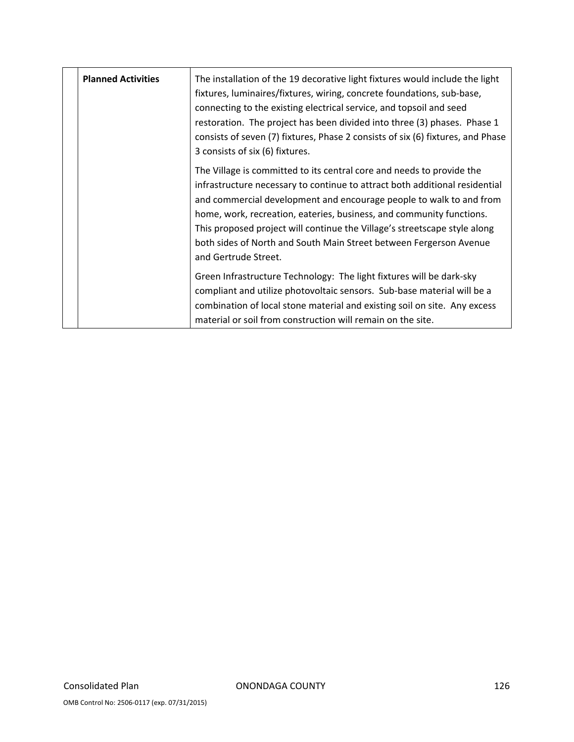| <b>Planned Activities</b> | The installation of the 19 decorative light fixtures would include the light<br>fixtures, luminaires/fixtures, wiring, concrete foundations, sub-base,<br>connecting to the existing electrical service, and topsoil and seed<br>restoration. The project has been divided into three (3) phases. Phase 1<br>consists of seven (7) fixtures, Phase 2 consists of six (6) fixtures, and Phase<br>3 consists of six (6) fixtures.                                                |
|---------------------------|--------------------------------------------------------------------------------------------------------------------------------------------------------------------------------------------------------------------------------------------------------------------------------------------------------------------------------------------------------------------------------------------------------------------------------------------------------------------------------|
|                           | The Village is committed to its central core and needs to provide the<br>infrastructure necessary to continue to attract both additional residential<br>and commercial development and encourage people to walk to and from<br>home, work, recreation, eateries, business, and community functions.<br>This proposed project will continue the Village's streetscape style along<br>both sides of North and South Main Street between Fergerson Avenue<br>and Gertrude Street. |
|                           | Green Infrastructure Technology: The light fixtures will be dark-sky<br>compliant and utilize photovoltaic sensors. Sub-base material will be a<br>combination of local stone material and existing soil on site. Any excess<br>material or soil from construction will remain on the site.                                                                                                                                                                                    |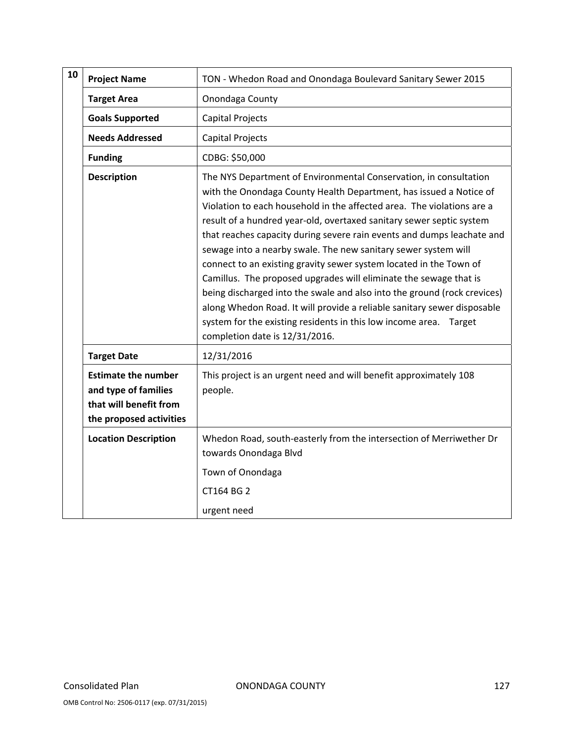| 10 | <b>Project Name</b>                                                                                     | TON - Whedon Road and Onondaga Boulevard Sanitary Sewer 2015                                                                                                                                                                                                                                                                                                                                                                                                                                                                                                                                                                                                                                                                                                                                                                                   |
|----|---------------------------------------------------------------------------------------------------------|------------------------------------------------------------------------------------------------------------------------------------------------------------------------------------------------------------------------------------------------------------------------------------------------------------------------------------------------------------------------------------------------------------------------------------------------------------------------------------------------------------------------------------------------------------------------------------------------------------------------------------------------------------------------------------------------------------------------------------------------------------------------------------------------------------------------------------------------|
|    | <b>Target Area</b>                                                                                      | Onondaga County                                                                                                                                                                                                                                                                                                                                                                                                                                                                                                                                                                                                                                                                                                                                                                                                                                |
|    | <b>Goals Supported</b>                                                                                  | <b>Capital Projects</b>                                                                                                                                                                                                                                                                                                                                                                                                                                                                                                                                                                                                                                                                                                                                                                                                                        |
|    | <b>Needs Addressed</b>                                                                                  | <b>Capital Projects</b>                                                                                                                                                                                                                                                                                                                                                                                                                                                                                                                                                                                                                                                                                                                                                                                                                        |
|    | <b>Funding</b>                                                                                          | CDBG: \$50,000                                                                                                                                                                                                                                                                                                                                                                                                                                                                                                                                                                                                                                                                                                                                                                                                                                 |
|    | <b>Description</b>                                                                                      | The NYS Department of Environmental Conservation, in consultation<br>with the Onondaga County Health Department, has issued a Notice of<br>Violation to each household in the affected area. The violations are a<br>result of a hundred year-old, overtaxed sanitary sewer septic system<br>that reaches capacity during severe rain events and dumps leachate and<br>sewage into a nearby swale. The new sanitary sewer system will<br>connect to an existing gravity sewer system located in the Town of<br>Camillus. The proposed upgrades will eliminate the sewage that is<br>being discharged into the swale and also into the ground (rock crevices)<br>along Whedon Road. It will provide a reliable sanitary sewer disposable<br>system for the existing residents in this low income area. Target<br>completion date is 12/31/2016. |
|    | <b>Target Date</b>                                                                                      | 12/31/2016                                                                                                                                                                                                                                                                                                                                                                                                                                                                                                                                                                                                                                                                                                                                                                                                                                     |
|    | <b>Estimate the number</b><br>and type of families<br>that will benefit from<br>the proposed activities | This project is an urgent need and will benefit approximately 108<br>people.                                                                                                                                                                                                                                                                                                                                                                                                                                                                                                                                                                                                                                                                                                                                                                   |
|    | <b>Location Description</b>                                                                             | Whedon Road, south-easterly from the intersection of Merriwether Dr<br>towards Onondaga Blvd<br>Town of Onondaga<br>CT164 BG 2<br>urgent need                                                                                                                                                                                                                                                                                                                                                                                                                                                                                                                                                                                                                                                                                                  |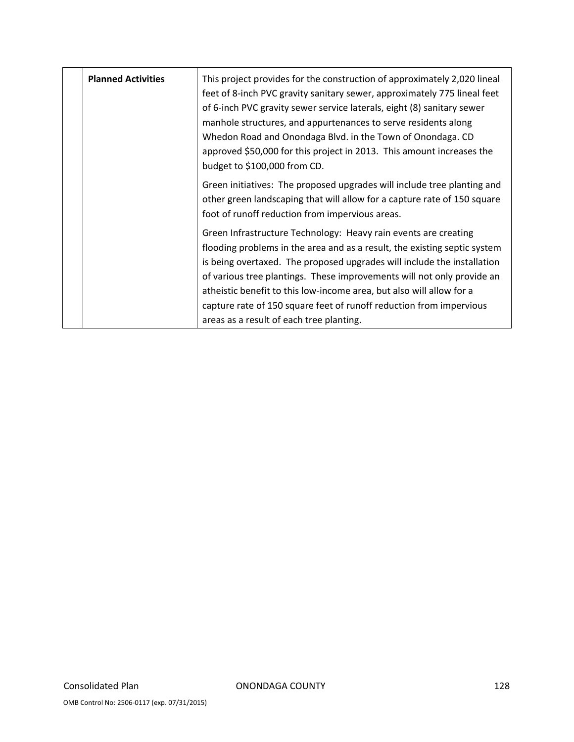| <b>Planned Activities</b> | This project provides for the construction of approximately 2,020 lineal<br>feet of 8-inch PVC gravity sanitary sewer, approximately 775 lineal feet<br>of 6-inch PVC gravity sewer service laterals, eight (8) sanitary sewer<br>manhole structures, and appurtenances to serve residents along<br>Whedon Road and Onondaga Blvd. in the Town of Onondaga. CD<br>approved \$50,000 for this project in 2013. This amount increases the<br>budget to \$100,000 from CD.                      |
|---------------------------|----------------------------------------------------------------------------------------------------------------------------------------------------------------------------------------------------------------------------------------------------------------------------------------------------------------------------------------------------------------------------------------------------------------------------------------------------------------------------------------------|
|                           | Green initiatives: The proposed upgrades will include tree planting and<br>other green landscaping that will allow for a capture rate of 150 square<br>foot of runoff reduction from impervious areas.                                                                                                                                                                                                                                                                                       |
|                           | Green Infrastructure Technology: Heavy rain events are creating<br>flooding problems in the area and as a result, the existing septic system<br>is being overtaxed. The proposed upgrades will include the installation<br>of various tree plantings. These improvements will not only provide an<br>atheistic benefit to this low-income area, but also will allow for a<br>capture rate of 150 square feet of runoff reduction from impervious<br>areas as a result of each tree planting. |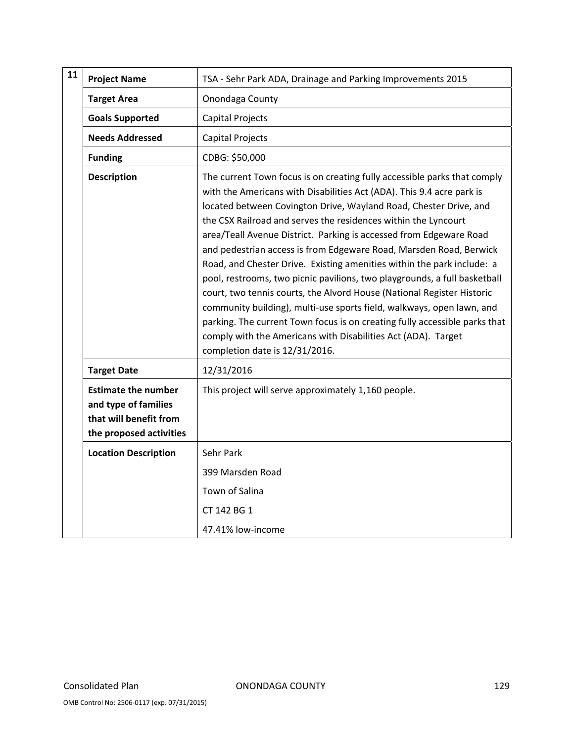| 11 | <b>Project Name</b>                                                                                     | TSA - Sehr Park ADA, Drainage and Parking Improvements 2015                                                                                                                                                                                                                                                                                                                                                                                                                                                                                                                                                                                                                                                                                                                                                                                                                                                                     |
|----|---------------------------------------------------------------------------------------------------------|---------------------------------------------------------------------------------------------------------------------------------------------------------------------------------------------------------------------------------------------------------------------------------------------------------------------------------------------------------------------------------------------------------------------------------------------------------------------------------------------------------------------------------------------------------------------------------------------------------------------------------------------------------------------------------------------------------------------------------------------------------------------------------------------------------------------------------------------------------------------------------------------------------------------------------|
|    | <b>Target Area</b>                                                                                      | Onondaga County                                                                                                                                                                                                                                                                                                                                                                                                                                                                                                                                                                                                                                                                                                                                                                                                                                                                                                                 |
|    | <b>Goals Supported</b>                                                                                  | Capital Projects                                                                                                                                                                                                                                                                                                                                                                                                                                                                                                                                                                                                                                                                                                                                                                                                                                                                                                                |
|    | <b>Needs Addressed</b>                                                                                  | Capital Projects                                                                                                                                                                                                                                                                                                                                                                                                                                                                                                                                                                                                                                                                                                                                                                                                                                                                                                                |
|    | <b>Funding</b>                                                                                          | CDBG: \$50,000                                                                                                                                                                                                                                                                                                                                                                                                                                                                                                                                                                                                                                                                                                                                                                                                                                                                                                                  |
|    | <b>Description</b>                                                                                      | The current Town focus is on creating fully accessible parks that comply<br>with the Americans with Disabilities Act (ADA). This 9.4 acre park is<br>located between Covington Drive, Wayland Road, Chester Drive, and<br>the CSX Railroad and serves the residences within the Lyncourt<br>area/Teall Avenue District. Parking is accessed from Edgeware Road<br>and pedestrian access is from Edgeware Road, Marsden Road, Berwick<br>Road, and Chester Drive. Existing amenities within the park include: a<br>pool, restrooms, two picnic pavilions, two playgrounds, a full basketball<br>court, two tennis courts, the Alvord House (National Register Historic<br>community building), multi-use sports field, walkways, open lawn, and<br>parking. The current Town focus is on creating fully accessible parks that<br>comply with the Americans with Disabilities Act (ADA). Target<br>completion date is 12/31/2016. |
|    | <b>Target Date</b>                                                                                      | 12/31/2016                                                                                                                                                                                                                                                                                                                                                                                                                                                                                                                                                                                                                                                                                                                                                                                                                                                                                                                      |
|    | <b>Estimate the number</b><br>and type of families<br>that will benefit from<br>the proposed activities | This project will serve approximately 1,160 people.                                                                                                                                                                                                                                                                                                                                                                                                                                                                                                                                                                                                                                                                                                                                                                                                                                                                             |
|    | <b>Location Description</b>                                                                             | Sehr Park                                                                                                                                                                                                                                                                                                                                                                                                                                                                                                                                                                                                                                                                                                                                                                                                                                                                                                                       |
|    |                                                                                                         | 399 Marsden Road                                                                                                                                                                                                                                                                                                                                                                                                                                                                                                                                                                                                                                                                                                                                                                                                                                                                                                                |
|    |                                                                                                         | Town of Salina                                                                                                                                                                                                                                                                                                                                                                                                                                                                                                                                                                                                                                                                                                                                                                                                                                                                                                                  |
|    |                                                                                                         | CT 142 BG 1                                                                                                                                                                                                                                                                                                                                                                                                                                                                                                                                                                                                                                                                                                                                                                                                                                                                                                                     |
|    |                                                                                                         | 47.41% low-income                                                                                                                                                                                                                                                                                                                                                                                                                                                                                                                                                                                                                                                                                                                                                                                                                                                                                                               |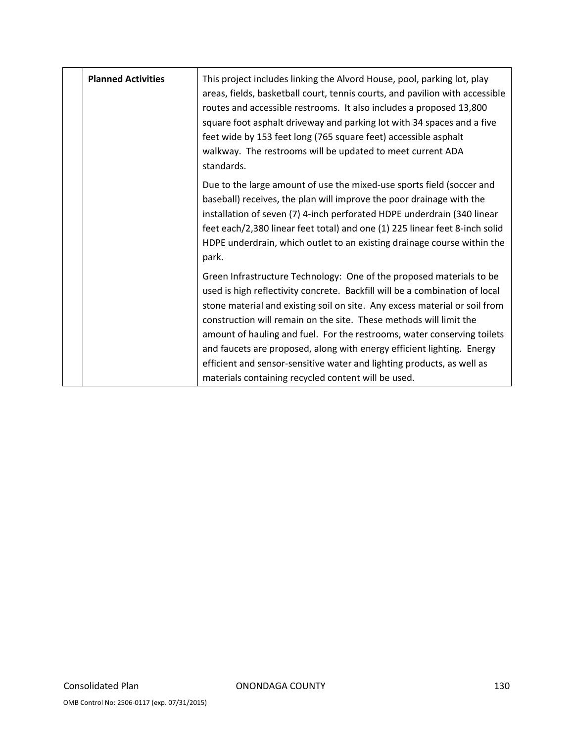| <b>Planned Activities</b> | This project includes linking the Alvord House, pool, parking lot, play<br>areas, fields, basketball court, tennis courts, and pavilion with accessible<br>routes and accessible restrooms. It also includes a proposed 13,800<br>square foot asphalt driveway and parking lot with 34 spaces and a five<br>feet wide by 153 feet long (765 square feet) accessible asphalt<br>walkway. The restrooms will be updated to meet current ADA<br>standards.                                                                                                                                       |
|---------------------------|-----------------------------------------------------------------------------------------------------------------------------------------------------------------------------------------------------------------------------------------------------------------------------------------------------------------------------------------------------------------------------------------------------------------------------------------------------------------------------------------------------------------------------------------------------------------------------------------------|
|                           | Due to the large amount of use the mixed-use sports field (soccer and<br>baseball) receives, the plan will improve the poor drainage with the<br>installation of seven (7) 4-inch perforated HDPE underdrain (340 linear<br>feet each/2,380 linear feet total) and one (1) 225 linear feet 8-inch solid<br>HDPE underdrain, which outlet to an existing drainage course within the<br>park.                                                                                                                                                                                                   |
|                           | Green Infrastructure Technology: One of the proposed materials to be<br>used is high reflectivity concrete. Backfill will be a combination of local<br>stone material and existing soil on site. Any excess material or soil from<br>construction will remain on the site. These methods will limit the<br>amount of hauling and fuel. For the restrooms, water conserving toilets<br>and faucets are proposed, along with energy efficient lighting. Energy<br>efficient and sensor-sensitive water and lighting products, as well as<br>materials containing recycled content will be used. |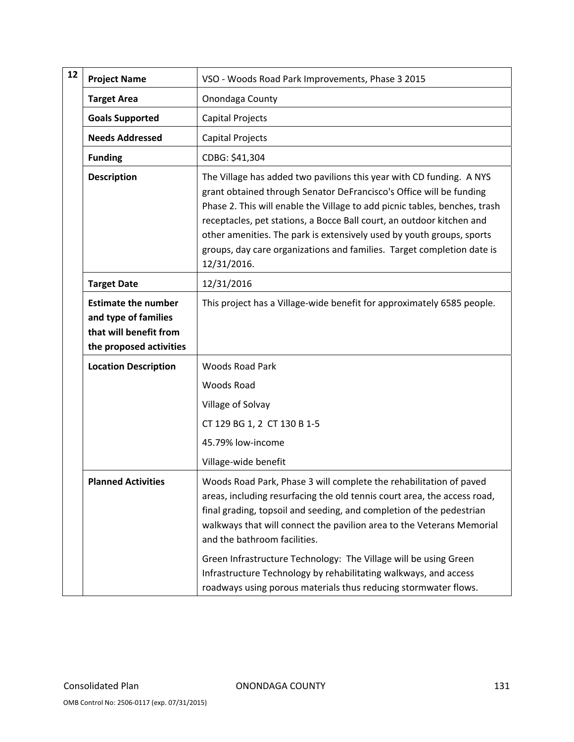| 12 | <b>Project Name</b>                                                                                     | VSO - Woods Road Park Improvements, Phase 3 2015                                                                                                                                                                                                                                                                                                                                                                                                                                                                                           |
|----|---------------------------------------------------------------------------------------------------------|--------------------------------------------------------------------------------------------------------------------------------------------------------------------------------------------------------------------------------------------------------------------------------------------------------------------------------------------------------------------------------------------------------------------------------------------------------------------------------------------------------------------------------------------|
|    | <b>Target Area</b>                                                                                      | Onondaga County                                                                                                                                                                                                                                                                                                                                                                                                                                                                                                                            |
|    | <b>Goals Supported</b>                                                                                  | Capital Projects                                                                                                                                                                                                                                                                                                                                                                                                                                                                                                                           |
|    | <b>Needs Addressed</b>                                                                                  | Capital Projects                                                                                                                                                                                                                                                                                                                                                                                                                                                                                                                           |
|    | <b>Funding</b>                                                                                          | CDBG: \$41,304                                                                                                                                                                                                                                                                                                                                                                                                                                                                                                                             |
|    | <b>Description</b>                                                                                      | The Village has added two pavilions this year with CD funding. A NYS<br>grant obtained through Senator DeFrancisco's Office will be funding<br>Phase 2. This will enable the Village to add picnic tables, benches, trash<br>receptacles, pet stations, a Bocce Ball court, an outdoor kitchen and<br>other amenities. The park is extensively used by youth groups, sports<br>groups, day care organizations and families. Target completion date is<br>12/31/2016.                                                                       |
|    | <b>Target Date</b>                                                                                      | 12/31/2016                                                                                                                                                                                                                                                                                                                                                                                                                                                                                                                                 |
|    | <b>Estimate the number</b><br>and type of families<br>that will benefit from<br>the proposed activities | This project has a Village-wide benefit for approximately 6585 people.                                                                                                                                                                                                                                                                                                                                                                                                                                                                     |
|    | <b>Location Description</b>                                                                             | <b>Woods Road Park</b>                                                                                                                                                                                                                                                                                                                                                                                                                                                                                                                     |
|    |                                                                                                         | Woods Road                                                                                                                                                                                                                                                                                                                                                                                                                                                                                                                                 |
|    |                                                                                                         | Village of Solvay                                                                                                                                                                                                                                                                                                                                                                                                                                                                                                                          |
|    |                                                                                                         | CT 129 BG 1, 2 CT 130 B 1-5                                                                                                                                                                                                                                                                                                                                                                                                                                                                                                                |
|    |                                                                                                         | 45.79% low-income                                                                                                                                                                                                                                                                                                                                                                                                                                                                                                                          |
|    |                                                                                                         | Village-wide benefit                                                                                                                                                                                                                                                                                                                                                                                                                                                                                                                       |
|    | <b>Planned Activities</b>                                                                               | Woods Road Park, Phase 3 will complete the rehabilitation of paved<br>areas, including resurfacing the old tennis court area, the access road,<br>final grading, topsoil and seeding, and completion of the pedestrian<br>walkways that will connect the pavilion area to the Veterans Memorial<br>and the bathroom facilities.<br>Green Infrastructure Technology: The Village will be using Green<br>Infrastructure Technology by rehabilitating walkways, and access<br>roadways using porous materials thus reducing stormwater flows. |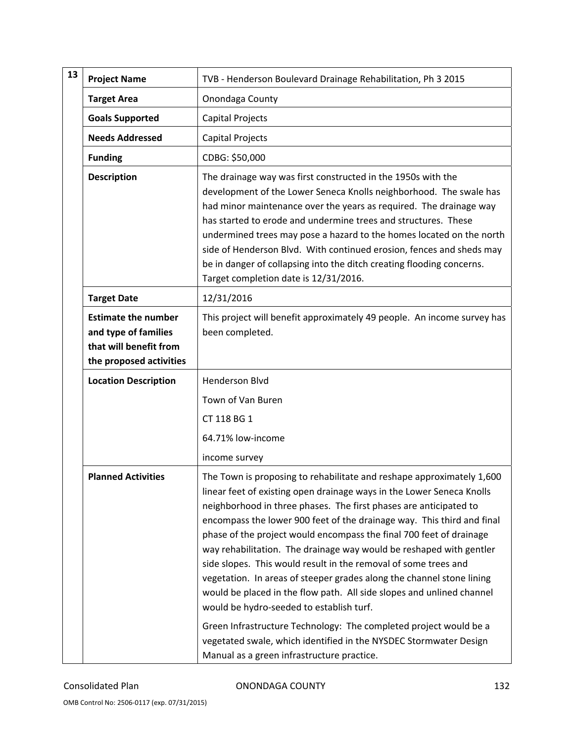| 13 | <b>Project Name</b>                                                                                     | TVB - Henderson Boulevard Drainage Rehabilitation, Ph 3 2015                                                                                                                                                                                                                                                                                                                                                                                                                                                                                                                                                                                                                                                                                                                                                                                           |
|----|---------------------------------------------------------------------------------------------------------|--------------------------------------------------------------------------------------------------------------------------------------------------------------------------------------------------------------------------------------------------------------------------------------------------------------------------------------------------------------------------------------------------------------------------------------------------------------------------------------------------------------------------------------------------------------------------------------------------------------------------------------------------------------------------------------------------------------------------------------------------------------------------------------------------------------------------------------------------------|
|    | <b>Target Area</b>                                                                                      | Onondaga County                                                                                                                                                                                                                                                                                                                                                                                                                                                                                                                                                                                                                                                                                                                                                                                                                                        |
|    | <b>Goals Supported</b>                                                                                  | Capital Projects                                                                                                                                                                                                                                                                                                                                                                                                                                                                                                                                                                                                                                                                                                                                                                                                                                       |
|    | <b>Needs Addressed</b>                                                                                  | Capital Projects                                                                                                                                                                                                                                                                                                                                                                                                                                                                                                                                                                                                                                                                                                                                                                                                                                       |
|    | <b>Funding</b>                                                                                          | CDBG: \$50,000                                                                                                                                                                                                                                                                                                                                                                                                                                                                                                                                                                                                                                                                                                                                                                                                                                         |
|    | <b>Description</b>                                                                                      | The drainage way was first constructed in the 1950s with the<br>development of the Lower Seneca Knolls neighborhood. The swale has<br>had minor maintenance over the years as required. The drainage way<br>has started to erode and undermine trees and structures. These<br>undermined trees may pose a hazard to the homes located on the north<br>side of Henderson Blvd. With continued erosion, fences and sheds may<br>be in danger of collapsing into the ditch creating flooding concerns.<br>Target completion date is 12/31/2016.                                                                                                                                                                                                                                                                                                           |
|    | <b>Target Date</b>                                                                                      | 12/31/2016                                                                                                                                                                                                                                                                                                                                                                                                                                                                                                                                                                                                                                                                                                                                                                                                                                             |
|    | <b>Estimate the number</b><br>and type of families<br>that will benefit from<br>the proposed activities | This project will benefit approximately 49 people. An income survey has<br>been completed.                                                                                                                                                                                                                                                                                                                                                                                                                                                                                                                                                                                                                                                                                                                                                             |
|    | <b>Location Description</b>                                                                             | <b>Henderson Blvd</b>                                                                                                                                                                                                                                                                                                                                                                                                                                                                                                                                                                                                                                                                                                                                                                                                                                  |
|    |                                                                                                         | Town of Van Buren                                                                                                                                                                                                                                                                                                                                                                                                                                                                                                                                                                                                                                                                                                                                                                                                                                      |
|    |                                                                                                         | CT 118 BG 1                                                                                                                                                                                                                                                                                                                                                                                                                                                                                                                                                                                                                                                                                                                                                                                                                                            |
|    |                                                                                                         | 64.71% low-income                                                                                                                                                                                                                                                                                                                                                                                                                                                                                                                                                                                                                                                                                                                                                                                                                                      |
|    |                                                                                                         | income survey                                                                                                                                                                                                                                                                                                                                                                                                                                                                                                                                                                                                                                                                                                                                                                                                                                          |
|    | <b>Planned Activities</b>                                                                               | The Town is proposing to rehabilitate and reshape approximately 1,600<br>linear feet of existing open drainage ways in the Lower Seneca Knolls<br>neighborhood in three phases. The first phases are anticipated to<br>encompass the lower 900 feet of the drainage way. This third and final<br>phase of the project would encompass the final 700 feet of drainage<br>way rehabilitation. The drainage way would be reshaped with gentler<br>side slopes. This would result in the removal of some trees and<br>vegetation. In areas of steeper grades along the channel stone lining<br>would be placed in the flow path. All side slopes and unlined channel<br>would be hydro-seeded to establish turf.<br>Green Infrastructure Technology: The completed project would be a<br>vegetated swale, which identified in the NYSDEC Stormwater Design |

Consolidated Plan **CONONDAGA COUNTY 132**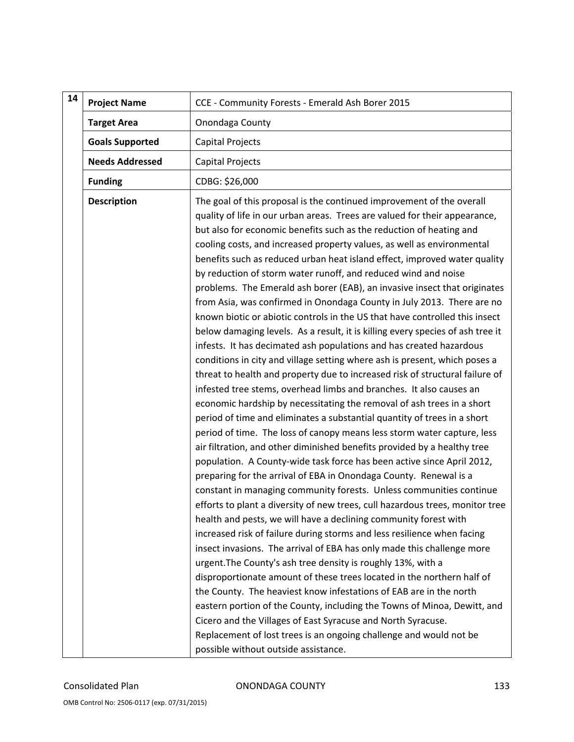| 14 | <b>Project Name</b>    | CCE - Community Forests - Emerald Ash Borer 2015                                                                                                                                                                                                                                                                                                                                                                                                                                                                                                                                                                                                                                                                                                                                                                                                                                                                                                                                                                                                                                                                                                                                                                                                                                                                                                                                                                                                                                                                                                                                                                                                                                                                                                                                                                                                                                                                                                                                                                                                                                                                                                                                                                                                                                                                                                                       |
|----|------------------------|------------------------------------------------------------------------------------------------------------------------------------------------------------------------------------------------------------------------------------------------------------------------------------------------------------------------------------------------------------------------------------------------------------------------------------------------------------------------------------------------------------------------------------------------------------------------------------------------------------------------------------------------------------------------------------------------------------------------------------------------------------------------------------------------------------------------------------------------------------------------------------------------------------------------------------------------------------------------------------------------------------------------------------------------------------------------------------------------------------------------------------------------------------------------------------------------------------------------------------------------------------------------------------------------------------------------------------------------------------------------------------------------------------------------------------------------------------------------------------------------------------------------------------------------------------------------------------------------------------------------------------------------------------------------------------------------------------------------------------------------------------------------------------------------------------------------------------------------------------------------------------------------------------------------------------------------------------------------------------------------------------------------------------------------------------------------------------------------------------------------------------------------------------------------------------------------------------------------------------------------------------------------------------------------------------------------------------------------------------------------|
|    | <b>Target Area</b>     | Onondaga County                                                                                                                                                                                                                                                                                                                                                                                                                                                                                                                                                                                                                                                                                                                                                                                                                                                                                                                                                                                                                                                                                                                                                                                                                                                                                                                                                                                                                                                                                                                                                                                                                                                                                                                                                                                                                                                                                                                                                                                                                                                                                                                                                                                                                                                                                                                                                        |
|    | <b>Goals Supported</b> | Capital Projects                                                                                                                                                                                                                                                                                                                                                                                                                                                                                                                                                                                                                                                                                                                                                                                                                                                                                                                                                                                                                                                                                                                                                                                                                                                                                                                                                                                                                                                                                                                                                                                                                                                                                                                                                                                                                                                                                                                                                                                                                                                                                                                                                                                                                                                                                                                                                       |
|    | <b>Needs Addressed</b> | Capital Projects                                                                                                                                                                                                                                                                                                                                                                                                                                                                                                                                                                                                                                                                                                                                                                                                                                                                                                                                                                                                                                                                                                                                                                                                                                                                                                                                                                                                                                                                                                                                                                                                                                                                                                                                                                                                                                                                                                                                                                                                                                                                                                                                                                                                                                                                                                                                                       |
|    | <b>Funding</b>         | CDBG: \$26,000                                                                                                                                                                                                                                                                                                                                                                                                                                                                                                                                                                                                                                                                                                                                                                                                                                                                                                                                                                                                                                                                                                                                                                                                                                                                                                                                                                                                                                                                                                                                                                                                                                                                                                                                                                                                                                                                                                                                                                                                                                                                                                                                                                                                                                                                                                                                                         |
|    | <b>Description</b>     | The goal of this proposal is the continued improvement of the overall<br>quality of life in our urban areas. Trees are valued for their appearance,<br>but also for economic benefits such as the reduction of heating and<br>cooling costs, and increased property values, as well as environmental<br>benefits such as reduced urban heat island effect, improved water quality<br>by reduction of storm water runoff, and reduced wind and noise<br>problems. The Emerald ash borer (EAB), an invasive insect that originates<br>from Asia, was confirmed in Onondaga County in July 2013. There are no<br>known biotic or abiotic controls in the US that have controlled this insect<br>below damaging levels. As a result, it is killing every species of ash tree it<br>infests. It has decimated ash populations and has created hazardous<br>conditions in city and village setting where ash is present, which poses a<br>threat to health and property due to increased risk of structural failure of<br>infested tree stems, overhead limbs and branches. It also causes an<br>economic hardship by necessitating the removal of ash trees in a short<br>period of time and eliminates a substantial quantity of trees in a short<br>period of time. The loss of canopy means less storm water capture, less<br>air filtration, and other diminished benefits provided by a healthy tree<br>population. A County-wide task force has been active since April 2012,<br>preparing for the arrival of EBA in Onondaga County. Renewal is a<br>constant in managing community forests. Unless communities continue<br>efforts to plant a diversity of new trees, cull hazardous trees, monitor tree<br>health and pests, we will have a declining community forest with<br>increased risk of failure during storms and less resilience when facing<br>insect invasions. The arrival of EBA has only made this challenge more<br>urgent. The County's ash tree density is roughly 13%, with a<br>disproportionate amount of these trees located in the northern half of<br>the County. The heaviest know infestations of EAB are in the north<br>eastern portion of the County, including the Towns of Minoa, Dewitt, and<br>Cicero and the Villages of East Syracuse and North Syracuse.<br>Replacement of lost trees is an ongoing challenge and would not be |
|    |                        | possible without outside assistance.                                                                                                                                                                                                                                                                                                                                                                                                                                                                                                                                                                                                                                                                                                                                                                                                                                                                                                                                                                                                                                                                                                                                                                                                                                                                                                                                                                                                                                                                                                                                                                                                                                                                                                                                                                                                                                                                                                                                                                                                                                                                                                                                                                                                                                                                                                                                   |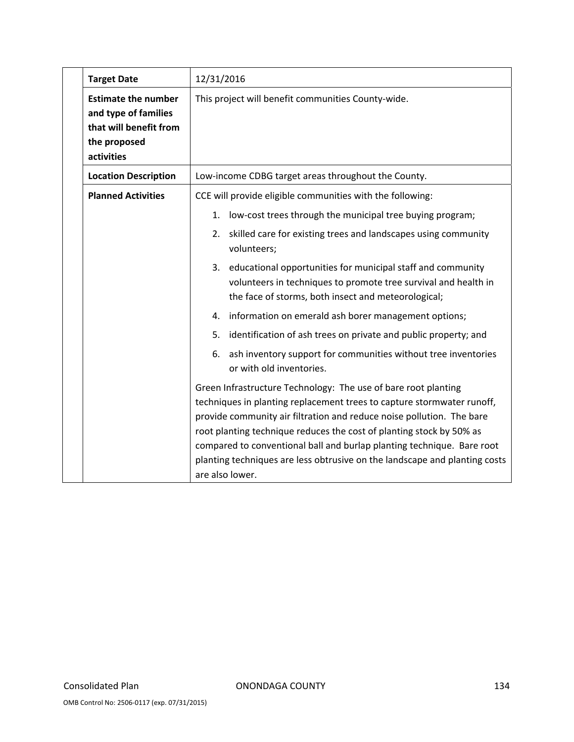| <b>Target Date</b>                                                                                         | 12/31/2016                                                                                                                                                                                                                                                                                                                                                                                                                                                           |
|------------------------------------------------------------------------------------------------------------|----------------------------------------------------------------------------------------------------------------------------------------------------------------------------------------------------------------------------------------------------------------------------------------------------------------------------------------------------------------------------------------------------------------------------------------------------------------------|
| <b>Estimate the number</b><br>and type of families<br>that will benefit from<br>the proposed<br>activities | This project will benefit communities County-wide.                                                                                                                                                                                                                                                                                                                                                                                                                   |
| <b>Location Description</b>                                                                                | Low-income CDBG target areas throughout the County.                                                                                                                                                                                                                                                                                                                                                                                                                  |
| <b>Planned Activities</b>                                                                                  | CCE will provide eligible communities with the following:                                                                                                                                                                                                                                                                                                                                                                                                            |
|                                                                                                            | low-cost trees through the municipal tree buying program;<br>1.                                                                                                                                                                                                                                                                                                                                                                                                      |
|                                                                                                            | 2. skilled care for existing trees and landscapes using community<br>volunteers;                                                                                                                                                                                                                                                                                                                                                                                     |
|                                                                                                            | 3. educational opportunities for municipal staff and community<br>volunteers in techniques to promote tree survival and health in<br>the face of storms, both insect and meteorological;                                                                                                                                                                                                                                                                             |
|                                                                                                            | 4. information on emerald ash borer management options;                                                                                                                                                                                                                                                                                                                                                                                                              |
|                                                                                                            | identification of ash trees on private and public property; and<br>5.                                                                                                                                                                                                                                                                                                                                                                                                |
|                                                                                                            | ash inventory support for communities without tree inventories<br>6.<br>or with old inventories.                                                                                                                                                                                                                                                                                                                                                                     |
|                                                                                                            | Green Infrastructure Technology: The use of bare root planting<br>techniques in planting replacement trees to capture stormwater runoff,<br>provide community air filtration and reduce noise pollution. The bare<br>root planting technique reduces the cost of planting stock by 50% as<br>compared to conventional ball and burlap planting technique. Bare root<br>planting techniques are less obtrusive on the landscape and planting costs<br>are also lower. |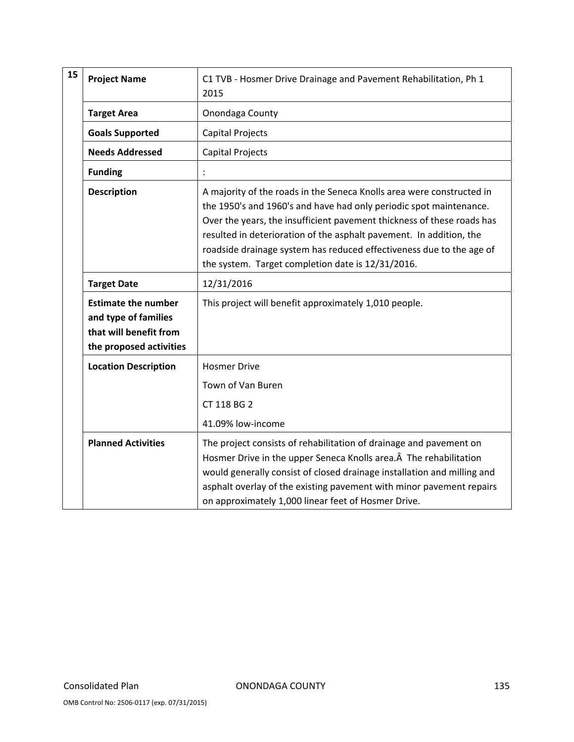| 15 | <b>Project Name</b>                                                                                     | C1 TVB - Hosmer Drive Drainage and Pavement Rehabilitation, Ph 1<br>2015                                                                                                                                                                                                                                                                                                                                                  |
|----|---------------------------------------------------------------------------------------------------------|---------------------------------------------------------------------------------------------------------------------------------------------------------------------------------------------------------------------------------------------------------------------------------------------------------------------------------------------------------------------------------------------------------------------------|
|    | <b>Target Area</b>                                                                                      | Onondaga County                                                                                                                                                                                                                                                                                                                                                                                                           |
|    | <b>Goals Supported</b>                                                                                  | <b>Capital Projects</b>                                                                                                                                                                                                                                                                                                                                                                                                   |
|    | <b>Needs Addressed</b>                                                                                  | <b>Capital Projects</b>                                                                                                                                                                                                                                                                                                                                                                                                   |
|    | <b>Funding</b>                                                                                          |                                                                                                                                                                                                                                                                                                                                                                                                                           |
|    | <b>Description</b>                                                                                      | A majority of the roads in the Seneca Knolls area were constructed in<br>the 1950's and 1960's and have had only periodic spot maintenance.<br>Over the years, the insufficient pavement thickness of these roads has<br>resulted in deterioration of the asphalt pavement. In addition, the<br>roadside drainage system has reduced effectiveness due to the age of<br>the system. Target completion date is 12/31/2016. |
|    | <b>Target Date</b>                                                                                      | 12/31/2016                                                                                                                                                                                                                                                                                                                                                                                                                |
|    | <b>Estimate the number</b><br>and type of families<br>that will benefit from<br>the proposed activities | This project will benefit approximately 1,010 people.                                                                                                                                                                                                                                                                                                                                                                     |
|    | <b>Location Description</b>                                                                             | <b>Hosmer Drive</b>                                                                                                                                                                                                                                                                                                                                                                                                       |
|    |                                                                                                         | Town of Van Buren<br>CT 118 BG 2<br>41.09% low-income                                                                                                                                                                                                                                                                                                                                                                     |
|    | <b>Planned Activities</b>                                                                               | The project consists of rehabilitation of drainage and pavement on<br>Hosmer Drive in the upper Seneca Knolls area. A The rehabilitation<br>would generally consist of closed drainage installation and milling and<br>asphalt overlay of the existing pavement with minor pavement repairs<br>on approximately 1,000 linear feet of Hosmer Drive.                                                                        |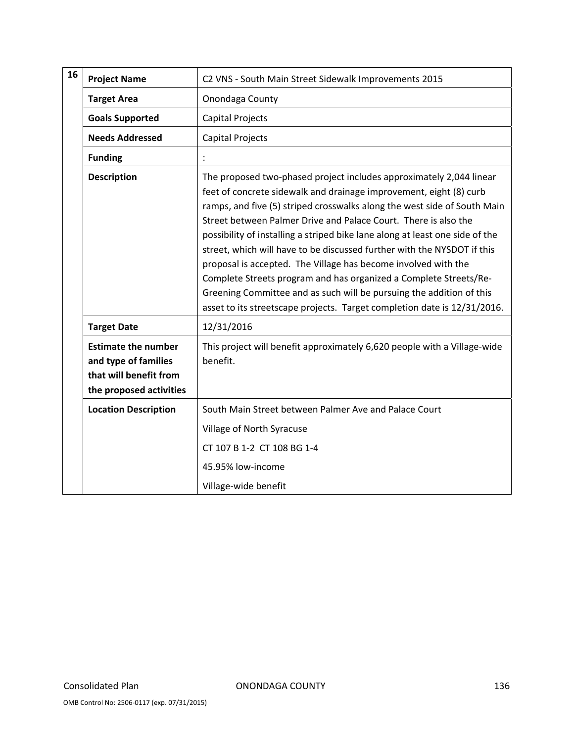| 16 | <b>Project Name</b>                                                                                     | C2 VNS - South Main Street Sidewalk Improvements 2015                                                                                                                                                                                                                                                                                                                                                                                                                                                                                                                                                                                                                                                                                          |
|----|---------------------------------------------------------------------------------------------------------|------------------------------------------------------------------------------------------------------------------------------------------------------------------------------------------------------------------------------------------------------------------------------------------------------------------------------------------------------------------------------------------------------------------------------------------------------------------------------------------------------------------------------------------------------------------------------------------------------------------------------------------------------------------------------------------------------------------------------------------------|
|    | <b>Target Area</b>                                                                                      | Onondaga County                                                                                                                                                                                                                                                                                                                                                                                                                                                                                                                                                                                                                                                                                                                                |
|    | <b>Goals Supported</b>                                                                                  | <b>Capital Projects</b>                                                                                                                                                                                                                                                                                                                                                                                                                                                                                                                                                                                                                                                                                                                        |
|    | <b>Needs Addressed</b>                                                                                  | <b>Capital Projects</b>                                                                                                                                                                                                                                                                                                                                                                                                                                                                                                                                                                                                                                                                                                                        |
|    | <b>Funding</b>                                                                                          |                                                                                                                                                                                                                                                                                                                                                                                                                                                                                                                                                                                                                                                                                                                                                |
|    | <b>Description</b>                                                                                      | The proposed two-phased project includes approximately 2,044 linear<br>feet of concrete sidewalk and drainage improvement, eight (8) curb<br>ramps, and five (5) striped crosswalks along the west side of South Main<br>Street between Palmer Drive and Palace Court. There is also the<br>possibility of installing a striped bike lane along at least one side of the<br>street, which will have to be discussed further with the NYSDOT if this<br>proposal is accepted. The Village has become involved with the<br>Complete Streets program and has organized a Complete Streets/Re-<br>Greening Committee and as such will be pursuing the addition of this<br>asset to its streetscape projects. Target completion date is 12/31/2016. |
|    | <b>Target Date</b>                                                                                      | 12/31/2016                                                                                                                                                                                                                                                                                                                                                                                                                                                                                                                                                                                                                                                                                                                                     |
|    | <b>Estimate the number</b><br>and type of families<br>that will benefit from<br>the proposed activities | This project will benefit approximately 6,620 people with a Village-wide<br>benefit.                                                                                                                                                                                                                                                                                                                                                                                                                                                                                                                                                                                                                                                           |
|    | <b>Location Description</b>                                                                             | South Main Street between Palmer Ave and Palace Court                                                                                                                                                                                                                                                                                                                                                                                                                                                                                                                                                                                                                                                                                          |
|    |                                                                                                         | Village of North Syracuse                                                                                                                                                                                                                                                                                                                                                                                                                                                                                                                                                                                                                                                                                                                      |
|    |                                                                                                         | CT 107 B 1-2 CT 108 BG 1-4                                                                                                                                                                                                                                                                                                                                                                                                                                                                                                                                                                                                                                                                                                                     |
|    |                                                                                                         | 45.95% low-income                                                                                                                                                                                                                                                                                                                                                                                                                                                                                                                                                                                                                                                                                                                              |
|    |                                                                                                         | Village-wide benefit                                                                                                                                                                                                                                                                                                                                                                                                                                                                                                                                                                                                                                                                                                                           |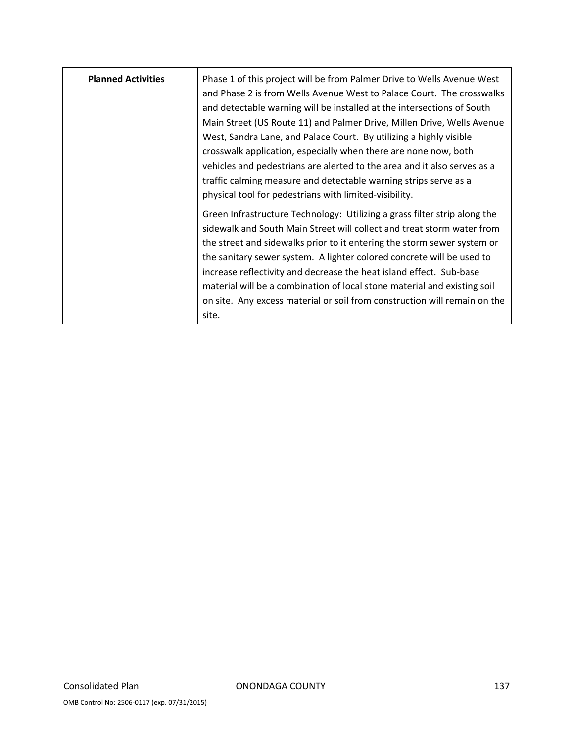| <b>Planned Activities</b> | Phase 1 of this project will be from Palmer Drive to Wells Avenue West<br>and Phase 2 is from Wells Avenue West to Palace Court. The crosswalks<br>and detectable warning will be installed at the intersections of South<br>Main Street (US Route 11) and Palmer Drive, Millen Drive, Wells Avenue<br>West, Sandra Lane, and Palace Court. By utilizing a highly visible<br>crosswalk application, especially when there are none now, both<br>vehicles and pedestrians are alerted to the area and it also serves as a<br>traffic calming measure and detectable warning strips serve as a<br>physical tool for pedestrians with limited-visibility. |
|---------------------------|--------------------------------------------------------------------------------------------------------------------------------------------------------------------------------------------------------------------------------------------------------------------------------------------------------------------------------------------------------------------------------------------------------------------------------------------------------------------------------------------------------------------------------------------------------------------------------------------------------------------------------------------------------|
|                           | Green Infrastructure Technology: Utilizing a grass filter strip along the<br>sidewalk and South Main Street will collect and treat storm water from<br>the street and sidewalks prior to it entering the storm sewer system or<br>the sanitary sewer system. A lighter colored concrete will be used to<br>increase reflectivity and decrease the heat island effect. Sub-base<br>material will be a combination of local stone material and existing soil<br>on site. Any excess material or soil from construction will remain on the<br>site.                                                                                                       |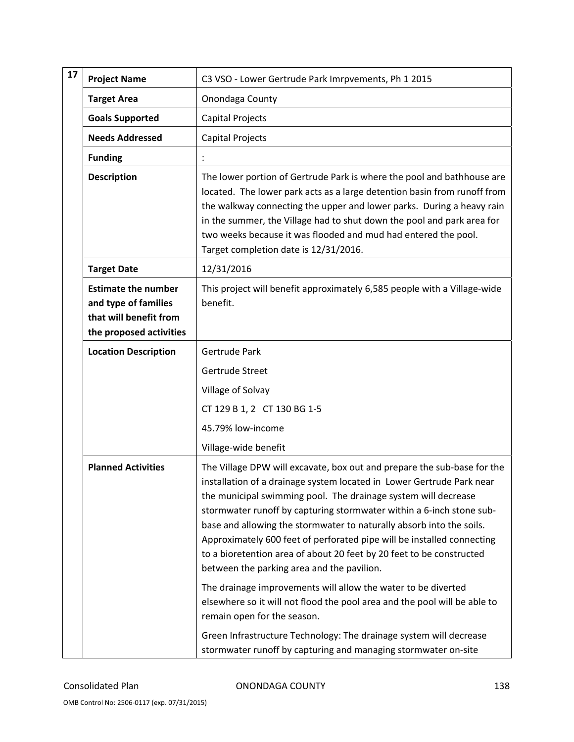| 17 | <b>Project Name</b>                                                                                     | C3 VSO - Lower Gertrude Park Imrpvements, Ph 1 2015                                                                                                                                                                                                                                                                                                                                                                                                                                                                                                                |
|----|---------------------------------------------------------------------------------------------------------|--------------------------------------------------------------------------------------------------------------------------------------------------------------------------------------------------------------------------------------------------------------------------------------------------------------------------------------------------------------------------------------------------------------------------------------------------------------------------------------------------------------------------------------------------------------------|
|    | <b>Target Area</b>                                                                                      | Onondaga County                                                                                                                                                                                                                                                                                                                                                                                                                                                                                                                                                    |
|    | <b>Goals Supported</b>                                                                                  | Capital Projects                                                                                                                                                                                                                                                                                                                                                                                                                                                                                                                                                   |
|    | <b>Needs Addressed</b>                                                                                  | Capital Projects                                                                                                                                                                                                                                                                                                                                                                                                                                                                                                                                                   |
|    | <b>Funding</b>                                                                                          |                                                                                                                                                                                                                                                                                                                                                                                                                                                                                                                                                                    |
|    | <b>Description</b>                                                                                      | The lower portion of Gertrude Park is where the pool and bathhouse are<br>located. The lower park acts as a large detention basin from runoff from<br>the walkway connecting the upper and lower parks. During a heavy rain<br>in the summer, the Village had to shut down the pool and park area for<br>two weeks because it was flooded and mud had entered the pool.<br>Target completion date is 12/31/2016.                                                                                                                                                   |
|    | <b>Target Date</b>                                                                                      | 12/31/2016                                                                                                                                                                                                                                                                                                                                                                                                                                                                                                                                                         |
|    | <b>Estimate the number</b><br>and type of families<br>that will benefit from<br>the proposed activities | This project will benefit approximately 6,585 people with a Village-wide<br>benefit.                                                                                                                                                                                                                                                                                                                                                                                                                                                                               |
|    | <b>Location Description</b>                                                                             | Gertrude Park                                                                                                                                                                                                                                                                                                                                                                                                                                                                                                                                                      |
|    |                                                                                                         | Gertrude Street                                                                                                                                                                                                                                                                                                                                                                                                                                                                                                                                                    |
|    |                                                                                                         | Village of Solvay                                                                                                                                                                                                                                                                                                                                                                                                                                                                                                                                                  |
|    |                                                                                                         | CT 129 B 1, 2 CT 130 BG 1-5                                                                                                                                                                                                                                                                                                                                                                                                                                                                                                                                        |
|    |                                                                                                         | 45.79% low-income                                                                                                                                                                                                                                                                                                                                                                                                                                                                                                                                                  |
|    |                                                                                                         | Village-wide benefit                                                                                                                                                                                                                                                                                                                                                                                                                                                                                                                                               |
|    | <b>Planned Activities</b>                                                                               | The Village DPW will excavate, box out and prepare the sub-base for the<br>installation of a drainage system located in Lower Gertrude Park near<br>the municipal swimming pool. The drainage system will decrease<br>stormwater runoff by capturing stormwater within a 6-inch stone sub-<br>base and allowing the stormwater to naturally absorb into the soils.<br>Approximately 600 feet of perforated pipe will be installed connecting<br>to a bioretention area of about 20 feet by 20 feet to be constructed<br>between the parking area and the pavilion. |
|    |                                                                                                         | The drainage improvements will allow the water to be diverted<br>elsewhere so it will not flood the pool area and the pool will be able to<br>remain open for the season.                                                                                                                                                                                                                                                                                                                                                                                          |
|    |                                                                                                         | Green Infrastructure Technology: The drainage system will decrease<br>stormwater runoff by capturing and managing stormwater on-site                                                                                                                                                                                                                                                                                                                                                                                                                               |

Consolidated Plan **CONONDAGA COUNTY 138**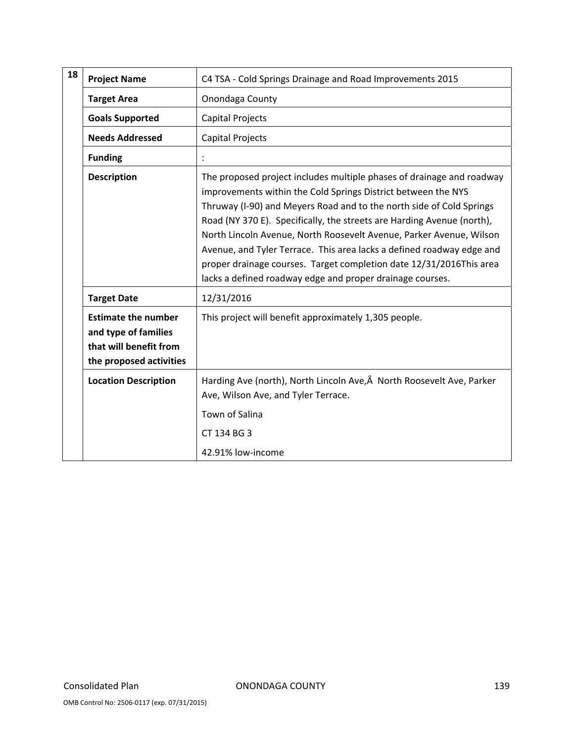| 18 | <b>Project Name</b>                                                                                     | C4 TSA - Cold Springs Drainage and Road Improvements 2015                                                                                                                                                                                                                                                                                                                                                                                                                                                                                                                    |
|----|---------------------------------------------------------------------------------------------------------|------------------------------------------------------------------------------------------------------------------------------------------------------------------------------------------------------------------------------------------------------------------------------------------------------------------------------------------------------------------------------------------------------------------------------------------------------------------------------------------------------------------------------------------------------------------------------|
|    | <b>Target Area</b>                                                                                      | Onondaga County                                                                                                                                                                                                                                                                                                                                                                                                                                                                                                                                                              |
|    | <b>Goals Supported</b>                                                                                  | <b>Capital Projects</b>                                                                                                                                                                                                                                                                                                                                                                                                                                                                                                                                                      |
|    | <b>Needs Addressed</b>                                                                                  | <b>Capital Projects</b>                                                                                                                                                                                                                                                                                                                                                                                                                                                                                                                                                      |
|    | <b>Funding</b>                                                                                          |                                                                                                                                                                                                                                                                                                                                                                                                                                                                                                                                                                              |
|    | <b>Description</b>                                                                                      | The proposed project includes multiple phases of drainage and roadway<br>improvements within the Cold Springs District between the NYS<br>Thruway (I-90) and Meyers Road and to the north side of Cold Springs<br>Road (NY 370 E). Specifically, the streets are Harding Avenue (north),<br>North Lincoln Avenue, North Roosevelt Avenue, Parker Avenue, Wilson<br>Avenue, and Tyler Terrace. This area lacks a defined roadway edge and<br>proper drainage courses. Target completion date 12/31/2016This area<br>lacks a defined roadway edge and proper drainage courses. |
|    | <b>Target Date</b>                                                                                      | 12/31/2016                                                                                                                                                                                                                                                                                                                                                                                                                                                                                                                                                                   |
|    | <b>Estimate the number</b><br>and type of families<br>that will benefit from<br>the proposed activities | This project will benefit approximately 1,305 people.                                                                                                                                                                                                                                                                                                                                                                                                                                                                                                                        |
|    | <b>Location Description</b>                                                                             | Harding Ave (north), North Lincoln Ave, Â North Roosevelt Ave, Parker<br>Ave, Wilson Ave, and Tyler Terrace.<br>Town of Salina<br>CT 134 BG 3<br>42.91% low-income                                                                                                                                                                                                                                                                                                                                                                                                           |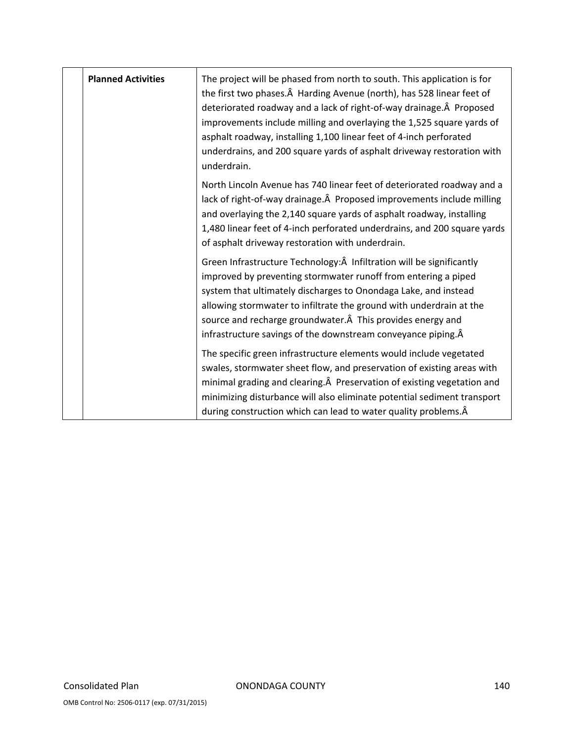| <b>Planned Activities</b> | The project will be phased from north to south. This application is for<br>the first two phases. A Harding Avenue (north), has 528 linear feet of<br>deteriorated roadway and a lack of right-of-way drainage. Proposed<br>improvements include milling and overlaying the 1,525 square yards of<br>asphalt roadway, installing 1,100 linear feet of 4-inch perforated<br>underdrains, and 200 square yards of asphalt driveway restoration with<br>underdrain. |
|---------------------------|-----------------------------------------------------------------------------------------------------------------------------------------------------------------------------------------------------------------------------------------------------------------------------------------------------------------------------------------------------------------------------------------------------------------------------------------------------------------|
|                           | North Lincoln Avenue has 740 linear feet of deteriorated roadway and a<br>lack of right-of-way drainage. Proposed improvements include milling<br>and overlaying the 2,140 square yards of asphalt roadway, installing<br>1,480 linear feet of 4-inch perforated underdrains, and 200 square yards<br>of asphalt driveway restoration with underdrain.                                                                                                          |
|                           | Green Infrastructure Technology: Â Infiltration will be significantly<br>improved by preventing stormwater runoff from entering a piped<br>system that ultimately discharges to Onondaga Lake, and instead<br>allowing stormwater to infiltrate the ground with underdrain at the<br>source and recharge groundwater. A This provides energy and<br>infrastructure savings of the downstream conveyance piping. Â                                               |
|                           | The specific green infrastructure elements would include vegetated<br>swales, stormwater sheet flow, and preservation of existing areas with<br>minimal grading and clearing. A Preservation of existing vegetation and<br>minimizing disturbance will also eliminate potential sediment transport<br>during construction which can lead to water quality problems. Â                                                                                           |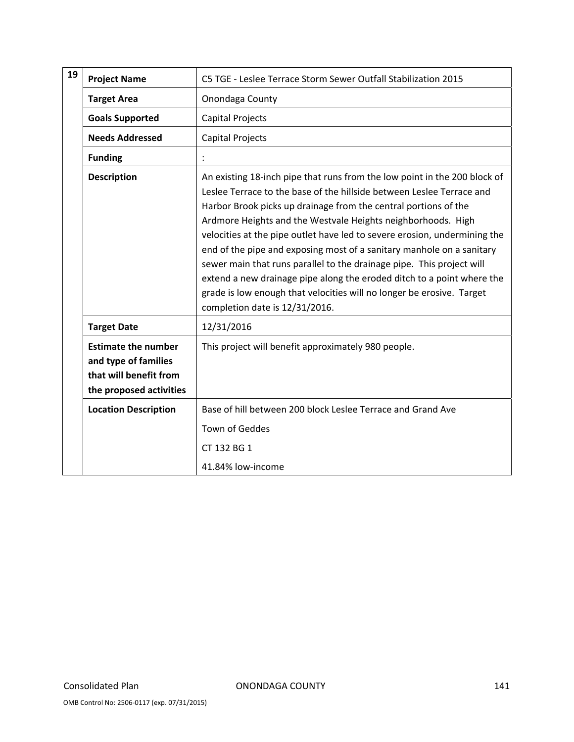| 19 | <b>Project Name</b>                                                                                     | C5 TGE - Leslee Terrace Storm Sewer Outfall Stabilization 2015                                                                                                                                                                                                                                                                                                                                                                                                                                                                                                                                                                                                                                            |
|----|---------------------------------------------------------------------------------------------------------|-----------------------------------------------------------------------------------------------------------------------------------------------------------------------------------------------------------------------------------------------------------------------------------------------------------------------------------------------------------------------------------------------------------------------------------------------------------------------------------------------------------------------------------------------------------------------------------------------------------------------------------------------------------------------------------------------------------|
|    | <b>Target Area</b>                                                                                      | Onondaga County                                                                                                                                                                                                                                                                                                                                                                                                                                                                                                                                                                                                                                                                                           |
|    | <b>Goals Supported</b>                                                                                  | <b>Capital Projects</b>                                                                                                                                                                                                                                                                                                                                                                                                                                                                                                                                                                                                                                                                                   |
|    | <b>Needs Addressed</b>                                                                                  | <b>Capital Projects</b>                                                                                                                                                                                                                                                                                                                                                                                                                                                                                                                                                                                                                                                                                   |
|    | <b>Funding</b>                                                                                          |                                                                                                                                                                                                                                                                                                                                                                                                                                                                                                                                                                                                                                                                                                           |
|    | <b>Description</b>                                                                                      | An existing 18-inch pipe that runs from the low point in the 200 block of<br>Leslee Terrace to the base of the hillside between Leslee Terrace and<br>Harbor Brook picks up drainage from the central portions of the<br>Ardmore Heights and the Westvale Heights neighborhoods. High<br>velocities at the pipe outlet have led to severe erosion, undermining the<br>end of the pipe and exposing most of a sanitary manhole on a sanitary<br>sewer main that runs parallel to the drainage pipe. This project will<br>extend a new drainage pipe along the eroded ditch to a point where the<br>grade is low enough that velocities will no longer be erosive. Target<br>completion date is 12/31/2016. |
|    | <b>Target Date</b>                                                                                      | 12/31/2016                                                                                                                                                                                                                                                                                                                                                                                                                                                                                                                                                                                                                                                                                                |
|    | <b>Estimate the number</b><br>and type of families<br>that will benefit from<br>the proposed activities | This project will benefit approximately 980 people.                                                                                                                                                                                                                                                                                                                                                                                                                                                                                                                                                                                                                                                       |
|    | <b>Location Description</b>                                                                             | Base of hill between 200 block Leslee Terrace and Grand Ave<br><b>Town of Geddes</b><br>CT 132 BG 1                                                                                                                                                                                                                                                                                                                                                                                                                                                                                                                                                                                                       |
|    |                                                                                                         | 41.84% low-income                                                                                                                                                                                                                                                                                                                                                                                                                                                                                                                                                                                                                                                                                         |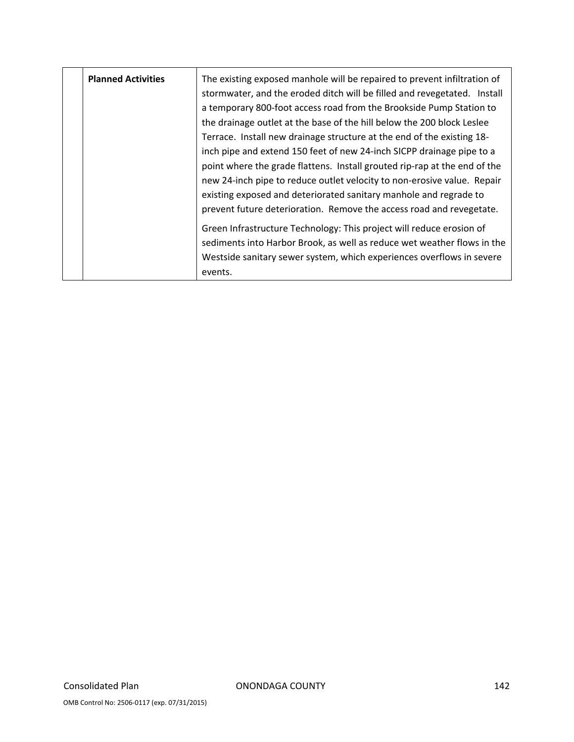| <b>Planned Activities</b> | The existing exposed manhole will be repaired to prevent infiltration of<br>stormwater, and the eroded ditch will be filled and revegetated. Install<br>a temporary 800-foot access road from the Brookside Pump Station to<br>the drainage outlet at the base of the hill below the 200 block Leslee<br>Terrace. Install new drainage structure at the end of the existing 18-<br>inch pipe and extend 150 feet of new 24-inch SICPP drainage pipe to a<br>point where the grade flattens. Install grouted rip-rap at the end of the<br>new 24-inch pipe to reduce outlet velocity to non-erosive value. Repair<br>existing exposed and deteriorated sanitary manhole and regrade to<br>prevent future deterioration. Remove the access road and revegetate. |
|---------------------------|---------------------------------------------------------------------------------------------------------------------------------------------------------------------------------------------------------------------------------------------------------------------------------------------------------------------------------------------------------------------------------------------------------------------------------------------------------------------------------------------------------------------------------------------------------------------------------------------------------------------------------------------------------------------------------------------------------------------------------------------------------------|
|                           | Green Infrastructure Technology: This project will reduce erosion of<br>sediments into Harbor Brook, as well as reduce wet weather flows in the<br>Westside sanitary sewer system, which experiences overflows in severe<br>events.                                                                                                                                                                                                                                                                                                                                                                                                                                                                                                                           |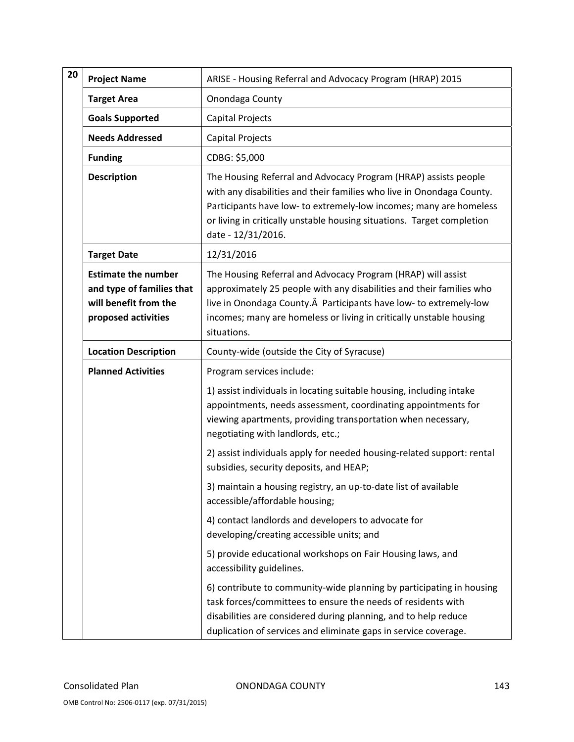| 20 | <b>Project Name</b>                                                                                     | ARISE - Housing Referral and Advocacy Program (HRAP) 2015                                                                                                                                                                                                                                                      |
|----|---------------------------------------------------------------------------------------------------------|----------------------------------------------------------------------------------------------------------------------------------------------------------------------------------------------------------------------------------------------------------------------------------------------------------------|
|    | <b>Target Area</b>                                                                                      | Onondaga County                                                                                                                                                                                                                                                                                                |
|    | <b>Goals Supported</b>                                                                                  | Capital Projects                                                                                                                                                                                                                                                                                               |
|    | <b>Needs Addressed</b>                                                                                  | <b>Capital Projects</b>                                                                                                                                                                                                                                                                                        |
|    | <b>Funding</b>                                                                                          | CDBG: \$5,000                                                                                                                                                                                                                                                                                                  |
|    | <b>Description</b>                                                                                      | The Housing Referral and Advocacy Program (HRAP) assists people<br>with any disabilities and their families who live in Onondaga County.<br>Participants have low- to extremely-low incomes; many are homeless<br>or living in critically unstable housing situations. Target completion<br>date - 12/31/2016. |
|    | <b>Target Date</b>                                                                                      | 12/31/2016                                                                                                                                                                                                                                                                                                     |
|    | <b>Estimate the number</b><br>and type of families that<br>will benefit from the<br>proposed activities | The Housing Referral and Advocacy Program (HRAP) will assist<br>approximately 25 people with any disabilities and their families who<br>live in Onondaga County. Participants have low- to extremely-low<br>incomes; many are homeless or living in critically unstable housing<br>situations.                 |
|    | <b>Location Description</b>                                                                             | County-wide (outside the City of Syracuse)                                                                                                                                                                                                                                                                     |
|    | <b>Planned Activities</b>                                                                               | Program services include:                                                                                                                                                                                                                                                                                      |
|    |                                                                                                         | 1) assist individuals in locating suitable housing, including intake<br>appointments, needs assessment, coordinating appointments for<br>viewing apartments, providing transportation when necessary,<br>negotiating with landlords, etc.;                                                                     |
|    |                                                                                                         | 2) assist individuals apply for needed housing-related support: rental<br>subsidies, security deposits, and HEAP;                                                                                                                                                                                              |
|    |                                                                                                         | 3) maintain a housing registry, an up-to-date list of available<br>accessible/affordable housing;                                                                                                                                                                                                              |
|    |                                                                                                         | 4) contact landlords and developers to advocate for<br>developing/creating accessible units; and                                                                                                                                                                                                               |
|    |                                                                                                         | 5) provide educational workshops on Fair Housing laws, and<br>accessibility guidelines.                                                                                                                                                                                                                        |
|    |                                                                                                         | 6) contribute to community-wide planning by participating in housing<br>task forces/committees to ensure the needs of residents with<br>disabilities are considered during planning, and to help reduce<br>duplication of services and eliminate gaps in service coverage.                                     |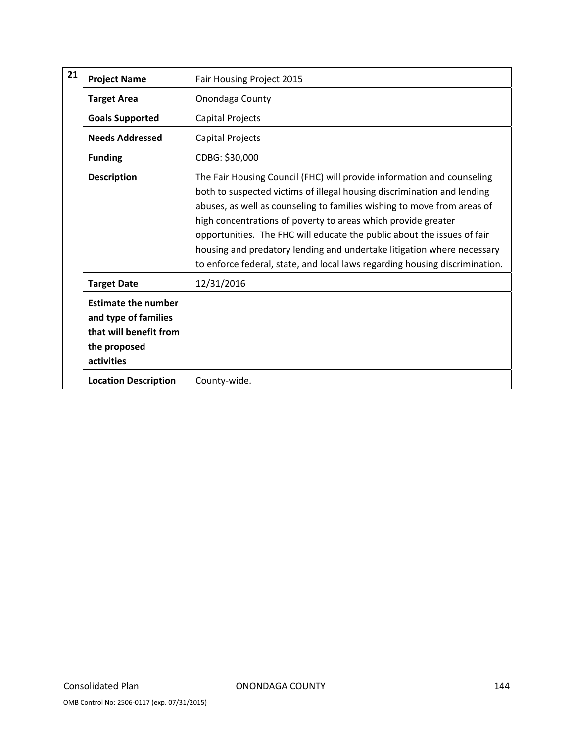| 21 | <b>Project Name</b>                                                                                        | Fair Housing Project 2015                                                                                                                                                                                                                                                                                                                                                                                                                                                                                                         |
|----|------------------------------------------------------------------------------------------------------------|-----------------------------------------------------------------------------------------------------------------------------------------------------------------------------------------------------------------------------------------------------------------------------------------------------------------------------------------------------------------------------------------------------------------------------------------------------------------------------------------------------------------------------------|
|    | <b>Target Area</b>                                                                                         | Onondaga County                                                                                                                                                                                                                                                                                                                                                                                                                                                                                                                   |
|    | <b>Goals Supported</b>                                                                                     | Capital Projects                                                                                                                                                                                                                                                                                                                                                                                                                                                                                                                  |
|    | <b>Needs Addressed</b>                                                                                     | Capital Projects                                                                                                                                                                                                                                                                                                                                                                                                                                                                                                                  |
|    | <b>Funding</b>                                                                                             | CDBG: \$30,000                                                                                                                                                                                                                                                                                                                                                                                                                                                                                                                    |
|    | <b>Description</b>                                                                                         | The Fair Housing Council (FHC) will provide information and counseling<br>both to suspected victims of illegal housing discrimination and lending<br>abuses, as well as counseling to families wishing to move from areas of<br>high concentrations of poverty to areas which provide greater<br>opportunities. The FHC will educate the public about the issues of fair<br>housing and predatory lending and undertake litigation where necessary<br>to enforce federal, state, and local laws regarding housing discrimination. |
|    | <b>Target Date</b>                                                                                         | 12/31/2016                                                                                                                                                                                                                                                                                                                                                                                                                                                                                                                        |
|    | <b>Estimate the number</b><br>and type of families<br>that will benefit from<br>the proposed<br>activities |                                                                                                                                                                                                                                                                                                                                                                                                                                                                                                                                   |
|    | <b>Location Description</b>                                                                                | County-wide.                                                                                                                                                                                                                                                                                                                                                                                                                                                                                                                      |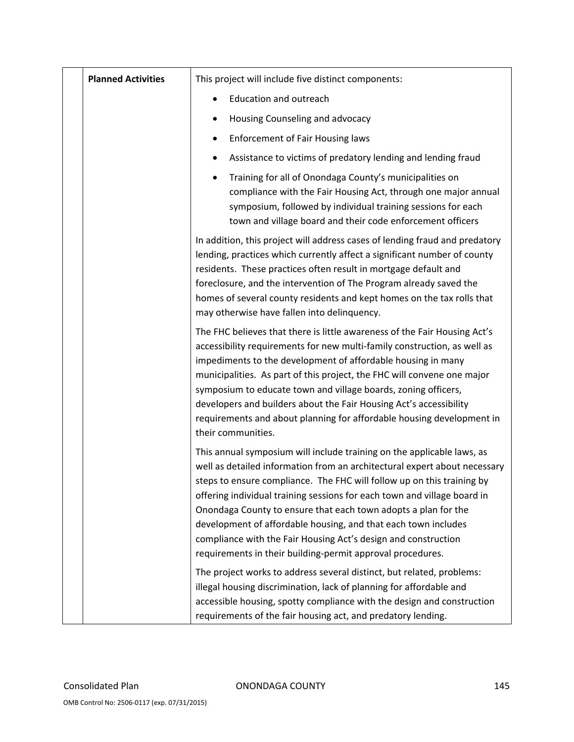| <b>Planned Activities</b> | This project will include five distinct components:                                                                                                                                                                                                                                                                                                                                                                                                                                                                                                                           |  |
|---------------------------|-------------------------------------------------------------------------------------------------------------------------------------------------------------------------------------------------------------------------------------------------------------------------------------------------------------------------------------------------------------------------------------------------------------------------------------------------------------------------------------------------------------------------------------------------------------------------------|--|
|                           | <b>Education and outreach</b>                                                                                                                                                                                                                                                                                                                                                                                                                                                                                                                                                 |  |
|                           | Housing Counseling and advocacy<br>٠                                                                                                                                                                                                                                                                                                                                                                                                                                                                                                                                          |  |
|                           | <b>Enforcement of Fair Housing laws</b><br>٠                                                                                                                                                                                                                                                                                                                                                                                                                                                                                                                                  |  |
|                           | Assistance to victims of predatory lending and lending fraud<br>٠                                                                                                                                                                                                                                                                                                                                                                                                                                                                                                             |  |
|                           | Training for all of Onondaga County's municipalities on<br>$\bullet$<br>compliance with the Fair Housing Act, through one major annual<br>symposium, followed by individual training sessions for each<br>town and village board and their code enforcement officers                                                                                                                                                                                                                                                                                                          |  |
|                           | In addition, this project will address cases of lending fraud and predatory<br>lending, practices which currently affect a significant number of county<br>residents. These practices often result in mortgage default and<br>foreclosure, and the intervention of The Program already saved the<br>homes of several county residents and kept homes on the tax rolls that<br>may otherwise have fallen into delinquency.                                                                                                                                                     |  |
|                           | The FHC believes that there is little awareness of the Fair Housing Act's<br>accessibility requirements for new multi-family construction, as well as<br>impediments to the development of affordable housing in many<br>municipalities. As part of this project, the FHC will convene one major<br>symposium to educate town and village boards, zoning officers,<br>developers and builders about the Fair Housing Act's accessibility<br>requirements and about planning for affordable housing development in<br>their communities.                                       |  |
|                           | This annual symposium will include training on the applicable laws, as<br>well as detailed information from an architectural expert about necessary<br>steps to ensure compliance. The FHC will follow up on this training by<br>offering individual training sessions for each town and village board in<br>Onondaga County to ensure that each town adopts a plan for the<br>development of affordable housing, and that each town includes<br>compliance with the Fair Housing Act's design and construction<br>requirements in their building-permit approval procedures. |  |
|                           | The project works to address several distinct, but related, problems:<br>illegal housing discrimination, lack of planning for affordable and<br>accessible housing, spotty compliance with the design and construction<br>requirements of the fair housing act, and predatory lending.                                                                                                                                                                                                                                                                                        |  |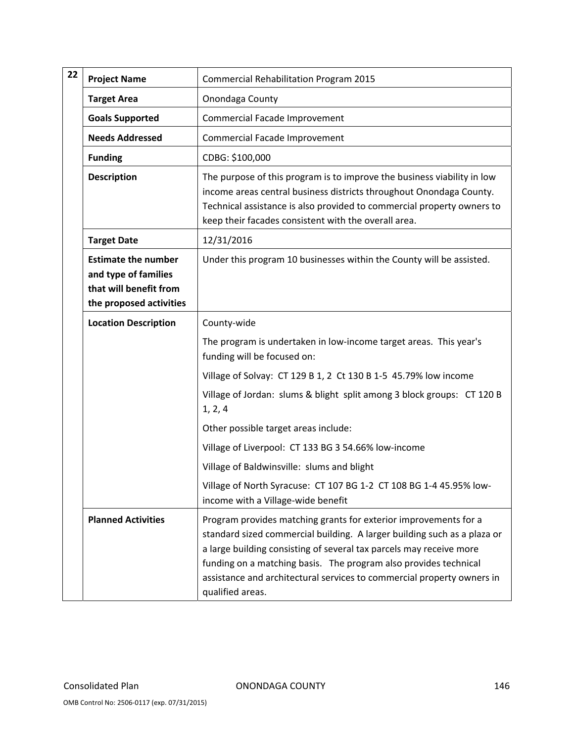| 22                                                                                                                                                                                                                                                                      | <b>Project Name</b>       | <b>Commercial Rehabilitation Program 2015</b><br>Onondaga County                                                                                                                                                                                                                                                                                                                      |  |
|-------------------------------------------------------------------------------------------------------------------------------------------------------------------------------------------------------------------------------------------------------------------------|---------------------------|---------------------------------------------------------------------------------------------------------------------------------------------------------------------------------------------------------------------------------------------------------------------------------------------------------------------------------------------------------------------------------------|--|
|                                                                                                                                                                                                                                                                         | <b>Target Area</b>        |                                                                                                                                                                                                                                                                                                                                                                                       |  |
|                                                                                                                                                                                                                                                                         | <b>Goals Supported</b>    | Commercial Facade Improvement                                                                                                                                                                                                                                                                                                                                                         |  |
|                                                                                                                                                                                                                                                                         | <b>Needs Addressed</b>    | <b>Commercial Facade Improvement</b>                                                                                                                                                                                                                                                                                                                                                  |  |
|                                                                                                                                                                                                                                                                         | <b>Funding</b>            | CDBG: \$100,000                                                                                                                                                                                                                                                                                                                                                                       |  |
| <b>Description</b><br>keep their facades consistent with the overall area.<br>12/31/2016<br><b>Target Date</b><br><b>Estimate the number</b><br>and type of families<br>that will benefit from<br>the proposed activities<br><b>Location Description</b><br>County-wide |                           | The purpose of this program is to improve the business viability in low<br>income areas central business districts throughout Onondaga County.<br>Technical assistance is also provided to commercial property owners to                                                                                                                                                              |  |
|                                                                                                                                                                                                                                                                         |                           |                                                                                                                                                                                                                                                                                                                                                                                       |  |
|                                                                                                                                                                                                                                                                         |                           | Under this program 10 businesses within the County will be assisted.                                                                                                                                                                                                                                                                                                                  |  |
|                                                                                                                                                                                                                                                                         |                           |                                                                                                                                                                                                                                                                                                                                                                                       |  |
|                                                                                                                                                                                                                                                                         |                           | The program is undertaken in low-income target areas. This year's<br>funding will be focused on:                                                                                                                                                                                                                                                                                      |  |
| 1, 2, 4                                                                                                                                                                                                                                                                 |                           | Village of Solvay: CT 129 B 1, 2 Ct 130 B 1-5 45.79% low income                                                                                                                                                                                                                                                                                                                       |  |
|                                                                                                                                                                                                                                                                         |                           | Village of Jordan: slums & blight split among 3 block groups: CT 120 B                                                                                                                                                                                                                                                                                                                |  |
|                                                                                                                                                                                                                                                                         |                           | Other possible target areas include:                                                                                                                                                                                                                                                                                                                                                  |  |
|                                                                                                                                                                                                                                                                         |                           | Village of Liverpool: CT 133 BG 3 54.66% low-income                                                                                                                                                                                                                                                                                                                                   |  |
|                                                                                                                                                                                                                                                                         |                           | Village of Baldwinsville: slums and blight                                                                                                                                                                                                                                                                                                                                            |  |
|                                                                                                                                                                                                                                                                         |                           | Village of North Syracuse: CT 107 BG 1-2 CT 108 BG 1-4 45.95% low-<br>income with a Village-wide benefit                                                                                                                                                                                                                                                                              |  |
|                                                                                                                                                                                                                                                                         | <b>Planned Activities</b> | Program provides matching grants for exterior improvements for a<br>standard sized commercial building. A larger building such as a plaza or<br>a large building consisting of several tax parcels may receive more<br>funding on a matching basis. The program also provides technical<br>assistance and architectural services to commercial property owners in<br>qualified areas. |  |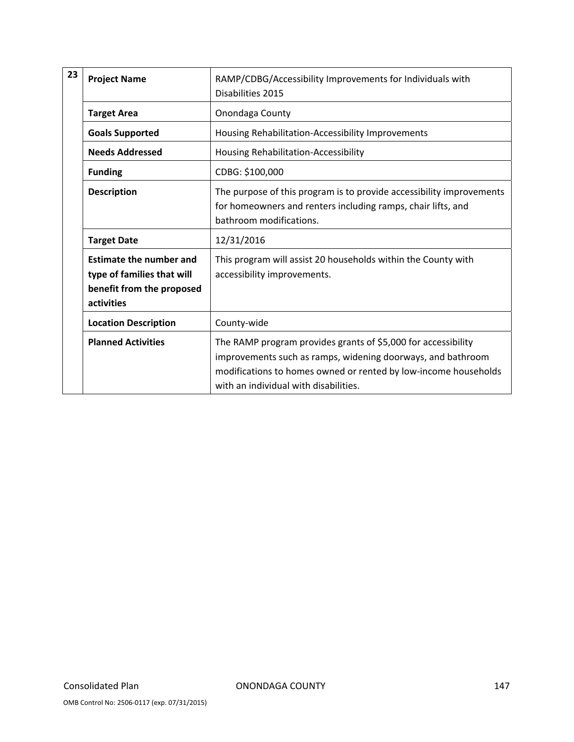| 23                 | RAMP/CDBG/Accessibility Improvements for Individuals with<br><b>Project Name</b><br>Disabilities 2015   |                                                                                                                                                                                                                                          |
|--------------------|---------------------------------------------------------------------------------------------------------|------------------------------------------------------------------------------------------------------------------------------------------------------------------------------------------------------------------------------------------|
|                    | <b>Target Area</b>                                                                                      | Onondaga County                                                                                                                                                                                                                          |
|                    | <b>Goals Supported</b>                                                                                  | Housing Rehabilitation-Accessibility Improvements                                                                                                                                                                                        |
|                    | <b>Needs Addressed</b>                                                                                  | Housing Rehabilitation-Accessibility                                                                                                                                                                                                     |
|                    | <b>Funding</b>                                                                                          | CDBG: \$100,000                                                                                                                                                                                                                          |
|                    | <b>Description</b>                                                                                      | The purpose of this program is to provide accessibility improvements<br>for homeowners and renters including ramps, chair lifts, and<br>bathroom modifications.                                                                          |
| <b>Target Date</b> |                                                                                                         | 12/31/2016                                                                                                                                                                                                                               |
|                    | <b>Estimate the number and</b><br>type of families that will<br>benefit from the proposed<br>activities | This program will assist 20 households within the County with<br>accessibility improvements.                                                                                                                                             |
|                    | <b>Location Description</b>                                                                             | County-wide                                                                                                                                                                                                                              |
|                    | <b>Planned Activities</b>                                                                               | The RAMP program provides grants of \$5,000 for accessibility<br>improvements such as ramps, widening doorways, and bathroom<br>modifications to homes owned or rented by low-income households<br>with an individual with disabilities. |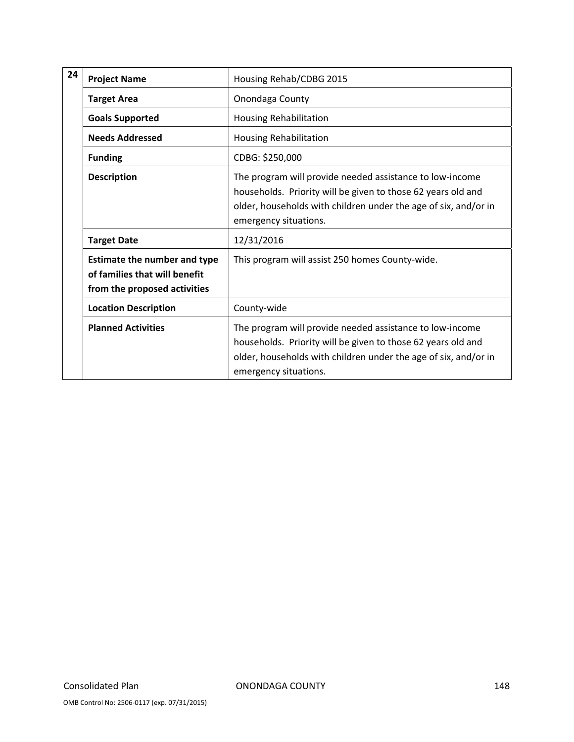| 24 | <b>Project Name</b>                                                                                  | Housing Rehab/CDBG 2015                                                                                                                                                                                              |
|----|------------------------------------------------------------------------------------------------------|----------------------------------------------------------------------------------------------------------------------------------------------------------------------------------------------------------------------|
|    | <b>Target Area</b>                                                                                   | Onondaga County                                                                                                                                                                                                      |
|    | <b>Goals Supported</b>                                                                               | <b>Housing Rehabilitation</b>                                                                                                                                                                                        |
|    | <b>Needs Addressed</b>                                                                               | <b>Housing Rehabilitation</b>                                                                                                                                                                                        |
|    | <b>Funding</b>                                                                                       | CDBG: \$250,000                                                                                                                                                                                                      |
|    | <b>Description</b>                                                                                   | The program will provide needed assistance to low-income<br>households. Priority will be given to those 62 years old and<br>older, households with children under the age of six, and/or in<br>emergency situations. |
|    | <b>Target Date</b>                                                                                   | 12/31/2016                                                                                                                                                                                                           |
|    | <b>Estimate the number and type</b><br>of families that will benefit<br>from the proposed activities | This program will assist 250 homes County-wide.                                                                                                                                                                      |
|    | <b>Location Description</b>                                                                          | County-wide                                                                                                                                                                                                          |
|    | <b>Planned Activities</b>                                                                            | The program will provide needed assistance to low-income<br>households. Priority will be given to those 62 years old and<br>older, households with children under the age of six, and/or in<br>emergency situations. |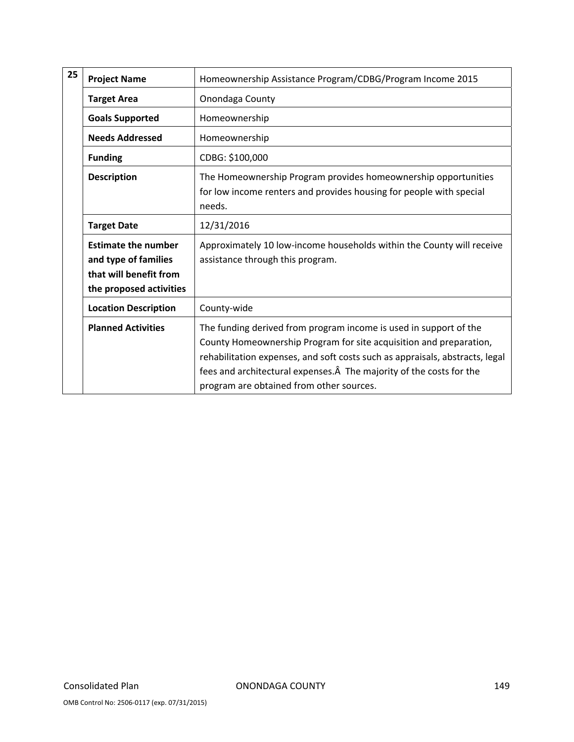| 25                                         | <b>Project Name</b>                                                                                     | Homeownership Assistance Program/CDBG/Program Income 2015                                                                                                                                                                                                                                                                                   |
|--------------------------------------------|---------------------------------------------------------------------------------------------------------|---------------------------------------------------------------------------------------------------------------------------------------------------------------------------------------------------------------------------------------------------------------------------------------------------------------------------------------------|
|                                            | <b>Target Area</b>                                                                                      | Onondaga County                                                                                                                                                                                                                                                                                                                             |
|                                            | <b>Goals Supported</b>                                                                                  | Homeownership                                                                                                                                                                                                                                                                                                                               |
|                                            | <b>Needs Addressed</b>                                                                                  | Homeownership                                                                                                                                                                                                                                                                                                                               |
|                                            | <b>Funding</b>                                                                                          | CDBG: \$100,000                                                                                                                                                                                                                                                                                                                             |
|                                            | <b>Description</b>                                                                                      | The Homeownership Program provides homeownership opportunities<br>for low income renters and provides housing for people with special<br>needs.                                                                                                                                                                                             |
| <b>Target Date</b>                         |                                                                                                         | 12/31/2016                                                                                                                                                                                                                                                                                                                                  |
|                                            | <b>Estimate the number</b><br>and type of families<br>that will benefit from<br>the proposed activities | Approximately 10 low-income households within the County will receive<br>assistance through this program.                                                                                                                                                                                                                                   |
| <b>Location Description</b><br>County-wide |                                                                                                         |                                                                                                                                                                                                                                                                                                                                             |
|                                            | <b>Planned Activities</b>                                                                               | The funding derived from program income is used in support of the<br>County Homeownership Program for site acquisition and preparation,<br>rehabilitation expenses, and soft costs such as appraisals, abstracts, legal<br>fees and architectural expenses. A The majority of the costs for the<br>program are obtained from other sources. |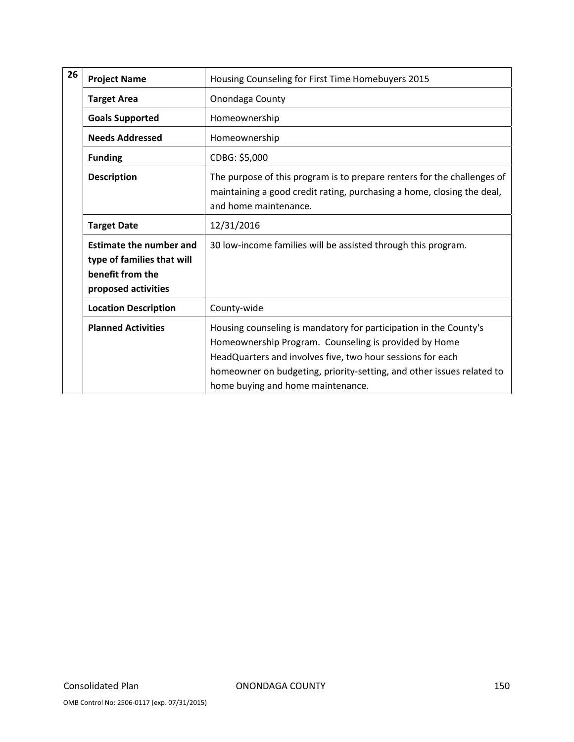| 26 | <b>Project Name</b>                                                                                     | Housing Counseling for First Time Homebuyers 2015                                                                                                                                                                                                                                                      |  |
|----|---------------------------------------------------------------------------------------------------------|--------------------------------------------------------------------------------------------------------------------------------------------------------------------------------------------------------------------------------------------------------------------------------------------------------|--|
|    | <b>Target Area</b>                                                                                      | Onondaga County                                                                                                                                                                                                                                                                                        |  |
|    | <b>Goals Supported</b>                                                                                  | Homeownership                                                                                                                                                                                                                                                                                          |  |
|    | <b>Needs Addressed</b>                                                                                  | Homeownership                                                                                                                                                                                                                                                                                          |  |
|    | <b>Funding</b>                                                                                          | CDBG: \$5,000                                                                                                                                                                                                                                                                                          |  |
|    | <b>Description</b>                                                                                      | The purpose of this program is to prepare renters for the challenges of<br>maintaining a good credit rating, purchasing a home, closing the deal,<br>and home maintenance.                                                                                                                             |  |
|    | <b>Target Date</b>                                                                                      | 12/31/2016                                                                                                                                                                                                                                                                                             |  |
|    | <b>Estimate the number and</b><br>type of families that will<br>benefit from the<br>proposed activities | 30 low-income families will be assisted through this program.                                                                                                                                                                                                                                          |  |
|    | <b>Location Description</b>                                                                             | County-wide                                                                                                                                                                                                                                                                                            |  |
|    | <b>Planned Activities</b>                                                                               | Housing counseling is mandatory for participation in the County's<br>Homeownership Program. Counseling is provided by Home<br>HeadQuarters and involves five, two hour sessions for each<br>homeowner on budgeting, priority-setting, and other issues related to<br>home buying and home maintenance. |  |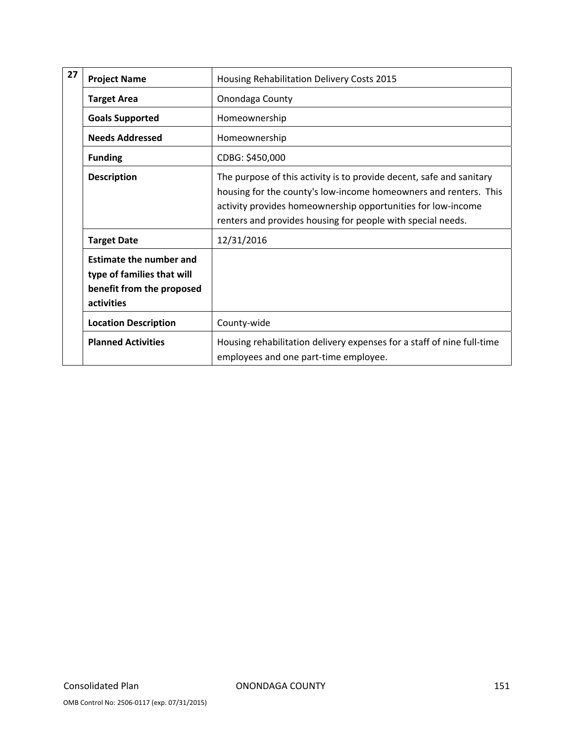| 27                               | <b>Project Name</b>                                                                                     | Housing Rehabilitation Delivery Costs 2015                                                                                                                                                                                                                              |  |
|----------------------------------|---------------------------------------------------------------------------------------------------------|-------------------------------------------------------------------------------------------------------------------------------------------------------------------------------------------------------------------------------------------------------------------------|--|
|                                  | <b>Target Area</b>                                                                                      | Onondaga County                                                                                                                                                                                                                                                         |  |
|                                  | <b>Goals Supported</b>                                                                                  | Homeownership                                                                                                                                                                                                                                                           |  |
|                                  | <b>Needs Addressed</b>                                                                                  | Homeownership                                                                                                                                                                                                                                                           |  |
|                                  | <b>Funding</b>                                                                                          | CDBG: \$450,000                                                                                                                                                                                                                                                         |  |
|                                  | <b>Description</b>                                                                                      | The purpose of this activity is to provide decent, safe and sanitary<br>housing for the county's low-income homeowners and renters. This<br>activity provides homeownership opportunities for low-income<br>renters and provides housing for people with special needs. |  |
| 12/31/2016<br><b>Target Date</b> |                                                                                                         |                                                                                                                                                                                                                                                                         |  |
|                                  | <b>Estimate the number and</b><br>type of families that will<br>benefit from the proposed<br>activities |                                                                                                                                                                                                                                                                         |  |
|                                  | <b>Location Description</b>                                                                             | County-wide                                                                                                                                                                                                                                                             |  |
|                                  | <b>Planned Activities</b>                                                                               | Housing rehabilitation delivery expenses for a staff of nine full-time<br>employees and one part-time employee.                                                                                                                                                         |  |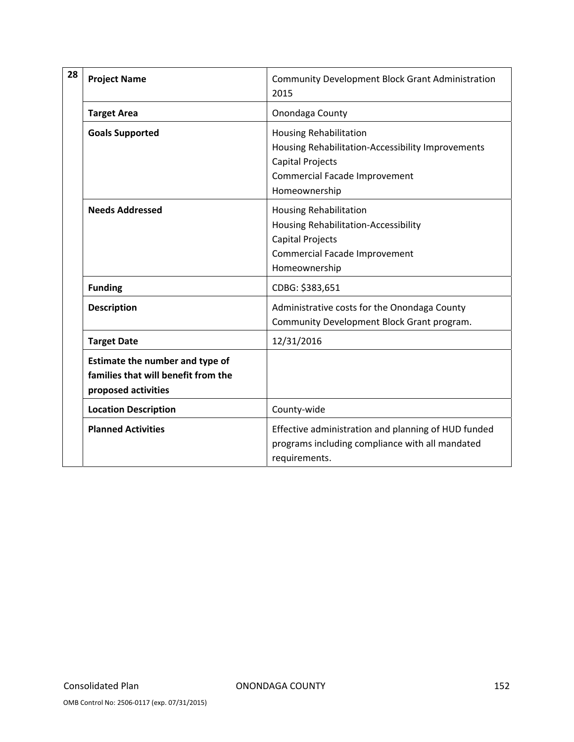| 28 | <b>Project Name</b>                                                                           | <b>Community Development Block Grant Administration</b><br>2015                                                                                                 |
|----|-----------------------------------------------------------------------------------------------|-----------------------------------------------------------------------------------------------------------------------------------------------------------------|
|    | <b>Target Area</b>                                                                            | Onondaga County                                                                                                                                                 |
|    | <b>Goals Supported</b>                                                                        | <b>Housing Rehabilitation</b><br>Housing Rehabilitation-Accessibility Improvements<br><b>Capital Projects</b><br>Commercial Facade Improvement<br>Homeownership |
|    | <b>Needs Addressed</b>                                                                        | <b>Housing Rehabilitation</b><br>Housing Rehabilitation-Accessibility<br>Capital Projects<br>Commercial Facade Improvement<br>Homeownership                     |
|    | <b>Funding</b>                                                                                | CDBG: \$383,651                                                                                                                                                 |
|    | <b>Description</b>                                                                            | Administrative costs for the Onondaga County<br>Community Development Block Grant program.                                                                      |
|    | <b>Target Date</b>                                                                            | 12/31/2016                                                                                                                                                      |
|    | Estimate the number and type of<br>families that will benefit from the<br>proposed activities |                                                                                                                                                                 |
|    | <b>Location Description</b>                                                                   | County-wide                                                                                                                                                     |
|    | <b>Planned Activities</b>                                                                     | Effective administration and planning of HUD funded<br>programs including compliance with all mandated<br>requirements.                                         |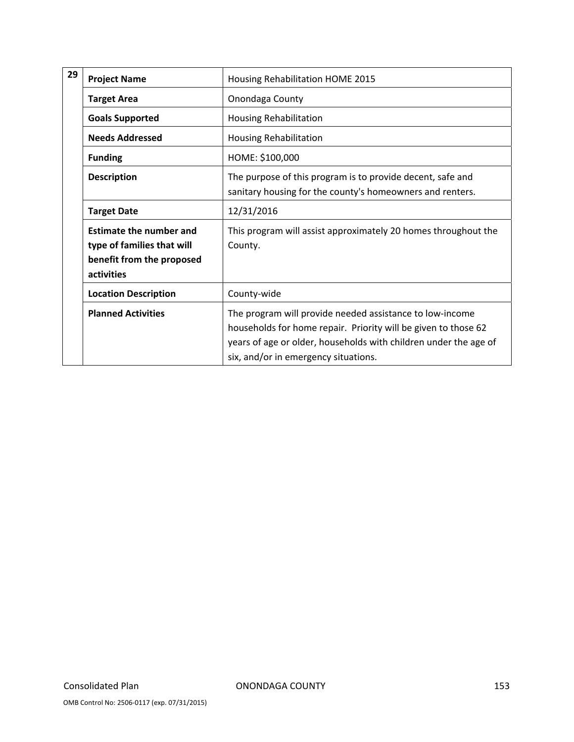| 29<br><b>Project Name</b><br>Housing Rehabilitation HOME 2015            |                                                                                           |                                                                                                                                                                                                                                        |
|--------------------------------------------------------------------------|-------------------------------------------------------------------------------------------|----------------------------------------------------------------------------------------------------------------------------------------------------------------------------------------------------------------------------------------|
|                                                                          | <b>Target Area</b>                                                                        | Onondaga County                                                                                                                                                                                                                        |
|                                                                          | <b>Goals Supported</b>                                                                    | <b>Housing Rehabilitation</b>                                                                                                                                                                                                          |
| <b>Funding</b><br><b>Description</b><br><b>Target Date</b><br>activities | <b>Needs Addressed</b>                                                                    | <b>Housing Rehabilitation</b>                                                                                                                                                                                                          |
|                                                                          |                                                                                           | HOME: \$100,000                                                                                                                                                                                                                        |
|                                                                          |                                                                                           | The purpose of this program is to provide decent, safe and<br>sanitary housing for the county's homeowners and renters.                                                                                                                |
|                                                                          |                                                                                           | 12/31/2016                                                                                                                                                                                                                             |
|                                                                          | <b>Estimate the number and</b><br>type of families that will<br>benefit from the proposed | This program will assist approximately 20 homes throughout the<br>County.                                                                                                                                                              |
|                                                                          | <b>Location Description</b>                                                               | County-wide                                                                                                                                                                                                                            |
|                                                                          | <b>Planned Activities</b>                                                                 | The program will provide needed assistance to low-income<br>households for home repair. Priority will be given to those 62<br>years of age or older, households with children under the age of<br>six, and/or in emergency situations. |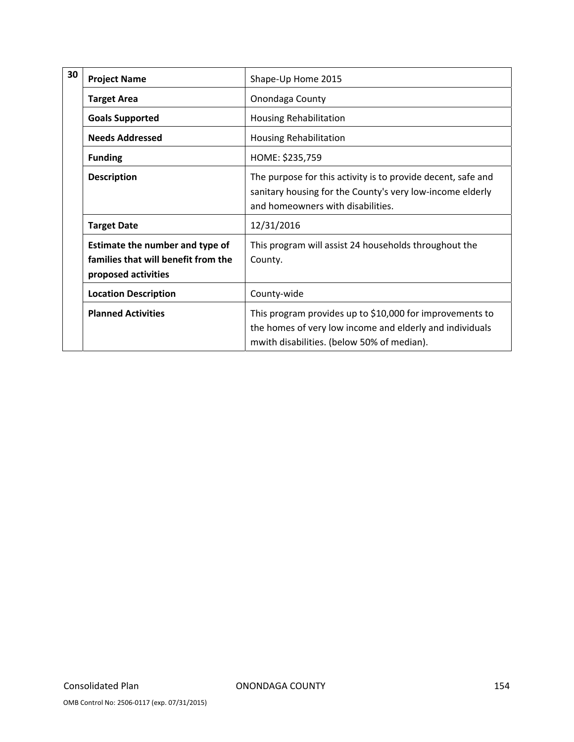| 30 | <b>Project Name</b>                                                                           | Shape-Up Home 2015                                                                                                                                                 |
|----|-----------------------------------------------------------------------------------------------|--------------------------------------------------------------------------------------------------------------------------------------------------------------------|
|    | <b>Target Area</b>                                                                            | Onondaga County                                                                                                                                                    |
|    | <b>Goals Supported</b>                                                                        | <b>Housing Rehabilitation</b>                                                                                                                                      |
|    | <b>Needs Addressed</b>                                                                        | <b>Housing Rehabilitation</b>                                                                                                                                      |
|    | <b>Funding</b>                                                                                | HOME: \$235,759                                                                                                                                                    |
|    | <b>Description</b>                                                                            | The purpose for this activity is to provide decent, safe and<br>sanitary housing for the County's very low-income elderly<br>and homeowners with disabilities.     |
|    | <b>Target Date</b>                                                                            | 12/31/2016                                                                                                                                                         |
|    | Estimate the number and type of<br>families that will benefit from the<br>proposed activities | This program will assist 24 households throughout the<br>County.                                                                                                   |
|    | <b>Location Description</b>                                                                   | County-wide                                                                                                                                                        |
|    | <b>Planned Activities</b>                                                                     | This program provides up to \$10,000 for improvements to<br>the homes of very low income and elderly and individuals<br>mwith disabilities. (below 50% of median). |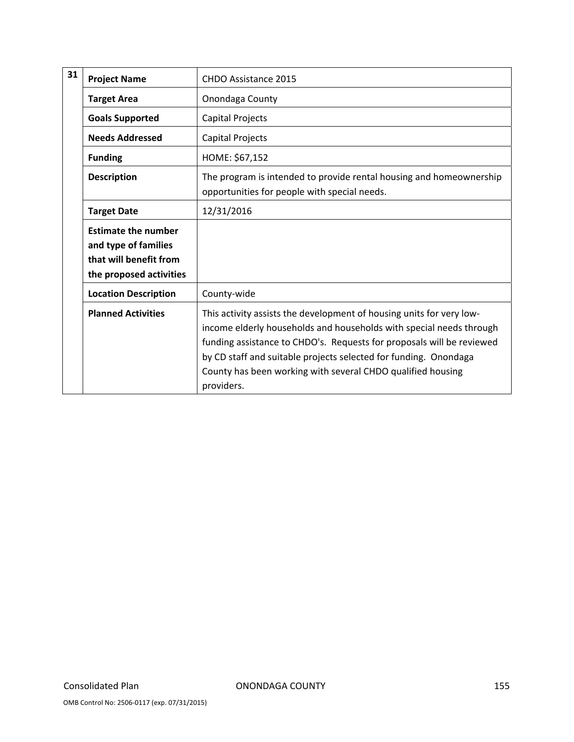| 31                                                                                                     | <b>Project Name</b>                                                                                     | CHDO Assistance 2015                                                                                                                                                                                                                                                                                                                                                  |
|--------------------------------------------------------------------------------------------------------|---------------------------------------------------------------------------------------------------------|-----------------------------------------------------------------------------------------------------------------------------------------------------------------------------------------------------------------------------------------------------------------------------------------------------------------------------------------------------------------------|
|                                                                                                        | <b>Target Area</b>                                                                                      | Onondaga County                                                                                                                                                                                                                                                                                                                                                       |
| <b>Goals Supported</b><br>Capital Projects                                                             |                                                                                                         |                                                                                                                                                                                                                                                                                                                                                                       |
|                                                                                                        | <b>Needs Addressed</b>                                                                                  | Capital Projects                                                                                                                                                                                                                                                                                                                                                      |
| HOME: \$67,152<br><b>Funding</b><br><b>Description</b><br>opportunities for people with special needs. |                                                                                                         |                                                                                                                                                                                                                                                                                                                                                                       |
|                                                                                                        |                                                                                                         | The program is intended to provide rental housing and homeownership                                                                                                                                                                                                                                                                                                   |
|                                                                                                        | 12/31/2016<br><b>Target Date</b>                                                                        |                                                                                                                                                                                                                                                                                                                                                                       |
|                                                                                                        | <b>Estimate the number</b><br>and type of families<br>that will benefit from<br>the proposed activities |                                                                                                                                                                                                                                                                                                                                                                       |
| <b>Location Description</b><br>County-wide                                                             |                                                                                                         |                                                                                                                                                                                                                                                                                                                                                                       |
|                                                                                                        | <b>Planned Activities</b>                                                                               | This activity assists the development of housing units for very low-<br>income elderly households and households with special needs through<br>funding assistance to CHDO's. Requests for proposals will be reviewed<br>by CD staff and suitable projects selected for funding. Onondaga<br>County has been working with several CHDO qualified housing<br>providers. |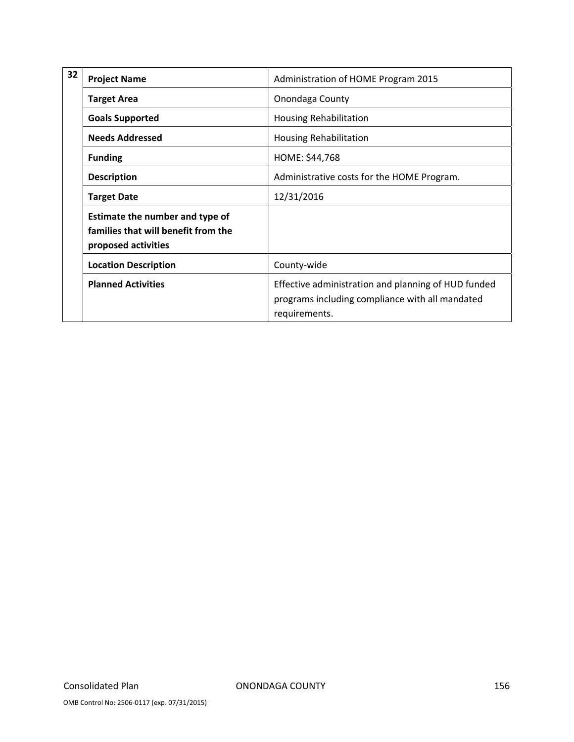| 32 | <b>Project Name</b>                                                                           | Administration of HOME Program 2015                                                                                     |
|----|-----------------------------------------------------------------------------------------------|-------------------------------------------------------------------------------------------------------------------------|
|    | <b>Target Area</b>                                                                            | Onondaga County                                                                                                         |
|    | <b>Goals Supported</b>                                                                        | <b>Housing Rehabilitation</b>                                                                                           |
|    | <b>Needs Addressed</b>                                                                        | <b>Housing Rehabilitation</b>                                                                                           |
|    | <b>Funding</b>                                                                                | HOME: \$44,768                                                                                                          |
|    | <b>Description</b>                                                                            | Administrative costs for the HOME Program.                                                                              |
|    | <b>Target Date</b>                                                                            | 12/31/2016                                                                                                              |
|    | Estimate the number and type of<br>families that will benefit from the<br>proposed activities |                                                                                                                         |
|    | <b>Location Description</b>                                                                   | County-wide                                                                                                             |
|    | <b>Planned Activities</b>                                                                     | Effective administration and planning of HUD funded<br>programs including compliance with all mandated<br>requirements. |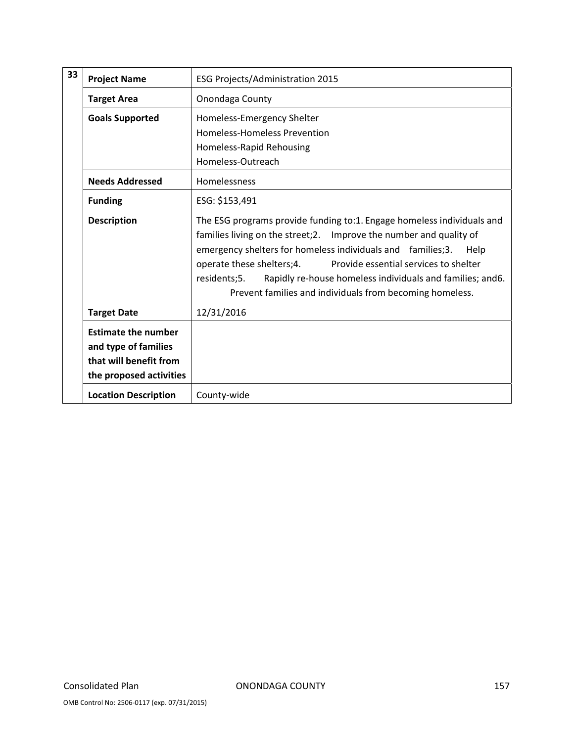| 33 | <b>Project Name</b>                                                          | ESG Projects/Administration 2015                                                                                                                                                                                                                                                                                                                                                                                                     |
|----|------------------------------------------------------------------------------|--------------------------------------------------------------------------------------------------------------------------------------------------------------------------------------------------------------------------------------------------------------------------------------------------------------------------------------------------------------------------------------------------------------------------------------|
|    | <b>Target Area</b>                                                           | Onondaga County                                                                                                                                                                                                                                                                                                                                                                                                                      |
|    | <b>Goals Supported</b>                                                       | Homeless-Emergency Shelter                                                                                                                                                                                                                                                                                                                                                                                                           |
|    |                                                                              | Homeless-Homeless Prevention                                                                                                                                                                                                                                                                                                                                                                                                         |
|    |                                                                              | Homeless-Rapid Rehousing                                                                                                                                                                                                                                                                                                                                                                                                             |
|    |                                                                              | Homeless-Outreach                                                                                                                                                                                                                                                                                                                                                                                                                    |
|    | <b>Needs Addressed</b>                                                       | Homelessness                                                                                                                                                                                                                                                                                                                                                                                                                         |
|    | <b>Funding</b>                                                               | ESG: \$153,491                                                                                                                                                                                                                                                                                                                                                                                                                       |
|    | <b>Description</b>                                                           | The ESG programs provide funding to:1. Engage homeless individuals and<br>families living on the street;2.  Improve the number and quality of<br>emergency shelters for homeless individuals and families;3.<br>Help<br>operate these shelters;4.<br>Provide essential services to shelter<br>Rapidly re-house homeless individuals and families; and 6.<br>residents;5.<br>Prevent families and individuals from becoming homeless. |
|    | <b>Target Date</b>                                                           | 12/31/2016                                                                                                                                                                                                                                                                                                                                                                                                                           |
|    | <b>Estimate the number</b><br>and type of families<br>that will benefit from |                                                                                                                                                                                                                                                                                                                                                                                                                                      |
|    | the proposed activities                                                      |                                                                                                                                                                                                                                                                                                                                                                                                                                      |
|    | <b>Location Description</b>                                                  | County-wide                                                                                                                                                                                                                                                                                                                                                                                                                          |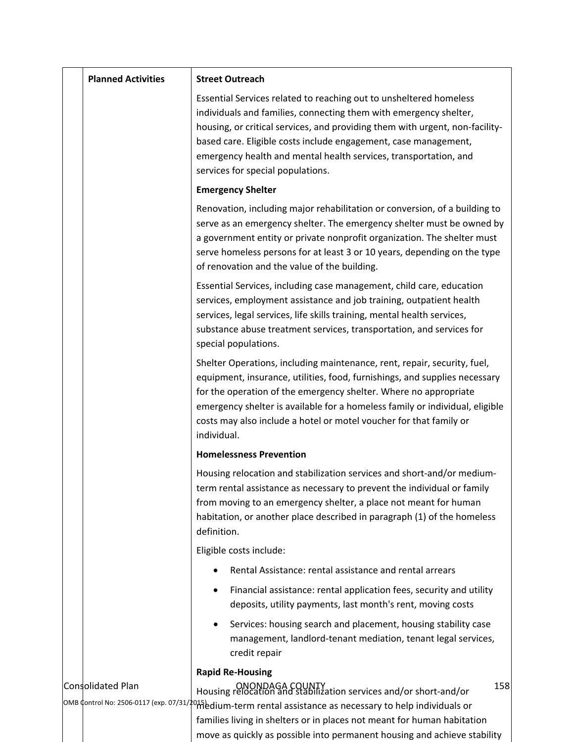| <b>Planned Activities</b> | <b>Street Outreach</b>                                                                                                                                                                                                                                                                                                                                                                              |
|---------------------------|-----------------------------------------------------------------------------------------------------------------------------------------------------------------------------------------------------------------------------------------------------------------------------------------------------------------------------------------------------------------------------------------------------|
|                           | Essential Services related to reaching out to unsheltered homeless<br>individuals and families, connecting them with emergency shelter,<br>housing, or critical services, and providing them with urgent, non-facility-<br>based care. Eligible costs include engagement, case management,<br>emergency health and mental health services, transportation, and<br>services for special populations. |
|                           | <b>Emergency Shelter</b>                                                                                                                                                                                                                                                                                                                                                                            |
|                           | Renovation, including major rehabilitation or conversion, of a building to<br>serve as an emergency shelter. The emergency shelter must be owned by<br>a government entity or private nonprofit organization. The shelter must<br>serve homeless persons for at least 3 or 10 years, depending on the type<br>of renovation and the value of the building.                                          |
|                           | Essential Services, including case management, child care, education<br>services, employment assistance and job training, outpatient health<br>services, legal services, life skills training, mental health services,<br>substance abuse treatment services, transportation, and services for<br>special populations.                                                                              |
|                           | Shelter Operations, including maintenance, rent, repair, security, fuel,<br>equipment, insurance, utilities, food, furnishings, and supplies necessary<br>for the operation of the emergency shelter. Where no appropriate<br>emergency shelter is available for a homeless family or individual, eligible<br>costs may also include a hotel or motel voucher for that family or<br>individual.     |
|                           | <b>Homelessness Prevention</b>                                                                                                                                                                                                                                                                                                                                                                      |
|                           | Housing relocation and stabilization services and short-and/or medium-<br>term rental assistance as necessary to prevent the individual or family<br>from moving to an emergency shelter, a place not meant for human<br>habitation, or another place described in paragraph (1) of the homeless<br>definition.                                                                                     |
|                           | Eligible costs include:                                                                                                                                                                                                                                                                                                                                                                             |
|                           | Rental Assistance: rental assistance and rental arrears                                                                                                                                                                                                                                                                                                                                             |
|                           | Financial assistance: rental application fees, security and utility<br>deposits, utility payments, last month's rent, moving costs                                                                                                                                                                                                                                                                  |
|                           | Services: housing search and placement, housing stability case<br>management, landlord-tenant mediation, tenant legal services,<br>credit repair                                                                                                                                                                                                                                                    |
| <b>Consolidated Plan</b>  | <b>Rapid Re-Housing</b><br>158<br>DNONDAGA COUNTY<br>Housing relocation and stabilization services and/or short-and/or<br> ОМВ ¢ontrol No: 2506-0117 (exp. 07/31/‡015) dium-term rental assistance as necessary to help individuals or<br>families living in shelters or in places not meant for human habitation<br>move as quickly as possible into permanent housing and achieve stability       |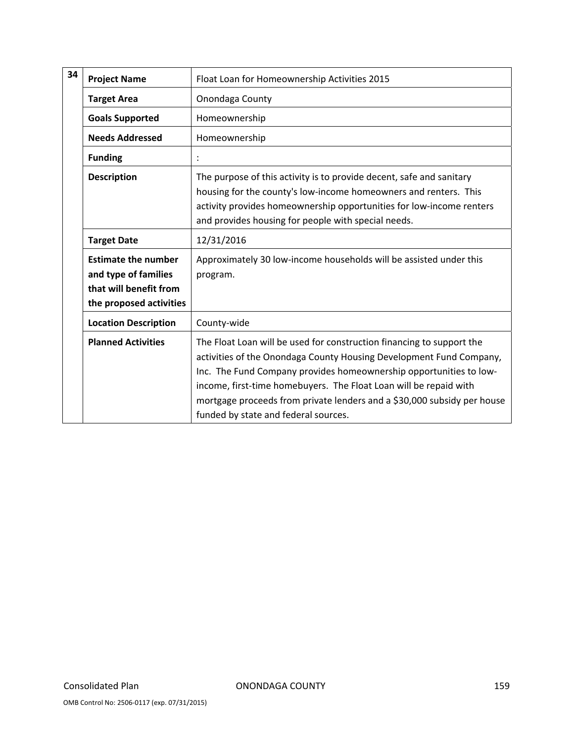| 34 | <b>Project Name</b>                                                                                     | Float Loan for Homeownership Activities 2015                                                                                                                                                                                                                                                                                                                                                               |
|----|---------------------------------------------------------------------------------------------------------|------------------------------------------------------------------------------------------------------------------------------------------------------------------------------------------------------------------------------------------------------------------------------------------------------------------------------------------------------------------------------------------------------------|
|    | <b>Target Area</b>                                                                                      | Onondaga County                                                                                                                                                                                                                                                                                                                                                                                            |
|    | <b>Goals Supported</b>                                                                                  | Homeownership                                                                                                                                                                                                                                                                                                                                                                                              |
|    | <b>Needs Addressed</b>                                                                                  | Homeownership                                                                                                                                                                                                                                                                                                                                                                                              |
|    | <b>Funding</b>                                                                                          |                                                                                                                                                                                                                                                                                                                                                                                                            |
|    | <b>Description</b>                                                                                      | The purpose of this activity is to provide decent, safe and sanitary<br>housing for the county's low-income homeowners and renters. This<br>activity provides homeownership opportunities for low-income renters<br>and provides housing for people with special needs.                                                                                                                                    |
|    | <b>Target Date</b>                                                                                      | 12/31/2016                                                                                                                                                                                                                                                                                                                                                                                                 |
|    | <b>Estimate the number</b><br>and type of families<br>that will benefit from<br>the proposed activities | Approximately 30 low-income households will be assisted under this<br>program.                                                                                                                                                                                                                                                                                                                             |
|    | <b>Location Description</b>                                                                             | County-wide                                                                                                                                                                                                                                                                                                                                                                                                |
|    | <b>Planned Activities</b>                                                                               | The Float Loan will be used for construction financing to support the<br>activities of the Onondaga County Housing Development Fund Company,<br>Inc. The Fund Company provides homeownership opportunities to low-<br>income, first-time homebuyers. The Float Loan will be repaid with<br>mortgage proceeds from private lenders and a \$30,000 subsidy per house<br>funded by state and federal sources. |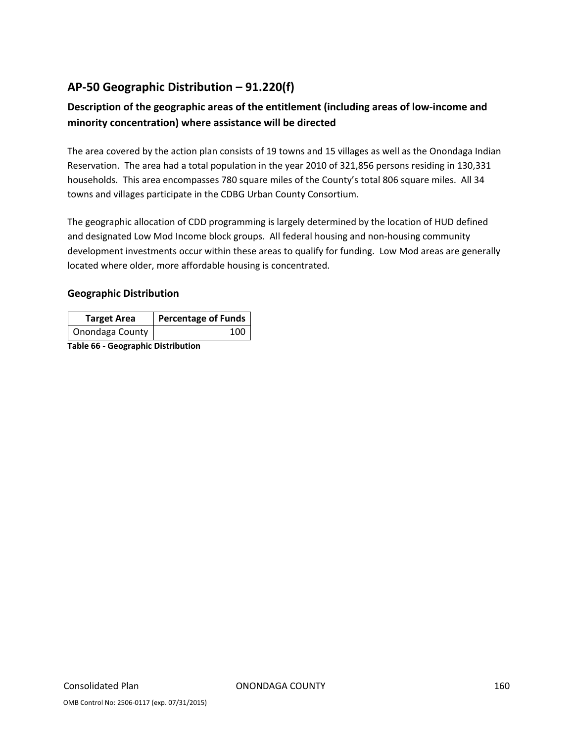# **AP‐50 Geographic Distribution – 91.220(f)**

# **Description of the geographic areas of the entitlement (including areas of low‐income and minority concentration) where assistance will be directed**

The area covered by the action plan consists of 19 towns and 15 villages as well as the Onondaga Indian Reservation. The area had a total population in the year 2010 of 321,856 persons residing in 130,331 households. This area encompasses 780 square miles of the County's total 806 square miles. All 34 towns and villages participate in the CDBG Urban County Consortium.

The geographic allocation of CDD programming is largely determined by the location of HUD defined and designated Low Mod Income block groups. All federal housing and non-housing community development investments occur within these areas to qualify for funding. Low Mod areas are generally located where older, more affordable housing is concentrated.

### **Geographic Distribution**

| <b>Target Area</b> | <b>Percentage of Funds</b> |
|--------------------|----------------------------|
| Onondaga County    | 100                        |

**Table 66 ‐ Geographic Distribution**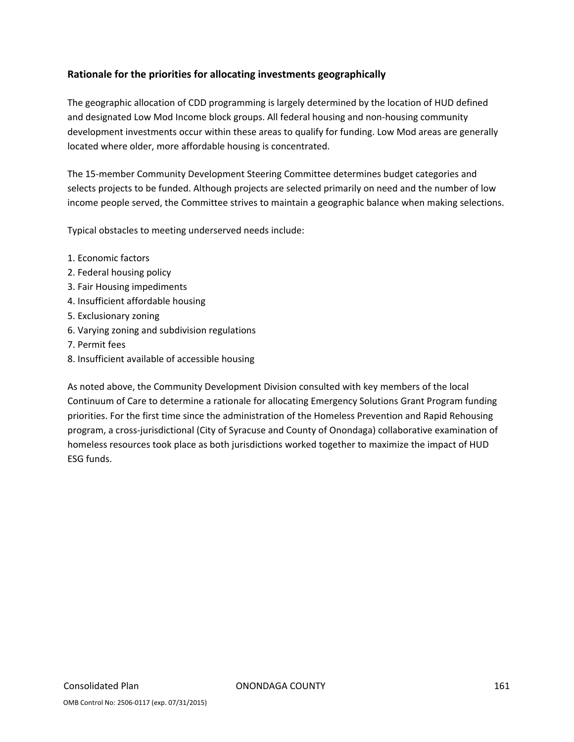### **Rationale for the priorities for allocating investments geographically**

The geographic allocation of CDD programming is largely determined by the location of HUD defined and designated Low Mod Income block groups. All federal housing and non‐housing community development investments occur within these areas to qualify for funding. Low Mod areas are generally located where older, more affordable housing is concentrated.

The 15‐member Community Development Steering Committee determines budget categories and selects projects to be funded. Although projects are selected primarily on need and the number of low income people served, the Committee strives to maintain a geographic balance when making selections.

Typical obstacles to meeting underserved needs include:

- 1. Economic factors
- 2. Federal housing policy
- 3. Fair Housing impediments
- 4. Insufficient affordable housing
- 5. Exclusionary zoning
- 6. Varying zoning and subdivision regulations
- 7. Permit fees
- 8. Insufficient available of accessible housing

As noted above, the Community Development Division consulted with key members of the local Continuum of Care to determine a rationale for allocating Emergency Solutions Grant Program funding priorities. For the first time since the administration of the Homeless Prevention and Rapid Rehousing program, a cross‐jurisdictional (City of Syracuse and County of Onondaga) collaborative examination of homeless resources took place as both jurisdictions worked together to maximize the impact of HUD ESG funds.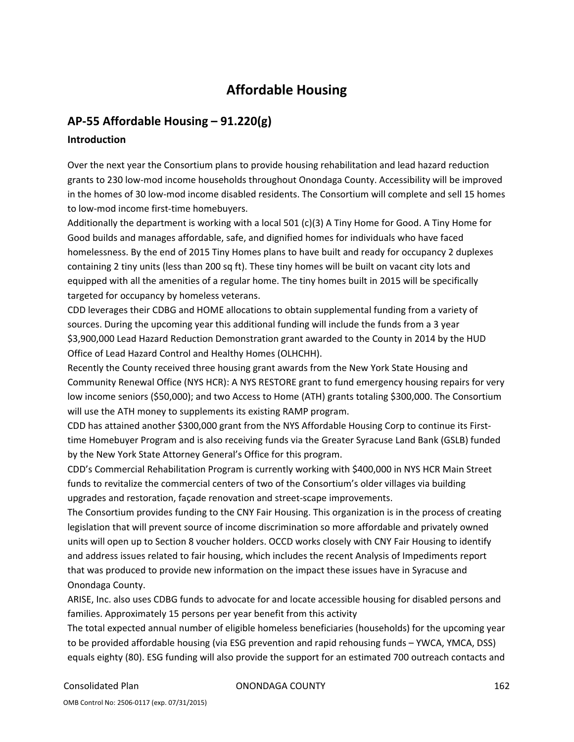# **Affordable Housing**

## **AP‐55 Affordable Housing – 91.220(g)**

### **Introduction**

Over the next year the Consortium plans to provide housing rehabilitation and lead hazard reduction grants to 230 low‐mod income households throughout Onondaga County. Accessibility will be improved in the homes of 30 low-mod income disabled residents. The Consortium will complete and sell 15 homes to low‐mod income first‐time homebuyers.

Additionally the department is working with a local 501 (c)(3) A Tiny Home for Good. A Tiny Home for Good builds and manages affordable, safe, and dignified homes for individuals who have faced homelessness. By the end of 2015 Tiny Homes plans to have built and ready for occupancy 2 duplexes containing 2 tiny units (less than 200 sq ft). These tiny homes will be built on vacant city lots and equipped with all the amenities of a regular home. The tiny homes built in 2015 will be specifically targeted for occupancy by homeless veterans.

CDD leverages their CDBG and HOME allocations to obtain supplemental funding from a variety of sources. During the upcoming year this additional funding will include the funds from a 3 year \$3,900,000 Lead Hazard Reduction Demonstration grant awarded to the County in 2014 by the HUD Office of Lead Hazard Control and Healthy Homes (OLHCHH).

Recently the County received three housing grant awards from the New York State Housing and Community Renewal Office (NYS HCR): A NYS RESTORE grant to fund emergency housing repairs for very low income seniors (\$50,000); and two Access to Home (ATH) grants totaling \$300,000. The Consortium will use the ATH money to supplements its existing RAMP program.

CDD has attained another \$300,000 grant from the NYS Affordable Housing Corp to continue its First‐ time Homebuyer Program and is also receiving funds via the Greater Syracuse Land Bank (GSLB) funded by the New York State Attorney General's Office for this program.

CDD's Commercial Rehabilitation Program is currently working with \$400,000 in NYS HCR Main Street funds to revitalize the commercial centers of two of the Consortium's older villages via building upgrades and restoration, façade renovation and street‐scape improvements.

The Consortium provides funding to the CNY Fair Housing. This organization is in the process of creating legislation that will prevent source of income discrimination so more affordable and privately owned units will open up to Section 8 voucher holders. OCCD works closely with CNY Fair Housing to identify and address issues related to fair housing, which includes the recent Analysis of Impediments report that was produced to provide new information on the impact these issues have in Syracuse and Onondaga County.

ARISE, Inc. also uses CDBG funds to advocate for and locate accessible housing for disabled persons and families. Approximately 15 persons per year benefit from this activity

The total expected annual number of eligible homeless beneficiaries (households) for the upcoming year to be provided affordable housing (via ESG prevention and rapid rehousing funds – YWCA, YMCA, DSS) equals eighty (80). ESG funding will also provide the support for an estimated 700 outreach contacts and

Consolidated Plan ONONDAGA COUNTY 162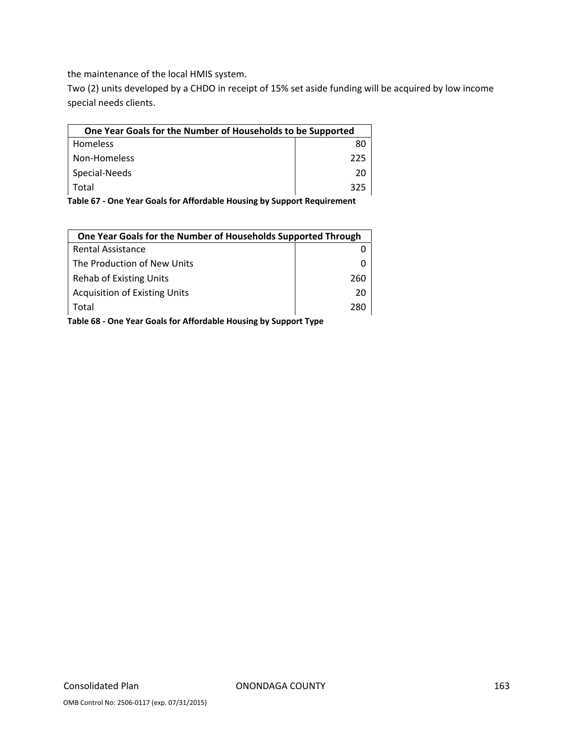the maintenance of the local HMIS system.

Two (2) units developed by a CHDO in receipt of 15% set aside funding will be acquired by low income special needs clients.

| One Year Goals for the Number of Households to be Supported |     |  |
|-------------------------------------------------------------|-----|--|
| <b>Homeless</b>                                             | 80  |  |
| Non-Homeless                                                | 225 |  |
| Special-Needs                                               | 20  |  |
| Total                                                       | 325 |  |

**Table 67 ‐ One Year Goals for Affordable Housing by Support Requirement**

| One Year Goals for the Number of Households Supported Through |     |  |
|---------------------------------------------------------------|-----|--|
| <b>Rental Assistance</b>                                      |     |  |
| The Production of New Units                                   |     |  |
| Rehab of Existing Units                                       | 260 |  |
| <b>Acquisition of Existing Units</b>                          | 20  |  |
| Total                                                         | 280 |  |

**Table 68 ‐ One Year Goals for Affordable Housing by Support Type**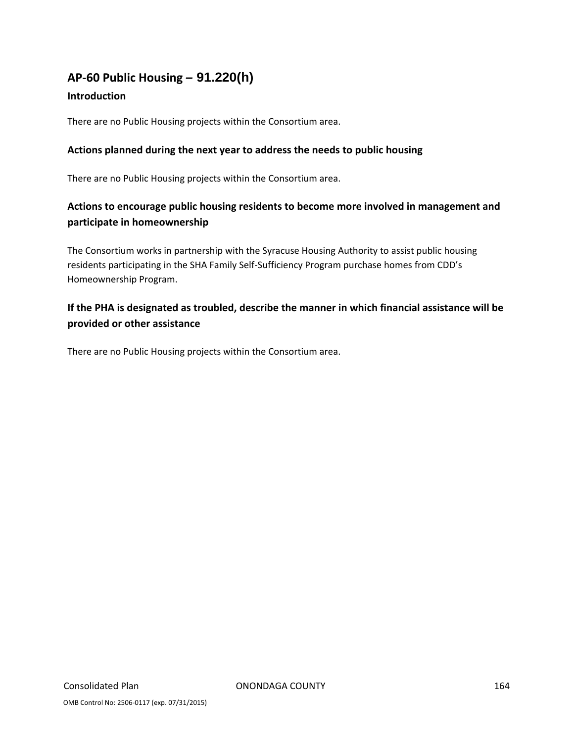# **AP‐60 Public Housing** *–* **91.220(h)**

### **Introduction**

There are no Public Housing projects within the Consortium area.

### **Actions planned during the next year to address the needs to public housing**

There are no Public Housing projects within the Consortium area.

# **Actions to encourage public housing residents to become more involved in management and participate in homeownership**

The Consortium works in partnership with the Syracuse Housing Authority to assist public housing residents participating in the SHA Family Self‐Sufficiency Program purchase homes from CDD's Homeownership Program.

# **If the PHA is designated as troubled, describe the manner in which financial assistance will be provided or other assistance**

There are no Public Housing projects within the Consortium area.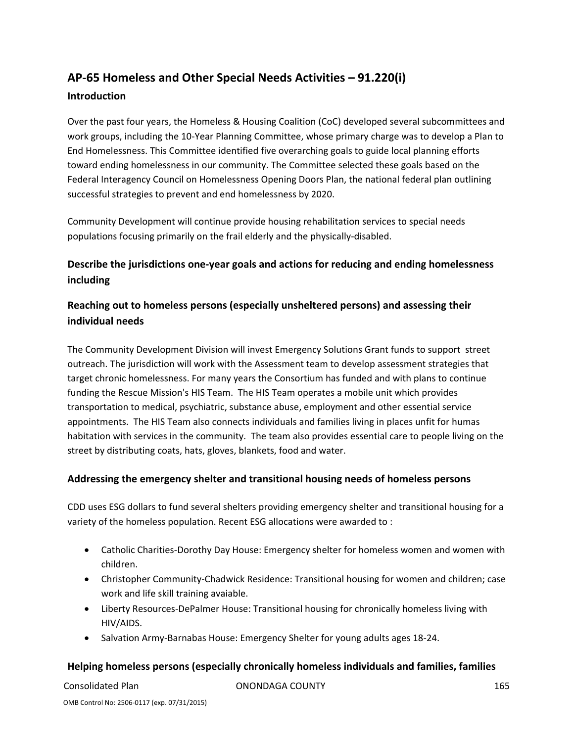# **AP‐65 Homeless and Other Special Needs Activities – 91.220(i)**

### **Introduction**

Over the past four years, the Homeless & Housing Coalition (CoC) developed several subcommittees and work groups, including the 10‐Year Planning Committee, whose primary charge was to develop a Plan to End Homelessness. This Committee identified five overarching goals to guide local planning efforts toward ending homelessness in our community. The Committee selected these goals based on the Federal Interagency Council on Homelessness Opening Doors Plan, the national federal plan outlining successful strategies to prevent and end homelessness by 2020.

Community Development will continue provide housing rehabilitation services to special needs populations focusing primarily on the frail elderly and the physically‐disabled.

# **Describe the jurisdictions one‐year goals and actions for reducing and ending homelessness including**

# **Reaching out to homeless persons (especially unsheltered persons) and assessing their individual needs**

The Community Development Division will invest Emergency Solutions Grant funds to support street outreach. The jurisdiction will work with the Assessment team to develop assessment strategies that target chronic homelessness. For many years the Consortium has funded and with plans to continue funding the Rescue Mission's HIS Team. The HIS Team operates a mobile unit which provides transportation to medical, psychiatric, substance abuse, employment and other essential service appointments. The HIS Team also connects individuals and families living in places unfit for humas habitation with services in the community. The team also provides essential care to people living on the street by distributing coats, hats, gloves, blankets, food and water.

### **Addressing the emergency shelter and transitional housing needs of homeless persons**

CDD uses ESG dollars to fund several shelters providing emergency shelter and transitional housing for a variety of the homeless population. Recent ESG allocations were awarded to :

- Catholic Charities-Dorothy Day House: Emergency shelter for homeless women and women with children.
- Christopher Community‐Chadwick Residence: Transitional housing for women and children; case work and life skill training avaiable.
- Liberty Resources‐DePalmer House: Transitional housing for chronically homeless living with HIV/AIDS.
- Salvation Army‐Barnabas House: Emergency Shelter for young adults ages 18‐24.

### **Helping homeless persons (especially chronically homeless individuals and families, families**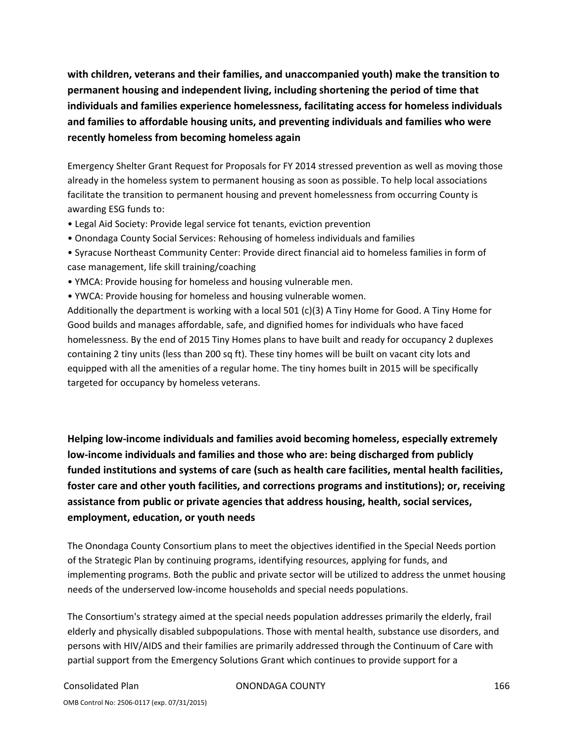**with children, veterans and their families, and unaccompanied youth) make the transition to permanent housing and independent living, including shortening the period of time that individuals and families experience homelessness, facilitating access for homeless individuals and families to affordable housing units, and preventing individuals and families who were recently homeless from becoming homeless again**

Emergency Shelter Grant Request for Proposals for FY 2014 stressed prevention as well as moving those already in the homeless system to permanent housing as soon as possible. To help local associations facilitate the transition to permanent housing and prevent homelessness from occurring County is awarding ESG funds to:

- Legal Aid Society: Provide legal service fot tenants, eviction prevention
- Onondaga County Social Services: Rehousing of homeless individuals and families
- Syracuse Northeast Community Center: Provide direct financial aid to homeless families in form of case management, life skill training/coaching
- YMCA: Provide housing for homeless and housing vulnerable men.
- YWCA: Provide housing for homeless and housing vulnerable women.

Additionally the department is working with a local 501 (c)(3) A Tiny Home for Good. A Tiny Home for Good builds and manages affordable, safe, and dignified homes for individuals who have faced homelessness. By the end of 2015 Tiny Homes plans to have built and ready for occupancy 2 duplexes containing 2 tiny units (less than 200 sq ft). These tiny homes will be built on vacant city lots and equipped with all the amenities of a regular home. The tiny homes built in 2015 will be specifically targeted for occupancy by homeless veterans.

**Helping low‐income individuals and families avoid becoming homeless, especially extremely low‐income individuals and families and those who are: being discharged from publicly funded institutions and systems of care (such as health care facilities, mental health facilities, foster care and other youth facilities, and corrections programs and institutions); or, receiving assistance from public or private agencies that address housing, health, social services, employment, education, or youth needs**

The Onondaga County Consortium plans to meet the objectives identified in the Special Needs portion of the Strategic Plan by continuing programs, identifying resources, applying for funds, and implementing programs. Both the public and private sector will be utilized to address the unmet housing needs of the underserved low‐income households and special needs populations.

The Consortium's strategy aimed at the special needs population addresses primarily the elderly, frail elderly and physically disabled subpopulations. Those with mental health, substance use disorders, and persons with HIV/AIDS and their families are primarily addressed through the Continuum of Care with partial support from the Emergency Solutions Grant which continues to provide support for a

Consolidated Plan ONONDAGA COUNTY 166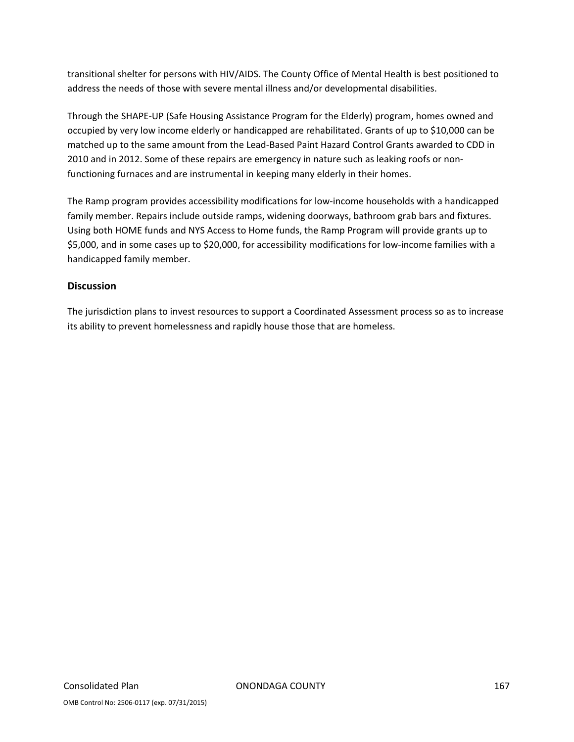transitional shelter for persons with HIV/AIDS. The County Office of Mental Health is best positioned to address the needs of those with severe mental illness and/or developmental disabilities.

Through the SHAPE‐UP (Safe Housing Assistance Program for the Elderly) program, homes owned and occupied by very low income elderly or handicapped are rehabilitated. Grants of up to \$10,000 can be matched up to the same amount from the Lead‐Based Paint Hazard Control Grants awarded to CDD in 2010 and in 2012. Some of these repairs are emergency in nature such as leaking roofs or non‐ functioning furnaces and are instrumental in keeping many elderly in their homes.

The Ramp program provides accessibility modifications for low‐income households with a handicapped family member. Repairs include outside ramps, widening doorways, bathroom grab bars and fixtures. Using both HOME funds and NYS Access to Home funds, the Ramp Program will provide grants up to \$5,000, and in some cases up to \$20,000, for accessibility modifications for low‐income families with a handicapped family member.

### **Discussion**

The jurisdiction plans to invest resources to support a Coordinated Assessment process so as to increase its ability to prevent homelessness and rapidly house those that are homeless.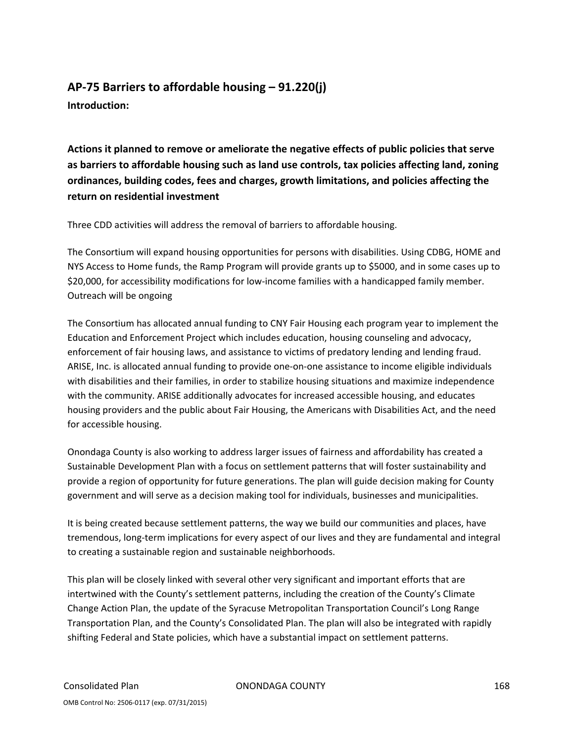# **AP‐75 Barriers to affordable housing – 91.220(j)**

**Introduction:** 

**Actions it planned to remove or ameliorate the negative effects of public policies that serve as barriers to affordable housing such as land use controls, tax policies affecting land, zoning ordinances, building codes, fees and charges, growth limitations, and policies affecting the return on residential investment**

Three CDD activities will address the removal of barriers to affordable housing.

The Consortium will expand housing opportunities for persons with disabilities. Using CDBG, HOME and NYS Access to Home funds, the Ramp Program will provide grants up to \$5000, and in some cases up to \$20,000, for accessibility modifications for low-income families with a handicapped family member. Outreach will be ongoing

The Consortium has allocated annual funding to CNY Fair Housing each program year to implement the Education and Enforcement Project which includes education, housing counseling and advocacy, enforcement of fair housing laws, and assistance to victims of predatory lending and lending fraud. ARISE, Inc. is allocated annual funding to provide one‐on‐one assistance to income eligible individuals with disabilities and their families, in order to stabilize housing situations and maximize independence with the community. ARISE additionally advocates for increased accessible housing, and educates housing providers and the public about Fair Housing, the Americans with Disabilities Act, and the need for accessible housing.

Onondaga County is also working to address larger issues of fairness and affordability has created a Sustainable Development Plan with a focus on settlement patterns that will foster sustainability and provide a region of opportunity for future generations. The plan will guide decision making for County government and will serve as a decision making tool for individuals, businesses and municipalities.

It is being created because settlement patterns, the way we build our communities and places, have tremendous, long‐term implications for every aspect of our lives and they are fundamental and integral to creating a sustainable region and sustainable neighborhoods.

This plan will be closely linked with several other very significant and important efforts that are intertwined with the County's settlement patterns, including the creation of the County's Climate Change Action Plan, the update of the Syracuse Metropolitan Transportation Council's Long Range Transportation Plan, and the County's Consolidated Plan. The plan will also be integrated with rapidly shifting Federal and State policies, which have a substantial impact on settlement patterns.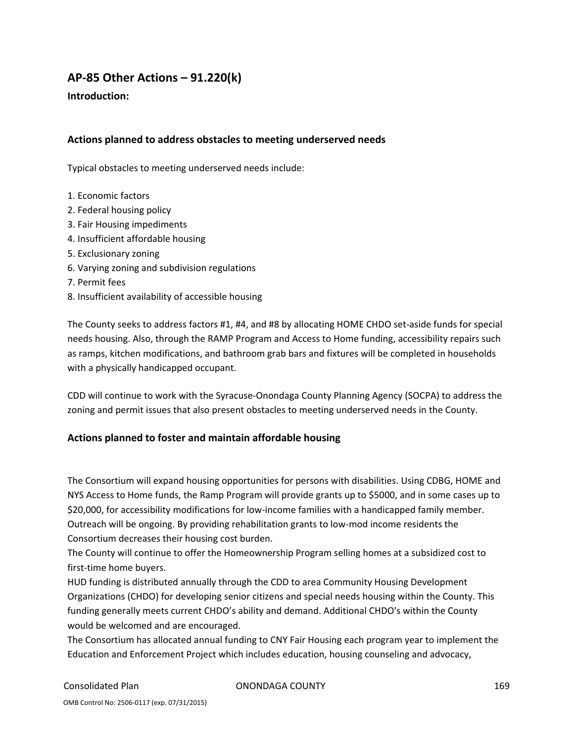# **AP‐85 Other Actions – 91.220(k)**

### **Introduction:**

### **Actions planned to address obstacles to meeting underserved needs**

Typical obstacles to meeting underserved needs include:

- 1. Economic factors
- 2. Federal housing policy
- 3. Fair Housing impediments
- 4. Insufficient affordable housing
- 5. Exclusionary zoning
- 6. Varying zoning and subdivision regulations
- 7. Permit fees
- 8. Insufficient availability of accessible housing

The County seeks to address factors #1, #4, and #8 by allocating HOME CHDO set‐aside funds for special needs housing. Also, through the RAMP Program and Access to Home funding, accessibility repairs such as ramps, kitchen modifications, and bathroom grab bars and fixtures will be completed in households with a physically handicapped occupant.

CDD will continue to work with the Syracuse‐Onondaga County Planning Agency (SOCPA) to address the zoning and permit issues that also present obstacles to meeting underserved needs in the County.

### **Actions planned to foster and maintain affordable housing**

The Consortium will expand housing opportunities for persons with disabilities. Using CDBG, HOME and NYS Access to Home funds, the Ramp Program will provide grants up to \$5000, and in some cases up to \$20,000, for accessibility modifications for low-income families with a handicapped family member. Outreach will be ongoing. By providing rehabilitation grants to low‐mod income residents the Consortium decreases their housing cost burden.

The County will continue to offer the Homeownership Program selling homes at a subsidized cost to first‐time home buyers.

HUD funding is distributed annually through the CDD to area Community Housing Development Organizations (CHDO) for developing senior citizens and special needs housing within the County. This funding generally meets current CHDO's ability and demand. Additional CHDO's within the County would be welcomed and are encouraged.

The Consortium has allocated annual funding to CNY Fair Housing each program year to implement the Education and Enforcement Project which includes education, housing counseling and advocacy,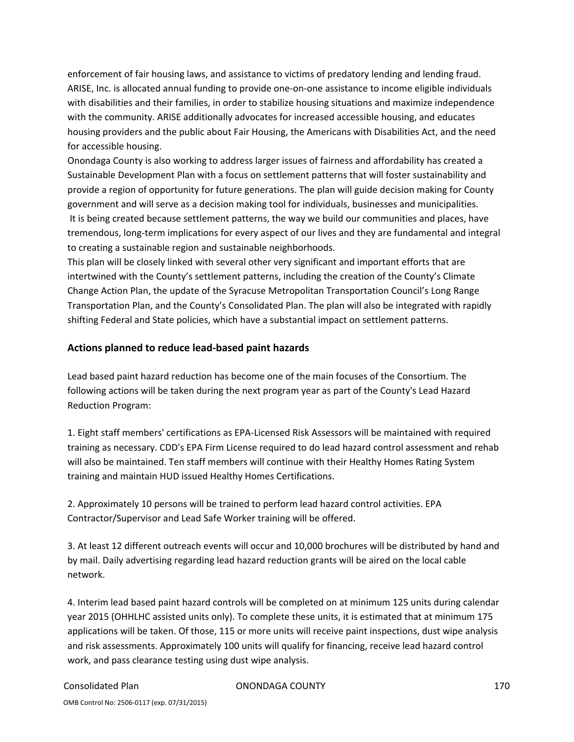enforcement of fair housing laws, and assistance to victims of predatory lending and lending fraud. ARISE, Inc. is allocated annual funding to provide one‐on‐one assistance to income eligible individuals with disabilities and their families, in order to stabilize housing situations and maximize independence with the community. ARISE additionally advocates for increased accessible housing, and educates housing providers and the public about Fair Housing, the Americans with Disabilities Act, and the need for accessible housing.

Onondaga County is also working to address larger issues of fairness and affordability has created a Sustainable Development Plan with a focus on settlement patterns that will foster sustainability and provide a region of opportunity for future generations. The plan will guide decision making for County government and will serve as a decision making tool for individuals, businesses and municipalities. It is being created because settlement patterns, the way we build our communities and places, have tremendous, long‐term implications for every aspect of our lives and they are fundamental and integral to creating a sustainable region and sustainable neighborhoods.

This plan will be closely linked with several other very significant and important efforts that are intertwined with the County's settlement patterns, including the creation of the County's Climate Change Action Plan, the update of the Syracuse Metropolitan Transportation Council's Long Range Transportation Plan, and the County's Consolidated Plan. The plan will also be integrated with rapidly shifting Federal and State policies, which have a substantial impact on settlement patterns.

### **Actions planned to reduce lead‐based paint hazards**

Lead based paint hazard reduction has become one of the main focuses of the Consortium. The following actions will be taken during the next program year as part of the County's Lead Hazard Reduction Program:

1. Eight staff members' certifications as EPA‐Licensed Risk Assessors will be maintained with required training as necessary. CDD's EPA Firm License required to do lead hazard control assessment and rehab will also be maintained. Ten staff members will continue with their Healthy Homes Rating System training and maintain HUD issued Healthy Homes Certifications.

2. Approximately 10 persons will be trained to perform lead hazard control activities. EPA Contractor/Supervisor and Lead Safe Worker training will be offered.

3. At least 12 different outreach events will occur and 10,000 brochures will be distributed by hand and by mail. Daily advertising regarding lead hazard reduction grants will be aired on the local cable network.

4. Interim lead based paint hazard controls will be completed on at minimum 125 units during calendar year 2015 (OHHLHC assisted units only). To complete these units, it is estimated that at minimum 175 applications will be taken. Of those, 115 or more units will receive paint inspections, dust wipe analysis and risk assessments. Approximately 100 units will qualify for financing, receive lead hazard control work, and pass clearance testing using dust wipe analysis.

Consolidated Plan ONONDAGA COUNTY 170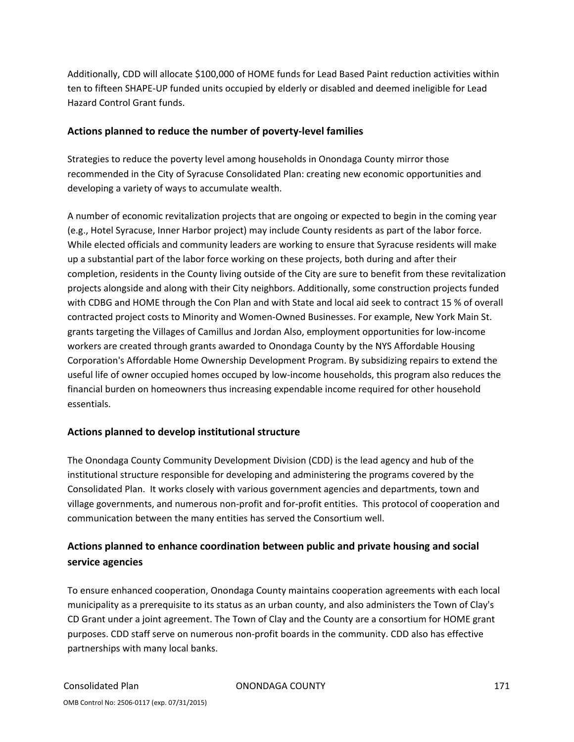Additionally, CDD will allocate \$100,000 of HOME funds for Lead Based Paint reduction activities within ten to fifteen SHAPE‐UP funded units occupied by elderly or disabled and deemed ineligible for Lead Hazard Control Grant funds.

### **Actions planned to reduce the number of poverty‐level families**

Strategies to reduce the poverty level among households in Onondaga County mirror those recommended in the City of Syracuse Consolidated Plan: creating new economic opportunities and developing a variety of ways to accumulate wealth.

A number of economic revitalization projects that are ongoing or expected to begin in the coming year (e.g., Hotel Syracuse, Inner Harbor project) may include County residents as part of the labor force. While elected officials and community leaders are working to ensure that Syracuse residents will make up a substantial part of the labor force working on these projects, both during and after their completion, residents in the County living outside of the City are sure to benefit from these revitalization projects alongside and along with their City neighbors. Additionally, some construction projects funded with CDBG and HOME through the Con Plan and with State and local aid seek to contract 15 % of overall contracted project costs to Minority and Women‐Owned Businesses. For example, New York Main St. grants targeting the Villages of Camillus and Jordan Also, employment opportunities for low‐income workers are created through grants awarded to Onondaga County by the NYS Affordable Housing Corporation's Affordable Home Ownership Development Program. By subsidizing repairs to extend the useful life of owner occupied homes occuped by low‐income households, this program also reduces the financial burden on homeowners thus increasing expendable income required for other household essentials.

### **Actions planned to develop institutional structure**

The Onondaga County Community Development Division (CDD) is the lead agency and hub of the institutional structure responsible for developing and administering the programs covered by the Consolidated Plan. It works closely with various government agencies and departments, town and village governments, and numerous non‐profit and for‐profit entities. This protocol of cooperation and communication between the many entities has served the Consortium well.

# **Actions planned to enhance coordination between public and private housing and social service agencies**

To ensure enhanced cooperation, Onondaga County maintains cooperation agreements with each local municipality as a prerequisite to its status as an urban county, and also administers the Town of Clay's CD Grant under a joint agreement. The Town of Clay and the County are a consortium for HOME grant purposes. CDD staff serve on numerous non‐profit boards in the community. CDD also has effective partnerships with many local banks.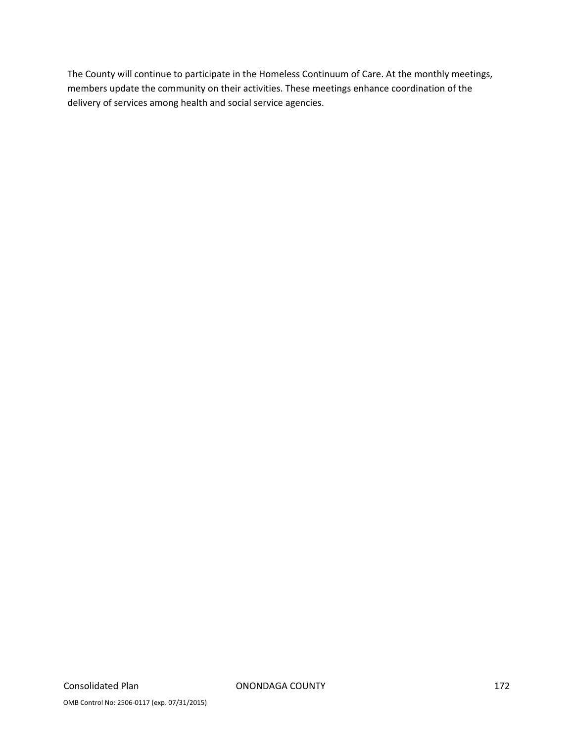The County will continue to participate in the Homeless Continuum of Care. At the monthly meetings, members update the community on their activities. These meetings enhance coordination of the delivery of services among health and social service agencies.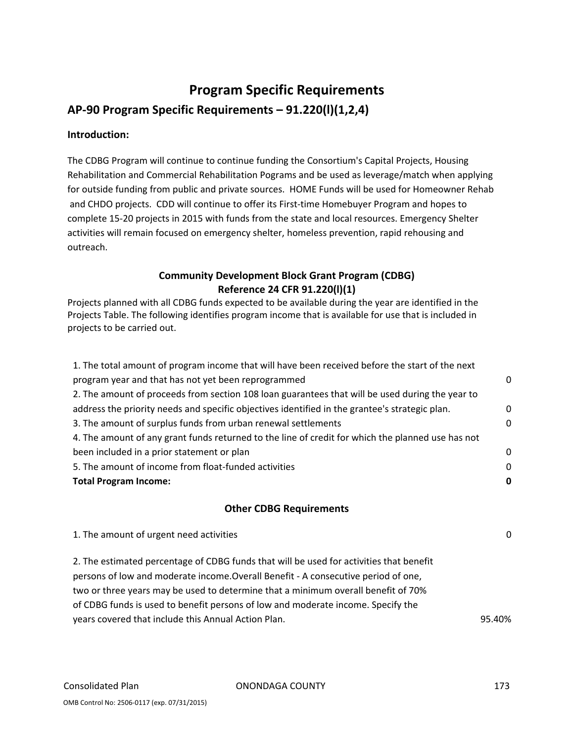# **Program Specific Requirements AP‐90 Program Specific Requirements – 91.220(l)(1,2,4)**

### **Introduction:**

The CDBG Program will continue to continue funding the Consortium's Capital Projects, Housing Rehabilitation and Commercial Rehabilitation Pograms and be used as leverage/match when applying for outside funding from public and private sources. HOME Funds will be used for Homeowner Rehab and CHDO projects. CDD will continue to offer its First-time Homebuyer Program and hopes to complete 15‐20 projects in 2015 with funds from the state and local resources. Emergency Shelter activities will remain focused on emergency shelter, homeless prevention, rapid rehousing and outreach.

# **Community Development Block Grant Program (CDBG) Reference 24 CFR 91.220(l)(1)**

Projects planned with all CDBG funds expected to be available during the year are identified in the Projects Table. The following identifies program income that is available for use that is included in projects to be carried out.

| 1. The total amount of program income that will have been received before the start of the next                                                                                                                                                                    |              |
|--------------------------------------------------------------------------------------------------------------------------------------------------------------------------------------------------------------------------------------------------------------------|--------------|
| program year and that has not yet been reprogrammed                                                                                                                                                                                                                | 0            |
| 2. The amount of proceeds from section 108 loan guarantees that will be used during the year to                                                                                                                                                                    |              |
| address the priority needs and specific objectives identified in the grantee's strategic plan.                                                                                                                                                                     | $\mathbf 0$  |
| 3. The amount of surplus funds from urban renewal settlements                                                                                                                                                                                                      | $\mathbf{0}$ |
| 4. The amount of any grant funds returned to the line of credit for which the planned use has not                                                                                                                                                                  |              |
| been included in a prior statement or plan                                                                                                                                                                                                                         | 0            |
| 5. The amount of income from float-funded activities                                                                                                                                                                                                               | 0            |
| <b>Total Program Income:</b>                                                                                                                                                                                                                                       | 0            |
|                                                                                                                                                                                                                                                                    |              |
| <b>Other CDBG Requirements</b>                                                                                                                                                                                                                                     |              |
| 1. The amount of urgent need activities                                                                                                                                                                                                                            | 0            |
| 2. The estimated percentage of CDBG funds that will be used for activities that benefit<br>persons of low and moderate income. Overall Benefit - A consecutive period of one,<br>two or three years may be used to determine that a minimum overall benefit of 70% |              |

years covered that include this Annual Action Plan. 95.40%

of CDBG funds is used to benefit persons of low and moderate income. Specify the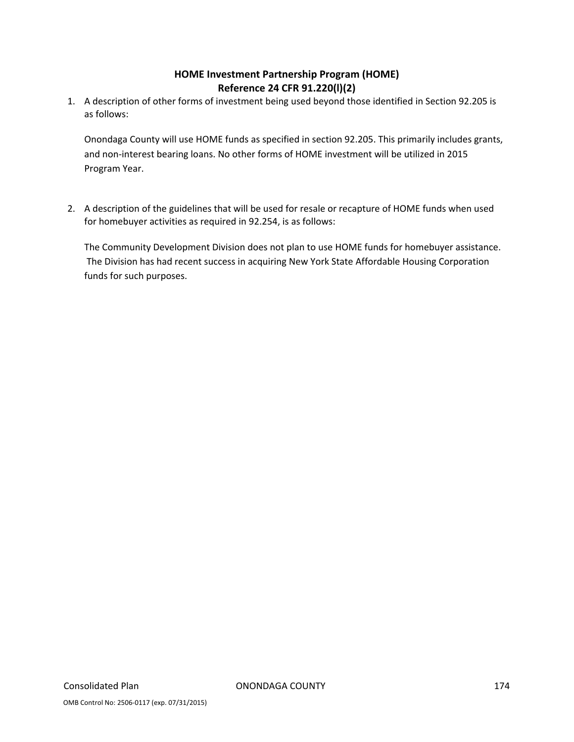## **HOME Investment Partnership Program (HOME) Reference 24 CFR 91.220(l)(2)**

1. A description of other forms of investment being used beyond those identified in Section 92.205 is as follows:

Onondaga County will use HOME funds as specified in section 92.205. This primarily includes grants, and non-interest bearing loans. No other forms of HOME investment will be utilized in 2015 Program Year.

2. A description of the guidelines that will be used for resale or recapture of HOME funds when used for homebuyer activities as required in 92.254, is as follows:

The Community Development Division does not plan to use HOME funds for homebuyer assistance. The Division has had recent success in acquiring New York State Affordable Housing Corporation funds for such purposes.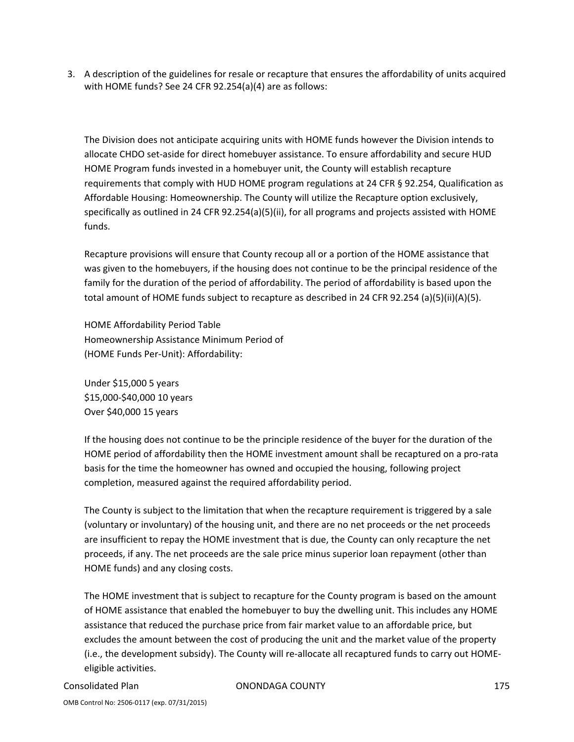3. A description of the guidelines for resale or recapture that ensures the affordability of units acquired with HOME funds? See 24 CFR 92.254(a)(4) are as follows:

The Division does not anticipate acquiring units with HOME funds however the Division intends to allocate CHDO set‐aside for direct homebuyer assistance. To ensure affordability and secure HUD HOME Program funds invested in a homebuyer unit, the County will establish recapture requirements that comply with HUD HOME program regulations at 24 CFR § 92.254, Qualification as Affordable Housing: Homeownership. The County will utilize the Recapture option exclusively, specifically as outlined in 24 CFR 92.254(a)(5)(ii), for all programs and projects assisted with HOME funds.

Recapture provisions will ensure that County recoup all or a portion of the HOME assistance that was given to the homebuyers, if the housing does not continue to be the principal residence of the family for the duration of the period of affordability. The period of affordability is based upon the total amount of HOME funds subject to recapture as described in 24 CFR 92.254 (a)(5)(ii)(A)(5).

HOME Affordability Period Table Homeownership Assistance Minimum Period of (HOME Funds Per‐Unit): Affordability:

Under \$15,000 5 years \$15,000‐\$40,000 10 years Over \$40,000 15 years

If the housing does not continue to be the principle residence of the buyer for the duration of the HOME period of affordability then the HOME investment amount shall be recaptured on a pro‐rata basis for the time the homeowner has owned and occupied the housing, following project completion, measured against the required affordability period.

The County is subject to the limitation that when the recapture requirement is triggered by a sale (voluntary or involuntary) of the housing unit, and there are no net proceeds or the net proceeds are insufficient to repay the HOME investment that is due, the County can only recapture the net proceeds, if any. The net proceeds are the sale price minus superior loan repayment (other than HOME funds) and any closing costs.

The HOME investment that is subject to recapture for the County program is based on the amount of HOME assistance that enabled the homebuyer to buy the dwelling unit. This includes any HOME assistance that reduced the purchase price from fair market value to an affordable price, but excludes the amount between the cost of producing the unit and the market value of the property (i.e., the development subsidy). The County will re‐allocate all recaptured funds to carry out HOME‐ eligible activities.

Consolidated Plan ONONDAGA COUNTY 175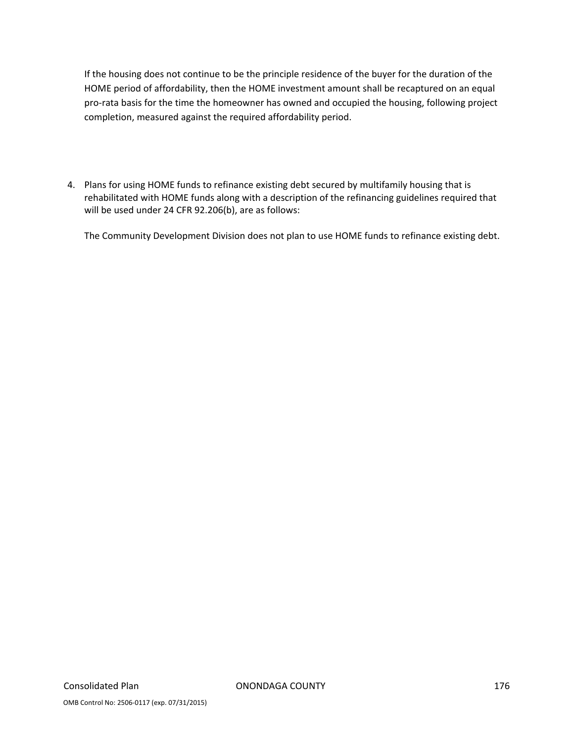If the housing does not continue to be the principle residence of the buyer for the duration of the HOME period of affordability, then the HOME investment amount shall be recaptured on an equal pro-rata basis for the time the homeowner has owned and occupied the housing, following project completion, measured against the required affordability period.

4. Plans for using HOME funds to refinance existing debt secured by multifamily housing that is rehabilitated with HOME funds along with a description of the refinancing guidelines required that will be used under 24 CFR 92.206(b), are as follows:

The Community Development Division does not plan to use HOME funds to refinance existing debt.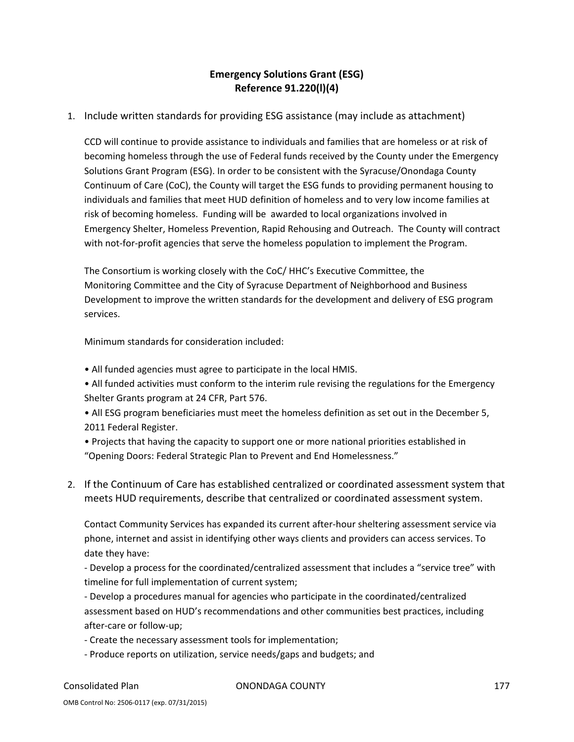## **Emergency Solutions Grant (ESG) Reference 91.220(l)(4)**

### 1. Include written standards for providing ESG assistance (may include as attachment)

CCD will continue to provide assistance to individuals and families that are homeless or at risk of becoming homeless through the use of Federal funds received by the County under the Emergency Solutions Grant Program (ESG). In order to be consistent with the Syracuse/Onondaga County Continuum of Care (CoC), the County will target the ESG funds to providing permanent housing to individuals and families that meet HUD definition of homeless and to very low income families at risk of becoming homeless. Funding will be awarded to local organizations involved in Emergency Shelter, Homeless Prevention, Rapid Rehousing and Outreach. The County will contract with not-for-profit agencies that serve the homeless population to implement the Program.

The Consortium is working closely with the CoC/ HHC's Executive Committee, the Monitoring Committee and the City of Syracuse Department of Neighborhood and Business Development to improve the written standards for the development and delivery of ESG program services.

Minimum standards for consideration included:

- All funded agencies must agree to participate in the local HMIS.
- All funded activities must conform to the interim rule revising the regulations for the Emergency Shelter Grants program at 24 CFR, Part 576.
- All ESG program beneficiaries must meet the homeless definition as set out in the December 5, 2011 Federal Register.
- Projects that having the capacity to support one or more national priorities established in "Opening Doors: Federal Strategic Plan to Prevent and End Homelessness."
- 2. If the Continuum of Care has established centralized or coordinated assessment system that meets HUD requirements, describe that centralized or coordinated assessment system.

Contact Community Services has expanded its current after‐hour sheltering assessment service via phone, internet and assist in identifying other ways clients and providers can access services. To date they have:

‐ Develop a process for the coordinated/centralized assessment that includes a "service tree" with timeline for full implementation of current system;

‐ Develop a procedures manual for agencies who participate in the coordinated/centralized assessment based on HUD's recommendations and other communities best practices, including after‐care or follow‐up;

- ‐ Create the necessary assessment tools for implementation;
- ‐ Produce reports on utilization, service needs/gaps and budgets; and

Consolidated Plan ONONDAGA COUNTY 177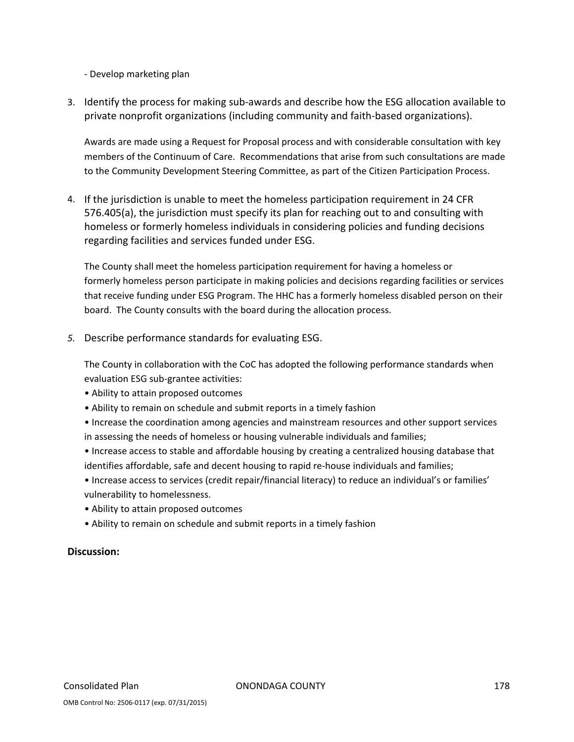‐ Develop marketing plan

3. Identify the process for making sub‐awards and describe how the ESG allocation available to private nonprofit organizations (including community and faith‐based organizations).

Awards are made using a Request for Proposal process and with considerable consultation with key members of the Continuum of Care. Recommendations that arise from such consultations are made to the Community Development Steering Committee, as part of the Citizen Participation Process.

4. If the jurisdiction is unable to meet the homeless participation requirement in 24 CFR 576.405(a), the jurisdiction must specify its plan for reaching out to and consulting with homeless or formerly homeless individuals in considering policies and funding decisions regarding facilities and services funded under ESG.

The County shall meet the homeless participation requirement for having a homeless or formerly homeless person participate in making policies and decisions regarding facilities or services that receive funding under ESG Program. The HHC has a formerly homeless disabled person on their board. The County consults with the board during the allocation process.

*5.* Describe performance standards for evaluating ESG.

The County in collaboration with the CoC has adopted the following performance standards when evaluation ESG sub‐grantee activities:

- Ability to attain proposed outcomes
- Ability to remain on schedule and submit reports in a timely fashion
- Increase the coordination among agencies and mainstream resources and other support services in assessing the needs of homeless or housing vulnerable individuals and families;
- Increase access to stable and affordable housing by creating a centralized housing database that identifies affordable, safe and decent housing to rapid re-house individuals and families;
- Increase access to services (credit repair/financial literacy) to reduce an individual's or families' vulnerability to homelessness.
- Ability to attain proposed outcomes
- Ability to remain on schedule and submit reports in a timely fashion

### **Discussion:**